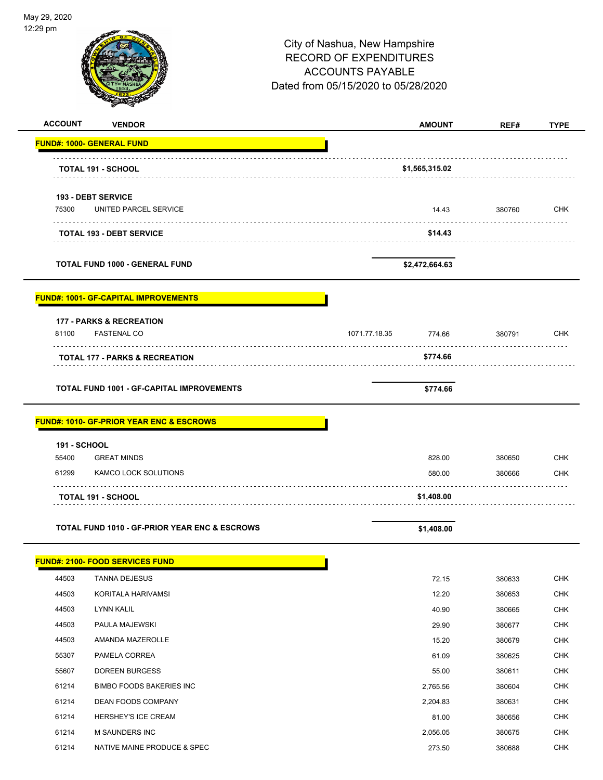| May 29, 2020        |                                                          |                                                                                                                                  |                |               |             |
|---------------------|----------------------------------------------------------|----------------------------------------------------------------------------------------------------------------------------------|----------------|---------------|-------------|
| 12:29 pm            |                                                          | City of Nashua, New Hampshire<br><b>RECORD OF EXPENDITURES</b><br><b>ACCOUNTS PAYABLE</b><br>Dated from 05/15/2020 to 05/28/2020 |                | Page 15 of 81 |             |
|                     |                                                          |                                                                                                                                  |                |               |             |
| <b>ACCOUNT</b>      | <b>VENDOR</b>                                            |                                                                                                                                  | <b>AMOUNT</b>  | REF#          | <b>TYPE</b> |
|                     | <b>FUND#: 1000- GENERAL FUND</b>                         |                                                                                                                                  |                |               |             |
|                     | <b>TOTAL 191 - SCHOOL</b>                                |                                                                                                                                  | \$1,565,315.02 |               |             |
|                     | <b>193 - DEBT SERVICE</b>                                |                                                                                                                                  |                |               |             |
| 75300               | UNITED PARCEL SERVICE                                    |                                                                                                                                  | 14.43          | 380760        | <b>CHK</b>  |
|                     |                                                          |                                                                                                                                  |                |               |             |
|                     | <b>TOTAL 193 - DEBT SERVICE</b>                          |                                                                                                                                  | \$14.43        |               |             |
|                     | <b>TOTAL FUND 1000 - GENERAL FUND</b>                    |                                                                                                                                  | \$2,472,664.63 |               |             |
|                     | <b>FUND#: 1001- GF-CAPITAL IMPROVEMENTS</b>              |                                                                                                                                  |                |               |             |
|                     | <b>177 - PARKS &amp; RECREATION</b>                      |                                                                                                                                  |                |               |             |
| 81100               | <b>FASTENAL CO</b>                                       | 1071.77.18.35                                                                                                                    | 774.66         | 380791        | <b>CHK</b>  |
|                     | .<br>TOTAL 177 - PARKS & RECREATION                      |                                                                                                                                  | \$774.66       |               |             |
|                     |                                                          |                                                                                                                                  |                |               |             |
|                     | <b>TOTAL FUND 1001 - GF-CAPITAL IMPROVEMENTS</b>         |                                                                                                                                  | \$774.66       |               |             |
|                     | <b>FUND#: 1010- GF-PRIOR YEAR ENC &amp; ESCROWS</b>      |                                                                                                                                  |                |               |             |
| <b>191 - SCHOOL</b> |                                                          |                                                                                                                                  |                |               |             |
| 55400               | <b>GREAT MINDS</b>                                       |                                                                                                                                  | 828.00         | 380650        | <b>CHK</b>  |
| 61299               | KAMCO LOCK SOLUTIONS                                     |                                                                                                                                  | 580.00         | 380666        | <b>CHK</b>  |
|                     | <b>TOTAL 191 - SCHOOL</b>                                |                                                                                                                                  | \$1,408.00     | .             |             |
|                     | <b>TOTAL FUND 1010 - GF-PRIOR YEAR ENC &amp; ESCROWS</b> |                                                                                                                                  | \$1,408.00     |               |             |
|                     | <b>FUND#: 2100- FOOD SERVICES FUND</b>                   |                                                                                                                                  |                |               |             |
| 44503               | <b>TANNA DEJESUS</b>                                     |                                                                                                                                  | 72.15          | 380633        | <b>CHK</b>  |
| 44503               | KORITALA HARIVAMSI                                       |                                                                                                                                  | 12.20          | 380653        | <b>CHK</b>  |
| 44503               | <b>LYNN KALIL</b>                                        |                                                                                                                                  | 40.90          | 380665        | <b>CHK</b>  |
| 44503               | PAULA MAJEWSKI                                           |                                                                                                                                  | 29.90          | 380677        | CHK         |
| 44503               | AMANDA MAZEROLLE                                         |                                                                                                                                  | 15.20          | 380679        | <b>CHK</b>  |
| 55307               | PAMELA CORREA                                            |                                                                                                                                  | 61.09          | 380625        | <b>CHK</b>  |
| 55607               | DOREEN BURGESS                                           |                                                                                                                                  | 55.00          | 380611        | <b>CHK</b>  |
| 61214               | <b>BIMBO FOODS BAKERIES INC</b>                          |                                                                                                                                  | 2,765.56       | 380604        | <b>CHK</b>  |
| 61214               | DEAN FOODS COMPANY                                       |                                                                                                                                  | 2,204.83       | 380631        | CHK         |
| 61214               | HERSHEY'S ICE CREAM                                      |                                                                                                                                  | 81.00          | 380656        | <b>CHK</b>  |
| 61214               | M SAUNDERS INC                                           |                                                                                                                                  | 2,056.05       | 380675        | <b>CHK</b>  |
| 61214               | NATIVE MAINE PRODUCE & SPEC                              |                                                                                                                                  | 273.50         | 380688        | <b>CHK</b>  |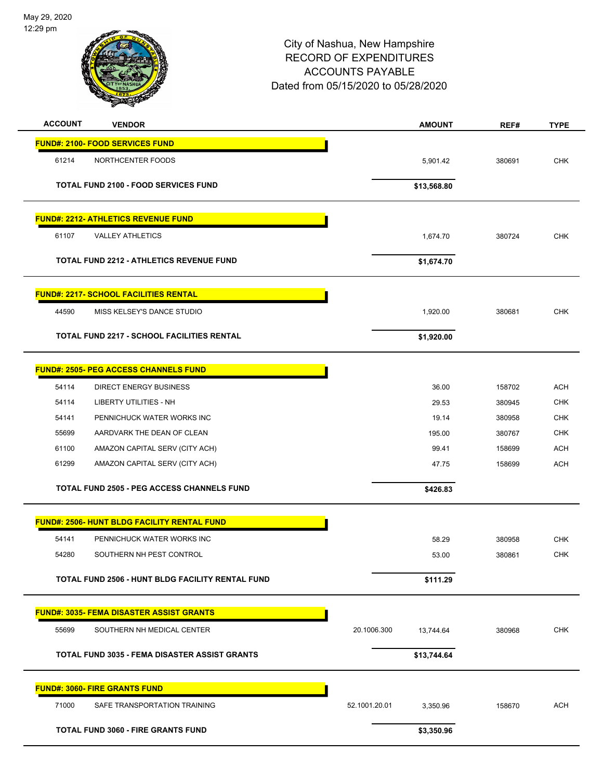

| <b>ACCOUNT</b><br><b>VENDOR</b>                    |                                                         |               | <b>AMOUNT</b> | REF#   | <b>TYPE</b> |
|----------------------------------------------------|---------------------------------------------------------|---------------|---------------|--------|-------------|
| <b>FUND#: 2100- FOOD SERVICES FUND</b>             |                                                         |               |               |        |             |
| 61214<br>NORTHCENTER FOODS                         |                                                         |               | 5,901.42      | 380691 | <b>CHK</b>  |
| <b>TOTAL FUND 2100 - FOOD SERVICES FUND</b>        |                                                         |               | \$13,568.80   |        |             |
| <b>FUND#: 2212- ATHLETICS REVENUE FUND</b>         |                                                         |               |               |        |             |
| <b>VALLEY ATHLETICS</b><br>61107                   |                                                         |               | 1,674.70      | 380724 | <b>CHK</b>  |
|                                                    | <b>TOTAL FUND 2212 - ATHLETICS REVENUE FUND</b>         |               | \$1,674.70    |        |             |
| <b>FUND#: 2217- SCHOOL FACILITIES RENTAL</b>       |                                                         |               |               |        |             |
| 44590                                              | MISS KELSEY'S DANCE STUDIO                              |               | 1,920.00      | 380681 | <b>CHK</b>  |
|                                                    | <b>TOTAL FUND 2217 - SCHOOL FACILITIES RENTAL</b>       |               | \$1,920.00    |        |             |
| <b>FUND#: 2505- PEG ACCESS CHANNELS FUND</b>       |                                                         |               |               |        |             |
| 54114                                              | <b>DIRECT ENERGY BUSINESS</b>                           |               | 36.00         | 158702 | <b>ACH</b>  |
| 54114<br><b>LIBERTY UTILITIES - NH</b>             |                                                         |               | 29.53         | 380945 | <b>CHK</b>  |
| 54141                                              | PENNICHUCK WATER WORKS INC                              |               | 19.14         | 380958 | <b>CHK</b>  |
| 55699                                              | AARDVARK THE DEAN OF CLEAN                              |               | 195.00        | 380767 | <b>CHK</b>  |
| 61100                                              | AMAZON CAPITAL SERV (CITY ACH)                          |               | 99.41         | 158699 | <b>ACH</b>  |
| 61299                                              | AMAZON CAPITAL SERV (CITY ACH)                          |               | 47.75         | 158699 | <b>ACH</b>  |
|                                                    | <b>TOTAL FUND 2505 - PEG ACCESS CHANNELS FUND</b>       |               | \$426.83      |        |             |
| <b>FUND#: 2506- HUNT BLDG FACILITY RENTAL FUND</b> |                                                         |               |               |        |             |
| 54141                                              | PENNICHUCK WATER WORKS INC                              |               | 58.29         | 380958 | <b>CHK</b>  |
| 54280                                              | SOUTHERN NH PEST CONTROL                                |               | 53.00         | 380861 | <b>CHK</b>  |
|                                                    | <b>TOTAL FUND 2506 - HUNT BLDG FACILITY RENTAL FUND</b> |               | \$111.29      |        |             |
| <b>FUND#: 3035- FEMA DISASTER ASSIST GRANTS</b>    |                                                         |               |               |        |             |
| 55699                                              | SOUTHERN NH MEDICAL CENTER                              | 20.1006.300   | 13,744.64     | 380968 | <b>CHK</b>  |
|                                                    | <b>TOTAL FUND 3035 - FEMA DISASTER ASSIST GRANTS</b>    |               | \$13,744.64   |        |             |
| <b>FUND#: 3060- FIRE GRANTS FUND</b>               |                                                         |               |               |        |             |
| 71000                                              | SAFE TRANSPORTATION TRAINING                            | 52.1001.20.01 | 3,350.96      | 158670 | <b>ACH</b>  |
| <b>TOTAL FUND 3060 - FIRE GRANTS FUND</b>          |                                                         |               | \$3,350.96    |        |             |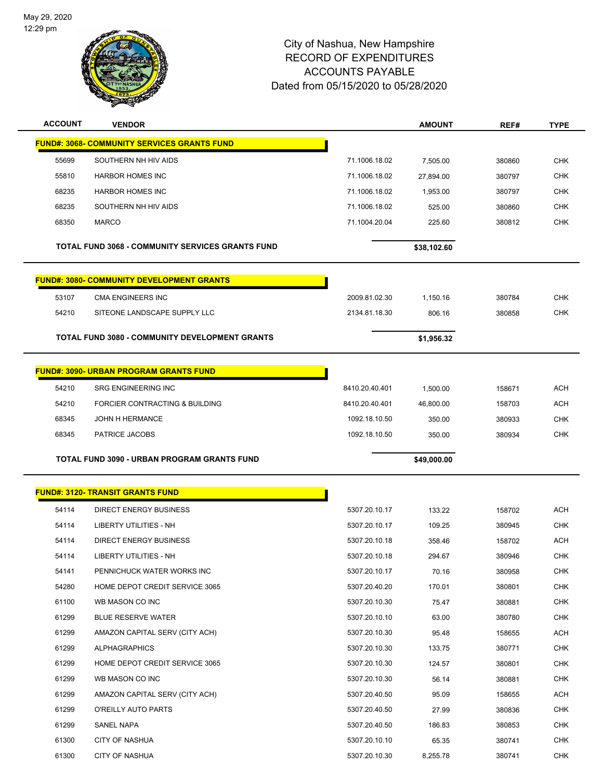L,



| <b>ACCOUNT</b> | <b>VENDOR</b>                                           |                | <b>AMOUNT</b> | REF#   | TYPE       |
|----------------|---------------------------------------------------------|----------------|---------------|--------|------------|
|                | <b>FUND#: 3068- COMMUNITY SERVICES GRANTS FUND</b>      |                |               |        |            |
| 55699          | SOUTHERN NH HIV AIDS                                    | 71.1006.18.02  | 7,505.00      | 380860 | CHK        |
| 55810          | <b>HARBOR HOMES INC</b>                                 | 71.1006.18.02  | 27,894.00     | 380797 | <b>CHK</b> |
| 68235          | <b>HARBOR HOMES INC</b>                                 | 71.1006.18.02  | 1,953.00      | 380797 | <b>CHK</b> |
| 68235          | SOUTHERN NH HIV AIDS                                    | 71.1006.18.02  | 525.00        | 380860 | <b>CHK</b> |
| 68350          | <b>MARCO</b>                                            | 71.1004.20.04  | 225.60        | 380812 | <b>CHK</b> |
|                |                                                         |                |               |        |            |
|                | <b>TOTAL FUND 3068 - COMMUNITY SERVICES GRANTS FUND</b> |                | \$38,102.60   |        |            |
|                | <b>FUND#: 3080- COMMUNITY DEVELOPMENT GRANTS</b>        |                |               |        |            |
| 53107          | CMA ENGINEERS INC                                       | 2009.81.02.30  | 1,150.16      | 380784 | <b>CHK</b> |
| 54210          | SITEONE LANDSCAPE SUPPLY LLC                            | 2134.81.18.30  | 806.16        | 380858 | <b>CHK</b> |
|                |                                                         |                |               |        |            |
|                | TOTAL FUND 3080 - COMMUNITY DEVELOPMENT GRANTS          |                | \$1,956.32    |        |            |
|                | <b>FUND#: 3090- URBAN PROGRAM GRANTS FUND</b>           |                |               |        |            |
| 54210          | <b>SRG ENGINEERING INC</b>                              | 8410.20.40.401 | 1,500.00      | 158671 | <b>ACH</b> |
| 54210          | FORCIER CONTRACTING & BUILDING                          | 8410.20.40.401 | 46,800.00     | 158703 | <b>ACH</b> |
| 68345          | <b>JOHN H HERMANCE</b>                                  | 1092.18.10.50  | 350.00        | 380933 | <b>CHK</b> |
| 68345          | PATRICE JACOBS                                          | 1092.18.10.50  | 350.00        | 380934 | <b>CHK</b> |
|                |                                                         |                |               |        |            |
|                |                                                         |                |               |        |            |
|                | TOTAL FUND 3090 - URBAN PROGRAM GRANTS FUND             |                | \$49,000.00   |        |            |
|                | <b>FUND#: 3120- TRANSIT GRANTS FUND</b>                 |                |               |        |            |
| 54114          | <b>DIRECT ENERGY BUSINESS</b>                           | 5307.20.10.17  | 133.22        | 158702 | <b>ACH</b> |
| 54114          | <b>LIBERTY UTILITIES - NH</b>                           | 5307.20.10.17  | 109.25        | 380945 | <b>CHK</b> |
| 54114          | <b>DIRECT ENERGY BUSINESS</b>                           | 5307.20.10.18  | 358.46        | 158702 | ACH        |
| 54114          | LIBERTY UTILITIES - NH                                  | 5307.20.10.18  | 294.67        | 380946 | <b>CHK</b> |
| 54141          | PENNICHUCK WATER WORKS INC                              | 5307.20.10.17  | 70.16         | 380958 | <b>CHK</b> |
| 54280          | HOME DEPOT CREDIT SERVICE 3065                          | 5307.20.40.20  | 170.01        | 380801 | <b>CHK</b> |
| 61100          | WB MASON CO INC                                         | 5307.20.10.30  | 75.47         | 380881 | <b>CHK</b> |
| 61299          | <b>BLUE RESERVE WATER</b>                               | 5307.20.10.10  | 63.00         | 380780 | <b>CHK</b> |
| 61299          | AMAZON CAPITAL SERV (CITY ACH)                          | 5307.20.10.30  | 95.48         | 158655 | ACH        |
| 61299          | <b>ALPHAGRAPHICS</b>                                    | 5307.20.10.30  | 133.75        | 380771 | <b>CHK</b> |
| 61299          | HOME DEPOT CREDIT SERVICE 3065                          | 5307.20.10.30  | 124.57        | 380801 | <b>CHK</b> |
| 61299          | WB MASON CO INC                                         | 5307.20.10.30  | 56.14         | 380881 | CHK        |
| 61299          | AMAZON CAPITAL SERV (CITY ACH)                          | 5307.20.40.50  | 95.09         | 158655 | ACH        |
| 61299          | O'REILLY AUTO PARTS                                     | 5307.20.40.50  | 27.99         | 380836 | <b>CHK</b> |
| 61299          | SANEL NAPA                                              | 5307.20.40.50  | 186.83        | 380853 | CHK        |
| 61300          | <b>CITY OF NASHUA</b>                                   | 5307.20.10.10  | 65.35         | 380741 | <b>CHK</b> |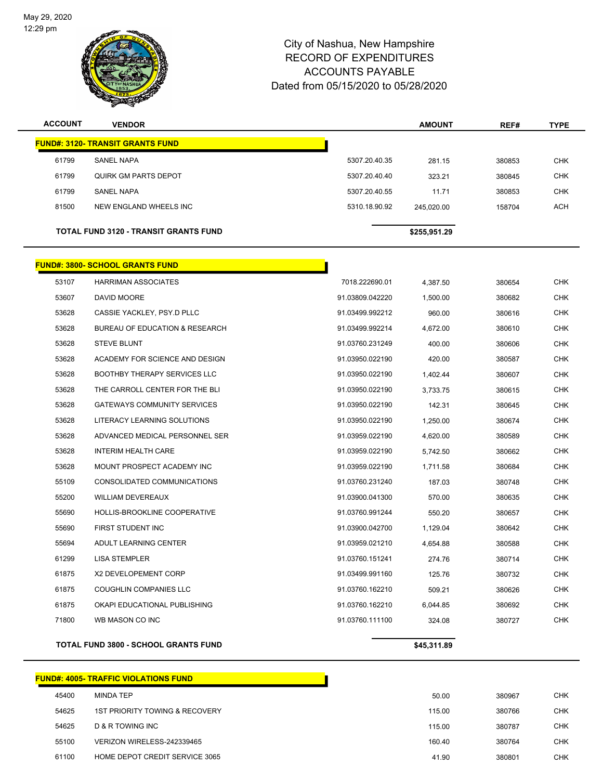

| <b>ACCOUNT</b>                               | <b>VENDOR</b>                           |                | <b>AMOUNT</b> | REF#   | <b>TYPE</b> |
|----------------------------------------------|-----------------------------------------|----------------|---------------|--------|-------------|
|                                              | <b>FUND#: 3120- TRANSIT GRANTS FUND</b> |                |               |        |             |
| 61799                                        | <b>SANEL NAPA</b>                       | 5307.20.40.35  | 281.15        | 380853 | <b>CHK</b>  |
| 61799                                        | QUIRK GM PARTS DEPOT                    | 5307.20.40.40  | 323.21        | 380845 | <b>CHK</b>  |
| 61799                                        | <b>SANEL NAPA</b>                       | 5307.20.40.55  | 11.71         | 380853 | <b>CHK</b>  |
| 81500                                        | NEW ENGLAND WHEELS INC                  | 5310.18.90.92  | 245,020.00    | 158704 | <b>ACH</b>  |
| <b>TOTAL FUND 3120 - TRANSIT GRANTS FUND</b> |                                         |                | \$255,951.29  |        |             |
|                                              | <b>FUND#: 3800- SCHOOL GRANTS FUND</b>  |                |               |        |             |
| 53107                                        | <b>HARRIMAN ASSOCIATES</b>              | 7018.222690.01 | 4,387.50      | 380654 | <b>CHK</b>  |

|                | <b>TOTAL FUND 3800 - SCHOOL GRANTS FUND</b> |                 | \$45,311.89 |        |            |
|----------------|---------------------------------------------|-----------------|-------------|--------|------------|
| 71800          | WB MASON CO INC                             | 91.03760.111100 | 324.08      | 380727 | <b>CHK</b> |
| 61875          | OKAPI EDUCATIONAL PUBLISHING                | 91.03760.162210 | 6,044.85    | 380692 | <b>CHK</b> |
| 61875          | <b>COUGHLIN COMPANIES LLC</b>               | 91.03760.162210 | 509.21      | 380626 | <b>CHK</b> |
| 61875          | X2 DEVELOPEMENT CORP                        | 91.03499.991160 | 125.76      | 380732 | <b>CHK</b> |
| 61299          | <b>LISA STEMPLER</b>                        | 91.03760.151241 | 274.76      | 380714 | <b>CHK</b> |
| 55694          | ADULT LEARNING CENTER                       | 91.03959.021210 | 4,654.88    | 380588 | <b>CHK</b> |
| 55690          | FIRST STUDENT INC                           | 91.03900.042700 | 1,129.04    | 380642 | <b>CHK</b> |
| 55690          | HOLLIS-BROOKLINE COOPERATIVE                | 91.03760.991244 | 550.20      | 380657 | <b>CHK</b> |
| 55200          | <b>WILLIAM DEVEREAUX</b>                    | 91.03900.041300 | 570.00      | 380635 | <b>CHK</b> |
| 55109          | CONSOLIDATED COMMUNICATIONS                 | 91.03760.231240 | 187.03      | 380748 | <b>CHK</b> |
| 53628          | MOUNT PROSPECT ACADEMY INC                  | 91.03959.022190 | 1,711.58    | 380684 | <b>CHK</b> |
| 53628          | <b>INTERIM HEALTH CARE</b>                  | 91.03959.022190 | 5,742.50    | 380662 | <b>CHK</b> |
| 53628          | ADVANCED MEDICAL PERSONNEL SER              | 91.03959.022190 | 4,620.00    | 380589 | <b>CHK</b> |
| 53628          | LITERACY LEARNING SOLUTIONS                 | 91.03950.022190 | 1,250.00    | 380674 | <b>CHK</b> |
| 53628          | <b>GATEWAYS COMMUNITY SERVICES</b>          | 91.03950.022190 | 142.31      | 380645 | <b>CHK</b> |
| 53628          | THE CARROLL CENTER FOR THE BLI              | 91.03950.022190 | 3,733.75    | 380615 | <b>CHK</b> |
| 53628          | BOOTHBY THERAPY SERVICES LLC                | 91.03950.022190 | 1,402.44    | 380607 | <b>CHK</b> |
| 53628          | ACADEMY FOR SCIENCE AND DESIGN              | 91.03950.022190 | 420.00      | 380587 | <b>CHK</b> |
| 53628          | <b>STEVE BLUNT</b>                          | 91.03760.231249 | 400.00      | 380606 | <b>CHK</b> |
| 53628          | <b>BUREAU OF EDUCATION &amp; RESEARCH</b>   | 91.03499.992214 | 4,672.00    | 380610 | <b>CHK</b> |
| 53628          | CASSIE YACKLEY, PSY.D PLLC                  | 91.03499.992212 | 960.00      | 380616 | <b>CHK</b> |
| 53607          | DAVID MOORE                                 | 91.03809.042220 | 1,500.00    | 380682 | <b>CHK</b> |
| ວວ ເບ $\prime$ | <b>MARRIMAN ASSUUIATES</b>                  | 7010.222090.01  | 4,387.OU    | 380054 | ◡⊓Ⴡ        |

# **FUND#: 4005- TRAFFIC VIOLATIONS FUND**

| 45400 | <b>MINDA TEP</b>               | 50.00  | 380967 | <b>CHK</b> |
|-------|--------------------------------|--------|--------|------------|
| 54625 | 1ST PRIORITY TOWING & RECOVERY | 115.00 | 380766 | <b>CHK</b> |
| 54625 | D & R TOWING INC               | 115.00 | 380787 | <b>CHK</b> |
| 55100 | VERIZON WIRELESS-242339465     | 160.40 | 380764 | <b>CHK</b> |
| 61100 | HOME DEPOT CREDIT SERVICE 3065 | 41.90  | 380801 | CHK        |
|       |                                |        |        |            |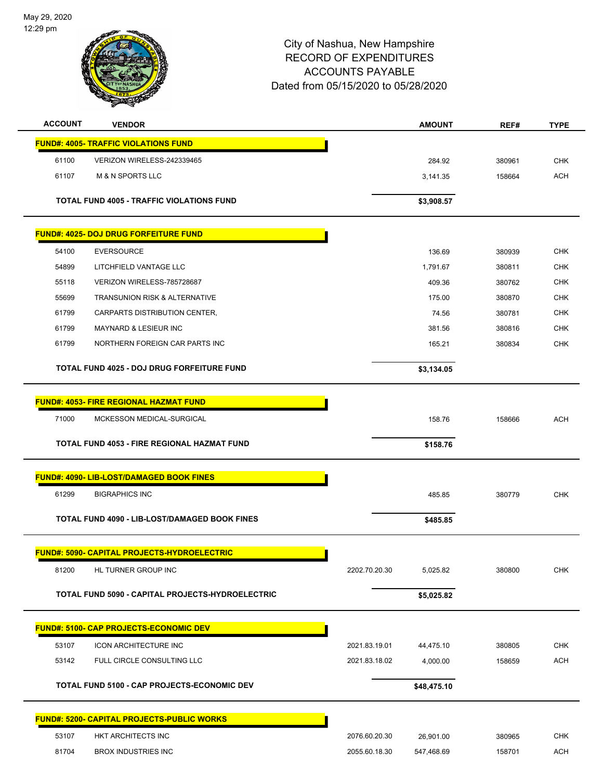

| <b>ACCOUNT</b> | <b>VENDOR</b>                                      |               | <b>AMOUNT</b> | REF#   | <b>TYPE</b> |
|----------------|----------------------------------------------------|---------------|---------------|--------|-------------|
|                | <b>FUND#: 4005- TRAFFIC VIOLATIONS FUND</b>        |               |               |        |             |
| 61100          | VERIZON WIRELESS-242339465                         |               | 284.92        | 380961 | <b>CHK</b>  |
| 61107          | <b>M &amp; N SPORTS LLC</b>                        |               | 3,141.35      | 158664 | <b>ACH</b>  |
|                |                                                    |               |               |        |             |
|                | <b>TOTAL FUND 4005 - TRAFFIC VIOLATIONS FUND</b>   |               | \$3,908.57    |        |             |
|                | <b>FUND#: 4025- DOJ DRUG FORFEITURE FUND</b>       |               |               |        |             |
| 54100          | <b>EVERSOURCE</b>                                  |               | 136.69        | 380939 | <b>CHK</b>  |
| 54899          | LITCHFIELD VANTAGE LLC                             |               | 1,791.67      | 380811 | <b>CHK</b>  |
| 55118          | VERIZON WIRELESS-785728687                         |               | 409.36        | 380762 | CHK         |
| 55699          | TRANSUNION RISK & ALTERNATIVE                      |               | 175.00        | 380870 | <b>CHK</b>  |
| 61799          | CARPARTS DISTRIBUTION CENTER,                      |               | 74.56         | 380781 | <b>CHK</b>  |
| 61799          | <b>MAYNARD &amp; LESIEUR INC</b>                   |               | 381.56        | 380816 | <b>CHK</b>  |
| 61799          | NORTHERN FOREIGN CAR PARTS INC                     |               | 165.21        | 380834 | <b>CHK</b>  |
|                |                                                    |               |               |        |             |
|                | <b>TOTAL FUND 4025 - DOJ DRUG FORFEITURE FUND</b>  |               | \$3,134.05    |        |             |
|                | <b>FUND#: 4053- FIRE REGIONAL HAZMAT FUND</b>      |               |               |        |             |
| 71000          | MCKESSON MEDICAL-SURGICAL                          |               | 158.76        | 158666 | <b>ACH</b>  |
|                |                                                    |               |               |        |             |
|                | <b>TOTAL FUND 4053 - FIRE REGIONAL HAZMAT FUND</b> |               | \$158.76      |        |             |
|                | <b>FUND#: 4090- LIB-LOST/DAMAGED BOOK FINES</b>    |               |               |        |             |
| 61299          | <b>BIGRAPHICS INC</b>                              |               | 485.85        | 380779 | <b>CHK</b>  |
|                | TOTAL FUND 4090 - LIB-LOST/DAMAGED BOOK FINES      |               | \$485.85      |        |             |
|                |                                                    |               |               |        |             |
|                | FUND#: 5090- CAPITAL PROJECTS-HYDROELECTRIC        |               |               |        |             |
| 81200          | HL TURNER GROUP INC                                | 2202.70.20.30 | 5,025.82      | 380800 | <b>CHK</b>  |
|                | TOTAL FUND 5090 - CAPITAL PROJECTS-HYDROELECTRIC   |               | \$5,025.82    |        |             |
|                |                                                    |               |               |        |             |
|                | <b>FUND#: 5100- CAP PROJECTS-ECONOMIC DEV</b>      |               |               |        |             |
| 53107          | <b>ICON ARCHITECTURE INC</b>                       | 2021.83.19.01 | 44,475.10     | 380805 | <b>CHK</b>  |
| 53142          | FULL CIRCLE CONSULTING LLC                         | 2021.83.18.02 | 4,000.00      | 158659 | <b>ACH</b>  |
|                | TOTAL FUND 5100 - CAP PROJECTS-ECONOMIC DEV        |               | \$48,475.10   |        |             |
|                | <b>FUND#: 5200- CAPITAL PROJECTS-PUBLIC WORKS</b>  |               |               |        |             |
| 53107          | HKT ARCHITECTS INC                                 | 2076.60.20.30 |               |        | <b>CHK</b>  |
|                |                                                    |               | 26,901.00     | 380965 | <b>ACH</b>  |
| 81704          | <b>BROX INDUSTRIES INC</b>                         | 2055.60.18.30 | 547,468.69    | 158701 |             |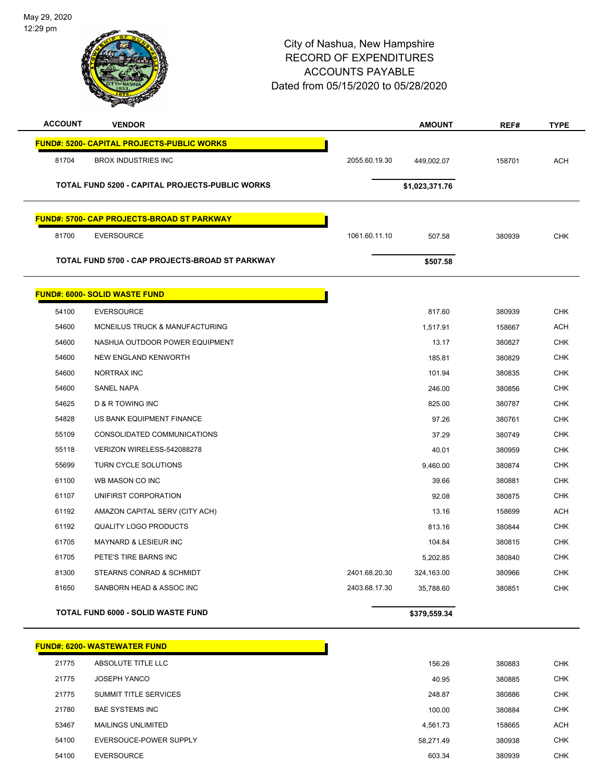

## City of Nashua, New Hampshire RECORD OF EXPENDITURES ACCOUNTS PAYABLE Dated

| d from 05/15/2020 to 05/28/2020 |  |  |
|---------------------------------|--|--|
| ACCOUNTS PAYABLE                |  |  |
| ________________________        |  |  |

| <b>ACCOUNT</b> | <b>VENDOR</b>                                          |               | <b>AMOUNT</b>  | REF#   | <b>TYPE</b> |
|----------------|--------------------------------------------------------|---------------|----------------|--------|-------------|
|                | <u> FUND#: 5200- CAPITAL PROJECTS-PUBLIC WORKS</u>     |               |                |        |             |
| 81704          | <b>BROX INDUSTRIES INC</b>                             | 2055.60.19.30 | 449,002.07     | 158701 | <b>ACH</b>  |
|                | <b>TOTAL FUND 5200 - CAPITAL PROJECTS-PUBLIC WORKS</b> |               | \$1,023,371.76 |        |             |
|                | <b>FUND#: 5700- CAP PROJECTS-BROAD ST PARKWAY</b>      |               |                |        |             |
| 81700          | <b>EVERSOURCE</b>                                      | 1061.60.11.10 | 507.58         | 380939 | <b>CHK</b>  |
|                | TOTAL FUND 5700 - CAP PROJECTS-BROAD ST PARKWAY        |               | \$507.58       |        |             |
|                | <b>FUND#: 6000- SOLID WASTE FUND</b>                   |               |                |        |             |
| 54100          | <b>EVERSOURCE</b>                                      |               | 817.60         | 380939 | <b>CHK</b>  |
| 54600          | MCNEILUS TRUCK & MANUFACTURING                         |               | 1,517.91       | 158667 | <b>ACH</b>  |
| 54600          | NASHUA OUTDOOR POWER EQUIPMENT                         |               | 13.17          | 380827 | <b>CHK</b>  |
| 54600          | NEW ENGLAND KENWORTH                                   |               | 185.81         | 380829 | <b>CHK</b>  |
| 54600          | NORTRAX INC                                            |               | 101.94         | 380835 | <b>CHK</b>  |
| 54600          | <b>SANEL NAPA</b>                                      |               | 246.00         | 380856 | <b>CHK</b>  |
| 54625          | <b>D &amp; R TOWING INC</b>                            |               | 825.00         | 380787 | <b>CHK</b>  |
| 54828          | US BANK EQUIPMENT FINANCE                              |               | 97.26          | 380761 | <b>CHK</b>  |
| 55109          | CONSOLIDATED COMMUNICATIONS                            |               | 37.29          | 380749 | <b>CHK</b>  |
| 55118          | VERIZON WIRELESS-542088278                             |               | 40.01          | 380959 | <b>CHK</b>  |
| 55699          | <b>TURN CYCLE SOLUTIONS</b>                            |               | 9,460.00       | 380874 | <b>CHK</b>  |
| 61100          | WB MASON CO INC                                        |               | 39.66          | 380881 | <b>CHK</b>  |
| 61107          | UNIFIRST CORPORATION                                   |               | 92.08          | 380875 | <b>CHK</b>  |
| 61192          | AMAZON CAPITAL SERV (CITY ACH)                         |               | 13.16          | 158699 | <b>ACH</b>  |
| 61192          | <b>QUALITY LOGO PRODUCTS</b>                           |               | 813.16         | 380844 | <b>CHK</b>  |
| 61705          | MAYNARD & LESIEUR INC                                  |               | 104.84         | 380815 | <b>CHK</b>  |
| 61705          | PETE'S TIRE BARNS INC                                  |               | 5,202.85       | 380840 | <b>CHK</b>  |
| 81300          | STEARNS CONRAD & SCHMIDT                               | 2401.68.20.30 | 324,163.00     | 380966 | <b>CHK</b>  |
| 81650          | SANBORN HEAD & ASSOC INC                               | 2403.68.17.30 | 35,788.60      | 380851 | <b>CHK</b>  |
|                | <b>TOTAL FUND 6000 - SOLID WASTE FUND</b>              |               | \$379,559.34   |        |             |

|       | <b>FUND#: 6200- WASTEWATER FUND</b> |           |        |            |
|-------|-------------------------------------|-----------|--------|------------|
| 21775 | ABSOLUTE TITLE LLC                  | 156.26    | 380883 | <b>CHK</b> |
| 21775 | <b>JOSEPH YANCO</b>                 | 40.95     | 380885 | <b>CHK</b> |
| 21775 | <b>SUMMIT TITLE SERVICES</b>        | 248.87    | 380886 | <b>CHK</b> |
| 21780 | <b>BAE SYSTEMS INC</b>              | 100.00    | 380884 | <b>CHK</b> |
| 53467 | <b>MAILINGS UNLIMITED</b>           | 4.561.73  | 158665 | <b>ACH</b> |
| 54100 | EVERSOUCE-POWER SUPPLY              | 58.271.49 | 380938 | <b>CHK</b> |
| 54100 | <b>EVERSOURCE</b>                   | 603.34    | 380939 | <b>CHK</b> |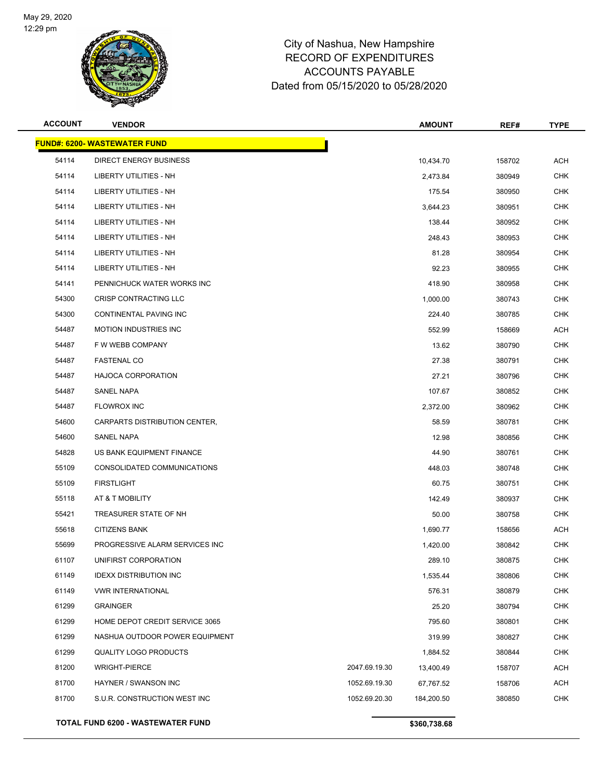

| <b>ACCOUNT</b> | <b>VENDOR</b>                            |               | <b>AMOUNT</b> | REF#   | <b>TYPE</b> |
|----------------|------------------------------------------|---------------|---------------|--------|-------------|
|                | <b>FUND#: 6200- WASTEWATER FUND</b>      |               |               |        |             |
| 54114          | DIRECT ENERGY BUSINESS                   |               | 10,434.70     | 158702 | <b>ACH</b>  |
| 54114          | <b>LIBERTY UTILITIES - NH</b>            |               | 2,473.84      | 380949 | <b>CHK</b>  |
| 54114          | LIBERTY UTILITIES - NH                   |               | 175.54        | 380950 | <b>CHK</b>  |
| 54114          | <b>LIBERTY UTILITIES - NH</b>            |               | 3,644.23      | 380951 | <b>CHK</b>  |
| 54114          | <b>LIBERTY UTILITIES - NH</b>            |               | 138.44        | 380952 | <b>CHK</b>  |
| 54114          | LIBERTY UTILITIES - NH                   |               | 248.43        | 380953 | <b>CHK</b>  |
| 54114          | LIBERTY UTILITIES - NH                   |               | 81.28         | 380954 | <b>CHK</b>  |
| 54114          | LIBERTY UTILITIES - NH                   |               | 92.23         | 380955 | CHK         |
| 54141          | PENNICHUCK WATER WORKS INC               |               | 418.90        | 380958 | <b>CHK</b>  |
| 54300          | CRISP CONTRACTING LLC                    |               | 1,000.00      | 380743 | <b>CHK</b>  |
| 54300          | <b>CONTINENTAL PAVING INC</b>            |               | 224.40        | 380785 | <b>CHK</b>  |
| 54487          | <b>MOTION INDUSTRIES INC</b>             |               | 552.99        | 158669 | <b>ACH</b>  |
| 54487          | F W WEBB COMPANY                         |               | 13.62         | 380790 | <b>CHK</b>  |
| 54487          | <b>FASTENAL CO</b>                       |               | 27.38         | 380791 | <b>CHK</b>  |
| 54487          | <b>HAJOCA CORPORATION</b>                |               | 27.21         | 380796 | <b>CHK</b>  |
| 54487          | SANEL NAPA                               |               | 107.67        | 380852 | <b>CHK</b>  |
| 54487          | <b>FLOWROX INC</b>                       |               | 2,372.00      | 380962 | <b>CHK</b>  |
| 54600          | CARPARTS DISTRIBUTION CENTER,            |               | 58.59         | 380781 | CHK         |
| 54600          | SANEL NAPA                               |               | 12.98         | 380856 | <b>CHK</b>  |
| 54828          | US BANK EQUIPMENT FINANCE                |               | 44.90         | 380761 | <b>CHK</b>  |
| 55109          | CONSOLIDATED COMMUNICATIONS              |               | 448.03        | 380748 | <b>CHK</b>  |
| 55109          | <b>FIRSTLIGHT</b>                        |               | 60.75         | 380751 | <b>CHK</b>  |
| 55118          | AT & T MOBILITY                          |               | 142.49        | 380937 | CHK         |
| 55421          | TREASURER STATE OF NH                    |               | 50.00         | 380758 | <b>CHK</b>  |
| 55618          | <b>CITIZENS BANK</b>                     |               | 1,690.77      | 158656 | <b>ACH</b>  |
| 55699          | PROGRESSIVE ALARM SERVICES INC           |               | 1,420.00      | 380842 | <b>CHK</b>  |
| 61107          | UNIFIRST CORPORATION                     |               | 289.10        | 380875 | CHK         |
| 61149          | <b>IDEXX DISTRIBUTION INC</b>            |               | 1,535.44      | 380806 | <b>CHK</b>  |
| 61149          | <b>VWR INTERNATIONAL</b>                 |               | 576.31        | 380879 | <b>CHK</b>  |
| 61299          | <b>GRAINGER</b>                          |               | 25.20         | 380794 | <b>CHK</b>  |
| 61299          | HOME DEPOT CREDIT SERVICE 3065           |               | 795.60        | 380801 | <b>CHK</b>  |
| 61299          | NASHUA OUTDOOR POWER EQUIPMENT           |               | 319.99        | 380827 | <b>CHK</b>  |
| 61299          | <b>QUALITY LOGO PRODUCTS</b>             |               | 1,884.52      | 380844 | <b>CHK</b>  |
| 81200          | <b>WRIGHT-PIERCE</b>                     | 2047.69.19.30 | 13,400.49     | 158707 | <b>ACH</b>  |
| 81700          | <b>HAYNER / SWANSON INC</b>              | 1052.69.19.30 | 67,767.52     | 158706 | <b>ACH</b>  |
| 81700          | S.U.R. CONSTRUCTION WEST INC             | 1052.69.20.30 | 184,200.50    | 380850 | <b>CHK</b>  |
|                | <b>TOTAL FUND 6200 - WASTEWATER FUND</b> |               | \$360,738.68  |        |             |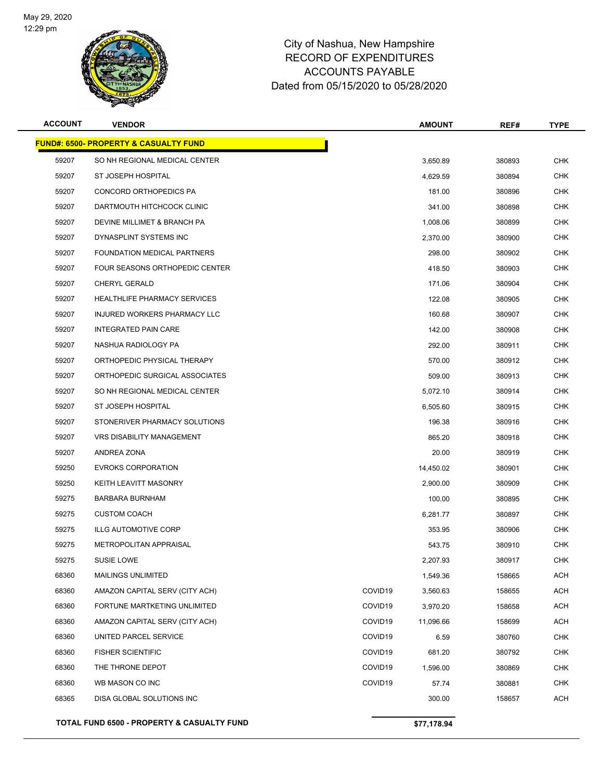

| <b>ACCOUNT</b> | <b>VENDOR</b>                                     |                     | <b>AMOUNT</b> | REF#   | <b>TYPE</b> |
|----------------|---------------------------------------------------|---------------------|---------------|--------|-------------|
|                | <u> FUND#: 6500- PROPERTY &amp; CASUALTY FUND</u> |                     |               |        |             |
| 59207          | SO NH REGIONAL MEDICAL CENTER                     |                     | 3,650.89      | 380893 | <b>CHK</b>  |
| 59207          | ST JOSEPH HOSPITAL                                |                     | 4,629.59      | 380894 | <b>CHK</b>  |
| 59207          | CONCORD ORTHOPEDICS PA                            |                     | 181.00        | 380896 | <b>CHK</b>  |
| 59207          | DARTMOUTH HITCHCOCK CLINIC                        |                     | 341.00        | 380898 | <b>CHK</b>  |
| 59207          | DEVINE MILLIMET & BRANCH PA                       |                     | 1,008.06      | 380899 | <b>CHK</b>  |
| 59207          | DYNASPLINT SYSTEMS INC                            |                     | 2,370.00      | 380900 | <b>CHK</b>  |
| 59207          | FOUNDATION MEDICAL PARTNERS                       |                     | 298.00        | 380902 | CHK         |
| 59207          | FOUR SEASONS ORTHOPEDIC CENTER                    |                     | 418.50        | 380903 | <b>CHK</b>  |
| 59207          | <b>CHERYL GERALD</b>                              |                     | 171.06        | 380904 | <b>CHK</b>  |
| 59207          | HEALTHLIFE PHARMACY SERVICES                      |                     | 122.08        | 380905 | <b>CHK</b>  |
| 59207          | INJURED WORKERS PHARMACY LLC                      |                     | 160.68        | 380907 | <b>CHK</b>  |
| 59207          | <b>INTEGRATED PAIN CARE</b>                       |                     | 142.00        | 380908 | CHK         |
| 59207          | NASHUA RADIOLOGY PA                               |                     | 292.00        | 380911 | <b>CHK</b>  |
| 59207          | ORTHOPEDIC PHYSICAL THERAPY                       |                     | 570.00        | 380912 | CHK         |
| 59207          | ORTHOPEDIC SURGICAL ASSOCIATES                    |                     | 509.00        | 380913 | <b>CHK</b>  |
| 59207          | SO NH REGIONAL MEDICAL CENTER                     |                     | 5,072.10      | 380914 | <b>CHK</b>  |
| 59207          | ST JOSEPH HOSPITAL                                |                     | 6,505.60      | 380915 | CHK         |
| 59207          | STONERIVER PHARMACY SOLUTIONS                     |                     | 196.38        | 380916 | <b>CHK</b>  |
| 59207          | <b>VRS DISABILITY MANAGEMENT</b>                  |                     | 865.20        | 380918 | <b>CHK</b>  |
| 59207          | ANDREA ZONA                                       |                     | 20.00         | 380919 | <b>CHK</b>  |
| 59250          | <b>EVROKS CORPORATION</b>                         |                     | 14,450.02     | 380901 | <b>CHK</b>  |
| 59250          | KEITH LEAVITT MASONRY                             |                     | 2,900.00      | 380909 | CHK         |
| 59275          | <b>BARBARA BURNHAM</b>                            |                     | 100.00        | 380895 | <b>CHK</b>  |
| 59275          | <b>CUSTOM COACH</b>                               |                     | 6,281.77      | 380897 | CHK         |
| 59275          | <b>ILLG AUTOMOTIVE CORP</b>                       |                     | 353.95        | 380906 | <b>CHK</b>  |
| 59275          | METROPOLITAN APPRAISAL                            |                     | 543.75        | 380910 | <b>CHK</b>  |
| 59275          | <b>SUSIE LOWE</b>                                 |                     | 2,207.93      | 380917 | CHK         |
| 68360          | <b>MAILINGS UNLIMITED</b>                         |                     | 1,549.36      | 158665 | <b>ACH</b>  |
| 68360          | AMAZON CAPITAL SERV (CITY ACH)                    | COVID19             | 3,560.63      | 158655 | <b>ACH</b>  |
| 68360          | FORTUNE MARTKETING UNLIMITED                      | COVID <sub>19</sub> | 3,970.20      | 158658 | <b>ACH</b>  |
| 68360          | AMAZON CAPITAL SERV (CITY ACH)                    | COVID <sub>19</sub> | 11,096.66     | 158699 | ACH         |
| 68360          | UNITED PARCEL SERVICE                             | COVID <sub>19</sub> | 6.59          | 380760 | <b>CHK</b>  |
| 68360          | <b>FISHER SCIENTIFIC</b>                          | COVID <sub>19</sub> | 681.20        | 380792 | <b>CHK</b>  |
| 68360          | THE THRONE DEPOT                                  | COVID <sub>19</sub> | 1,596.00      | 380869 | <b>CHK</b>  |
| 68360          | WB MASON CO INC                                   | COVID19             | 57.74         | 380881 | <b>CHK</b>  |
| 68365          | DISA GLOBAL SOLUTIONS INC                         |                     | 300.00        | 158657 | ACH         |
|                | TOTAL FUND 6500 - PROPERTY & CASUALTY FUND        |                     | \$77,178.94   |        |             |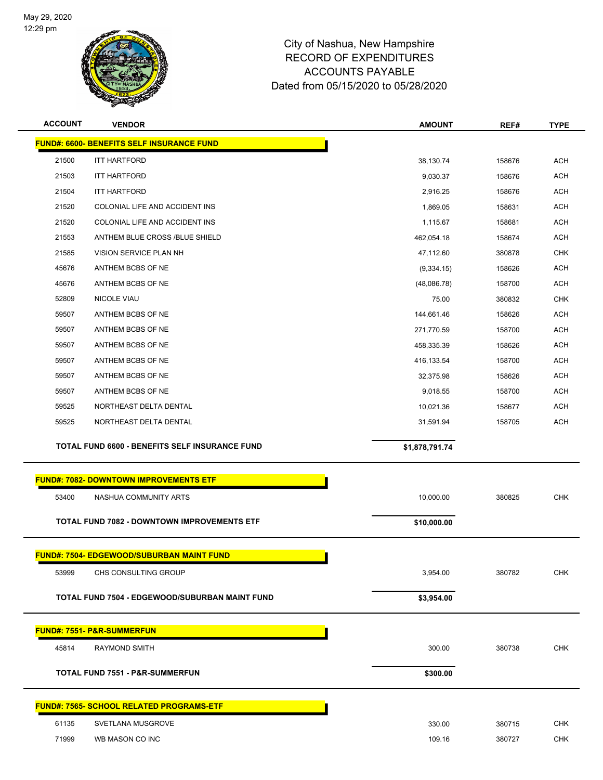

| <b>ACCOUNT</b> | <b>VENDOR</b>                                      | <b>AMOUNT</b>  | REF#   | <b>TYPE</b> |
|----------------|----------------------------------------------------|----------------|--------|-------------|
|                | <b>FUND#: 6600- BENEFITS SELF INSURANCE FUND</b>   |                |        |             |
| 21500          | <b>ITT HARTFORD</b>                                | 38,130.74      | 158676 | <b>ACH</b>  |
| 21503          | <b>ITT HARTFORD</b>                                | 9,030.37       | 158676 | <b>ACH</b>  |
| 21504          | <b>ITT HARTFORD</b>                                | 2,916.25       | 158676 | <b>ACH</b>  |
| 21520          | COLONIAL LIFE AND ACCIDENT INS                     | 1,869.05       | 158631 | <b>ACH</b>  |
| 21520          | COLONIAL LIFE AND ACCIDENT INS                     | 1,115.67       | 158681 | <b>ACH</b>  |
| 21553          | ANTHEM BLUE CROSS /BLUE SHIELD                     | 462,054.18     | 158674 | <b>ACH</b>  |
| 21585          | VISION SERVICE PLAN NH                             | 47,112.60      | 380878 | <b>CHK</b>  |
| 45676          | ANTHEM BCBS OF NE                                  | (9,334.15)     | 158626 | <b>ACH</b>  |
| 45676          | ANTHEM BCBS OF NE                                  | (48,086.78)    | 158700 | <b>ACH</b>  |
| 52809          | NICOLE VIAU                                        | 75.00          | 380832 | <b>CHK</b>  |
| 59507          | ANTHEM BCBS OF NE                                  | 144,661.46     | 158626 | <b>ACH</b>  |
| 59507          | ANTHEM BCBS OF NE                                  | 271,770.59     | 158700 | <b>ACH</b>  |
| 59507          | ANTHEM BCBS OF NE                                  | 458,335.39     | 158626 | <b>ACH</b>  |
| 59507          | ANTHEM BCBS OF NE                                  | 416,133.54     | 158700 | <b>ACH</b>  |
| 59507          | ANTHEM BCBS OF NE                                  | 32,375.98      | 158626 | <b>ACH</b>  |
| 59507          | ANTHEM BCBS OF NE                                  | 9,018.55       | 158700 | <b>ACH</b>  |
| 59525          | NORTHEAST DELTA DENTAL                             | 10,021.36      | 158677 | <b>ACH</b>  |
| 59525          | NORTHEAST DELTA DENTAL                             | 31,591.94      | 158705 | <b>ACH</b>  |
|                |                                                    |                |        |             |
|                | TOTAL FUND 6600 - BENEFITS SELF INSURANCE FUND     |                |        |             |
|                |                                                    | \$1,878,791.74 |        |             |
|                | <b>FUND#: 7082- DOWNTOWN IMPROVEMENTS ETF</b>      |                |        |             |
| 53400          | NASHUA COMMUNITY ARTS                              | 10,000.00      | 380825 | <b>CHK</b>  |
|                |                                                    |                |        |             |
|                | <b>TOTAL FUND 7082 - DOWNTOWN IMPROVEMENTS ETF</b> | \$10,000.00    |        |             |
|                | <b>FUND#: 7504- EDGEWOOD/SUBURBAN MAINT FUND</b>   |                |        |             |
| 53999          | CHS CONSULTING GROUP                               |                | 380782 | <b>CHK</b>  |
|                |                                                    | 3,954.00       |        |             |
|                | TOTAL FUND 7504 - EDGEWOOD/SUBURBAN MAINT FUND     | \$3,954.00     |        |             |
|                | FUND#: 7551- P&R-SUMMERFUN                         |                |        |             |
| 45814          | <b>RAYMOND SMITH</b>                               |                |        | <b>CHK</b>  |
|                |                                                    | 300.00         | 380738 |             |
|                | <b>TOTAL FUND 7551 - P&amp;R-SUMMERFUN</b>         | \$300.00       |        |             |
|                | <u> FUND#: 7565- SCHOOL RELATED PROGRAMS-ETF</u>   |                |        |             |
| 61135          | SVETLANA MUSGROVE                                  | 330.00         | 380715 | <b>CHK</b>  |
| 71999          | WB MASON CO INC                                    | 109.16         | 380727 | <b>CHK</b>  |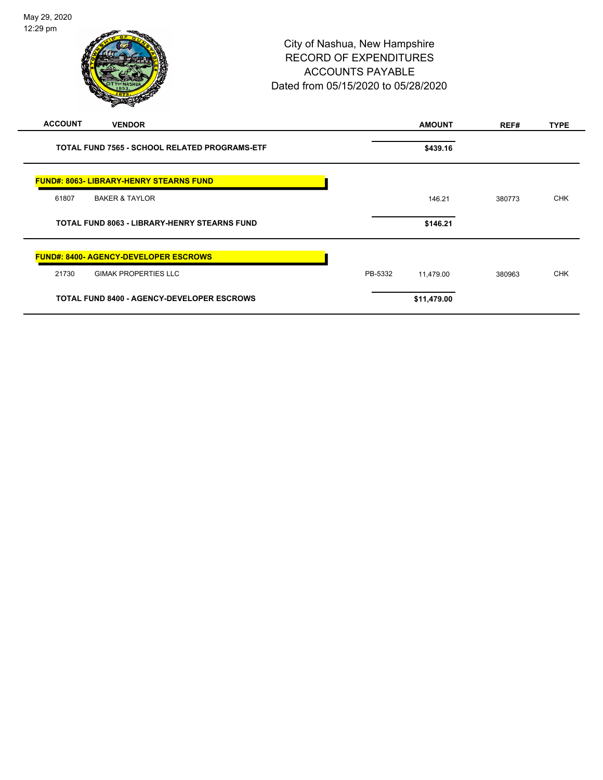|                | $\mathscr{D} \rightarrow \mathscr{D}$                |         |               |        |             |
|----------------|------------------------------------------------------|---------|---------------|--------|-------------|
| <b>ACCOUNT</b> | <b>VENDOR</b>                                        |         | <b>AMOUNT</b> | REF#   | <b>TYPE</b> |
|                | <b>TOTAL FUND 7565 - SCHOOL RELATED PROGRAMS-ETF</b> |         | \$439.16      |        |             |
|                | <b>FUND#: 8063- LIBRARY-HENRY STEARNS FUND</b>       |         |               |        |             |
| 61807          | <b>BAKER &amp; TAYLOR</b>                            |         | 146.21        | 380773 | <b>CHK</b>  |
|                | <b>TOTAL FUND 8063 - LIBRARY-HENRY STEARNS FUND</b>  |         | \$146.21      |        |             |
|                | <b>FUND#: 8400- AGENCY-DEVELOPER ESCROWS</b>         |         |               |        |             |
| 21730          | <b>GIMAK PROPERTIES LLC</b>                          | PB-5332 | 11,479.00     | 380963 | <b>CHK</b>  |
|                | <b>TOTAL FUND 8400 - AGENCY-DEVELOPER ESCROWS</b>    |         | \$11,479.00   |        |             |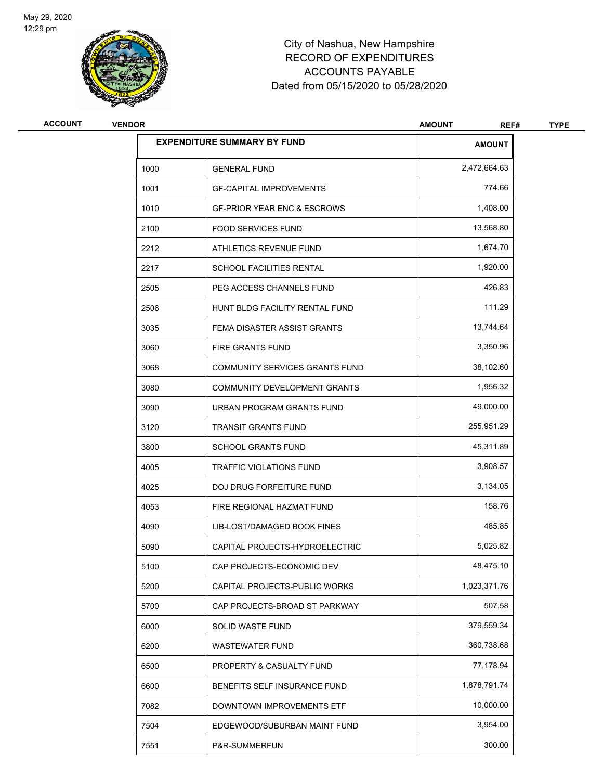

| <b>ACCOUNT</b> | <b>VENDOR</b> |                                        | <b>AMOUNT</b><br>REF# | <b>TYPE</b> |
|----------------|---------------|----------------------------------------|-----------------------|-------------|
|                |               | <b>EXPENDITURE SUMMARY BY FUND</b>     | <b>AMOUNT</b>         |             |
|                | 1000          | <b>GENERAL FUND</b>                    | 2,472,664.63          |             |
|                | 1001          | <b>GF-CAPITAL IMPROVEMENTS</b>         | 774.66                |             |
|                | 1010          | <b>GF-PRIOR YEAR ENC &amp; ESCROWS</b> | 1,408.00              |             |
|                | 2100          | <b>FOOD SERVICES FUND</b>              | 13,568.80             |             |
|                | 2212          | ATHLETICS REVENUE FUND                 | 1,674.70              |             |
|                | 2217          | SCHOOL FACILITIES RENTAL               | 1,920.00              |             |
|                | 2505          | PEG ACCESS CHANNELS FUND               | 426.83                |             |
|                | 2506          | HUNT BLDG FACILITY RENTAL FUND         | 111.29                |             |
|                | 3035          | FEMA DISASTER ASSIST GRANTS            | 13,744.64             |             |
|                | 3060          | <b>FIRE GRANTS FUND</b>                | 3,350.96              |             |
|                | 3068          | <b>COMMUNITY SERVICES GRANTS FUND</b>  | 38,102.60             |             |
|                | 3080          | COMMUNITY DEVELOPMENT GRANTS           | 1,956.32              |             |
|                | 3090          | URBAN PROGRAM GRANTS FUND              | 49,000.00             |             |
|                | 3120          | <b>TRANSIT GRANTS FUND</b>             | 255,951.29            |             |
|                | 3800          | <b>SCHOOL GRANTS FUND</b>              | 45,311.89             |             |
|                | 4005          | TRAFFIC VIOLATIONS FUND                | 3,908.57              |             |
|                | 4025          | DOJ DRUG FORFEITURE FUND               | 3,134.05              |             |
|                | 4053          | FIRE REGIONAL HAZMAT FUND              | 158.76                |             |
|                | 4090          | LIB-LOST/DAMAGED BOOK FINES            | 485.85                |             |
|                | 5090          | CAPITAL PROJECTS-HYDROELECTRIC         | 5,025.82              |             |
|                | 5100          | CAP PROJECTS-ECONOMIC DEV              | 48,475.10             |             |
|                | 5200          | CAPITAL PROJECTS-PUBLIC WORKS          | 1,023,371.76          |             |
|                | 5700          | CAP PROJECTS-BROAD ST PARKWAY          | 507.58                |             |
|                | 6000          | SOLID WASTE FUND                       | 379,559.34            |             |
|                | 6200          | WASTEWATER FUND                        | 360,738.68            |             |
|                | 6500          | PROPERTY & CASUALTY FUND               | 77,178.94             |             |
|                | 6600          | BENEFITS SELF INSURANCE FUND           | 1,878,791.74          |             |
|                | 7082          | DOWNTOWN IMPROVEMENTS ETF              | 10,000.00             |             |
|                | 7504          | EDGEWOOD/SUBURBAN MAINT FUND           | 3,954.00              |             |
|                | 7551          | P&R-SUMMERFUN                          | 300.00                |             |
|                |               |                                        |                       |             |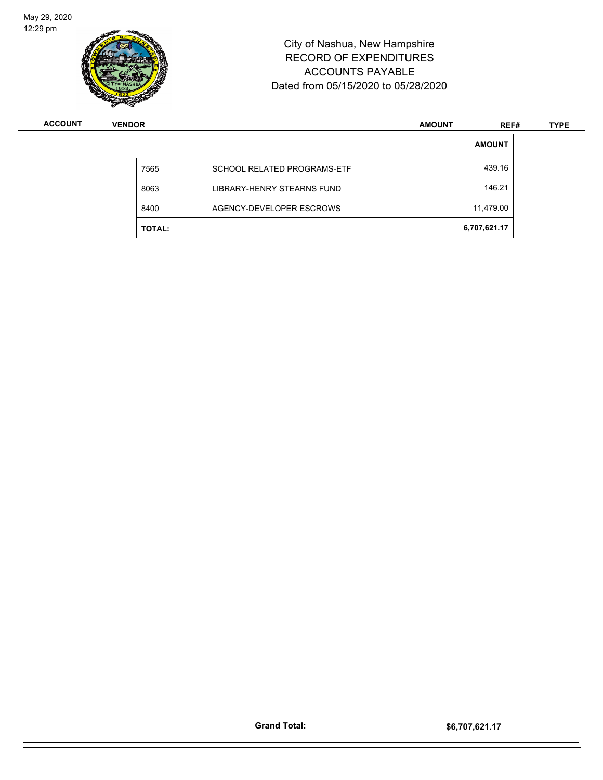

| <b>ACCOUNT</b> | <b>VENDOR</b> |                                   | <b>AMOUNT</b> | REF#          | <b>TYPE</b> |
|----------------|---------------|-----------------------------------|---------------|---------------|-------------|
|                |               |                                   |               | <b>AMOUNT</b> |             |
|                | 7565          | SCHOOL RELATED PROGRAMS-ETF       |               | 439.16        |             |
|                | 8063          | <b>LIBRARY-HENRY STEARNS FUND</b> |               | 146.21        |             |
|                | 8400          | AGENCY-DEVELOPER ESCROWS          |               | 11,479.00     |             |
|                | <b>TOTAL:</b> |                                   |               | 6,707,621.17  |             |

Page 26 of 81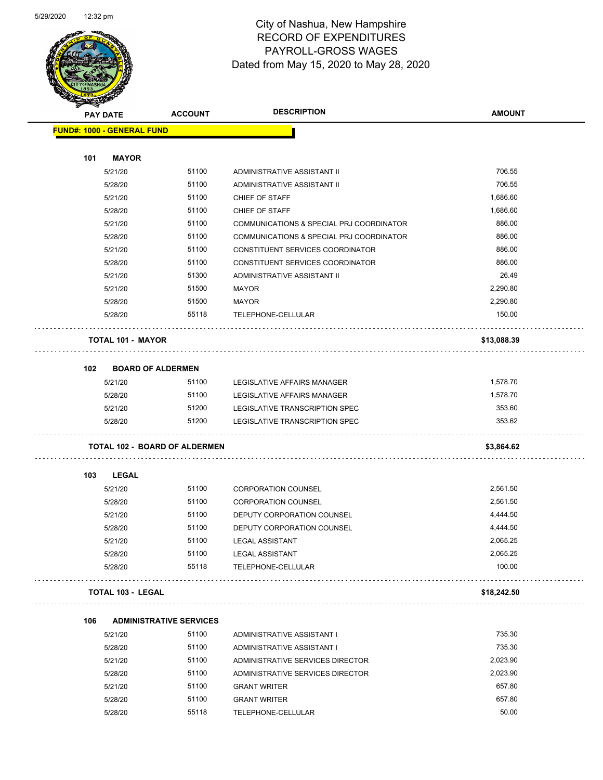

Page 27 of 81

|     | <b>PAY DATE</b>                   | <b>ACCOUNT</b>                       | <b>DESCRIPTION</b>                       | <b>AMOUNT</b> |
|-----|-----------------------------------|--------------------------------------|------------------------------------------|---------------|
|     | <b>FUND#: 1000 - GENERAL FUND</b> |                                      |                                          |               |
| 101 | <b>MAYOR</b>                      |                                      |                                          |               |
|     | 5/21/20                           | 51100                                | ADMINISTRATIVE ASSISTANT II              | 706.55        |
|     | 5/28/20                           | 51100                                | ADMINISTRATIVE ASSISTANT II              | 706.55        |
|     | 5/21/20                           | 51100                                | CHIEF OF STAFF                           | 1,686.60      |
|     | 5/28/20                           | 51100                                | CHIEF OF STAFF                           | 1,686.60      |
|     | 5/21/20                           | 51100                                | COMMUNICATIONS & SPECIAL PRJ COORDINATOR | 886.00        |
|     | 5/28/20                           | 51100                                | COMMUNICATIONS & SPECIAL PRJ COORDINATOR | 886.00        |
|     | 5/21/20                           | 51100                                | CONSTITUENT SERVICES COORDINATOR         | 886.00        |
|     | 5/28/20                           | 51100                                | CONSTITUENT SERVICES COORDINATOR         | 886.00        |
|     | 5/21/20                           | 51300                                | ADMINISTRATIVE ASSISTANT II              | 26.49         |
|     | 5/21/20                           | 51500                                | <b>MAYOR</b>                             | 2,290.80      |
|     | 5/28/20                           | 51500                                | MAYOR                                    | 2,290.80      |
|     | 5/28/20                           | 55118                                | TELEPHONE-CELLULAR                       | 150.00        |
|     | <b>TOTAL 101 - MAYOR</b>          |                                      |                                          | \$13,088.39   |
| 102 |                                   | <b>BOARD OF ALDERMEN</b>             |                                          |               |
|     | 5/21/20                           | 51100                                | LEGISLATIVE AFFAIRS MANAGER              | 1,578.70      |
|     | 5/28/20                           | 51100                                | LEGISLATIVE AFFAIRS MANAGER              | 1,578.70      |
|     | 5/21/20                           | 51200                                | LEGISLATIVE TRANSCRIPTION SPEC           | 353.60        |
|     | 5/28/20                           | 51200                                | LEGISLATIVE TRANSCRIPTION SPEC           | 353.62        |
|     |                                   | <b>TOTAL 102 - BOARD OF ALDERMEN</b> |                                          | \$3,864.62    |
| 103 | <b>LEGAL</b>                      |                                      |                                          |               |
|     | 5/21/20                           | 51100                                | <b>CORPORATION COUNSEL</b>               | 2,561.50      |
|     | 5/28/20                           | 51100                                | <b>CORPORATION COUNSEL</b>               | 2,561.50      |
|     | 5/21/20                           | 51100                                | DEPUTY CORPORATION COUNSEL               | 4,444.50      |
|     | 5/28/20                           | 51100                                | DEPUTY CORPORATION COUNSEL               | 4,444.50      |
|     | 5/21/20                           | 51100                                | <b>LEGAL ASSISTANT</b>                   | 2,065.25      |
|     | 5/28/20                           | 51100                                | <b>LEGAL ASSISTANT</b>                   | 2,065.25      |
|     | 5/28/20                           | 55118                                | TELEPHONE-CELLULAR                       | 100.00        |
|     | <b>TOTAL 103 - LEGAL</b>          |                                      |                                          | \$18,242.50   |
| 106 |                                   | <b>ADMINISTRATIVE SERVICES</b>       |                                          |               |
|     | 5/21/20                           | 51100                                | ADMINISTRATIVE ASSISTANT I               | 735.30        |
|     | 5/28/20                           | 51100                                | ADMINISTRATIVE ASSISTANT I               | 735.30        |
|     | 5/21/20                           | 51100                                | ADMINISTRATIVE SERVICES DIRECTOR         | 2,023.90      |
|     | 5/28/20                           | 51100                                | ADMINISTRATIVE SERVICES DIRECTOR         | 2,023.90      |
|     | 5/21/20                           | 51100                                | <b>GRANT WRITER</b>                      | 657.80        |
|     | 5/28/20                           | 51100                                | <b>GRANT WRITER</b>                      | 657.80        |
|     | 5/28/20                           | 55118                                | TELEPHONE-CELLULAR                       | 50.00         |
|     |                                   |                                      |                                          |               |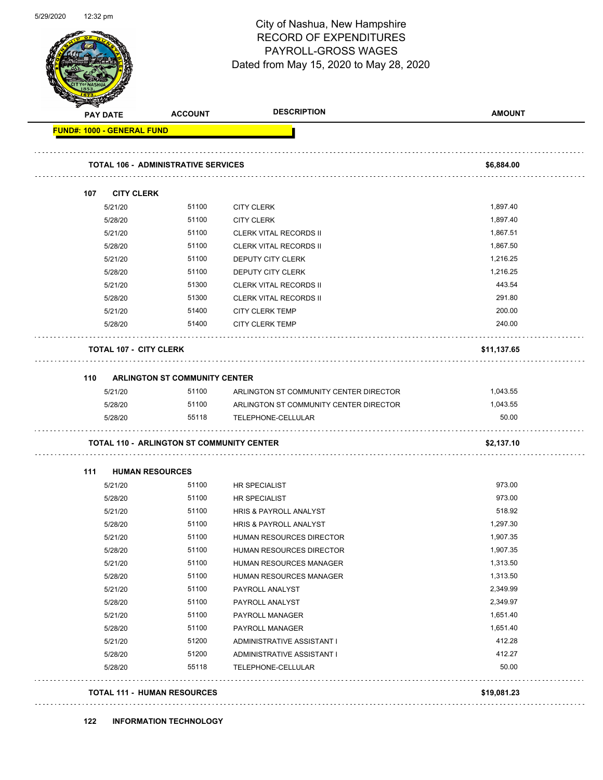| 5/29/2020 | 12:32 pm |
|-----------|----------|
|-----------|----------|

Page 28 of 81

| <b>PAY DATE</b>                     | <b>ACCOUNT</b>                                   | <b>DESCRIPTION</b>                                           | <b>AMOUNT</b>        |
|-------------------------------------|--------------------------------------------------|--------------------------------------------------------------|----------------------|
| <b>FUND#: 1000 - GENERAL FUND</b>   |                                                  |                                                              |                      |
|                                     | <b>TOTAL 106 - ADMINISTRATIVE SERVICES</b>       |                                                              | \$6,884.00           |
|                                     |                                                  |                                                              |                      |
| <b>CITY CLERK</b><br>107<br>5/21/20 | 51100                                            | <b>CITY CLERK</b>                                            | 1,897.40             |
| 5/28/20                             | 51100                                            | <b>CITY CLERK</b>                                            | 1,897.40             |
| 5/21/20                             | 51100                                            | <b>CLERK VITAL RECORDS II</b>                                | 1,867.51             |
| 5/28/20                             | 51100                                            | <b>CLERK VITAL RECORDS II</b>                                | 1,867.50             |
| 5/21/20                             | 51100                                            | DEPUTY CITY CLERK                                            | 1,216.25             |
| 5/28/20                             | 51100                                            | DEPUTY CITY CLERK                                            | 1,216.25             |
| 5/21/20                             | 51300                                            | <b>CLERK VITAL RECORDS II</b>                                | 443.54               |
| 5/28/20                             | 51300                                            | <b>CLERK VITAL RECORDS II</b>                                | 291.80               |
| 5/21/20                             | 51400                                            | <b>CITY CLERK TEMP</b>                                       | 200.00               |
| 5/28/20                             | 51400                                            | <b>CITY CLERK TEMP</b>                                       | 240.00               |
| <b>TOTAL 107 - CITY CLERK</b>       |                                                  |                                                              | \$11,137.65          |
|                                     |                                                  |                                                              |                      |
| 110                                 | <b>ARLINGTON ST COMMUNITY CENTER</b>             |                                                              |                      |
| 5/21/20                             | 51100                                            | ARLINGTON ST COMMUNITY CENTER DIRECTOR                       | 1,043.55             |
| 5/28/20<br>5/28/20                  | 51100<br>55118                                   | ARLINGTON ST COMMUNITY CENTER DIRECTOR<br>TELEPHONE-CELLULAR | 1,043.55<br>50.00    |
|                                     | <b>TOTAL 110 - ARLINGTON ST COMMUNITY CENTER</b> |                                                              | \$2,137.10           |
|                                     |                                                  |                                                              |                      |
| 111                                 | <b>HUMAN RESOURCES</b>                           |                                                              |                      |
| 5/21/20                             | 51100                                            | <b>HR SPECIALIST</b>                                         | 973.00               |
| 5/28/20                             | 51100                                            | <b>HR SPECIALIST</b>                                         | 973.00               |
| 5/21/20                             | 51100                                            | HRIS & PAYROLL ANALYST                                       | 518.92               |
| 5/28/20                             | 51100<br>51100                                   | HRIS & PAYROLL ANALYST                                       | 1,297.30             |
| 5/21/20<br>5/28/20                  | 51100                                            | HUMAN RESOURCES DIRECTOR<br>HUMAN RESOURCES DIRECTOR         | 1,907.35<br>1,907.35 |
|                                     |                                                  |                                                              |                      |
| 5/21/20<br>5/28/20                  | 51100<br>51100                                   | HUMAN RESOURCES MANAGER<br>HUMAN RESOURCES MANAGER           | 1,313.50<br>1,313.50 |
| 5/21/20                             | 51100                                            | PAYROLL ANALYST                                              | 2,349.99             |
| 5/28/20                             | 51100                                            | PAYROLL ANALYST                                              | 2,349.97             |
| 5/21/20                             | 51100                                            | PAYROLL MANAGER                                              | 1,651.40             |
| 5/28/20                             | 51100                                            | PAYROLL MANAGER                                              | 1,651.40             |
| 5/21/20                             | 51200                                            | ADMINISTRATIVE ASSISTANT I                                   | 412.28               |
| 5/28/20                             | 51200                                            | ADMINISTRATIVE ASSISTANT I                                   | 412.27               |
| 5/28/20                             | 55118                                            | TELEPHONE-CELLULAR                                           | 50.00                |
|                                     | <b>TOTAL 111 - HUMAN RESOURCES</b>               |                                                              | \$19,081.23          |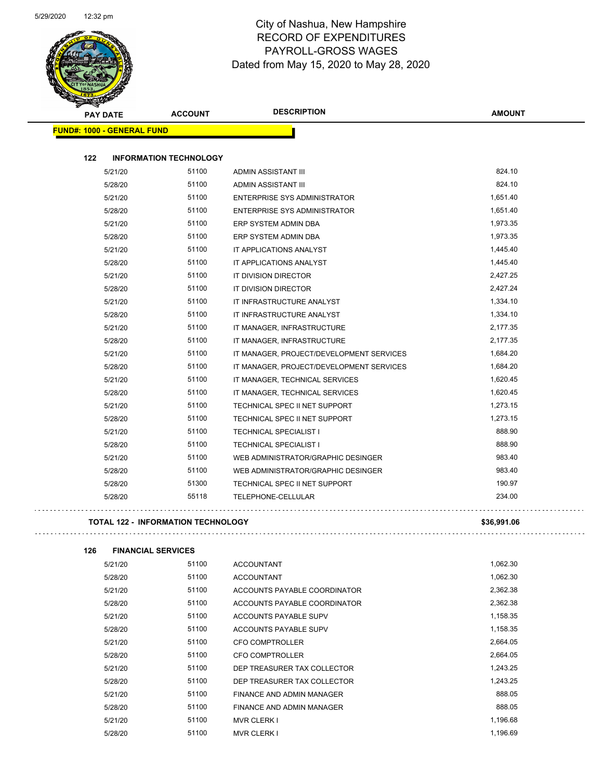

| <b>PAY DATE</b>                   | <b>ACCOUNT</b>                            | <b>DESCRIPTION</b>                       | <b>AMOUNT</b> |
|-----------------------------------|-------------------------------------------|------------------------------------------|---------------|
| <b>FUND#: 1000 - GENERAL FUND</b> |                                           |                                          |               |
| 122                               | <b>INFORMATION TECHNOLOGY</b>             |                                          |               |
| 5/21/20                           | 51100                                     | <b>ADMIN ASSISTANT III</b>               | 824.10        |
| 5/28/20                           | 51100                                     | ADMIN ASSISTANT III                      | 824.10        |
| 5/21/20                           | 51100                                     | <b>ENTERPRISE SYS ADMINISTRATOR</b>      | 1,651.40      |
| 5/28/20                           | 51100                                     | <b>ENTERPRISE SYS ADMINISTRATOR</b>      | 1,651.40      |
| 5/21/20                           | 51100                                     | ERP SYSTEM ADMIN DBA                     | 1,973.35      |
| 5/28/20                           | 51100                                     | ERP SYSTEM ADMIN DBA                     | 1,973.35      |
| 5/21/20                           | 51100                                     | IT APPLICATIONS ANALYST                  | 1,445.40      |
| 5/28/20                           | 51100                                     | IT APPLICATIONS ANALYST                  | 1,445.40      |
| 5/21/20                           | 51100                                     | IT DIVISION DIRECTOR                     | 2,427.25      |
| 5/28/20                           | 51100                                     | IT DIVISION DIRECTOR                     | 2,427.24      |
| 5/21/20                           | 51100                                     | IT INFRASTRUCTURE ANALYST                | 1,334.10      |
| 5/28/20                           | 51100                                     | IT INFRASTRUCTURE ANALYST                | 1,334.10      |
| 5/21/20                           | 51100                                     | IT MANAGER, INFRASTRUCTURE               | 2,177.35      |
| 5/28/20                           | 51100                                     | IT MANAGER, INFRASTRUCTURE               | 2,177.35      |
| 5/21/20                           | 51100                                     | IT MANAGER, PROJECT/DEVELOPMENT SERVICES | 1,684.20      |
| 5/28/20                           | 51100                                     | IT MANAGER, PROJECT/DEVELOPMENT SERVICES | 1,684.20      |
| 5/21/20                           | 51100                                     | IT MANAGER, TECHNICAL SERVICES           | 1,620.45      |
| 5/28/20                           | 51100                                     | IT MANAGER, TECHNICAL SERVICES           | 1,620.45      |
| 5/21/20                           | 51100                                     | TECHNICAL SPEC II NET SUPPORT            | 1,273.15      |
| 5/28/20                           | 51100                                     | TECHNICAL SPEC II NET SUPPORT            | 1,273.15      |
| 5/21/20                           | 51100                                     | <b>TECHNICAL SPECIALIST I</b>            | 888.90        |
| 5/28/20                           | 51100                                     | <b>TECHNICAL SPECIALIST I</b>            | 888.90        |
| 5/21/20                           | 51100                                     | WEB ADMINISTRATOR/GRAPHIC DESINGER       | 983.40        |
| 5/28/20                           | 51100                                     | WEB ADMINISTRATOR/GRAPHIC DESINGER       | 983.40        |
| 5/28/20                           | 51300                                     | TECHNICAL SPEC II NET SUPPORT            | 190.97        |
| 5/28/20                           | 55118                                     | TELEPHONE-CELLULAR                       | 234.00        |
|                                   | <b>TOTAL 122 - INFORMATION TECHNOLOGY</b> |                                          | \$36,991.06   |

**126 FINANCIAL SERVICES**

| 5/21/20 | 51100 | <b>ACCOUNTANT</b>            | 1,062.30 |
|---------|-------|------------------------------|----------|
| 5/28/20 | 51100 | <b>ACCOUNTANT</b>            | 1,062.30 |
| 5/21/20 | 51100 | ACCOUNTS PAYABLE COORDINATOR | 2,362.38 |
| 5/28/20 | 51100 | ACCOUNTS PAYABLE COORDINATOR | 2,362.38 |
| 5/21/20 | 51100 | ACCOUNTS PAYABLE SUPV        | 1,158.35 |
| 5/28/20 | 51100 | ACCOUNTS PAYABLE SUPV        | 1,158.35 |
| 5/21/20 | 51100 | <b>CFO COMPTROLLER</b>       | 2,664.05 |
| 5/28/20 | 51100 | CFO COMPTROLLER              | 2.664.05 |
| 5/21/20 | 51100 | DEP TREASURER TAX COLLECTOR  | 1.243.25 |
| 5/28/20 | 51100 | DEP TREASURER TAX COLLECTOR  | 1.243.25 |
| 5/21/20 | 51100 | FINANCE AND ADMIN MANAGER    | 888.05   |
| 5/28/20 | 51100 | FINANCE AND ADMIN MANAGER    | 888.05   |
| 5/21/20 | 51100 | <b>MVR CLERK I</b>           | 1,196.68 |
| 5/28/20 | 51100 | <b>MVR CLERK I</b>           | 1,196.69 |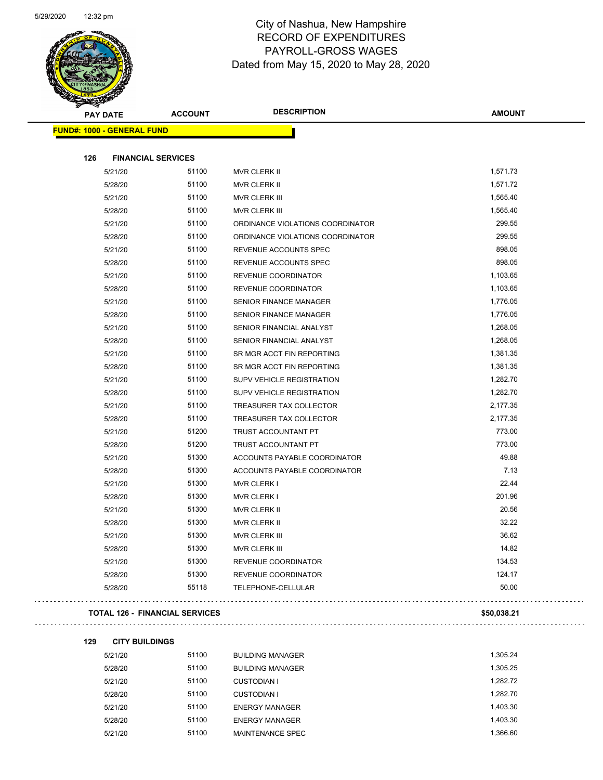

| <b>PAY DATE</b>                   | <b>ACCOUNT</b>            | <b>DESCRIPTION</b>               | <b>AMOUNT</b> |
|-----------------------------------|---------------------------|----------------------------------|---------------|
| <b>FUND#: 1000 - GENERAL FUND</b> |                           |                                  |               |
| 126                               | <b>FINANCIAL SERVICES</b> |                                  |               |
| 5/21/20                           | 51100                     | <b>MVR CLERK II</b>              | 1,571.73      |
| 5/28/20                           | 51100                     | MVR CLERK II                     | 1,571.72      |
| 5/21/20                           | 51100                     | MVR CLERK III                    | 1,565.40      |
| 5/28/20                           | 51100                     | MVR CLERK III                    | 1,565.40      |
| 5/21/20                           | 51100                     | ORDINANCE VIOLATIONS COORDINATOR | 299.55        |
| 5/28/20                           | 51100                     | ORDINANCE VIOLATIONS COORDINATOR | 299.55        |
| 5/21/20                           | 51100                     | REVENUE ACCOUNTS SPEC            | 898.05        |
| 5/28/20                           | 51100                     | REVENUE ACCOUNTS SPEC            | 898.05        |
| 5/21/20                           | 51100                     | REVENUE COORDINATOR              | 1,103.65      |
| 5/28/20                           | 51100                     | REVENUE COORDINATOR              | 1,103.65      |
| 5/21/20                           | 51100                     | <b>SENIOR FINANCE MANAGER</b>    | 1,776.05      |
| 5/28/20                           | 51100                     | SENIOR FINANCE MANAGER           | 1,776.05      |
| 5/21/20                           | 51100                     | SENIOR FINANCIAL ANALYST         | 1,268.05      |
| 5/28/20                           | 51100                     | SENIOR FINANCIAL ANALYST         | 1,268.05      |
| 5/21/20                           | 51100                     | SR MGR ACCT FIN REPORTING        | 1,381.35      |
| 5/28/20                           | 51100                     | SR MGR ACCT FIN REPORTING        | 1,381.35      |
| 5/21/20                           | 51100                     | SUPV VEHICLE REGISTRATION        | 1,282.70      |
| 5/28/20                           | 51100                     | <b>SUPV VEHICLE REGISTRATION</b> | 1,282.70      |
| 5/21/20                           | 51100                     | TREASURER TAX COLLECTOR          | 2,177.35      |
| 5/28/20                           | 51100                     | <b>TREASURER TAX COLLECTOR</b>   | 2,177.35      |
| 5/21/20                           | 51200                     | <b>TRUST ACCOUNTANT PT</b>       | 773.00        |
| 5/28/20                           | 51200                     | TRUST ACCOUNTANT PT              | 773.00        |
| 5/21/20                           | 51300                     | ACCOUNTS PAYABLE COORDINATOR     | 49.88         |
| 5/28/20                           | 51300                     | ACCOUNTS PAYABLE COORDINATOR     | 7.13          |
| 5/21/20                           | 51300                     | <b>MVR CLERK I</b>               | 22.44         |
| 5/28/20                           | 51300                     | <b>MVR CLERK I</b>               | 201.96        |
| 5/21/20                           | 51300                     | MVR CLERK II                     | 20.56         |
| 5/28/20                           | 51300                     | MVR CLERK II                     | 32.22         |
| 5/21/20                           | 51300                     | <b>MVR CLERK III</b>             | 36.62         |
| 5/28/20                           | 51300                     | <b>MVR CLERK III</b>             | 14.82         |
| 5/21/20                           | 51300                     | <b>REVENUE COORDINATOR</b>       | 134.53        |
| 5/28/20                           | 51300                     | REVENUE COORDINATOR              | 124.17        |
| 5/28/20                           | 55118                     | TELEPHONE-CELLULAR               | 50.00         |

#### **TOTAL 126 - FINANCIAL SERVICES \$50,038.21**

#### **129 CITY BUILDINGS**

5/21/20 51100 BUILDING MANAGER 1,305.24 5/28/20 51100 BUILDING MANAGER 1,305.25 5/21/20 51100 CUSTODIAN I 1,282.72 5/28/20 51100 CUSTODIAN I 1,282.70 5/21/20 51100 ENERGY MANAGER 1,403.30 5/28/20 51100 ENERGY MANAGER 1,403.30 5/21/20 51100 MAINTENANCE SPEC 1,366.60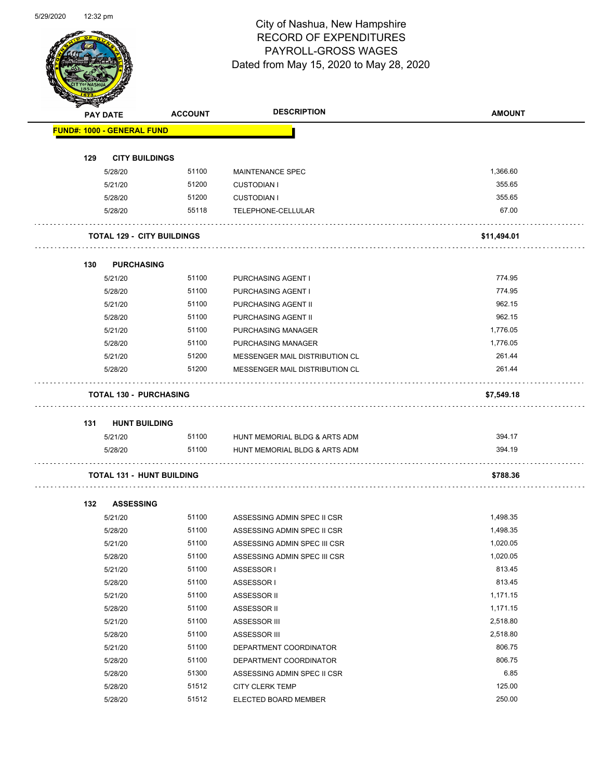Page 31 of 81

|     | <b>PAY DATE</b>                   | <b>ACCOUNT</b> | <b>DESCRIPTION</b>                       | <b>AMOUNT</b> |
|-----|-----------------------------------|----------------|------------------------------------------|---------------|
|     | <b>FUND#: 1000 - GENERAL FUND</b> |                |                                          |               |
|     |                                   |                |                                          |               |
| 129 | <b>CITY BUILDINGS</b>             | 51100          |                                          | 1,366.60      |
|     | 5/28/20                           | 51200          | <b>MAINTENANCE SPEC</b>                  | 355.65        |
|     | 5/21/20<br>5/28/20                | 51200          | <b>CUSTODIAN I</b><br><b>CUSTODIAN I</b> | 355.65        |
|     |                                   | 55118          | TELEPHONE-CELLULAR                       | 67.00         |
|     | 5/28/20                           |                |                                          |               |
|     | <b>TOTAL 129 - CITY BUILDINGS</b> |                |                                          | \$11,494.01   |
| 130 | <b>PURCHASING</b>                 |                |                                          |               |
|     | 5/21/20                           | 51100          | <b>PURCHASING AGENT I</b>                | 774.95        |
|     | 5/28/20                           | 51100          | PURCHASING AGENT I                       | 774.95        |
|     | 5/21/20                           | 51100          | PURCHASING AGENT II                      | 962.15        |
|     | 5/28/20                           | 51100          | PURCHASING AGENT II                      | 962.15        |
|     | 5/21/20                           | 51100          | <b>PURCHASING MANAGER</b>                | 1,776.05      |
|     | 5/28/20                           | 51100          | PURCHASING MANAGER                       | 1,776.05      |
|     | 5/21/20                           | 51200          | MESSENGER MAIL DISTRIBUTION CL           | 261.44        |
|     | 5/28/20                           | 51200          | MESSENGER MAIL DISTRIBUTION CL           | 261.44        |
|     | <b>TOTAL 130 - PURCHASING</b>     |                |                                          | \$7,549.18    |
| 131 | <b>HUNT BUILDING</b>              |                |                                          |               |
|     | 5/21/20                           | 51100          | HUNT MEMORIAL BLDG & ARTS ADM            | 394.17        |
|     | 5/28/20                           | 51100          | HUNT MEMORIAL BLDG & ARTS ADM            | 394.19        |
|     | <b>TOTAL 131 - HUNT BUILDING</b>  |                |                                          | \$788.36      |
| 132 | <b>ASSESSING</b>                  |                |                                          |               |
|     | 5/21/20                           | 51100          | ASSESSING ADMIN SPEC II CSR              | 1,498.35      |
|     | 5/28/20                           | 51100          | ASSESSING ADMIN SPEC II CSR              | 1,498.35      |
|     | 5/21/20                           | 51100          | ASSESSING ADMIN SPEC III CSR             | 1,020.05      |
|     | 5/28/20                           | 51100          | ASSESSING ADMIN SPEC III CSR             | 1,020.05      |
|     | 5/21/20                           | 51100          | ASSESSOR I                               | 813.45        |
|     | 5/28/20                           | 51100          | ASSESSOR I                               | 813.45        |
|     | 5/21/20                           | 51100          | ASSESSOR II                              | 1,171.15      |
|     | 5/28/20                           | 51100          | ASSESSOR II                              | 1,171.15      |
|     | 5/21/20                           | 51100          | ASSESSOR III                             | 2,518.80      |
|     | 5/28/20                           | 51100          | <b>ASSESSOR III</b>                      | 2,518.80      |
|     | 5/21/20                           | 51100          | DEPARTMENT COORDINATOR                   | 806.75        |
|     | 5/28/20                           | 51100          | DEPARTMENT COORDINATOR                   | 806.75        |
|     | 5/28/20                           | 51300          | ASSESSING ADMIN SPEC II CSR              | 6.85          |
|     |                                   |                |                                          |               |
|     | 5/28/20                           | 51512          | CITY CLERK TEMP                          | 125.00        |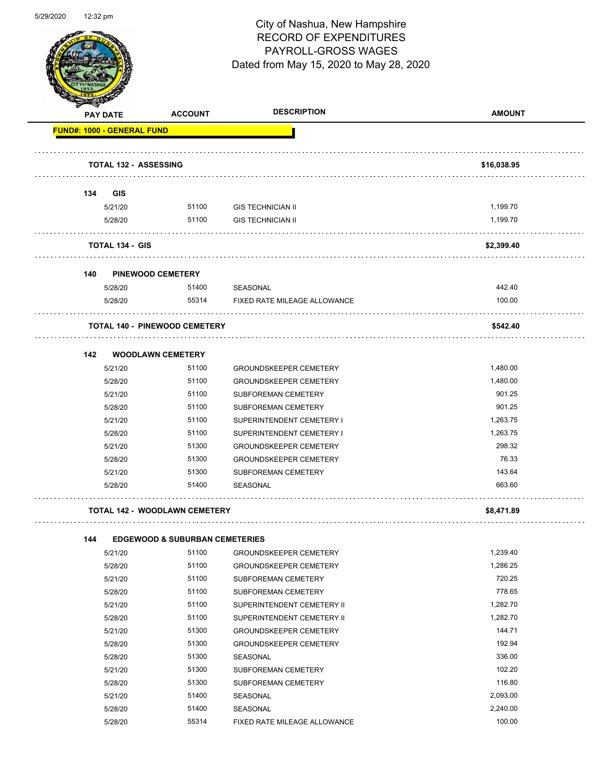

Page 32 of 81

|                                   | <b>PAY DATE</b>              | <b>ACCOUNT</b>                            | <b>DESCRIPTION</b>            | <b>AMOUNT</b> |
|-----------------------------------|------------------------------|-------------------------------------------|-------------------------------|---------------|
| <b>FUND#: 1000 - GENERAL FUND</b> |                              |                                           |                               |               |
|                                   |                              |                                           |                               |               |
|                                   | <b>TOTAL 132 - ASSESSING</b> |                                           |                               | \$16,038.95   |
| 134                               | GIS                          |                                           |                               |               |
|                                   | 5/21/20                      | 51100                                     | <b>GIS TECHNICIAN II</b>      | 1,199.70      |
|                                   | 5/28/20                      | 51100                                     | <b>GIS TECHNICIAN II</b>      | 1,199.70      |
|                                   | <b>TOTAL 134 - GIS</b>       |                                           |                               | \$2,399.40    |
| 140                               |                              | <b>PINEWOOD CEMETERY</b>                  |                               |               |
|                                   | 5/28/20                      | 51400                                     | SEASONAL                      | 442.40        |
|                                   | 5/28/20                      | 55314                                     | FIXED RATE MILEAGE ALLOWANCE  | 100.00        |
|                                   |                              | <b>TOTAL 140 - PINEWOOD CEMETERY</b>      |                               | \$542.40      |
| 142                               |                              | <b>WOODLAWN CEMETERY</b>                  |                               |               |
|                                   | 5/21/20                      | 51100                                     | <b>GROUNDSKEEPER CEMETERY</b> | 1,480.00      |
|                                   | 5/28/20                      | 51100                                     | <b>GROUNDSKEEPER CEMETERY</b> | 1,480.00      |
|                                   | 5/21/20                      | 51100                                     | SUBFOREMAN CEMETERY           | 901.25        |
|                                   | 5/28/20                      | 51100                                     | SUBFOREMAN CEMETERY           | 901.25        |
|                                   | 5/21/20                      | 51100                                     | SUPERINTENDENT CEMETERY I     | 1,263.75      |
|                                   | 5/28/20                      | 51100                                     | SUPERINTENDENT CEMETERY I     | 1,263.75      |
|                                   | 5/21/20                      | 51300                                     | <b>GROUNDSKEEPER CEMETERY</b> | 298.32        |
|                                   | 5/28/20                      | 51300                                     | <b>GROUNDSKEEPER CEMETERY</b> | 76.33         |
|                                   | 5/21/20                      | 51300                                     | SUBFOREMAN CEMETERY           | 143.64        |
|                                   | 5/28/20                      | 51400                                     | <b>SEASONAL</b>               | 663.60        |
|                                   |                              | <b>TOTAL 142 - WOODLAWN CEMETERY</b>      |                               | \$8,471.89    |
| 144                               |                              | <b>EDGEWOOD &amp; SUBURBAN CEMETERIES</b> |                               |               |
|                                   | 5/21/20                      | 51100                                     | <b>GROUNDSKEEPER CEMETERY</b> | 1,239.40      |
|                                   | 5/28/20                      | 51100                                     | <b>GROUNDSKEEPER CEMETERY</b> | 1,286.25      |
|                                   | 5/21/20                      | 51100                                     | SUBFOREMAN CEMETERY           | 720.25        |
|                                   | 5/28/20                      | 51100                                     | SUBFOREMAN CEMETERY           | 778.65        |
|                                   | 5/21/20                      | 51100                                     | SUPERINTENDENT CEMETERY II    | 1,282.70      |
|                                   | 5/28/20                      | 51100                                     | SUPERINTENDENT CEMETERY II    | 1,282.70      |
|                                   | 5/21/20                      | 51300                                     | <b>GROUNDSKEEPER CEMETERY</b> | 144.71        |
|                                   | 5/28/20                      | 51300                                     | <b>GROUNDSKEEPER CEMETERY</b> | 192.94        |
|                                   | 5/28/20                      | 51300                                     | SEASONAL                      | 336.00        |
|                                   | 5/21/20                      | 51300                                     | SUBFOREMAN CEMETERY           | 102.20        |
|                                   | 5/28/20                      | 51300                                     | SUBFOREMAN CEMETERY           | 116.80        |
|                                   | 5/21/20                      | 51400                                     | SEASONAL                      | 2,093.00      |
|                                   | 5/28/20                      | 51400                                     | SEASONAL                      | 2,240.00      |
|                                   | 5/28/20                      | 55314                                     | FIXED RATE MILEAGE ALLOWANCE  | 100.00        |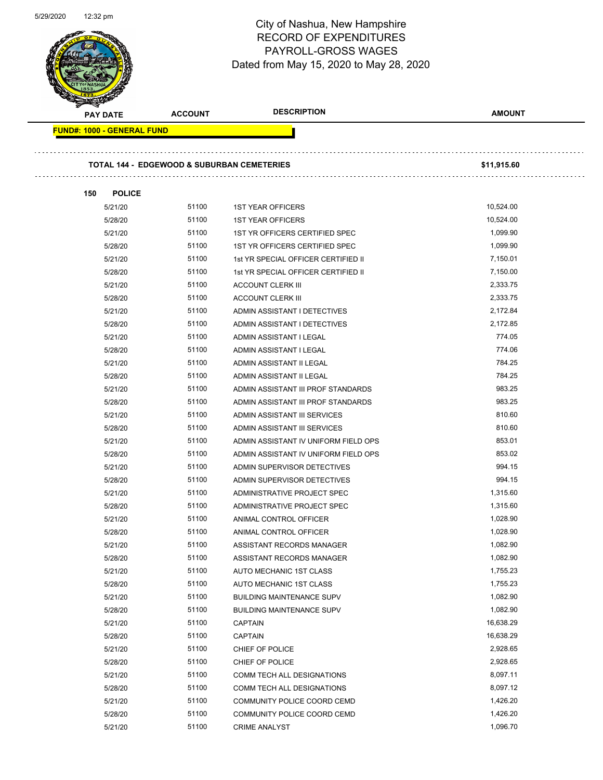Page 33 of 81

| <b>PAY DATE</b>                   | <b>ACCOUNT</b>                                        | <b>DESCRIPTION</b>                   | <b>AMOUNT</b> |
|-----------------------------------|-------------------------------------------------------|--------------------------------------|---------------|
| <b>FUND#: 1000 - GENERAL FUND</b> |                                                       |                                      |               |
|                                   | <b>TOTAL 144 - EDGEWOOD &amp; SUBURBAN CEMETERIES</b> | \$11,915.60                          |               |
|                                   |                                                       |                                      |               |
| <b>POLICE</b><br>150              |                                                       |                                      |               |
| 5/21/20                           | 51100                                                 | <b>1ST YEAR OFFICERS</b>             | 10,524.00     |
| 5/28/20                           | 51100                                                 | <b>1ST YEAR OFFICERS</b>             | 10,524.00     |
| 5/21/20                           | 51100                                                 | 1ST YR OFFICERS CERTIFIED SPEC       | 1,099.90      |
| 5/28/20                           | 51100                                                 | 1ST YR OFFICERS CERTIFIED SPEC       | 1,099.90      |
| 5/21/20                           | 51100                                                 | 1st YR SPECIAL OFFICER CERTIFIED II  | 7,150.01      |
| 5/28/20                           | 51100                                                 | 1st YR SPECIAL OFFICER CERTIFIED II  | 7,150.00      |
| 5/21/20                           | 51100                                                 | <b>ACCOUNT CLERK III</b>             | 2,333.75      |
| 5/28/20                           | 51100                                                 | <b>ACCOUNT CLERK III</b>             | 2,333.75      |
| 5/21/20                           | 51100                                                 | ADMIN ASSISTANT I DETECTIVES         | 2,172.84      |
| 5/28/20                           | 51100                                                 | ADMIN ASSISTANT I DETECTIVES         | 2,172.85      |
| 5/21/20                           | 51100                                                 | ADMIN ASSISTANT I LEGAL              | 774.05        |
| 5/28/20                           | 51100                                                 | ADMIN ASSISTANT I LEGAL              | 774.06        |
| 5/21/20                           | 51100                                                 | ADMIN ASSISTANT II LEGAL             | 784.25        |
| 5/28/20                           | 51100                                                 | ADMIN ASSISTANT II LEGAL             | 784.25        |
| 5/21/20                           | 51100                                                 | ADMIN ASSISTANT III PROF STANDARDS   | 983.25        |
| 5/28/20                           | 51100                                                 | ADMIN ASSISTANT III PROF STANDARDS   | 983.25        |
| 5/21/20                           | 51100                                                 | ADMIN ASSISTANT III SERVICES         | 810.60        |
| 5/28/20                           | 51100                                                 | ADMIN ASSISTANT III SERVICES         | 810.60        |
| 5/21/20                           | 51100                                                 | ADMIN ASSISTANT IV UNIFORM FIELD OPS | 853.01        |
| 5/28/20                           | 51100                                                 | ADMIN ASSISTANT IV UNIFORM FIELD OPS | 853.02        |
| 5/21/20                           | 51100                                                 | ADMIN SUPERVISOR DETECTIVES          | 994.15        |
| 5/28/20                           | 51100                                                 | ADMIN SUPERVISOR DETECTIVES          | 994.15        |
| 5/21/20                           | 51100                                                 | ADMINISTRATIVE PROJECT SPEC          | 1,315.60      |
| 5/28/20                           | 51100                                                 | ADMINISTRATIVE PROJECT SPEC          | 1,315.60      |
| 5/21/20                           | 51100                                                 | ANIMAL CONTROL OFFICER               | 1,028.90      |
| 5/28/20                           | 51100                                                 | ANIMAL CONTROL OFFICER               | 1,028.90      |
| 5/21/20                           | 51100                                                 | ASSISTANT RECORDS MANAGER            | 1,082.90      |
| 5/28/20                           | 51100                                                 | ASSISTANT RECORDS MANAGER            | 1,082.90      |
| 5/21/20                           | 51100                                                 | AUTO MECHANIC 1ST CLASS              | 1,755.23      |
| 5/28/20                           | 51100                                                 | AUTO MECHANIC 1ST CLASS              | 1,755.23      |
| 5/21/20                           | 51100                                                 | <b>BUILDING MAINTENANCE SUPV</b>     | 1,082.90      |
| 5/28/20                           | 51100                                                 | <b>BUILDING MAINTENANCE SUPV</b>     | 1,082.90      |
| 5/21/20                           | 51100                                                 | <b>CAPTAIN</b>                       | 16,638.29     |
| 5/28/20                           | 51100                                                 | <b>CAPTAIN</b>                       | 16,638.29     |
| 5/21/20                           | 51100                                                 | CHIEF OF POLICE                      | 2,928.65      |
| 5/28/20                           | 51100                                                 | CHIEF OF POLICE                      | 2,928.65      |
| 5/21/20                           | 51100                                                 | COMM TECH ALL DESIGNATIONS           | 8,097.11      |
| 5/28/20                           | 51100                                                 | COMM TECH ALL DESIGNATIONS           | 8,097.12      |
| 5/21/20                           | 51100                                                 | COMMUNITY POLICE COORD CEMD          | 1,426.20      |
| 5/28/20                           | 51100                                                 | COMMUNITY POLICE COORD CEMD          | 1,426.20      |
| 5/21/20                           | 51100                                                 | <b>CRIME ANALYST</b>                 | 1,096.70      |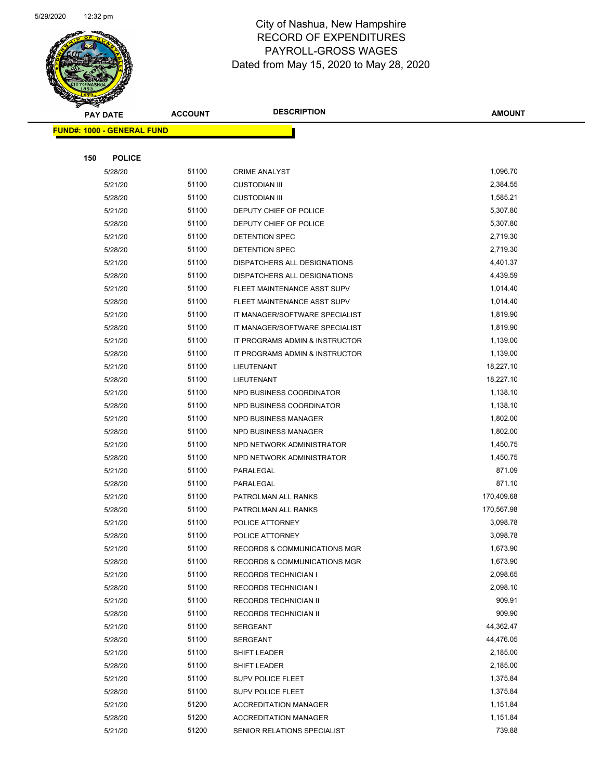

|     | <b>PAY DATE</b>                   | <b>ACCOUNT</b> | <b>DESCRIPTION</b>                             | <b>AMOUNT</b>        |
|-----|-----------------------------------|----------------|------------------------------------------------|----------------------|
|     | <b>FUND#: 1000 - GENERAL FUND</b> |                |                                                |                      |
|     |                                   |                |                                                |                      |
| 150 | <b>POLICE</b>                     |                |                                                |                      |
|     | 5/28/20                           | 51100          | <b>CRIME ANALYST</b>                           | 1,096.70             |
|     | 5/21/20                           | 51100          | <b>CUSTODIAN III</b>                           | 2,384.55             |
|     | 5/28/20                           | 51100          | <b>CUSTODIAN III</b>                           | 1,585.21             |
|     | 5/21/20                           | 51100          | DEPUTY CHIEF OF POLICE                         | 5,307.80             |
|     | 5/28/20                           | 51100          | DEPUTY CHIEF OF POLICE                         | 5,307.80             |
|     | 5/21/20                           | 51100          | <b>DETENTION SPEC</b>                          | 2,719.30             |
|     | 5/28/20                           | 51100          | DETENTION SPEC                                 | 2,719.30             |
|     | 5/21/20                           | 51100          | DISPATCHERS ALL DESIGNATIONS                   | 4,401.37             |
|     | 5/28/20                           | 51100          | DISPATCHERS ALL DESIGNATIONS                   | 4,439.59             |
|     | 5/21/20                           | 51100          | FLEET MAINTENANCE ASST SUPV                    | 1,014.40             |
|     | 5/28/20                           | 51100          | FLEET MAINTENANCE ASST SUPV                    | 1,014.40             |
|     | 5/21/20                           | 51100          | IT MANAGER/SOFTWARE SPECIALIST                 | 1,819.90             |
|     | 5/28/20                           | 51100          | IT MANAGER/SOFTWARE SPECIALIST                 | 1,819.90             |
|     | 5/21/20                           | 51100          | IT PROGRAMS ADMIN & INSTRUCTOR                 | 1,139.00             |
|     | 5/28/20                           | 51100          | IT PROGRAMS ADMIN & INSTRUCTOR                 | 1,139.00             |
|     | 5/21/20                           | 51100          | LIEUTENANT                                     | 18,227.10            |
|     | 5/28/20                           | 51100          | LIEUTENANT                                     | 18,227.10            |
|     | 5/21/20                           | 51100          | NPD BUSINESS COORDINATOR                       | 1,138.10             |
|     | 5/28/20                           | 51100          | NPD BUSINESS COORDINATOR                       | 1,138.10             |
|     | 5/21/20                           | 51100          | <b>NPD BUSINESS MANAGER</b>                    | 1,802.00             |
|     | 5/28/20                           | 51100          | NPD BUSINESS MANAGER                           | 1,802.00             |
|     | 5/21/20                           | 51100          | NPD NETWORK ADMINISTRATOR                      | 1,450.75             |
|     | 5/28/20                           | 51100          | NPD NETWORK ADMINISTRATOR                      | 1,450.75             |
|     | 5/21/20                           | 51100          | PARALEGAL                                      | 871.09               |
|     | 5/28/20                           | 51100          | PARALEGAL                                      | 871.10               |
|     | 5/21/20                           | 51100          | PATROLMAN ALL RANKS                            | 170,409.68           |
|     | 5/28/20                           | 51100          | PATROLMAN ALL RANKS                            | 170,567.98           |
|     | 5/21/20                           | 51100          | POLICE ATTORNEY                                | 3,098.78             |
|     | 5/28/20                           | 51100          | POLICE ATTORNEY                                | 3,098.78             |
|     | 5/21/20                           | 51100          | RECORDS & COMMUNICATIONS MGR                   | 1,673.90             |
|     | 5/28/20                           | 51100<br>51100 | <b>RECORDS &amp; COMMUNICATIONS MGR</b>        | 1,673.90<br>2,098.65 |
|     | 5/21/20                           | 51100          | <b>RECORDS TECHNICIAN I</b>                    | 2,098.10             |
|     | 5/28/20<br>5/21/20                | 51100          | <b>RECORDS TECHNICIAN I</b>                    | 909.91               |
|     | 5/28/20                           | 51100          | RECORDS TECHNICIAN II<br>RECORDS TECHNICIAN II | 909.90               |
|     | 5/21/20                           | 51100          | SERGEANT                                       | 44,362.47            |
|     | 5/28/20                           | 51100          | SERGEANT                                       | 44,476.05            |
|     | 5/21/20                           | 51100          | SHIFT LEADER                                   | 2,185.00             |
|     | 5/28/20                           | 51100          | SHIFT LEADER                                   | 2,185.00             |
|     | 5/21/20                           | 51100          | <b>SUPV POLICE FLEET</b>                       | 1,375.84             |
|     | 5/28/20                           | 51100          | SUPV POLICE FLEET                              | 1,375.84             |
|     | 5/21/20                           | 51200          | <b>ACCREDITATION MANAGER</b>                   | 1,151.84             |
|     | 5/28/20                           | 51200          | <b>ACCREDITATION MANAGER</b>                   | 1,151.84             |
|     | 5/21/20                           | 51200          | SENIOR RELATIONS SPECIALIST                    | 739.88               |
|     |                                   |                |                                                |                      |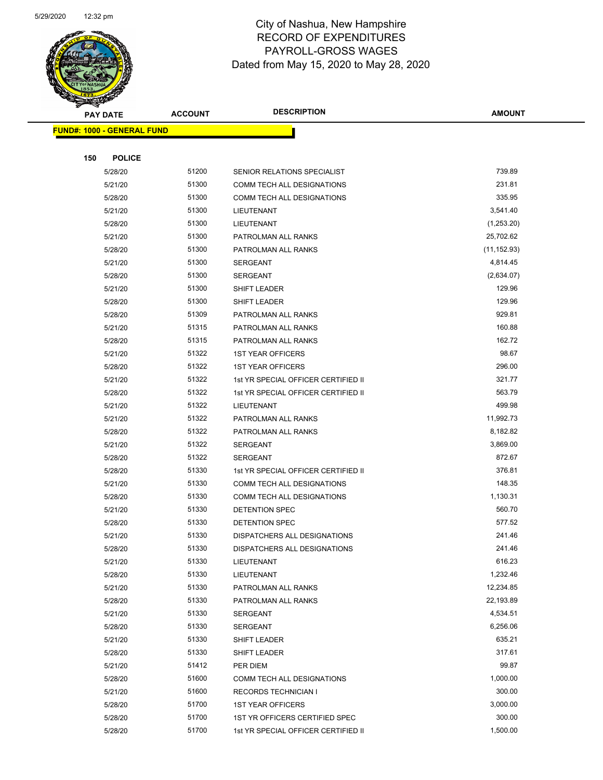

Page 35 of 81

| <b>PAY DATE</b>                   | <b>ACCOUNT</b> | <b>DESCRIPTION</b>                                         | <b>AMOUNT</b>      |
|-----------------------------------|----------------|------------------------------------------------------------|--------------------|
| <b>FUND#: 1000 - GENERAL FUND</b> |                |                                                            |                    |
|                                   |                |                                                            |                    |
| 150<br><b>POLICE</b>              |                |                                                            |                    |
| 5/28/20                           | 51200          | SENIOR RELATIONS SPECIALIST                                | 739.89             |
| 5/21/20                           | 51300          | COMM TECH ALL DESIGNATIONS                                 | 231.81             |
| 5/28/20                           | 51300          | COMM TECH ALL DESIGNATIONS                                 | 335.95             |
| 5/21/20                           | 51300          | <b>LIEUTENANT</b>                                          | 3,541.40           |
| 5/28/20                           | 51300          | LIEUTENANT                                                 | (1,253.20)         |
| 5/21/20                           | 51300          | PATROLMAN ALL RANKS                                        | 25,702.62          |
| 5/28/20                           | 51300          | PATROLMAN ALL RANKS                                        | (11, 152.93)       |
| 5/21/20                           | 51300          | SERGEANT                                                   | 4,814.45           |
| 5/28/20                           | 51300          | SERGEANT                                                   | (2,634.07)         |
| 5/21/20                           | 51300          | SHIFT LEADER                                               | 129.96             |
| 5/28/20                           | 51300          | SHIFT LEADER                                               | 129.96             |
| 5/28/20                           | 51309          | PATROLMAN ALL RANKS                                        | 929.81             |
| 5/21/20                           | 51315          | PATROLMAN ALL RANKS                                        | 160.88             |
| 5/28/20                           | 51315          | PATROLMAN ALL RANKS                                        | 162.72             |
| 5/21/20                           | 51322          | <b>1ST YEAR OFFICERS</b>                                   | 98.67              |
| 5/28/20                           | 51322          | <b>1ST YEAR OFFICERS</b>                                   | 296.00             |
| 5/21/20                           | 51322          | 1st YR SPECIAL OFFICER CERTIFIED II                        | 321.77             |
| 5/28/20                           | 51322          | 1st YR SPECIAL OFFICER CERTIFIED II                        | 563.79             |
| 5/21/20                           | 51322          | LIEUTENANT                                                 | 499.98             |
| 5/21/20                           | 51322          | PATROLMAN ALL RANKS                                        | 11,992.73          |
| 5/28/20                           | 51322          | PATROLMAN ALL RANKS                                        | 8,182.82           |
| 5/21/20                           | 51322          | <b>SERGEANT</b>                                            | 3,869.00           |
| 5/28/20                           | 51322          | SERGEANT                                                   | 872.67             |
| 5/28/20                           | 51330          | 1st YR SPECIAL OFFICER CERTIFIED II                        | 376.81             |
| 5/21/20                           | 51330          | COMM TECH ALL DESIGNATIONS                                 | 148.35             |
| 5/28/20                           | 51330          | COMM TECH ALL DESIGNATIONS                                 | 1,130.31           |
| 5/21/20                           | 51330          | DETENTION SPEC                                             | 560.70             |
| 5/28/20                           | 51330          | DETENTION SPEC                                             | 577.52             |
| 5/21/20                           | 51330          | DISPATCHERS ALL DESIGNATIONS                               | 241.46             |
| 5/28/20                           | 51330          | DISPATCHERS ALL DESIGNATIONS                               | 241.46             |
| 5/21/20                           | 51330          | LIEUTENANT                                                 | 616.23             |
| 5/28/20                           | 51330          | LIEUTENANT                                                 | 1,232.46           |
| 5/21/20                           | 51330          | PATROLMAN ALL RANKS                                        | 12,234.85          |
| 5/28/20                           | 51330          | PATROLMAN ALL RANKS                                        | 22,193.89          |
| 5/21/20                           | 51330          | SERGEANT                                                   | 4,534.51           |
| 5/28/20                           | 51330          | SERGEANT                                                   | 6,256.06           |
| 5/21/20                           | 51330          | SHIFT LEADER                                               | 635.21             |
| 5/28/20                           | 51330          | SHIFT LEADER                                               | 317.61             |
| 5/21/20                           | 51412          | PER DIEM                                                   | 99.87              |
| 5/28/20                           | 51600<br>51600 | COMM TECH ALL DESIGNATIONS                                 | 1,000.00<br>300.00 |
| 5/21/20                           | 51700          | <b>RECORDS TECHNICIAN I</b>                                | 3,000.00           |
| 5/28/20<br>5/28/20                | 51700          | <b>1ST YEAR OFFICERS</b><br>1ST YR OFFICERS CERTIFIED SPEC | 300.00             |
| 5/28/20                           | 51700          | 1st YR SPECIAL OFFICER CERTIFIED II                        | 1,500.00           |
|                                   |                |                                                            |                    |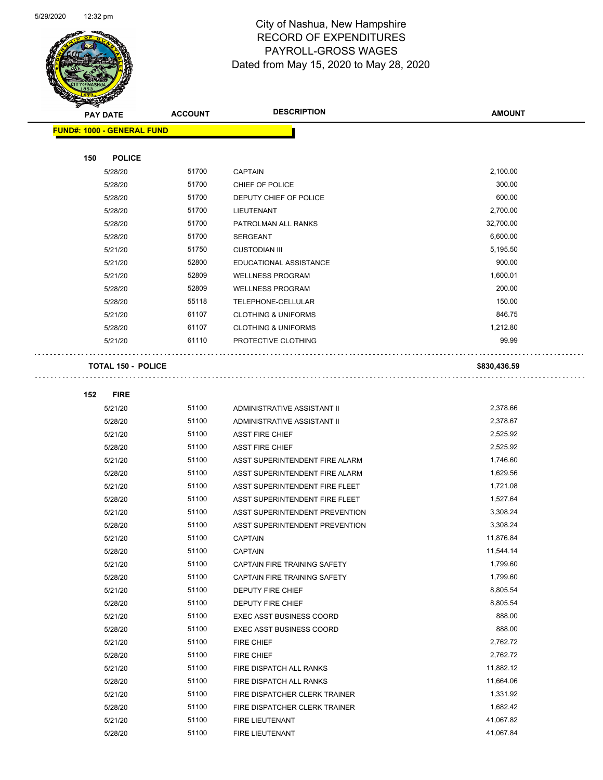

Page 36 of 81

| <b>STATES CO</b> |                                   |                |                                                                    |                      |
|------------------|-----------------------------------|----------------|--------------------------------------------------------------------|----------------------|
|                  | <b>PAY DATE</b>                   | <b>ACCOUNT</b> | <b>DESCRIPTION</b>                                                 | <b>AMOUNT</b>        |
|                  | <b>FUND#: 1000 - GENERAL FUND</b> |                |                                                                    |                      |
|                  |                                   |                |                                                                    |                      |
| 150              | <b>POLICE</b>                     |                |                                                                    |                      |
|                  | 5/28/20                           | 51700          | <b>CAPTAIN</b>                                                     | 2,100.00             |
|                  | 5/28/20                           | 51700          | CHIEF OF POLICE                                                    | 300.00               |
|                  | 5/28/20                           | 51700          | DEPUTY CHIEF OF POLICE                                             | 600.00               |
|                  | 5/28/20                           | 51700          | LIEUTENANT                                                         | 2,700.00             |
|                  | 5/28/20                           | 51700          | PATROLMAN ALL RANKS                                                | 32,700.00            |
|                  | 5/28/20                           | 51700          | <b>SERGEANT</b>                                                    | 6,600.00             |
|                  | 5/21/20                           | 51750          | <b>CUSTODIAN III</b>                                               | 5,195.50             |
|                  | 5/21/20                           | 52800          | EDUCATIONAL ASSISTANCE                                             | 900.00               |
|                  | 5/21/20                           | 52809          | <b>WELLNESS PROGRAM</b>                                            | 1,600.01             |
|                  | 5/28/20                           | 52809          | <b>WELLNESS PROGRAM</b>                                            | 200.00               |
|                  | 5/28/20                           | 55118          | TELEPHONE-CELLULAR                                                 | 150.00               |
|                  | 5/21/20                           | 61107          | <b>CLOTHING &amp; UNIFORMS</b>                                     | 846.75               |
|                  | 5/28/20                           | 61107          | <b>CLOTHING &amp; UNIFORMS</b>                                     | 1,212.80             |
|                  | 5/21/20                           | 61110          | PROTECTIVE CLOTHING                                                | 99.99                |
|                  |                                   |                |                                                                    |                      |
|                  | <b>TOTAL 150 - POLICE</b>         |                |                                                                    | \$830,436.59         |
|                  |                                   |                |                                                                    |                      |
| 152              | <b>FIRE</b>                       |                |                                                                    |                      |
|                  | 5/21/20                           | 51100          | ADMINISTRATIVE ASSISTANT II                                        | 2,378.66             |
|                  | 5/28/20                           | 51100          | ADMINISTRATIVE ASSISTANT II                                        | 2,378.67             |
|                  | 5/21/20                           | 51100          | <b>ASST FIRE CHIEF</b>                                             | 2,525.92             |
|                  | 5/28/20                           | 51100          | <b>ASST FIRE CHIEF</b>                                             | 2,525.92             |
|                  | 5/21/20                           | 51100          | ASST SUPERINTENDENT FIRE ALARM                                     | 1,746.60             |
|                  | 5/28/20                           | 51100          | ASST SUPERINTENDENT FIRE ALARM                                     | 1,629.56             |
|                  | 5/21/20                           | 51100          | ASST SUPERINTENDENT FIRE FLEET                                     | 1,721.08             |
|                  | 5/28/20                           | 51100          | ASST SUPERINTENDENT FIRE FLEET                                     | 1,527.64             |
|                  | 5/21/20                           | 51100          | ASST SUPERINTENDENT PREVENTION                                     | 3,308.24             |
|                  | 5/28/20                           | 51100          | ASST SUPERINTENDENT PREVENTION                                     | 3,308.24             |
|                  | 5/21/20                           | 51100          | <b>CAPTAIN</b>                                                     | 11,876.84            |
|                  | 5/28/20                           | 51100          | <b>CAPTAIN</b>                                                     | 11,544.14            |
|                  | 5/21/20                           | 51100          | CAPTAIN FIRE TRAINING SAFETY                                       | 1,799.60             |
|                  | 5/28/20                           | 51100          | CAPTAIN FIRE TRAINING SAFETY                                       | 1,799.60             |
|                  | 5/21/20                           | 51100<br>51100 | DEPUTY FIRE CHIEF                                                  | 8,805.54<br>8,805.54 |
|                  | 5/28/20                           | 51100          | DEPUTY FIRE CHIEF                                                  | 888.00               |
|                  | 5/21/20                           | 51100          | <b>EXEC ASST BUSINESS COORD</b><br><b>EXEC ASST BUSINESS COORD</b> | 888.00               |
|                  | 5/28/20<br>5/21/20                | 51100          | FIRE CHIEF                                                         | 2,762.72             |
|                  | 5/28/20                           | 51100          | FIRE CHIEF                                                         | 2,762.72             |
|                  | 5/21/20                           | 51100          | FIRE DISPATCH ALL RANKS                                            | 11,882.12            |
|                  | 5/28/20                           | 51100          | FIRE DISPATCH ALL RANKS                                            | 11,664.06            |
|                  | 5/21/20                           | 51100          | FIRE DISPATCHER CLERK TRAINER                                      | 1,331.92             |
|                  | 5/28/20                           | 51100          | FIRE DISPATCHER CLERK TRAINER                                      | 1,682.42             |
|                  | 5/21/20                           | 51100          | FIRE LIEUTENANT                                                    | 41,067.82            |
|                  | 5/28/20                           | 51100          | FIRE LIEUTENANT                                                    | 41,067.84            |
|                  |                                   |                |                                                                    |                      |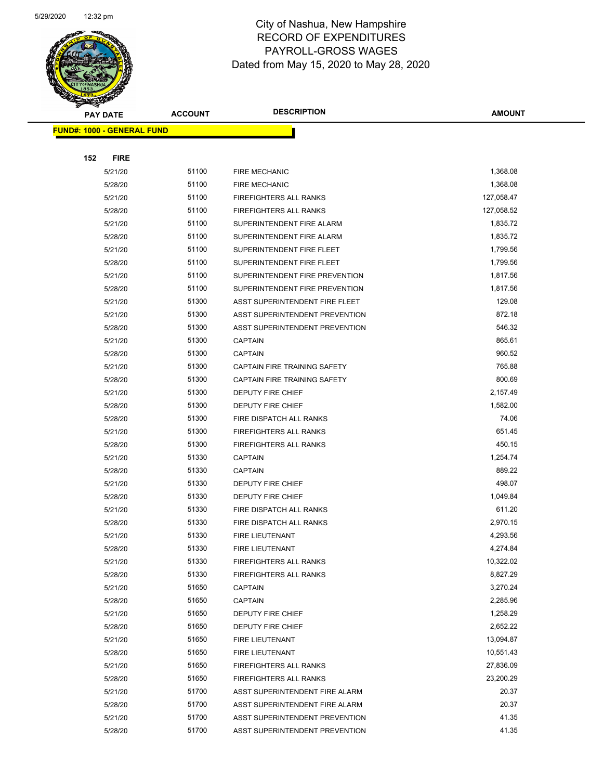

| <b>PAY DATE</b>                   | <b>ACCOUNT</b> | <b>DESCRIPTION</b>                                               | <b>AMOUNT</b>          |
|-----------------------------------|----------------|------------------------------------------------------------------|------------------------|
| <b>FUND#: 1000 - GENERAL FUND</b> |                |                                                                  |                        |
|                                   |                |                                                                  |                        |
| 152<br><b>FIRE</b>                |                |                                                                  |                        |
| 5/21/20                           | 51100          | <b>FIRE MECHANIC</b>                                             | 1,368.08               |
| 5/28/20                           | 51100          | <b>FIRE MECHANIC</b>                                             | 1,368.08               |
| 5/21/20                           | 51100          | <b>FIREFIGHTERS ALL RANKS</b>                                    | 127,058.47             |
| 5/28/20                           | 51100          | FIREFIGHTERS ALL RANKS                                           | 127,058.52             |
| 5/21/20                           | 51100          | SUPERINTENDENT FIRE ALARM                                        | 1,835.72               |
| 5/28/20                           | 51100          | SUPERINTENDENT FIRE ALARM                                        | 1,835.72               |
| 5/21/20                           | 51100          | SUPERINTENDENT FIRE FLEET                                        | 1,799.56               |
| 5/28/20                           | 51100          | SUPERINTENDENT FIRE FLEET                                        | 1,799.56               |
| 5/21/20                           | 51100          | SUPERINTENDENT FIRE PREVENTION                                   | 1,817.56               |
| 5/28/20                           | 51100          | SUPERINTENDENT FIRE PREVENTION                                   | 1,817.56               |
| 5/21/20                           | 51300          | ASST SUPERINTENDENT FIRE FLEET                                   | 129.08                 |
| 5/21/20                           | 51300          | ASST SUPERINTENDENT PREVENTION                                   | 872.18                 |
| 5/28/20                           | 51300          | ASST SUPERINTENDENT PREVENTION                                   | 546.32                 |
| 5/21/20                           | 51300          | <b>CAPTAIN</b>                                                   | 865.61                 |
| 5/28/20                           | 51300          | <b>CAPTAIN</b>                                                   | 960.52                 |
| 5/21/20                           | 51300          | <b>CAPTAIN FIRE TRAINING SAFETY</b>                              | 765.88                 |
| 5/28/20                           | 51300          | <b>CAPTAIN FIRE TRAINING SAFETY</b>                              | 800.69                 |
| 5/21/20                           | 51300          | DEPUTY FIRE CHIEF                                                | 2,157.49               |
| 5/28/20                           | 51300          | DEPUTY FIRE CHIEF                                                | 1,582.00               |
| 5/28/20                           | 51300          | FIRE DISPATCH ALL RANKS                                          | 74.06                  |
| 5/21/20                           | 51300          | <b>FIREFIGHTERS ALL RANKS</b>                                    | 651.45                 |
| 5/28/20                           | 51300          | <b>FIREFIGHTERS ALL RANKS</b>                                    | 450.15                 |
| 5/21/20                           | 51330          | <b>CAPTAIN</b>                                                   | 1,254.74               |
| 5/28/20                           | 51330          | CAPTAIN                                                          | 889.22                 |
| 5/21/20                           | 51330          | DEPUTY FIRE CHIEF                                                | 498.07                 |
| 5/28/20                           | 51330          | DEPUTY FIRE CHIEF                                                | 1,049.84               |
| 5/21/20                           | 51330          | FIRE DISPATCH ALL RANKS                                          | 611.20                 |
| 5/28/20                           | 51330          | FIRE DISPATCH ALL RANKS                                          | 2,970.15               |
| 5/21/20                           | 51330          | FIRE LIEUTENANT                                                  | 4,293.56               |
| 5/28/20                           | 51330          | FIRE LIEUTENANT                                                  | 4,274.84               |
| 5/21/20                           | 51330          | FIREFIGHTERS ALL RANKS                                           | 10,322.02              |
| 5/28/20                           | 51330          | FIREFIGHTERS ALL RANKS                                           | 8,827.29               |
| 5/21/20                           | 51650          | <b>CAPTAIN</b>                                                   | 3,270.24               |
| 5/28/20                           | 51650          | <b>CAPTAIN</b>                                                   | 2,285.96               |
| 5/21/20                           | 51650          | DEPUTY FIRE CHIEF                                                | 1,258.29               |
| 5/28/20                           | 51650          | DEPUTY FIRE CHIEF                                                | 2,652.22               |
| 5/21/20                           | 51650          | FIRE LIEUTENANT                                                  | 13,094.87              |
| 5/28/20                           | 51650          | FIRE LIEUTENANT                                                  | 10,551.43              |
| 5/21/20                           | 51650<br>51650 | FIREFIGHTERS ALL RANKS                                           | 27,836.09<br>23,200.29 |
| 5/28/20                           | 51700          | FIREFIGHTERS ALL RANKS                                           | 20.37                  |
| 5/21/20                           | 51700          | ASST SUPERINTENDENT FIRE ALARM                                   | 20.37                  |
| 5/28/20<br>5/21/20                | 51700          | ASST SUPERINTENDENT FIRE ALARM<br>ASST SUPERINTENDENT PREVENTION | 41.35                  |
| 5/28/20                           | 51700          | ASST SUPERINTENDENT PREVENTION                                   | 41.35                  |
|                                   |                |                                                                  |                        |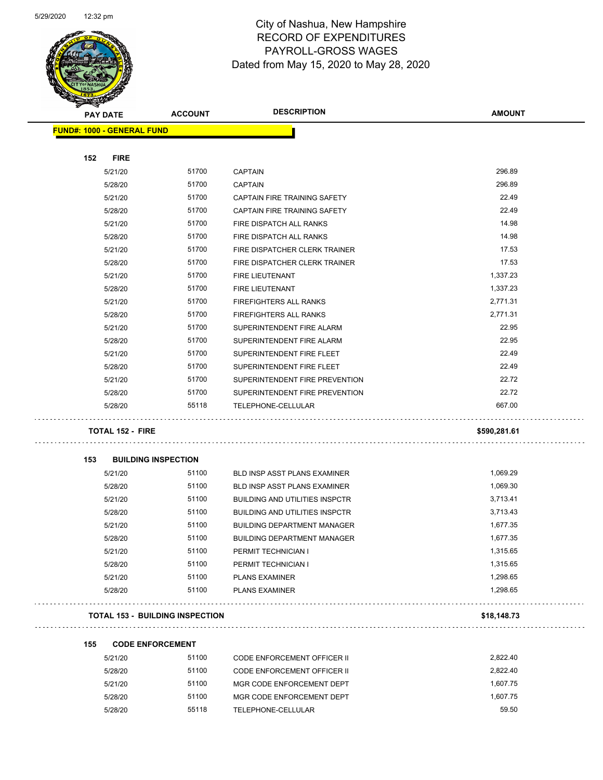

Page 38 of 81

|     | <b>PAY DATE</b>                   | <b>ACCOUNT</b>                         | <b>DESCRIPTION</b>                    | <b>AMOUNT</b> |
|-----|-----------------------------------|----------------------------------------|---------------------------------------|---------------|
|     | <b>FUND#: 1000 - GENERAL FUND</b> |                                        |                                       |               |
|     |                                   |                                        |                                       |               |
| 152 | <b>FIRE</b>                       |                                        |                                       |               |
|     | 5/21/20                           | 51700                                  | <b>CAPTAIN</b>                        | 296.89        |
|     | 5/28/20                           | 51700                                  | <b>CAPTAIN</b>                        | 296.89        |
|     | 5/21/20                           | 51700                                  | CAPTAIN FIRE TRAINING SAFETY          | 22.49         |
|     | 5/28/20                           | 51700                                  | <b>CAPTAIN FIRE TRAINING SAFETY</b>   | 22.49         |
|     | 5/21/20                           | 51700                                  | FIRE DISPATCH ALL RANKS               | 14.98         |
|     | 5/28/20                           | 51700                                  | FIRE DISPATCH ALL RANKS               | 14.98         |
|     | 5/21/20                           | 51700                                  | FIRE DISPATCHER CLERK TRAINER         | 17.53         |
|     | 5/28/20                           | 51700                                  | FIRE DISPATCHER CLERK TRAINER         | 17.53         |
|     | 5/21/20                           | 51700                                  | FIRE LIEUTENANT                       | 1,337.23      |
|     | 5/28/20                           | 51700                                  | <b>FIRE LIEUTENANT</b>                | 1,337.23      |
|     | 5/21/20                           | 51700                                  | <b>FIREFIGHTERS ALL RANKS</b>         | 2,771.31      |
|     | 5/28/20                           | 51700                                  | <b>FIREFIGHTERS ALL RANKS</b>         | 2,771.31      |
|     | 5/21/20                           | 51700                                  | SUPERINTENDENT FIRE ALARM             | 22.95         |
|     | 5/28/20                           | 51700                                  | SUPERINTENDENT FIRE ALARM             | 22.95         |
|     | 5/21/20                           | 51700                                  | SUPERINTENDENT FIRE FLEET             | 22.49         |
|     | 5/28/20                           | 51700                                  | SUPERINTENDENT FIRE FLEET             | 22.49         |
|     | 5/21/20                           | 51700                                  | SUPERINTENDENT FIRE PREVENTION        | 22.72         |
|     | 5/28/20                           | 51700                                  | SUPERINTENDENT FIRE PREVENTION        | 22.72         |
|     | 5/28/20                           | 55118                                  | TELEPHONE-CELLULAR                    | 667.00        |
|     | <b>TOTAL 152 - FIRE</b>           |                                        |                                       | \$590,281.61  |
|     |                                   |                                        |                                       |               |
| 153 |                                   | <b>BUILDING INSPECTION</b>             |                                       |               |
|     | 5/21/20                           | 51100                                  | BLD INSP ASST PLANS EXAMINER          | 1,069.29      |
|     | 5/28/20                           | 51100                                  | <b>BLD INSP ASST PLANS EXAMINER</b>   | 1,069.30      |
|     | 5/21/20                           | 51100                                  | <b>BUILDING AND UTILITIES INSPCTR</b> | 3,713.41      |
|     | 5/28/20                           | 51100                                  | <b>BUILDING AND UTILITIES INSPCTR</b> | 3,713.43      |
|     | 5/21/20                           | 51100                                  | <b>BUILDING DEPARTMENT MANAGER</b>    | 1,677.35      |
|     | 5/28/20                           | 51100                                  | BUILDING DEPARTMENT MANAGER           | 1,677.35      |
|     | 5/21/20                           | 51100                                  | PERMIT TECHNICIAN I                   | 1,315.65      |
|     | 5/28/20                           | 51100                                  | PERMIT TECHNICIAN I                   | 1,315.65      |
|     | 5/21/20                           | 51100                                  | <b>PLANS EXAMINER</b>                 | 1,298.65      |
|     | 5/28/20                           | 51100                                  | <b>PLANS EXAMINER</b>                 | 1,298.65      |
|     |                                   | <b>TOTAL 153 - BUILDING INSPECTION</b> |                                       | \$18,148.73   |
|     |                                   |                                        |                                       |               |
| 155 |                                   | <b>CODE ENFORCEMENT</b>                |                                       |               |
|     | 5/21/20                           | 51100                                  | <b>CODE ENFORCEMENT OFFICER II</b>    | 2,822.40      |
|     | 5/28/20                           | 51100                                  | CODE ENFORCEMENT OFFICER II           | 2,822.40      |
|     | 5/21/20                           | 51100                                  | MGR CODE ENFORCEMENT DEPT             | 1,607.75      |
|     | 5/28/20                           | 51100                                  | MGR CODE ENFORCEMENT DEPT             | 1,607.75      |
|     | 5/28/20                           | 55118                                  | TELEPHONE-CELLULAR                    | 59.50         |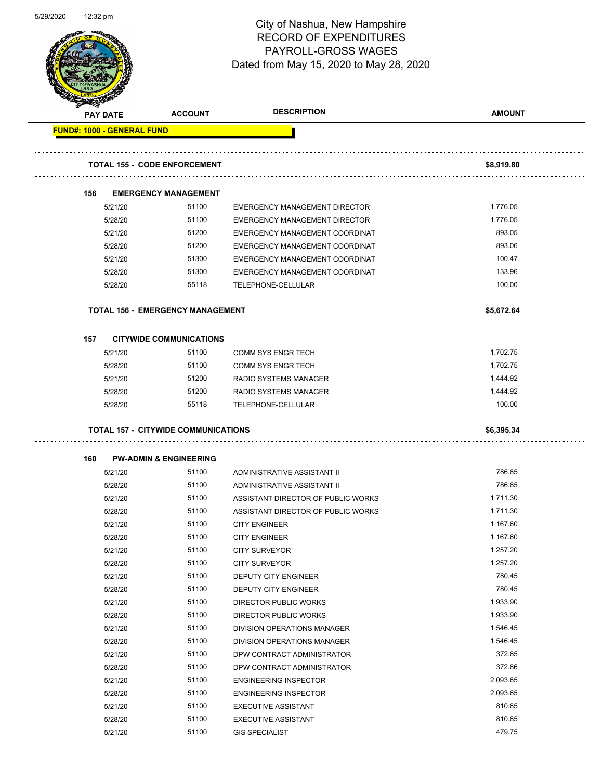

Page 39 of 81

|     | <b>PAY DATE</b>                   | <b>ACCOUNT</b>                             | <b>DESCRIPTION</b>                   | <b>AMOUNT</b> |
|-----|-----------------------------------|--------------------------------------------|--------------------------------------|---------------|
|     | <b>FUND#: 1000 - GENERAL FUND</b> |                                            |                                      |               |
|     |                                   |                                            |                                      |               |
|     |                                   | <b>TOTAL 155 - CODE ENFORCEMENT</b>        |                                      | \$8,919.80    |
| 156 |                                   | <b>EMERGENCY MANAGEMENT</b>                |                                      |               |
|     | 5/21/20                           | 51100                                      | <b>EMERGENCY MANAGEMENT DIRECTOR</b> | 1,776.05      |
|     | 5/28/20                           | 51100                                      | <b>EMERGENCY MANAGEMENT DIRECTOR</b> | 1,776.05      |
|     | 5/21/20                           | 51200                                      | EMERGENCY MANAGEMENT COORDINAT       | 893.05        |
|     | 5/28/20                           | 51200                                      | EMERGENCY MANAGEMENT COORDINAT       | 893.06        |
|     | 5/21/20                           | 51300                                      | EMERGENCY MANAGEMENT COORDINAT       | 100.47        |
|     | 5/28/20                           | 51300                                      | EMERGENCY MANAGEMENT COORDINAT       | 133.96        |
|     | 5/28/20                           | 55118                                      | TELEPHONE-CELLULAR                   | 100.00        |
|     |                                   | <b>TOTAL 156 - EMERGENCY MANAGEMENT</b>    |                                      | \$5,672.64    |
| 157 |                                   | <b>CITYWIDE COMMUNICATIONS</b>             |                                      |               |
|     | 5/21/20                           | 51100                                      | <b>COMM SYS ENGR TECH</b>            | 1,702.75      |
|     | 5/28/20                           | 51100                                      | <b>COMM SYS ENGR TECH</b>            | 1,702.75      |
|     | 5/21/20                           | 51200                                      | <b>RADIO SYSTEMS MANAGER</b>         | 1,444.92      |
|     | 5/28/20                           | 51200                                      | RADIO SYSTEMS MANAGER                | 1,444.92      |
|     |                                   |                                            |                                      |               |
|     | 5/28/20                           | 55118                                      | TELEPHONE-CELLULAR                   | 100.00        |
|     |                                   | <b>TOTAL 157 - CITYWIDE COMMUNICATIONS</b> |                                      | \$6,395.34    |
|     |                                   |                                            |                                      |               |
| 160 |                                   | <b>PW-ADMIN &amp; ENGINEERING</b><br>51100 | ADMINISTRATIVE ASSISTANT II          | 786.85        |
|     | 5/21/20<br>5/28/20                | 51100                                      | ADMINISTRATIVE ASSISTANT II          | 786.85        |
|     | 5/21/20                           | 51100                                      | ASSISTANT DIRECTOR OF PUBLIC WORKS   | 1,711.30      |
|     | 5/28/20                           | 51100                                      | ASSISTANT DIRECTOR OF PUBLIC WORKS   | 1,711.30      |
|     | 5/21/20                           | 51100                                      | <b>CITY ENGINEER</b>                 | 1,167.60      |
|     | 5/28/20                           | 51100                                      | <b>CITY ENGINEER</b>                 | 1,167.60      |
|     | 5/21/20                           | 51100                                      | <b>CITY SURVEYOR</b>                 | 1,257.20      |
|     | 5/28/20                           | 51100                                      | <b>CITY SURVEYOR</b>                 | 1,257.20      |
|     | 5/21/20                           | 51100                                      | DEPUTY CITY ENGINEER                 | 780.45        |
|     | 5/28/20                           | 51100                                      | <b>DEPUTY CITY ENGINEER</b>          | 780.45        |
|     | 5/21/20                           | 51100                                      | <b>DIRECTOR PUBLIC WORKS</b>         | 1,933.90      |
|     | 5/28/20                           | 51100                                      | DIRECTOR PUBLIC WORKS                | 1,933.90      |
|     | 5/21/20                           | 51100                                      | DIVISION OPERATIONS MANAGER          | 1,546.45      |
|     | 5/28/20                           | 51100                                      | DIVISION OPERATIONS MANAGER          | 1,546.45      |
|     | 5/21/20                           | 51100                                      | DPW CONTRACT ADMINISTRATOR           | 372.85        |
|     | 5/28/20                           | 51100                                      | DPW CONTRACT ADMINISTRATOR           | 372.86        |
|     | 5/21/20                           | 51100                                      | <b>ENGINEERING INSPECTOR</b>         | 2,093.65      |
|     | 5/28/20                           | 51100                                      | <b>ENGINEERING INSPECTOR</b>         | 2,093.65      |
|     | 5/21/20                           | 51100                                      | <b>EXECUTIVE ASSISTANT</b>           | 810.85        |
|     | 5/28/20                           | 51100                                      | <b>EXECUTIVE ASSISTANT</b>           | 810.85        |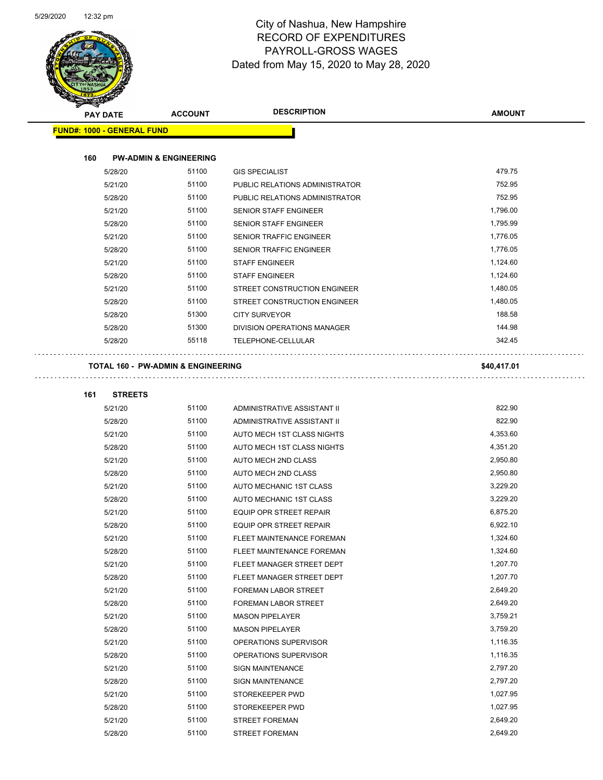

Page 40 of 81

| <b>STARTISTICS</b> |                                   |                                               |                                |               |
|--------------------|-----------------------------------|-----------------------------------------------|--------------------------------|---------------|
| <b>PAY DATE</b>    |                                   | <b>ACCOUNT</b>                                | <b>DESCRIPTION</b>             | <b>AMOUNT</b> |
|                    | <b>FUND#: 1000 - GENERAL FUND</b> |                                               |                                |               |
|                    |                                   |                                               |                                |               |
| 160                |                                   | <b>PW-ADMIN &amp; ENGINEERING</b>             |                                |               |
|                    | 5/28/20                           | 51100                                         | <b>GIS SPECIALIST</b>          | 479.75        |
|                    | 5/21/20                           | 51100                                         | PUBLIC RELATIONS ADMINISTRATOR | 752.95        |
|                    | 5/28/20                           | 51100                                         | PUBLIC RELATIONS ADMINISTRATOR | 752.95        |
|                    | 5/21/20                           | 51100                                         | SENIOR STAFF ENGINEER          | 1,796.00      |
|                    | 5/28/20                           | 51100                                         | SENIOR STAFF ENGINEER          | 1,795.99      |
|                    | 5/21/20                           | 51100                                         | <b>SENIOR TRAFFIC ENGINEER</b> | 1,776.05      |
|                    | 5/28/20                           | 51100                                         | SENIOR TRAFFIC ENGINEER        | 1,776.05      |
|                    | 5/21/20                           | 51100                                         | <b>STAFF ENGINEER</b>          | 1,124.60      |
|                    | 5/28/20                           | 51100                                         | <b>STAFF ENGINEER</b>          | 1,124.60      |
|                    | 5/21/20                           | 51100                                         | STREET CONSTRUCTION ENGINEER   | 1,480.05      |
|                    | 5/28/20                           | 51100                                         | STREET CONSTRUCTION ENGINEER   | 1,480.05      |
|                    | 5/28/20                           | 51300                                         | <b>CITY SURVEYOR</b>           | 188.58        |
|                    | 5/28/20                           | 51300                                         | DIVISION OPERATIONS MANAGER    | 144.98        |
|                    | 5/28/20                           | 55118                                         | TELEPHONE-CELLULAR             | 342.45        |
|                    |                                   |                                               |                                |               |
|                    |                                   | <b>TOTAL 160 - PW-ADMIN &amp; ENGINEERING</b> |                                | \$40,417.01   |
|                    |                                   |                                               |                                |               |
| 161                | <b>STREETS</b>                    |                                               |                                |               |
|                    | 5/21/20                           | 51100                                         | ADMINISTRATIVE ASSISTANT II    | 822.90        |
|                    | 5/28/20                           | 51100                                         | ADMINISTRATIVE ASSISTANT II    | 822.90        |
|                    | 5/21/20                           | 51100                                         | AUTO MECH 1ST CLASS NIGHTS     | 4,353.60      |
|                    | 5/28/20                           | 51100                                         | AUTO MECH 1ST CLASS NIGHTS     | 4,351.20      |
|                    | 5/21/20                           | 51100                                         | AUTO MECH 2ND CLASS            | 2,950.80      |
|                    | 5/28/20                           | 51100                                         | AUTO MECH 2ND CLASS            | 2,950.80      |
|                    | 5/21/20                           | 51100                                         | AUTO MECHANIC 1ST CLASS        | 3,229.20      |
|                    | 5/28/20                           | 51100                                         | AUTO MECHANIC 1ST CLASS        | 3,229.20      |
|                    | 5/21/20                           | 51100                                         | EQUIP OPR STREET REPAIR        | 6,875.20      |
|                    | 5/28/20                           | 51100                                         | EQUIP OPR STREET REPAIR        | 6,922.10      |
|                    | 5/21/20                           | 51100                                         | FLEET MAINTENANCE FOREMAN      | 1,324.60      |
|                    | 5/28/20                           | 51100                                         | FLEET MAINTENANCE FOREMAN      | 1,324.60      |
|                    | 5/21/20                           | 51100                                         | FLEET MANAGER STREET DEPT      | 1,207.70      |
|                    | 5/28/20                           | 51100                                         | FLEET MANAGER STREET DEPT      | 1,207.70      |
|                    | 5/21/20                           | 51100                                         | FOREMAN LABOR STREET           | 2,649.20      |
|                    | 5/28/20                           | 51100                                         | FOREMAN LABOR STREET           | 2,649.20      |
|                    | 5/21/20                           | 51100                                         | <b>MASON PIPELAYER</b>         | 3,759.21      |
|                    | 5/28/20                           | 51100                                         | <b>MASON PIPELAYER</b>         | 3,759.20      |
|                    | 5/21/20                           | 51100                                         | OPERATIONS SUPERVISOR          | 1,116.35      |
|                    | 5/28/20                           | 51100                                         | OPERATIONS SUPERVISOR          | 1,116.35      |
|                    | 5/21/20                           | 51100                                         | <b>SIGN MAINTENANCE</b>        | 2,797.20      |
|                    | 5/28/20                           | 51100                                         | <b>SIGN MAINTENANCE</b>        | 2,797.20      |
|                    | 5/21/20                           | 51100                                         | STOREKEEPER PWD                | 1,027.95      |
|                    | 5/28/20                           | 51100                                         | STOREKEEPER PWD                | 1,027.95      |
|                    | 5/21/20                           | 51100                                         | <b>STREET FOREMAN</b>          | 2,649.20      |
|                    | 5/28/20                           | 51100                                         | <b>STREET FOREMAN</b>          | 2,649.20      |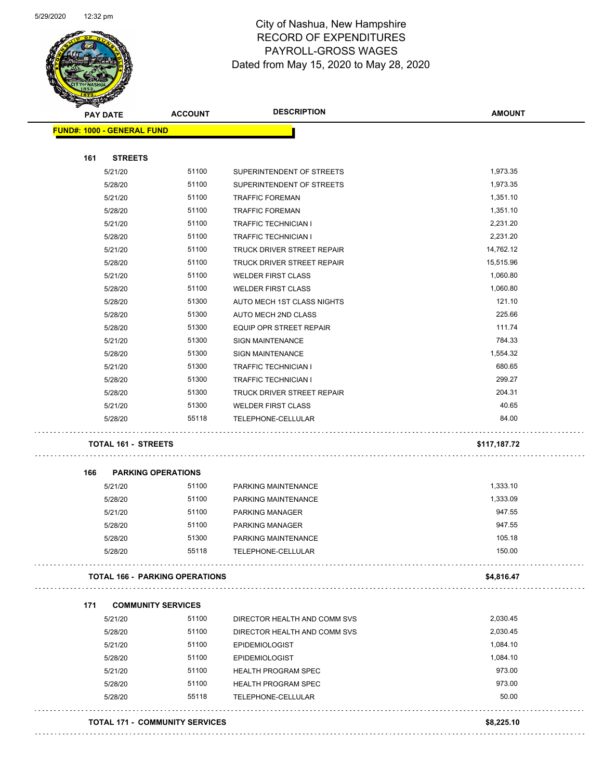

Page 41 of 81

| <b>PAY DATE</b>                   | <b>ACCOUNT</b>                        | <b>DESCRIPTION</b>             | <b>AMOUNT</b> |
|-----------------------------------|---------------------------------------|--------------------------------|---------------|
| <b>FUND#: 1000 - GENERAL FUND</b> |                                       |                                |               |
| 161<br><b>STREETS</b>             |                                       |                                |               |
| 5/21/20                           | 51100                                 | SUPERINTENDENT OF STREETS      | 1,973.35      |
| 5/28/20                           | 51100                                 | SUPERINTENDENT OF STREETS      | 1,973.35      |
| 5/21/20                           | 51100                                 | <b>TRAFFIC FOREMAN</b>         | 1,351.10      |
| 5/28/20                           | 51100                                 | <b>TRAFFIC FOREMAN</b>         | 1,351.10      |
| 5/21/20                           | 51100                                 | <b>TRAFFIC TECHNICIAN I</b>    | 2,231.20      |
| 5/28/20                           | 51100                                 | <b>TRAFFIC TECHNICIAN I</b>    | 2,231.20      |
| 5/21/20                           | 51100                                 | TRUCK DRIVER STREET REPAIR     | 14,762.12     |
| 5/28/20                           | 51100                                 | TRUCK DRIVER STREET REPAIR     | 15,515.96     |
| 5/21/20                           | 51100                                 | <b>WELDER FIRST CLASS</b>      | 1,060.80      |
| 5/28/20                           | 51100                                 | <b>WELDER FIRST CLASS</b>      | 1,060.80      |
| 5/28/20                           | 51300                                 | AUTO MECH 1ST CLASS NIGHTS     | 121.10        |
| 5/28/20                           | 51300                                 | AUTO MECH 2ND CLASS            | 225.66        |
| 5/28/20                           | 51300                                 | <b>EQUIP OPR STREET REPAIR</b> | 111.74        |
| 5/21/20                           | 51300                                 | <b>SIGN MAINTENANCE</b>        | 784.33        |
| 5/28/20                           | 51300                                 | <b>SIGN MAINTENANCE</b>        | 1,554.32      |
| 5/21/20                           | 51300                                 | <b>TRAFFIC TECHNICIAN I</b>    | 680.65        |
| 5/28/20                           | 51300                                 | <b>TRAFFIC TECHNICIAN I</b>    | 299.27        |
| 5/28/20                           | 51300                                 | TRUCK DRIVER STREET REPAIR     | 204.31        |
| 5/21/20                           | 51300                                 | <b>WELDER FIRST CLASS</b>      | 40.65         |
| 5/28/20                           | 55118                                 | TELEPHONE-CELLULAR             | 84.00         |
| <b>TOTAL 161 - STREETS</b>        |                                       |                                | \$117,187.72  |
| 166                               | <b>PARKING OPERATIONS</b>             |                                |               |
| 5/21/20                           | 51100                                 | PARKING MAINTENANCE            | 1,333.10      |
| 5/28/20                           | 51100                                 | PARKING MAINTENANCE            | 1,333.09      |
| 5/21/20                           | 51100                                 | <b>PARKING MANAGER</b>         | 947.55        |
| 5/28/20                           | 51100                                 | <b>PARKING MANAGER</b>         | 947.55        |
| 5/28/20                           | 51300                                 | PARKING MAINTENANCE            | 105.18        |
| 5/28/20                           | 55118                                 | TELEPHONE-CELLULAR             | 150.00        |
|                                   | <b>TOTAL 166 - PARKING OPERATIONS</b> |                                | \$4,816.47    |
| 171                               | <b>COMMUNITY SERVICES</b>             |                                |               |
| 5/21/20                           | 51100                                 | DIRECTOR HEALTH AND COMM SVS   | 2,030.45      |
| 5/28/20                           | 51100                                 | DIRECTOR HEALTH AND COMM SVS   | 2,030.45      |
| 5/21/20                           | 51100                                 | <b>EPIDEMIOLOGIST</b>          | 1,084.10      |
| 5/28/20                           | 51100                                 | <b>EPIDEMIOLOGIST</b>          | 1,084.10      |
| 5/21/20                           | 51100                                 | HEALTH PROGRAM SPEC            | 973.00        |
| 5/28/20                           | 51100                                 | <b>HEALTH PROGRAM SPEC</b>     | 973.00        |
| 5/28/20                           | 55118                                 | TELEPHONE-CELLULAR             | 50.00         |
|                                   |                                       |                                |               |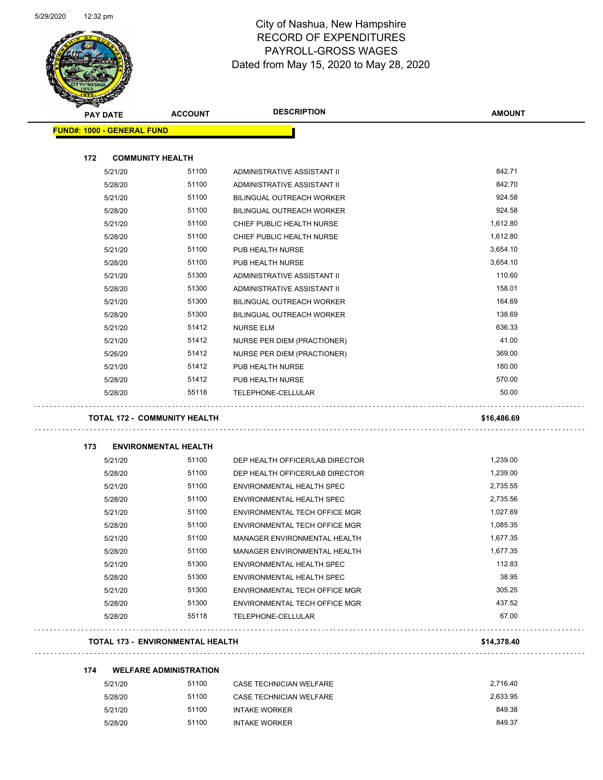

Page 42 of 81

| <b>PAY DATE</b>                   |         | <b>ACCOUNT</b>                          | <b>DESCRIPTION</b>                   | <b>AMOUNT</b>    |
|-----------------------------------|---------|-----------------------------------------|--------------------------------------|------------------|
| <b>FUND#: 1000 - GENERAL FUND</b> |         |                                         |                                      |                  |
|                                   |         |                                         |                                      |                  |
| 172                               |         | <b>COMMUNITY HEALTH</b>                 |                                      |                  |
|                                   | 5/21/20 | 51100                                   | ADMINISTRATIVE ASSISTANT II          | 842.71           |
|                                   | 5/28/20 | 51100                                   | ADMINISTRATIVE ASSISTANT II          | 842.70           |
|                                   | 5/21/20 | 51100                                   | <b>BILINGUAL OUTREACH WORKER</b>     | 924.58           |
|                                   | 5/28/20 | 51100                                   | <b>BILINGUAL OUTREACH WORKER</b>     | 924.58           |
|                                   | 5/21/20 | 51100                                   | CHIEF PUBLIC HEALTH NURSE            | 1,612.80         |
|                                   | 5/28/20 | 51100                                   | CHIEF PUBLIC HEALTH NURSE            | 1,612.80         |
|                                   | 5/21/20 | 51100                                   | PUB HEALTH NURSE                     | 3,654.10         |
|                                   | 5/28/20 | 51100                                   | PUB HEALTH NURSE                     | 3,654.10         |
|                                   | 5/21/20 | 51300                                   | ADMINISTRATIVE ASSISTANT II          | 110.60           |
|                                   | 5/28/20 | 51300                                   | ADMINISTRATIVE ASSISTANT II          | 158.01           |
|                                   | 5/21/20 | 51300                                   | BILINGUAL OUTREACH WORKER            | 164.69           |
|                                   | 5/28/20 | 51300                                   | BILINGUAL OUTREACH WORKER            | 138.69           |
|                                   | 5/21/20 | 51412                                   | <b>NURSE ELM</b>                     | 636.33           |
|                                   | 5/21/20 | 51412                                   | NURSE PER DIEM (PRACTIONER)          | 41.00            |
|                                   | 5/26/20 | 51412                                   | NURSE PER DIEM (PRACTIONER)          | 369.00           |
|                                   | 5/21/20 | 51412                                   | PUB HEALTH NURSE                     | 180.00           |
|                                   | 5/28/20 | 51412                                   | PUB HEALTH NURSE                     | 570.00           |
|                                   | 5/28/20 | 55118                                   | TELEPHONE-CELLULAR                   | 50.00            |
|                                   |         | <b>TOTAL 172 - COMMUNITY HEALTH</b>     |                                      | \$16,486.69      |
| 173                               |         | <b>ENVIRONMENTAL HEALTH</b>             |                                      |                  |
|                                   | 5/21/20 | 51100                                   | DEP HEALTH OFFICER/LAB DIRECTOR      | 1,239.00         |
|                                   | 5/28/20 | 51100                                   | DEP HEALTH OFFICER/LAB DIRECTOR      | 1,239.00         |
|                                   | 5/21/20 | 51100                                   | ENVIRONMENTAL HEALTH SPEC            | 2,735.55         |
|                                   | 5/28/20 | 51100                                   | ENVIRONMENTAL HEALTH SPEC            | 2,735.56         |
|                                   | 5/21/20 | 51100                                   | <b>ENVIRONMENTAL TECH OFFICE MGR</b> | 1,027.69         |
|                                   | 5/28/20 | 51100                                   | ENVIRONMENTAL TECH OFFICE MGR        | 1,085.35         |
|                                   | 5/21/20 | 51100                                   | MANAGER ENVIRONMENTAL HEALTH         | 1,677.35         |
|                                   | 5/28/20 | 51100                                   | MANAGER ENVIRONMENTAL HEALTH         | 1,677.35         |
|                                   | 5/21/20 | 51300                                   | ENVIRONMENTAL HEALTH SPEC            | 112.83           |
|                                   | 5/28/20 | 51300                                   | ENVIRONMENTAL HEALTH SPEC            | 38.95            |
|                                   | 5/21/20 | 51300                                   | ENVIRONMENTAL TECH OFFICE MGR        | 305.25           |
|                                   | 5/28/20 | 51300                                   | ENVIRONMENTAL TECH OFFICE MGR        | 437.52           |
|                                   | 5/28/20 | 55118                                   | TELEPHONE-CELLULAR                   | 67.00            |
|                                   |         |                                         |                                      |                  |
|                                   |         | <b>TOTAL 173 - ENVIRONMENTAL HEALTH</b> |                                      | \$14,378.40      |
| 174                               |         | <b>WELFARE ADMINISTRATION</b>           |                                      |                  |
|                                   | 5/21/20 | 51100                                   | CASE TECHNICIAN WELFARE              | 2,716.40         |
|                                   | 5/28/20 | 51100                                   | CASE TECHNICIAN WELFARE              | 2,633.95         |
|                                   | 5/21/20 | 51100                                   | <b>INTAKE WORKER</b>                 | 849.38<br>849.37 |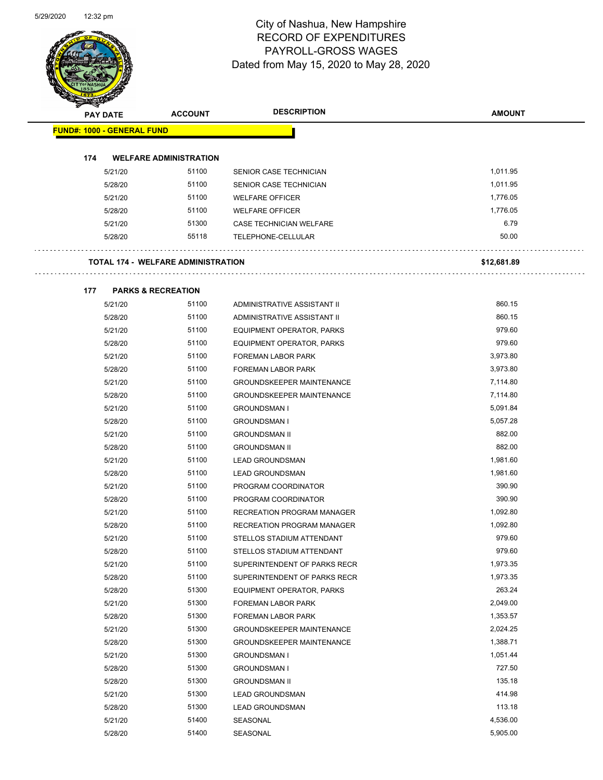Page 43 of 81

|     | <b>PAY DATE</b>                   | <b>ACCOUNT</b>                            | <b>DESCRIPTION</b>                | <b>AMOUNT</b> |
|-----|-----------------------------------|-------------------------------------------|-----------------------------------|---------------|
|     |                                   |                                           |                                   |               |
|     | <b>FUND#: 1000 - GENERAL FUND</b> |                                           |                                   |               |
| 174 |                                   | <b>WELFARE ADMINISTRATION</b>             |                                   |               |
|     | 5/21/20                           | 51100                                     | SENIOR CASE TECHNICIAN            | 1,011.95      |
|     | 5/28/20                           | 51100                                     | SENIOR CASE TECHNICIAN            | 1,011.95      |
|     | 5/21/20                           | 51100                                     | <b>WELFARE OFFICER</b>            | 1,776.05      |
|     | 5/28/20                           | 51100                                     | <b>WELFARE OFFICER</b>            | 1,776.05      |
|     | 5/21/20                           | 51300                                     | CASE TECHNICIAN WELFARE           | 6.79          |
|     | 5/28/20                           | 55118                                     | TELEPHONE-CELLULAR                | 50.00         |
|     |                                   |                                           |                                   |               |
|     |                                   | <b>TOTAL 174 - WELFARE ADMINISTRATION</b> |                                   | \$12,681.89   |
| 177 |                                   | <b>PARKS &amp; RECREATION</b>             |                                   |               |
|     | 5/21/20                           | 51100                                     | ADMINISTRATIVE ASSISTANT II       | 860.15        |
|     | 5/28/20                           | 51100                                     | ADMINISTRATIVE ASSISTANT II       | 860.15        |
|     | 5/21/20                           | 51100                                     | EQUIPMENT OPERATOR, PARKS         | 979.60        |
|     | 5/28/20                           | 51100                                     | EQUIPMENT OPERATOR, PARKS         | 979.60        |
|     | 5/21/20                           | 51100                                     | FOREMAN LABOR PARK                | 3,973.80      |
|     | 5/28/20                           | 51100                                     | FOREMAN LABOR PARK                | 3,973.80      |
|     | 5/21/20                           | 51100                                     | <b>GROUNDSKEEPER MAINTENANCE</b>  | 7,114.80      |
|     | 5/28/20                           | 51100                                     | <b>GROUNDSKEEPER MAINTENANCE</b>  | 7,114.80      |
|     | 5/21/20                           | 51100                                     | <b>GROUNDSMAN I</b>               | 5,091.84      |
|     | 5/28/20                           | 51100                                     | <b>GROUNDSMAN I</b>               | 5,057.28      |
|     | 5/21/20                           | 51100                                     | <b>GROUNDSMAN II</b>              | 882.00        |
|     | 5/28/20                           | 51100                                     | <b>GROUNDSMAN II</b>              | 882.00        |
|     | 5/21/20                           | 51100                                     | <b>LEAD GROUNDSMAN</b>            | 1,981.60      |
|     | 5/28/20                           | 51100                                     | <b>LEAD GROUNDSMAN</b>            | 1,981.60      |
|     | 5/21/20                           | 51100                                     | PROGRAM COORDINATOR               | 390.90        |
|     | 5/28/20                           | 51100                                     | PROGRAM COORDINATOR               | 390.90        |
|     | 5/21/20                           | 51100                                     | <b>RECREATION PROGRAM MANAGER</b> | 1,092.80      |
|     | 5/28/20                           | 51100                                     | <b>RECREATION PROGRAM MANAGER</b> | 1,092.80      |
|     | 5/21/20                           | 51100                                     | STELLOS STADIUM ATTENDANT         | 979.60        |
|     | 5/28/20                           | 51100                                     | STELLOS STADIUM ATTENDANT         | 979.60        |
|     | 5/21/20                           | 51100                                     | SUPERINTENDENT OF PARKS RECR      | 1,973.35      |
|     | 5/28/20                           | 51100                                     | SUPERINTENDENT OF PARKS RECR      | 1,973.35      |
|     | 5/28/20                           | 51300                                     | EQUIPMENT OPERATOR, PARKS         | 263.24        |
|     | 5/21/20                           | 51300                                     | FOREMAN LABOR PARK                | 2,049.00      |
|     | 5/28/20                           | 51300                                     | FOREMAN LABOR PARK                | 1,353.57      |
|     | 5/21/20                           | 51300                                     | <b>GROUNDSKEEPER MAINTENANCE</b>  | 2,024.25      |
|     | 5/28/20                           | 51300                                     | <b>GROUNDSKEEPER MAINTENANCE</b>  | 1,388.71      |
|     | 5/21/20                           | 51300                                     | <b>GROUNDSMAN I</b>               | 1,051.44      |
|     | 5/28/20                           | 51300                                     | <b>GROUNDSMAN I</b>               | 727.50        |
|     | 5/28/20                           | 51300                                     | <b>GROUNDSMAN II</b>              | 135.18        |
|     | 5/21/20                           | 51300                                     | <b>LEAD GROUNDSMAN</b>            | 414.98        |
|     | 5/28/20                           | 51300                                     | <b>LEAD GROUNDSMAN</b>            | 113.18        |
|     | 5/21/20                           | 51400                                     | SEASONAL                          | 4,536.00      |
|     | 5/28/20                           | 51400                                     | SEASONAL                          | 5,905.00      |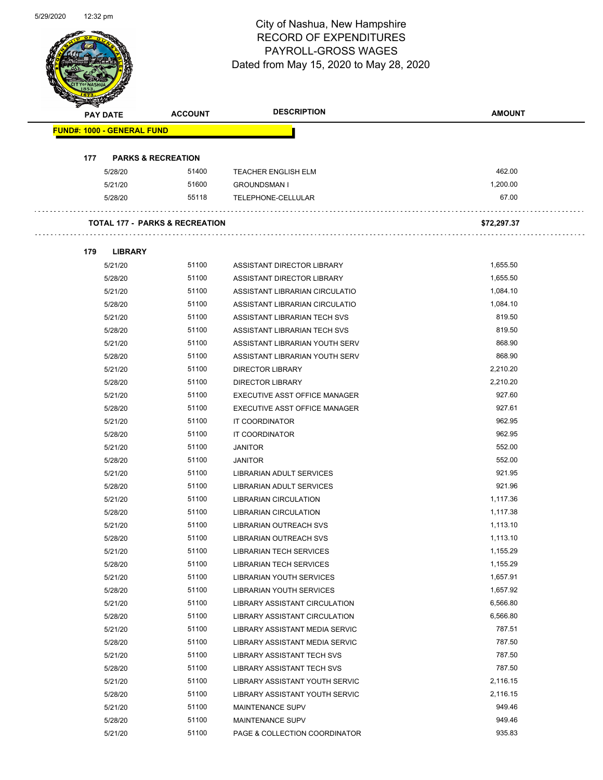Page 44 of 81

|     | <b>PAY DATE</b>                   | <b>ACCOUNT</b>                            | <b>DESCRIPTION</b>             | <b>AMOUNT</b> |
|-----|-----------------------------------|-------------------------------------------|--------------------------------|---------------|
|     | <b>FUND#: 1000 - GENERAL FUND</b> |                                           |                                |               |
|     |                                   |                                           |                                |               |
| 177 |                                   | <b>PARKS &amp; RECREATION</b>             |                                |               |
|     | 5/28/20                           | 51400                                     | <b>TEACHER ENGLISH ELM</b>     | 462.00        |
|     | 5/21/20                           | 51600                                     | <b>GROUNDSMAN I</b>            | 1.200.00      |
|     | 5/28/20                           | 55118                                     | TELEPHONE-CELLULAR             | 67.00         |
|     |                                   | <b>TOTAL 177 - PARKS &amp; RECREATION</b> |                                | \$72,297.37   |
| 179 | <b>LIBRARY</b>                    |                                           |                                |               |
|     | 5/21/20                           | 51100                                     | ASSISTANT DIRECTOR LIBRARY     | 1,655.50      |
|     | 5/28/20                           | 51100                                     | ASSISTANT DIRECTOR LIBRARY     | 1,655.50      |
|     | 5/21/20                           | 51100                                     | ASSISTANT LIBRARIAN CIRCULATIO | 1,084.10      |
|     | 5/28/20                           | 51100                                     | ASSISTANT LIBRARIAN CIRCULATIO | 1,084.10      |
|     | 5/21/20                           | 51100                                     | ASSISTANT LIBRARIAN TECH SVS   | 819.50        |
|     | 5/28/20                           | 51100                                     | ASSISTANT LIBRARIAN TECH SVS   | 819.50        |
|     | 5/21/20                           | 51100                                     | ASSISTANT LIBRARIAN YOUTH SERV | 868.90        |
|     | 5/28/20                           | 51100                                     | ASSISTANT LIBRARIAN YOUTH SERV | 868.90        |
|     | 5/21/20                           | 51100                                     | <b>DIRECTOR LIBRARY</b>        | 2,210.20      |
|     | 5/28/20                           | 51100                                     | <b>DIRECTOR LIBRARY</b>        | 2,210.20      |
|     | 5/21/20                           | 51100                                     | EXECUTIVE ASST OFFICE MANAGER  | 927.60        |
|     | 5/28/20                           | 51100                                     | EXECUTIVE ASST OFFICE MANAGER  | 927.61        |
|     | 5/21/20                           | 51100                                     | IT COORDINATOR                 | 962.95        |
|     | 5/28/20                           | 51100                                     | IT COORDINATOR                 | 962.95        |
|     | 5/21/20                           | 51100                                     | <b>JANITOR</b>                 | 552.00        |
|     | 5/28/20                           | 51100                                     | <b>JANITOR</b>                 | 552.00        |
|     | 5/21/20                           | 51100                                     | LIBRARIAN ADULT SERVICES       | 921.95        |
|     | 5/28/20                           | 51100                                     | LIBRARIAN ADULT SERVICES       | 921.96        |
|     | 5/21/20                           | 51100                                     | <b>LIBRARIAN CIRCULATION</b>   | 1,117.36      |
|     | 5/28/20                           | 51100                                     | <b>LIBRARIAN CIRCULATION</b>   | 1,117.38      |
|     | 5/21/20                           | 51100                                     | <b>LIBRARIAN OUTREACH SVS</b>  | 1,113.10      |
|     | 5/28/20                           | 51100                                     | LIBRARIAN OUTREACH SVS         | 1,113.10      |
|     | 5/21/20                           | 51100                                     | LIBRARIAN TECH SERVICES        | 1,155.29      |
|     | 5/28/20                           | 51100                                     | <b>LIBRARIAN TECH SERVICES</b> | 1,155.29      |
|     | 5/21/20                           | 51100                                     | LIBRARIAN YOUTH SERVICES       | 1,657.91      |
|     | 5/28/20                           | 51100                                     | LIBRARIAN YOUTH SERVICES       | 1,657.92      |
|     | 5/21/20                           | 51100                                     | LIBRARY ASSISTANT CIRCULATION  | 6,566.80      |
|     | 5/28/20                           | 51100                                     | LIBRARY ASSISTANT CIRCULATION  | 6,566.80      |
|     | 5/21/20                           | 51100                                     | LIBRARY ASSISTANT MEDIA SERVIC | 787.51        |
|     | 5/28/20                           | 51100                                     | LIBRARY ASSISTANT MEDIA SERVIC | 787.50        |
|     | 5/21/20                           | 51100                                     | LIBRARY ASSISTANT TECH SVS     | 787.50        |
|     | 5/28/20                           | 51100                                     | LIBRARY ASSISTANT TECH SVS     | 787.50        |
|     | 5/21/20                           | 51100                                     | LIBRARY ASSISTANT YOUTH SERVIC | 2,116.15      |
|     | 5/28/20                           | 51100                                     | LIBRARY ASSISTANT YOUTH SERVIC | 2,116.15      |
|     | 5/21/20                           | 51100                                     | MAINTENANCE SUPV               | 949.46        |
|     | 5/28/20                           | 51100                                     | MAINTENANCE SUPV               | 949.46        |
|     |                                   |                                           |                                |               |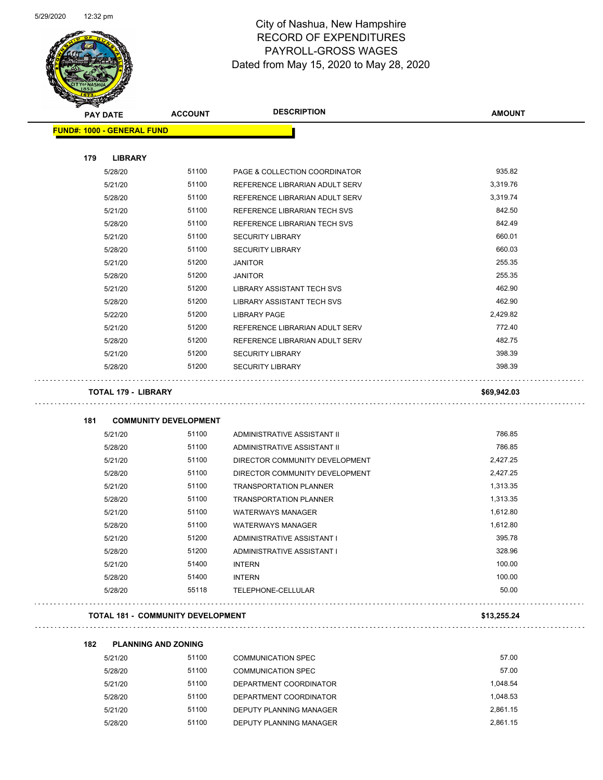

Page 45 of 81

| <b>PAY DATE</b>                   | <b>ACCOUNT</b>                           | <b>DESCRIPTION</b>                | <b>AMOUNT</b> |
|-----------------------------------|------------------------------------------|-----------------------------------|---------------|
| <b>FUND#: 1000 - GENERAL FUND</b> |                                          |                                   |               |
| 179<br><b>LIBRARY</b>             |                                          |                                   |               |
| 5/28/20                           | 51100                                    | PAGE & COLLECTION COORDINATOR     | 935.82        |
| 5/21/20                           | 51100                                    | REFERENCE LIBRARIAN ADULT SERV    | 3,319.76      |
| 5/28/20                           | 51100                                    | REFERENCE LIBRARIAN ADULT SERV    | 3,319.74      |
| 5/21/20                           | 51100                                    | REFERENCE LIBRARIAN TECH SVS      | 842.50        |
| 5/28/20                           | 51100                                    | REFERENCE LIBRARIAN TECH SVS      | 842.49        |
| 5/21/20                           | 51100                                    | <b>SECURITY LIBRARY</b>           | 660.01        |
| 5/28/20                           | 51100                                    | <b>SECURITY LIBRARY</b>           | 660.03        |
| 5/21/20                           | 51200                                    | <b>JANITOR</b>                    | 255.35        |
| 5/28/20                           | 51200                                    | <b>JANITOR</b>                    | 255.35        |
| 5/21/20                           | 51200                                    | LIBRARY ASSISTANT TECH SVS        | 462.90        |
| 5/28/20                           | 51200                                    | <b>LIBRARY ASSISTANT TECH SVS</b> | 462.90        |
| 5/22/20                           | 51200                                    | LIBRARY PAGE                      | 2,429.82      |
| 5/21/20                           | 51200                                    | REFERENCE LIBRARIAN ADULT SERV    | 772.40        |
| 5/28/20                           | 51200                                    | REFERENCE LIBRARIAN ADULT SERV    | 482.75        |
| 5/21/20                           | 51200                                    | <b>SECURITY LIBRARY</b>           | 398.39        |
| 5/28/20                           | 51200                                    | <b>SECURITY LIBRARY</b>           | 398.39        |
| <b>TOTAL 179 - LIBRARY</b>        |                                          |                                   | \$69,942.03   |
| 181                               | <b>COMMUNITY DEVELOPMENT</b>             |                                   |               |
| 5/21/20                           | 51100                                    | ADMINISTRATIVE ASSISTANT II       | 786.85        |
| 5/28/20                           | 51100                                    | ADMINISTRATIVE ASSISTANT II       | 786.85        |
| 5/21/20                           | 51100                                    | DIRECTOR COMMUNITY DEVELOPMENT    | 2,427.25      |
| 5/28/20                           | 51100                                    | DIRECTOR COMMUNITY DEVELOPMENT    | 2,427.25      |
| 5/21/20                           | 51100                                    | <b>TRANSPORTATION PLANNER</b>     | 1,313.35      |
| 5/28/20                           | 51100                                    | <b>TRANSPORTATION PLANNER</b>     | 1,313.35      |
| 5/21/20                           | 51100                                    | <b>WATERWAYS MANAGER</b>          | 1,612.80      |
| 5/28/20                           | 51100                                    | <b>WATERWAYS MANAGER</b>          | 1,612.80      |
| 5/21/20                           | 51200                                    | ADMINISTRATIVE ASSISTANT I        | 395.78        |
| 5/28/20                           | 51200                                    | ADMINISTRATIVE ASSISTANT I        | 328.96        |
| 5/21/20                           | 51400                                    | <b>INTERN</b>                     | 100.00        |
| 5/28/20                           | 51400                                    | <b>INTERN</b>                     | 100.00        |
| 5/28/20                           | 55118                                    | TELEPHONE-CELLULAR                | 50.00         |
|                                   | <b>TOTAL 181 - COMMUNITY DEVELOPMENT</b> |                                   | \$13,255.24   |

| 5/21/20 | 51100 | COMMUNICATION SPEC        | 57.00    |
|---------|-------|---------------------------|----------|
| 5/28/20 | 51100 | <b>COMMUNICATION SPEC</b> | 57.00    |
| 5/21/20 | 51100 | DEPARTMENT COORDINATOR    | 1.048.54 |
| 5/28/20 | 51100 | DEPARTMENT COORDINATOR    | 1.048.53 |
| 5/21/20 | 51100 | DEPUTY PLANNING MANAGER   | 2.861.15 |
| 5/28/20 | 51100 | DEPUTY PLANNING MANAGER   | 2.861.15 |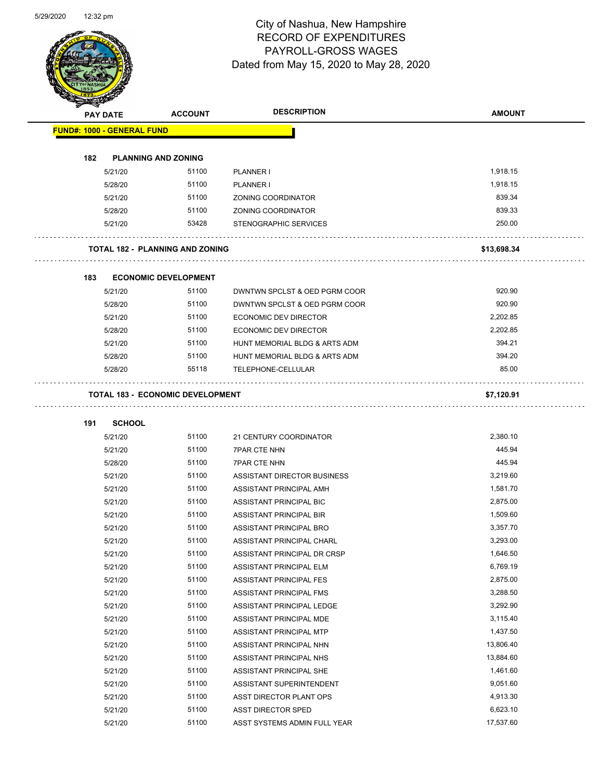Page 46 of 81

| <b>PAY DATE</b>                   | <b>ACCOUNT</b>                          | <b>DESCRIPTION</b>            | <b>AMOUNT</b> |
|-----------------------------------|-----------------------------------------|-------------------------------|---------------|
| <b>FUND#: 1000 - GENERAL FUND</b> |                                         |                               |               |
| 182                               | <b>PLANNING AND ZONING</b>              |                               |               |
| 5/21/20                           | 51100                                   | PLANNER I                     | 1,918.15      |
| 5/28/20                           | 51100                                   | PLANNER I                     | 1,918.15      |
| 5/21/20                           | 51100                                   | ZONING COORDINATOR            | 839.34        |
| 5/28/20                           | 51100                                   | ZONING COORDINATOR            | 839.33        |
| 5/21/20                           | 53428                                   | <b>STENOGRAPHIC SERVICES</b>  | 250.00        |
|                                   |                                         |                               |               |
|                                   | <b>TOTAL 182 - PLANNING AND ZONING</b>  |                               | \$13,698.34   |
| 183                               | <b>ECONOMIC DEVELOPMENT</b>             |                               |               |
| 5/21/20                           | 51100                                   | DWNTWN SPCLST & OED PGRM COOR | 920.90        |
| 5/28/20                           | 51100                                   | DWNTWN SPCLST & OED PGRM COOR | 920.90        |
| 5/21/20                           | 51100                                   | <b>ECONOMIC DEV DIRECTOR</b>  | 2,202.85      |
| 5/28/20                           | 51100                                   | ECONOMIC DEV DIRECTOR         | 2,202.85      |
| 5/21/20                           | 51100                                   | HUNT MEMORIAL BLDG & ARTS ADM | 394.21        |
| 5/28/20                           | 51100                                   | HUNT MEMORIAL BLDG & ARTS ADM | 394.20        |
| 5/28/20                           | 55118                                   | TELEPHONE-CELLULAR            | 85.00         |
|                                   | <b>TOTAL 183 - ECONOMIC DEVELOPMENT</b> |                               | \$7,120.91    |
|                                   |                                         |                               |               |
| 191                               | <b>SCHOOL</b>                           |                               |               |
| 5/21/20                           | 51100                                   | 21 CENTURY COORDINATOR        | 2,380.10      |
| 5/21/20                           | 51100                                   | <b>7PAR CTE NHN</b>           | 445.94        |
| 5/28/20                           | 51100                                   | <b>7PAR CTE NHN</b>           | 445.94        |
| 5/21/20                           | 51100                                   | ASSISTANT DIRECTOR BUSINESS   | 3,219.60      |
| 5/21/20                           | 51100                                   | ASSISTANT PRINCIPAL AMH       | 1,581.70      |
| 5/21/20                           | 51100                                   | ASSISTANT PRINCIPAL BIC       | 2,875.00      |
| 5/21/20                           | 51100                                   | ASSISTANT PRINCIPAL BIR       | 1,509.60      |
| 5/21/20                           | 51100                                   | ASSISTANT PRINCIPAL BRO       | 3,357.70      |
| 5/21/20                           | 51100                                   | ASSISTANT PRINCIPAL CHARL     | 3,293.00      |
| 5/21/20                           | 51100                                   | ASSISTANT PRINCIPAL DR CRSP   | 1,646.50      |
| 5/21/20                           | 51100                                   | ASSISTANT PRINCIPAL ELM       | 6,769.19      |
| 5/21/20                           | 51100                                   | ASSISTANT PRINCIPAL FES       | 2,875.00      |
| 5/21/20                           | 51100                                   | ASSISTANT PRINCIPAL FMS       | 3,288.50      |
| 5/21/20                           | 51100                                   | ASSISTANT PRINCIPAL LEDGE     | 3,292.90      |
| 5/21/20                           | 51100                                   | ASSISTANT PRINCIPAL MDE       | 3,115.40      |
| 5/21/20                           | 51100                                   | ASSISTANT PRINCIPAL MTP       | 1,437.50      |
| 5/21/20                           | 51100                                   | ASSISTANT PRINCIPAL NHN       | 13,806.40     |
| 5/21/20                           | 51100                                   | ASSISTANT PRINCIPAL NHS       | 13,884.60     |
| 5/21/20                           | 51100                                   | ASSISTANT PRINCIPAL SHE       | 1,461.60      |
| 5/21/20                           | 51100                                   | ASSISTANT SUPERINTENDENT      | 9,051.60      |
| 5/21/20                           | 51100                                   | ASST DIRECTOR PLANT OPS       | 4,913.30      |
| 5/21/20                           | 51100                                   | ASST DIRECTOR SPED            | 6,623.10      |
| 5/21/20                           | 51100                                   | ASST SYSTEMS ADMIN FULL YEAR  | 17,537.60     |
|                                   |                                         |                               |               |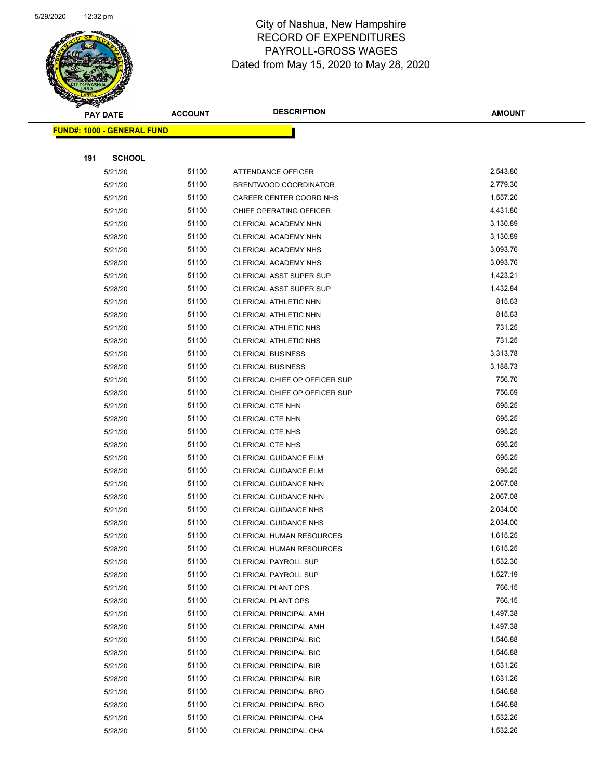

Page 47 of 81

|     | <b>PAY DATE</b>                   | <b>ACCOUNT</b> | <b>DESCRIPTION</b>                                      | <b>AMOUNT</b>      |
|-----|-----------------------------------|----------------|---------------------------------------------------------|--------------------|
|     | <b>FUND#: 1000 - GENERAL FUND</b> |                |                                                         |                    |
|     |                                   |                |                                                         |                    |
| 191 | <b>SCHOOL</b>                     |                |                                                         |                    |
|     | 5/21/20                           | 51100          | <b>ATTENDANCE OFFICER</b>                               | 2,543.80           |
|     | 5/21/20                           | 51100          | BRENTWOOD COORDINATOR                                   | 2,779.30           |
|     | 5/21/20                           | 51100          | CAREER CENTER COORD NHS                                 | 1,557.20           |
|     | 5/21/20                           | 51100          | CHIEF OPERATING OFFICER                                 | 4,431.80           |
|     | 5/21/20                           | 51100          | CLERICAL ACADEMY NHN                                    | 3,130.89           |
|     | 5/28/20                           | 51100          | CLERICAL ACADEMY NHN                                    | 3,130.89           |
|     | 5/21/20                           | 51100          | <b>CLERICAL ACADEMY NHS</b>                             | 3,093.76           |
|     | 5/28/20                           | 51100          | CLERICAL ACADEMY NHS                                    | 3,093.76           |
|     | 5/21/20                           | 51100          | <b>CLERICAL ASST SUPER SUP</b>                          | 1,423.21           |
|     | 5/28/20                           | 51100          | <b>CLERICAL ASST SUPER SUP</b>                          | 1,432.84           |
|     | 5/21/20                           | 51100          | CLERICAL ATHLETIC NHN                                   | 815.63             |
|     | 5/28/20                           | 51100          | CLERICAL ATHLETIC NHN                                   | 815.63             |
|     | 5/21/20                           | 51100          | CLERICAL ATHLETIC NHS                                   | 731.25             |
|     | 5/28/20                           | 51100          | <b>CLERICAL ATHLETIC NHS</b>                            | 731.25             |
|     | 5/21/20                           | 51100          | <b>CLERICAL BUSINESS</b>                                | 3,313.78           |
|     | 5/28/20                           | 51100          | <b>CLERICAL BUSINESS</b>                                | 3,188.73           |
|     | 5/21/20                           | 51100          | CLERICAL CHIEF OP OFFICER SUP                           | 756.70             |
|     | 5/28/20                           | 51100          | CLERICAL CHIEF OP OFFICER SUP                           | 756.69             |
|     | 5/21/20                           | 51100          | <b>CLERICAL CTE NHN</b>                                 | 695.25             |
|     | 5/28/20                           | 51100          | <b>CLERICAL CTE NHN</b>                                 | 695.25             |
|     | 5/21/20                           | 51100          | <b>CLERICAL CTE NHS</b>                                 | 695.25             |
|     | 5/28/20                           | 51100          | <b>CLERICAL CTE NHS</b>                                 | 695.25             |
|     | 5/21/20                           | 51100          | CLERICAL GUIDANCE ELM                                   | 695.25             |
|     | 5/28/20                           | 51100          | CLERICAL GUIDANCE ELM                                   | 695.25             |
|     | 5/21/20                           | 51100          | CLERICAL GUIDANCE NHN                                   | 2,067.08           |
|     | 5/28/20                           | 51100          | <b>CLERICAL GUIDANCE NHN</b>                            | 2,067.08           |
|     | 5/21/20                           | 51100          | <b>CLERICAL GUIDANCE NHS</b>                            | 2,034.00           |
|     | 5/28/20                           | 51100          | <b>CLERICAL GUIDANCE NHS</b>                            | 2,034.00           |
|     | 5/21/20                           | 51100          | <b>CLERICAL HUMAN RESOURCES</b>                         | 1,615.25           |
|     | 5/28/20                           | 51100          | <b>CLERICAL HUMAN RESOURCES</b>                         | 1,615.25           |
|     | 5/21/20                           | 51100          | <b>CLERICAL PAYROLL SUP</b>                             | 1,532.30           |
|     | 5/28/20                           | 51100          | <b>CLERICAL PAYROLL SUP</b>                             | 1,527.19           |
|     | 5/21/20                           | 51100          | <b>CLERICAL PLANT OPS</b>                               | 766.15             |
|     | 5/28/20                           | 51100          | <b>CLERICAL PLANT OPS</b>                               | 766.15<br>1,497.38 |
|     | 5/21/20                           | 51100<br>51100 | <b>CLERICAL PRINCIPAL AMH</b><br>CLERICAL PRINCIPAL AMH | 1,497.38           |
|     | 5/28/20<br>5/21/20                | 51100          | <b>CLERICAL PRINCIPAL BIC</b>                           | 1,546.88           |
|     | 5/28/20                           | 51100          |                                                         | 1,546.88           |
|     | 5/21/20                           | 51100          | <b>CLERICAL PRINCIPAL BIC</b><br>CLERICAL PRINCIPAL BIR | 1,631.26           |
|     | 5/28/20                           | 51100          | <b>CLERICAL PRINCIPAL BIR</b>                           | 1,631.26           |
|     | 5/21/20                           | 51100          | <b>CLERICAL PRINCIPAL BRO</b>                           | 1,546.88           |
|     | 5/28/20                           | 51100          | <b>CLERICAL PRINCIPAL BRO</b>                           | 1,546.88           |
|     | 5/21/20                           | 51100          | CLERICAL PRINCIPAL CHA                                  | 1,532.26           |
|     | 5/28/20                           | 51100          | CLERICAL PRINCIPAL CHA                                  | 1,532.26           |
|     |                                   |                |                                                         |                    |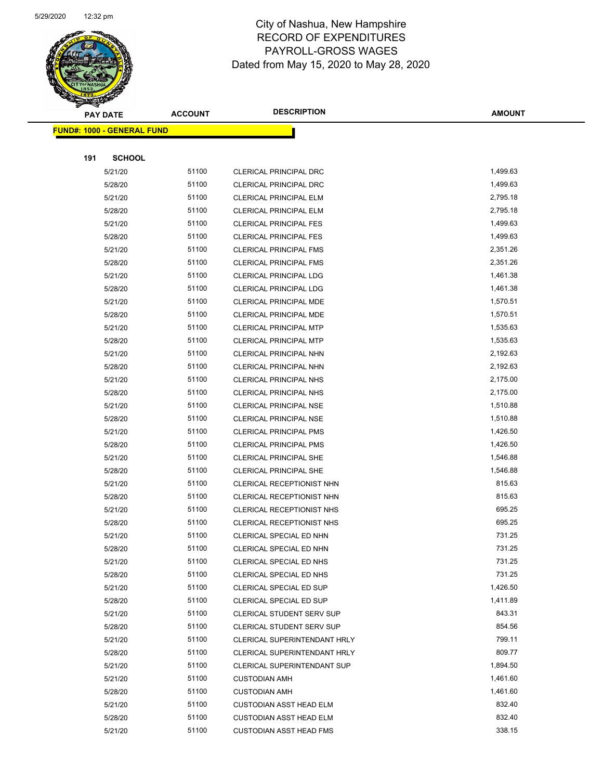

| <b>PAY DATE</b>                   | <b>ACCOUNT</b> | <b>DESCRIPTION</b>             | <b>AMOUNT</b> |  |
|-----------------------------------|----------------|--------------------------------|---------------|--|
| <b>FUND#: 1000 - GENERAL FUND</b> |                |                                |               |  |
|                                   |                |                                |               |  |
| 191<br><b>SCHOOL</b>              |                |                                |               |  |
| 5/21/20                           | 51100          | CLERICAL PRINCIPAL DRC         | 1,499.63      |  |
| 5/28/20                           | 51100          | CLERICAL PRINCIPAL DRC         | 1,499.63      |  |
| 5/21/20                           | 51100          | <b>CLERICAL PRINCIPAL ELM</b>  | 2,795.18      |  |
| 5/28/20                           | 51100          | <b>CLERICAL PRINCIPAL ELM</b>  | 2,795.18      |  |
| 5/21/20                           | 51100          | <b>CLERICAL PRINCIPAL FES</b>  | 1,499.63      |  |
| 5/28/20                           | 51100          | <b>CLERICAL PRINCIPAL FES</b>  | 1,499.63      |  |
| 5/21/20                           | 51100          | <b>CLERICAL PRINCIPAL FMS</b>  | 2,351.26      |  |
| 5/28/20                           | 51100          | <b>CLERICAL PRINCIPAL FMS</b>  | 2,351.26      |  |
| 5/21/20                           | 51100          | <b>CLERICAL PRINCIPAL LDG</b>  | 1,461.38      |  |
| 5/28/20                           | 51100          | <b>CLERICAL PRINCIPAL LDG</b>  | 1,461.38      |  |
| 5/21/20                           | 51100          | CLERICAL PRINCIPAL MDE         | 1,570.51      |  |
| 5/28/20                           | 51100          | CLERICAL PRINCIPAL MDE         | 1,570.51      |  |
| 5/21/20                           | 51100          | <b>CLERICAL PRINCIPAL MTP</b>  | 1,535.63      |  |
| 5/28/20                           | 51100          | <b>CLERICAL PRINCIPAL MTP</b>  | 1,535.63      |  |
| 5/21/20                           | 51100          | <b>CLERICAL PRINCIPAL NHN</b>  | 2,192.63      |  |
| 5/28/20                           | 51100          | CLERICAL PRINCIPAL NHN         | 2,192.63      |  |
| 5/21/20                           | 51100          | <b>CLERICAL PRINCIPAL NHS</b>  | 2,175.00      |  |
| 5/28/20                           | 51100          | <b>CLERICAL PRINCIPAL NHS</b>  | 2,175.00      |  |
| 5/21/20                           | 51100          | <b>CLERICAL PRINCIPAL NSE</b>  | 1,510.88      |  |
| 5/28/20                           | 51100          | <b>CLERICAL PRINCIPAL NSE</b>  | 1,510.88      |  |
| 5/21/20                           | 51100          | <b>CLERICAL PRINCIPAL PMS</b>  | 1,426.50      |  |
| 5/28/20                           | 51100          | <b>CLERICAL PRINCIPAL PMS</b>  | 1,426.50      |  |
| 5/21/20                           | 51100          | <b>CLERICAL PRINCIPAL SHE</b>  | 1,546.88      |  |
| 5/28/20                           | 51100          | <b>CLERICAL PRINCIPAL SHE</b>  | 1,546.88      |  |
| 5/21/20                           | 51100          | CLERICAL RECEPTIONIST NHN      | 815.63        |  |
| 5/28/20                           | 51100          | CLERICAL RECEPTIONIST NHN      | 815.63        |  |
| 5/21/20                           | 51100          | CLERICAL RECEPTIONIST NHS      | 695.25        |  |
| 5/28/20                           | 51100          | CLERICAL RECEPTIONIST NHS      | 695.25        |  |
| 5/21/20                           | 51100          | CLERICAL SPECIAL ED NHN        | 731.25        |  |
| 5/28/20                           | 51100          | <b>CLERICAL SPECIAL ED NHN</b> | 731.25        |  |
| 5/21/20                           | 51100          | CLERICAL SPECIAL ED NHS        | 731.25        |  |
| 5/28/20                           | 51100          | CLERICAL SPECIAL ED NHS        | 731.25        |  |
| 5/21/20                           | 51100          | CLERICAL SPECIAL ED SUP        | 1,426.50      |  |
| 5/28/20                           | 51100          | CLERICAL SPECIAL ED SUP        | 1,411.89      |  |
| 5/21/20                           | 51100          | CLERICAL STUDENT SERV SUP      | 843.31        |  |
| 5/28/20                           | 51100          | CLERICAL STUDENT SERV SUP      | 854.56        |  |
| 5/21/20                           | 51100          | CLERICAL SUPERINTENDANT HRLY   | 799.11        |  |
| 5/28/20                           | 51100          | CLERICAL SUPERINTENDANT HRLY   | 809.77        |  |
| 5/21/20                           | 51100          | CLERICAL SUPERINTENDANT SUP    | 1,894.50      |  |
| 5/21/20                           | 51100          | <b>CUSTODIAN AMH</b>           | 1,461.60      |  |
| 5/28/20                           | 51100          | <b>CUSTODIAN AMH</b>           | 1,461.60      |  |
| 5/21/20                           | 51100          | <b>CUSTODIAN ASST HEAD ELM</b> | 832.40        |  |
| 5/28/20                           | 51100          | <b>CUSTODIAN ASST HEAD ELM</b> | 832.40        |  |
| 5/21/20                           | 51100          | <b>CUSTODIAN ASST HEAD FMS</b> | 338.15        |  |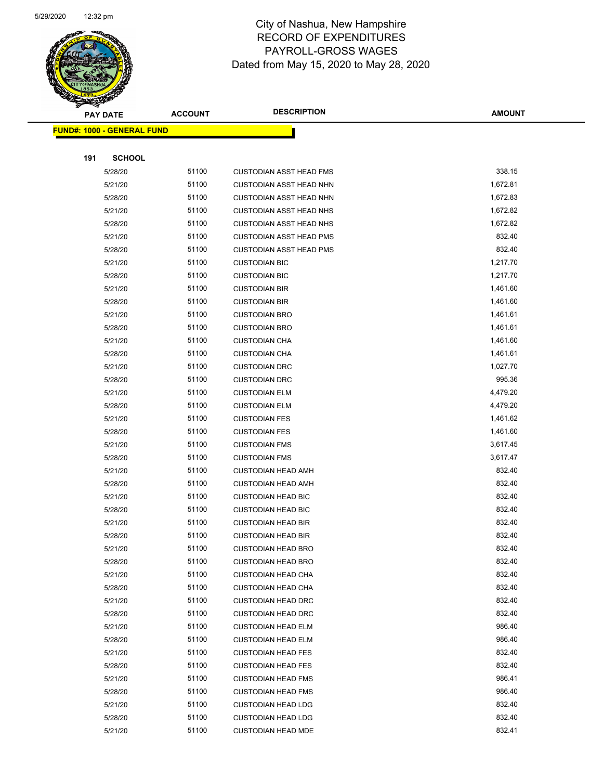

| $\tilde{\phantom{a}}$ | <b>PAY DATE</b>                   | <b>ACCOUNT</b> | <b>DESCRIPTION</b>             | <b>AMOUNT</b>    |
|-----------------------|-----------------------------------|----------------|--------------------------------|------------------|
|                       | <b>FUND#: 1000 - GENERAL FUND</b> |                |                                |                  |
|                       |                                   |                |                                |                  |
| 191                   | <b>SCHOOL</b>                     |                |                                |                  |
|                       | 5/28/20                           | 51100          | <b>CUSTODIAN ASST HEAD FMS</b> | 338.15           |
|                       | 5/21/20                           | 51100          | <b>CUSTODIAN ASST HEAD NHN</b> | 1,672.81         |
|                       | 5/28/20                           | 51100          | <b>CUSTODIAN ASST HEAD NHN</b> | 1,672.83         |
|                       | 5/21/20                           | 51100          | <b>CUSTODIAN ASST HEAD NHS</b> | 1,672.82         |
|                       | 5/28/20                           | 51100          | <b>CUSTODIAN ASST HEAD NHS</b> | 1,672.82         |
|                       | 5/21/20                           | 51100          | <b>CUSTODIAN ASST HEAD PMS</b> | 832.40           |
|                       | 5/28/20                           | 51100          | <b>CUSTODIAN ASST HEAD PMS</b> | 832.40           |
|                       | 5/21/20                           | 51100          | <b>CUSTODIAN BIC</b>           | 1,217.70         |
|                       | 5/28/20                           | 51100          | <b>CUSTODIAN BIC</b>           | 1,217.70         |
|                       | 5/21/20                           | 51100          | <b>CUSTODIAN BIR</b>           | 1,461.60         |
|                       | 5/28/20                           | 51100          | <b>CUSTODIAN BIR</b>           | 1,461.60         |
|                       | 5/21/20                           | 51100          | <b>CUSTODIAN BRO</b>           | 1,461.61         |
|                       | 5/28/20                           | 51100          | <b>CUSTODIAN BRO</b>           | 1,461.61         |
|                       | 5/21/20                           | 51100          | <b>CUSTODIAN CHA</b>           | 1,461.60         |
|                       | 5/28/20                           | 51100          | <b>CUSTODIAN CHA</b>           | 1,461.61         |
|                       | 5/21/20                           | 51100          | <b>CUSTODIAN DRC</b>           | 1,027.70         |
|                       | 5/28/20                           | 51100          | <b>CUSTODIAN DRC</b>           | 995.36           |
|                       | 5/21/20                           | 51100          | <b>CUSTODIAN ELM</b>           | 4,479.20         |
|                       | 5/28/20                           | 51100          | <b>CUSTODIAN ELM</b>           | 4,479.20         |
|                       | 5/21/20                           | 51100          | <b>CUSTODIAN FES</b>           | 1,461.62         |
|                       | 5/28/20                           | 51100          | <b>CUSTODIAN FES</b>           | 1,461.60         |
|                       | 5/21/20                           | 51100          | <b>CUSTODIAN FMS</b>           | 3,617.45         |
|                       | 5/28/20                           | 51100          | <b>CUSTODIAN FMS</b>           | 3,617.47         |
|                       | 5/21/20                           | 51100          | <b>CUSTODIAN HEAD AMH</b>      | 832.40           |
|                       | 5/28/20                           | 51100          | <b>CUSTODIAN HEAD AMH</b>      | 832.40           |
|                       | 5/21/20                           | 51100          | <b>CUSTODIAN HEAD BIC</b>      | 832.40           |
|                       | 5/28/20                           | 51100          | <b>CUSTODIAN HEAD BIC</b>      | 832.40           |
|                       | 5/21/20                           | 51100          | <b>CUSTODIAN HEAD BIR</b>      | 832.40           |
|                       | 5/28/20                           | 51100          | <b>CUSTODIAN HEAD BIR</b>      | 832.40           |
|                       | 5/21/20                           | 51100          | <b>CUSTODIAN HEAD BRO</b>      | 832.40           |
|                       | 5/28/20                           | 51100          | <b>CUSTODIAN HEAD BRO</b>      | 832.40           |
|                       | 5/21/20                           | 51100          | <b>CUSTODIAN HEAD CHA</b>      | 832.40           |
|                       | 5/28/20                           | 51100          | <b>CUSTODIAN HEAD CHA</b>      | 832.40           |
|                       | 5/21/20                           | 51100          | <b>CUSTODIAN HEAD DRC</b>      | 832.40           |
|                       | 5/28/20                           | 51100          | <b>CUSTODIAN HEAD DRC</b>      | 832.40           |
|                       | 5/21/20                           | 51100          | <b>CUSTODIAN HEAD ELM</b>      | 986.40           |
|                       | 5/28/20                           | 51100          | <b>CUSTODIAN HEAD ELM</b>      | 986.40           |
|                       | 5/21/20                           | 51100          | <b>CUSTODIAN HEAD FES</b>      | 832.40           |
|                       | 5/28/20                           | 51100          | <b>CUSTODIAN HEAD FES</b>      | 832.40           |
|                       | 5/21/20                           | 51100          | <b>CUSTODIAN HEAD FMS</b>      | 986.41<br>986.40 |
|                       | 5/28/20                           | 51100<br>51100 | <b>CUSTODIAN HEAD FMS</b>      | 832.40           |
|                       | 5/21/20                           | 51100          | <b>CUSTODIAN HEAD LDG</b>      | 832.40           |
|                       | 5/28/20                           |                | <b>CUSTODIAN HEAD LDG</b>      |                  |
|                       | 5/21/20                           | 51100          | <b>CUSTODIAN HEAD MDE</b>      | 832.41           |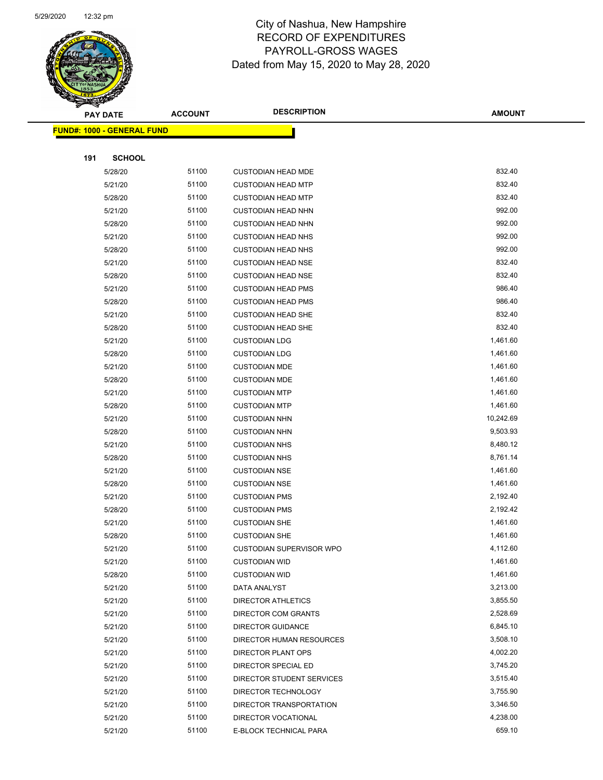

Page 50 of 81

| ॼ   | <b>PAY DATE</b>                    | <b>ACCOUNT</b> | <b>DESCRIPTION</b>         | <b>AMOUNT</b> |
|-----|------------------------------------|----------------|----------------------------|---------------|
|     | <u> FUND#: 1000 - GENERAL FUND</u> |                |                            |               |
|     |                                    |                |                            |               |
| 191 | <b>SCHOOL</b>                      |                |                            |               |
|     | 5/28/20                            | 51100          | <b>CUSTODIAN HEAD MDE</b>  | 832.40        |
|     | 5/21/20                            | 51100          | <b>CUSTODIAN HEAD MTP</b>  | 832.40        |
|     | 5/28/20                            | 51100          | <b>CUSTODIAN HEAD MTP</b>  | 832.40        |
|     | 5/21/20                            | 51100          | <b>CUSTODIAN HEAD NHN</b>  | 992.00        |
|     | 5/28/20                            | 51100          | <b>CUSTODIAN HEAD NHN</b>  | 992.00        |
|     | 5/21/20                            | 51100          | <b>CUSTODIAN HEAD NHS</b>  | 992.00        |
|     | 5/28/20                            | 51100          | <b>CUSTODIAN HEAD NHS</b>  | 992.00        |
|     | 5/21/20                            | 51100          | <b>CUSTODIAN HEAD NSE</b>  | 832.40        |
|     | 5/28/20                            | 51100          | <b>CUSTODIAN HEAD NSE</b>  | 832.40        |
|     | 5/21/20                            | 51100          | <b>CUSTODIAN HEAD PMS</b>  | 986.40        |
|     | 5/28/20                            | 51100          | <b>CUSTODIAN HEAD PMS</b>  | 986.40        |
|     | 5/21/20                            | 51100          | <b>CUSTODIAN HEAD SHE</b>  | 832.40        |
|     | 5/28/20                            | 51100          | <b>CUSTODIAN HEAD SHE</b>  | 832.40        |
|     | 5/21/20                            | 51100          | <b>CUSTODIAN LDG</b>       | 1,461.60      |
|     | 5/28/20                            | 51100          | <b>CUSTODIAN LDG</b>       | 1,461.60      |
|     | 5/21/20                            | 51100          | <b>CUSTODIAN MDE</b>       | 1,461.60      |
|     | 5/28/20                            | 51100          | <b>CUSTODIAN MDE</b>       | 1,461.60      |
|     | 5/21/20                            | 51100          | <b>CUSTODIAN MTP</b>       | 1,461.60      |
|     | 5/28/20                            | 51100          | <b>CUSTODIAN MTP</b>       | 1,461.60      |
|     | 5/21/20                            | 51100          | <b>CUSTODIAN NHN</b>       | 10,242.69     |
|     | 5/28/20                            | 51100          | <b>CUSTODIAN NHN</b>       | 9,503.93      |
|     | 5/21/20                            | 51100          | <b>CUSTODIAN NHS</b>       | 8,480.12      |
|     | 5/28/20                            | 51100          | <b>CUSTODIAN NHS</b>       | 8,761.14      |
|     | 5/21/20                            | 51100          | <b>CUSTODIAN NSE</b>       | 1,461.60      |
|     | 5/28/20                            | 51100          | <b>CUSTODIAN NSE</b>       | 1,461.60      |
|     | 5/21/20                            | 51100          | <b>CUSTODIAN PMS</b>       | 2,192.40      |
|     | 5/28/20                            | 51100          | <b>CUSTODIAN PMS</b>       | 2,192.42      |
|     | 5/21/20                            | 51100          | <b>CUSTODIAN SHE</b>       | 1,461.60      |
|     | 5/28/20                            | 51100          | <b>CUSTODIAN SHE</b>       | 1,461.60      |
|     | 5/21/20                            | 51100          | CUSTODIAN SUPERVISOR WPO   | 4,112.60      |
|     | 5/21/20                            | 51100          | <b>CUSTODIAN WID</b>       | 1,461.60      |
|     | 5/28/20                            | 51100          | <b>CUSTODIAN WID</b>       | 1,461.60      |
|     | 5/21/20                            | 51100          | DATA ANALYST               | 3,213.00      |
|     | 5/21/20                            | 51100          | DIRECTOR ATHLETICS         | 3,855.50      |
|     | 5/21/20                            | 51100          | <b>DIRECTOR COM GRANTS</b> | 2,528.69      |
|     | 5/21/20                            | 51100          | DIRECTOR GUIDANCE          | 6,845.10      |
|     | 5/21/20                            | 51100          | DIRECTOR HUMAN RESOURCES   | 3,508.10      |
|     | 5/21/20                            | 51100          | DIRECTOR PLANT OPS         | 4,002.20      |
|     | 5/21/20                            | 51100          | DIRECTOR SPECIAL ED        | 3,745.20      |
|     | 5/21/20                            | 51100          | DIRECTOR STUDENT SERVICES  | 3,515.40      |
|     | 5/21/20                            | 51100          | DIRECTOR TECHNOLOGY        | 3,755.90      |
|     | 5/21/20                            | 51100          | DIRECTOR TRANSPORTATION    | 3,346.50      |
|     | 5/21/20                            | 51100          | DIRECTOR VOCATIONAL        | 4,238.00      |
|     | 5/21/20                            | 51100          | E-BLOCK TECHNICAL PARA     | 659.10        |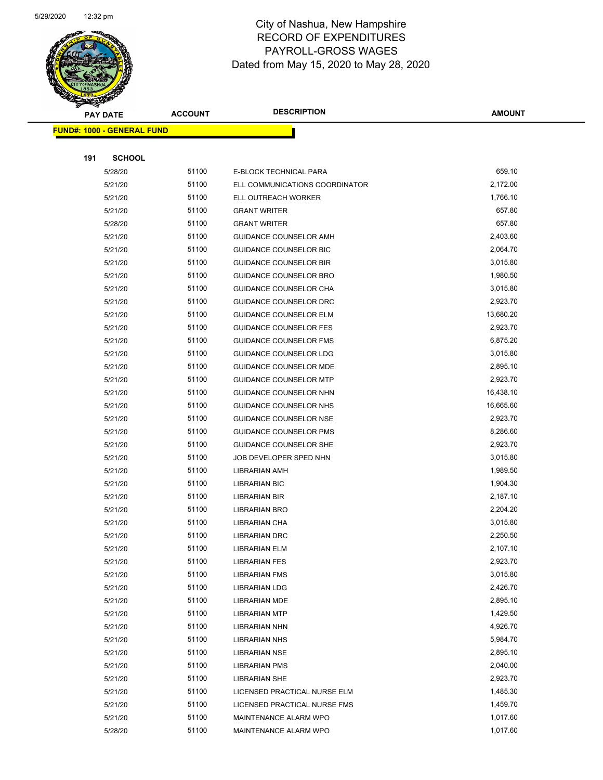

| <b>Anthony</b> |                                   |                | <b>DESCRIPTION</b>             |               |
|----------------|-----------------------------------|----------------|--------------------------------|---------------|
|                | <b>PAY DATE</b>                   | <b>ACCOUNT</b> |                                | <b>AMOUNT</b> |
|                | <b>FUND#: 1000 - GENERAL FUND</b> |                |                                |               |
|                |                                   |                |                                |               |
| 191            | <b>SCHOOL</b>                     |                |                                |               |
|                | 5/28/20                           | 51100          | E-BLOCK TECHNICAL PARA         | 659.10        |
|                | 5/21/20                           | 51100          | ELL COMMUNICATIONS COORDINATOR | 2,172.00      |
|                | 5/21/20                           | 51100          | ELL OUTREACH WORKER            | 1,766.10      |
|                | 5/21/20                           | 51100          | <b>GRANT WRITER</b>            | 657.80        |
|                | 5/28/20                           | 51100          | <b>GRANT WRITER</b>            | 657.80        |
|                | 5/21/20                           | 51100          | <b>GUIDANCE COUNSELOR AMH</b>  | 2,403.60      |
|                | 5/21/20                           | 51100          | <b>GUIDANCE COUNSELOR BIC</b>  | 2,064.70      |
|                | 5/21/20                           | 51100          | <b>GUIDANCE COUNSELOR BIR</b>  | 3,015.80      |
|                | 5/21/20                           | 51100          | GUIDANCE COUNSELOR BRO         | 1,980.50      |
|                | 5/21/20                           | 51100          | GUIDANCE COUNSELOR CHA         | 3,015.80      |
|                | 5/21/20                           | 51100          | <b>GUIDANCE COUNSELOR DRC</b>  | 2,923.70      |
|                | 5/21/20                           | 51100          | <b>GUIDANCE COUNSELOR ELM</b>  | 13,680.20     |
|                | 5/21/20                           | 51100          | <b>GUIDANCE COUNSELOR FES</b>  | 2,923.70      |
|                | 5/21/20                           | 51100          | <b>GUIDANCE COUNSELOR FMS</b>  | 6,875.20      |
|                | 5/21/20                           | 51100          | GUIDANCE COUNSELOR LDG         | 3,015.80      |
|                | 5/21/20                           | 51100          | <b>GUIDANCE COUNSELOR MDE</b>  | 2,895.10      |
|                | 5/21/20                           | 51100          | <b>GUIDANCE COUNSELOR MTP</b>  | 2,923.70      |
|                | 5/21/20                           | 51100          | GUIDANCE COUNSELOR NHN         | 16,438.10     |
|                | 5/21/20                           | 51100          | GUIDANCE COUNSELOR NHS         | 16,665.60     |
|                | 5/21/20                           | 51100          | <b>GUIDANCE COUNSELOR NSE</b>  | 2,923.70      |
|                | 5/21/20                           | 51100          | <b>GUIDANCE COUNSELOR PMS</b>  | 8,286.60      |
|                | 5/21/20                           | 51100          | <b>GUIDANCE COUNSELOR SHE</b>  | 2,923.70      |
|                | 5/21/20                           | 51100          | JOB DEVELOPER SPED NHN         | 3,015.80      |
|                | 5/21/20                           | 51100          | <b>LIBRARIAN AMH</b>           | 1,989.50      |
|                | 5/21/20                           | 51100          | <b>LIBRARIAN BIC</b>           | 1,904.30      |
|                | 5/21/20                           | 51100          | <b>LIBRARIAN BIR</b>           | 2,187.10      |
|                | 5/21/20                           | 51100          | <b>LIBRARIAN BRO</b>           | 2,204.20      |
|                | 5/21/20                           | 51100          | LIBRARIAN CHA                  | 3,015.80      |
|                | 5/21/20                           | 51100          | <b>LIBRARIAN DRC</b>           | 2,250.50      |
|                | 5/21/20                           | 51100          | <b>LIBRARIAN ELM</b>           | 2,107.10      |
|                | 5/21/20                           | 51100          | <b>LIBRARIAN FES</b>           | 2,923.70      |
|                | 5/21/20                           | 51100          | <b>LIBRARIAN FMS</b>           | 3,015.80      |
|                | 5/21/20                           | 51100          | <b>LIBRARIAN LDG</b>           | 2,426.70      |
|                | 5/21/20                           | 51100          | <b>LIBRARIAN MDE</b>           | 2,895.10      |
|                | 5/21/20                           | 51100          | <b>LIBRARIAN MTP</b>           | 1,429.50      |
|                | 5/21/20                           | 51100          | <b>LIBRARIAN NHN</b>           | 4,926.70      |
|                | 5/21/20                           | 51100          | <b>LIBRARIAN NHS</b>           | 5,984.70      |
|                | 5/21/20                           | 51100          | <b>LIBRARIAN NSE</b>           | 2,895.10      |
|                | 5/21/20                           | 51100          | <b>LIBRARIAN PMS</b>           | 2,040.00      |
|                | 5/21/20                           | 51100          | <b>LIBRARIAN SHE</b>           | 2,923.70      |
|                | 5/21/20                           | 51100          | LICENSED PRACTICAL NURSE ELM   | 1,485.30      |
|                | 5/21/20                           | 51100          | LICENSED PRACTICAL NURSE FMS   | 1,459.70      |
|                | 5/21/20                           | 51100          | MAINTENANCE ALARM WPO          | 1,017.60      |
|                | 5/28/20                           | 51100          | MAINTENANCE ALARM WPO          | 1,017.60      |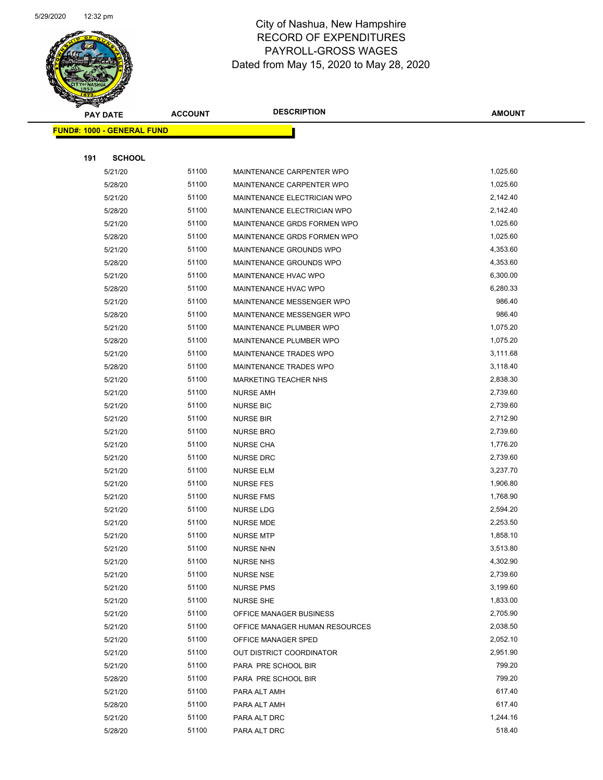

|     | <b>PAY DATE</b>                   | <b>ACCOUNT</b> | <b>DESCRIPTION</b>                   | <b>AMOUNT</b>        |
|-----|-----------------------------------|----------------|--------------------------------------|----------------------|
|     | <b>FUND#: 1000 - GENERAL FUND</b> |                |                                      |                      |
|     |                                   |                |                                      |                      |
| 191 | <b>SCHOOL</b>                     |                |                                      |                      |
|     | 5/21/20                           | 51100          | MAINTENANCE CARPENTER WPO            | 1,025.60             |
|     | 5/28/20                           | 51100          | MAINTENANCE CARPENTER WPO            | 1,025.60             |
|     | 5/21/20                           | 51100          | MAINTENANCE ELECTRICIAN WPO          | 2,142.40             |
|     | 5/28/20                           | 51100          | MAINTENANCE ELECTRICIAN WPO          | 2,142.40             |
|     | 5/21/20                           | 51100          | MAINTENANCE GRDS FORMEN WPO          | 1,025.60             |
|     | 5/28/20                           | 51100          | MAINTENANCE GRDS FORMEN WPO          | 1,025.60             |
|     | 5/21/20                           | 51100          | MAINTENANCE GROUNDS WPO              | 4,353.60             |
|     | 5/28/20                           | 51100          | MAINTENANCE GROUNDS WPO              | 4,353.60             |
|     | 5/21/20                           | 51100          | MAINTENANCE HVAC WPO                 | 6,300.00             |
|     | 5/28/20                           | 51100          | MAINTENANCE HVAC WPO                 | 6,280.33             |
|     | 5/21/20                           | 51100          | MAINTENANCE MESSENGER WPO            | 986.40               |
|     | 5/28/20                           | 51100          | MAINTENANCE MESSENGER WPO            | 986.40               |
|     | 5/21/20                           | 51100          | MAINTENANCE PLUMBER WPO              | 1,075.20             |
|     | 5/28/20                           | 51100          | MAINTENANCE PLUMBER WPO              | 1,075.20             |
|     | 5/21/20                           | 51100          | MAINTENANCE TRADES WPO               | 3,111.68             |
|     | 5/28/20                           | 51100          | MAINTENANCE TRADES WPO               | 3,118.40             |
|     | 5/21/20                           | 51100          | MARKETING TEACHER NHS                | 2,838.30             |
|     | 5/21/20                           | 51100          | <b>NURSE AMH</b>                     | 2,739.60             |
|     | 5/21/20                           | 51100          | <b>NURSE BIC</b>                     | 2,739.60             |
|     | 5/21/20                           | 51100          | <b>NURSE BIR</b>                     | 2,712.90             |
|     | 5/21/20                           | 51100          | <b>NURSE BRO</b>                     | 2,739.60             |
|     | 5/21/20                           | 51100          | <b>NURSE CHA</b>                     | 1,776.20             |
|     | 5/21/20                           | 51100          | <b>NURSE DRC</b>                     | 2,739.60             |
|     | 5/21/20                           | 51100          | <b>NURSE ELM</b>                     | 3,237.70             |
|     | 5/21/20                           | 51100          | <b>NURSE FES</b>                     | 1,906.80             |
|     | 5/21/20                           | 51100          | <b>NURSE FMS</b>                     | 1,768.90             |
|     | 5/21/20                           | 51100          | NURSE LDG                            | 2,594.20             |
|     | 5/21/20                           | 51100          | <b>NURSE MDE</b>                     | 2,253.50             |
|     | 5/21/20                           | 51100          | <b>NURSE MTP</b>                     | 1,858.10             |
|     | 5/21/20                           | 51100          | <b>NURSE NHN</b>                     | 3,513.80             |
|     | 5/21/20                           | 51100<br>51100 | <b>NURSE NHS</b>                     | 4,302.90<br>2,739.60 |
|     | 5/21/20<br>5/21/20                | 51100          | <b>NURSE NSE</b><br><b>NURSE PMS</b> | 3,199.60             |
|     | 5/21/20                           | 51100          | <b>NURSE SHE</b>                     | 1,833.00             |
|     | 5/21/20                           | 51100          | OFFICE MANAGER BUSINESS              | 2,705.90             |
|     | 5/21/20                           | 51100          | OFFICE MANAGER HUMAN RESOURCES       | 2,038.50             |
|     | 5/21/20                           | 51100          | OFFICE MANAGER SPED                  | 2,052.10             |
|     | 5/21/20                           | 51100          | OUT DISTRICT COORDINATOR             | 2,951.90             |
|     | 5/21/20                           | 51100          | PARA PRE SCHOOL BIR                  | 799.20               |
|     | 5/28/20                           | 51100          | PARA PRE SCHOOL BIR                  | 799.20               |
|     | 5/21/20                           | 51100          | PARA ALT AMH                         | 617.40               |
|     | 5/28/20                           | 51100          | PARA ALT AMH                         | 617.40               |
|     | 5/21/20                           | 51100          | PARA ALT DRC                         | 1,244.16             |
|     | 5/28/20                           | 51100          | PARA ALT DRC                         | 518.40               |
|     |                                   |                |                                      |                      |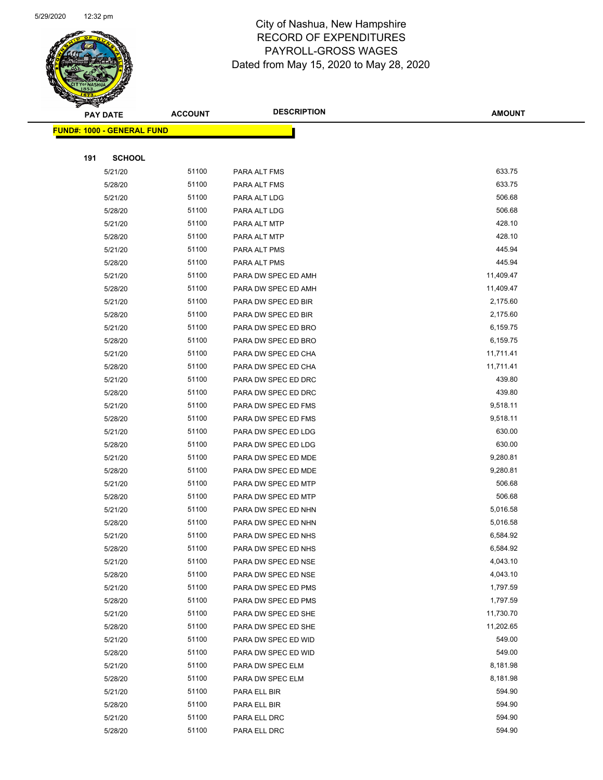

Page 53 of 81

|     | <b>PAY DATE</b>                   | <b>ACCOUNT</b> | <b>DESCRIPTION</b>                         | <b>AMOUNT</b>          |
|-----|-----------------------------------|----------------|--------------------------------------------|------------------------|
|     | <b>FUND#: 1000 - GENERAL FUND</b> |                |                                            |                        |
|     |                                   |                |                                            |                        |
| 191 | <b>SCHOOL</b>                     |                |                                            |                        |
|     | 5/21/20                           | 51100          | PARA ALT FMS                               | 633.75                 |
|     | 5/28/20                           | 51100          | PARA ALT FMS                               | 633.75                 |
|     | 5/21/20                           | 51100          | PARA ALT LDG                               | 506.68                 |
|     | 5/28/20                           | 51100          | PARA ALT LDG                               | 506.68                 |
|     | 5/21/20                           | 51100          | PARA ALT MTP                               | 428.10                 |
|     | 5/28/20                           | 51100          | PARA ALT MTP                               | 428.10                 |
|     | 5/21/20                           | 51100          | PARA ALT PMS                               | 445.94                 |
|     | 5/28/20                           | 51100          | PARA ALT PMS                               | 445.94                 |
|     | 5/21/20                           | 51100          | PARA DW SPEC ED AMH                        | 11,409.47              |
|     | 5/28/20                           | 51100          | PARA DW SPEC ED AMH                        | 11,409.47              |
|     | 5/21/20                           | 51100          | PARA DW SPEC ED BIR                        | 2,175.60               |
|     | 5/28/20                           | 51100          | PARA DW SPEC ED BIR                        | 2,175.60               |
|     | 5/21/20                           | 51100          | PARA DW SPEC ED BRO                        | 6,159.75               |
|     | 5/28/20                           | 51100          | PARA DW SPEC ED BRO                        | 6,159.75               |
|     | 5/21/20                           | 51100          | PARA DW SPEC ED CHA                        | 11,711.41              |
|     | 5/28/20                           | 51100          | PARA DW SPEC ED CHA                        | 11,711.41              |
|     | 5/21/20                           | 51100          | PARA DW SPEC ED DRC                        | 439.80                 |
|     | 5/28/20                           | 51100          | PARA DW SPEC ED DRC                        | 439.80                 |
|     | 5/21/20                           | 51100          | PARA DW SPEC ED FMS                        | 9,518.11               |
|     | 5/28/20                           | 51100          | PARA DW SPEC ED FMS                        | 9,518.11               |
|     | 5/21/20                           | 51100          | PARA DW SPEC ED LDG                        | 630.00                 |
|     | 5/28/20                           | 51100          | PARA DW SPEC ED LDG                        | 630.00                 |
|     | 5/21/20                           | 51100          | PARA DW SPEC ED MDE                        | 9,280.81               |
|     | 5/28/20                           | 51100          | PARA DW SPEC ED MDE                        | 9,280.81               |
|     | 5/21/20                           | 51100          | PARA DW SPEC ED MTP                        | 506.68                 |
|     | 5/28/20                           | 51100          | PARA DW SPEC ED MTP                        | 506.68                 |
|     | 5/21/20                           | 51100          | PARA DW SPEC ED NHN                        | 5,016.58               |
|     | 5/28/20                           | 51100          | PARA DW SPEC ED NHN                        | 5,016.58               |
|     | 5/21/20                           | 51100          | PARA DW SPEC ED NHS                        | 6,584.92               |
|     | 5/28/20                           | 51100          | PARA DW SPEC ED NHS                        | 6,584.92               |
|     | 5/21/20                           | 51100          | PARA DW SPEC ED NSE                        | 4,043.10               |
|     | 5/28/20                           | 51100          | PARA DW SPEC ED NSE                        | 4,043.10               |
|     | 5/21/20                           | 51100          | PARA DW SPEC ED PMS                        | 1,797.59               |
|     | 5/28/20                           | 51100          | PARA DW SPEC ED PMS                        | 1,797.59               |
|     | 5/21/20                           | 51100<br>51100 | PARA DW SPEC ED SHE                        | 11,730.70<br>11,202.65 |
|     | 5/28/20                           | 51100          | PARA DW SPEC ED SHE<br>PARA DW SPEC ED WID | 549.00                 |
|     | 5/21/20<br>5/28/20                | 51100          | PARA DW SPEC ED WID                        | 549.00                 |
|     | 5/21/20                           | 51100          | PARA DW SPEC ELM                           | 8,181.98               |
|     | 5/28/20                           | 51100          | PARA DW SPEC ELM                           | 8,181.98               |
|     | 5/21/20                           | 51100          | PARA ELL BIR                               | 594.90                 |
|     | 5/28/20                           | 51100          | PARA ELL BIR                               | 594.90                 |
|     | 5/21/20                           | 51100          | PARA ELL DRC                               | 594.90                 |
|     | 5/28/20                           | 51100          | PARA ELL DRC                               | 594.90                 |
|     |                                   |                |                                            |                        |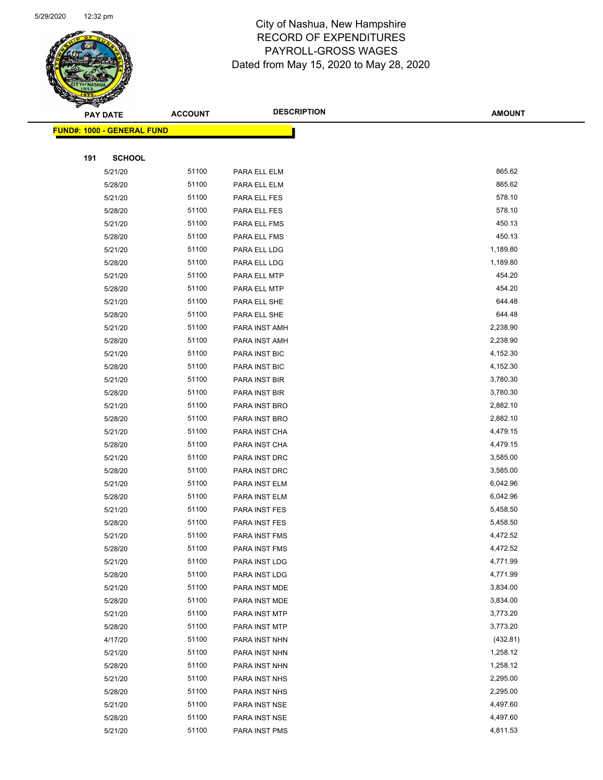

|     | <b>PAY DATE</b>                    | <b>ACCOUNT</b> | <b>DESCRIPTION</b>   | <b>AMOUNT</b> |
|-----|------------------------------------|----------------|----------------------|---------------|
|     | <u> FUND#: 1000 - GENERAL FUND</u> |                |                      |               |
|     |                                    |                |                      |               |
| 191 | <b>SCHOOL</b>                      |                |                      |               |
|     | 5/21/20                            | 51100          | PARA ELL ELM         | 865.62        |
|     | 5/28/20                            | 51100          | PARA ELL ELM         | 865.62        |
|     | 5/21/20                            | 51100          | PARA ELL FES         | 578.10        |
|     | 5/28/20                            | 51100          | PARA ELL FES         | 578.10        |
|     | 5/21/20                            | 51100          | PARA ELL FMS         | 450.13        |
|     | 5/28/20                            | 51100          | PARA ELL FMS         | 450.13        |
|     | 5/21/20                            | 51100          | PARA ELL LDG         | 1,189.80      |
|     | 5/28/20                            | 51100          | PARA ELL LDG         | 1,189.80      |
|     | 5/21/20                            | 51100          | PARA ELL MTP         | 454.20        |
|     | 5/28/20                            | 51100          | PARA ELL MTP         | 454.20        |
|     | 5/21/20                            | 51100          | PARA ELL SHE         | 644.48        |
|     | 5/28/20                            | 51100          | PARA ELL SHE         | 644.48        |
|     | 5/21/20                            | 51100          | PARA INST AMH        | 2,238.90      |
|     | 5/28/20                            | 51100          | PARA INST AMH        | 2,238.90      |
|     | 5/21/20                            | 51100          | PARA INST BIC        | 4,152.30      |
|     | 5/28/20                            | 51100          | PARA INST BIC        | 4,152.30      |
|     | 5/21/20                            | 51100          | PARA INST BIR        | 3,780.30      |
|     | 5/28/20                            | 51100          | PARA INST BIR        | 3,780.30      |
|     | 5/21/20                            | 51100          | PARA INST BRO        | 2,882.10      |
|     | 5/28/20                            | 51100          | PARA INST BRO        | 2,882.10      |
|     | 5/21/20                            | 51100          | PARA INST CHA        | 4,479.15      |
|     | 5/28/20                            | 51100          | PARA INST CHA        | 4,479.15      |
|     | 5/21/20                            | 51100          | PARA INST DRC        | 3,585.00      |
|     | 5/28/20                            | 51100          | PARA INST DRC        | 3,585.00      |
|     | 5/21/20                            | 51100          | PARA INST ELM        | 6,042.96      |
|     | 5/28/20                            | 51100          | PARA INST ELM        | 6,042.96      |
|     | 5/21/20                            | 51100          | PARA INST FES        | 5,458.50      |
|     | 5/28/20                            | 51100          | PARA INST FES        | 5,458.50      |
|     | 5/21/20                            | 51100          | PARA INST FMS        | 4,472.52      |
|     | 5/28/20                            | 51100          | <b>PARA INST FMS</b> | 4,472.52      |
|     | 5/21/20                            | 51100          | PARA INST LDG        | 4,771.99      |
|     | 5/28/20                            | 51100          | PARA INST LDG        | 4,771.99      |
|     | 5/21/20                            | 51100          | PARA INST MDE        | 3,834.00      |
|     | 5/28/20                            | 51100          | PARA INST MDE        | 3,834.00      |
|     | 5/21/20                            | 51100          | PARA INST MTP        | 3,773.20      |
|     | 5/28/20                            | 51100          | PARA INST MTP        | 3,773.20      |
|     | 4/17/20                            | 51100          | PARA INST NHN        | (432.81)      |
|     | 5/21/20                            | 51100          | PARA INST NHN        | 1,258.12      |
|     | 5/28/20                            | 51100          | PARA INST NHN        | 1,258.12      |
|     | 5/21/20                            | 51100          | PARA INST NHS        | 2,295.00      |
|     | 5/28/20                            | 51100          | PARA INST NHS        | 2,295.00      |
|     | 5/21/20                            | 51100          | PARA INST NSE        | 4,497.60      |
|     | 5/28/20                            | 51100          | PARA INST NSE        | 4,497.60      |
|     | 5/21/20                            | 51100          | PARA INST PMS        | 4,811.53      |
|     |                                    |                |                      |               |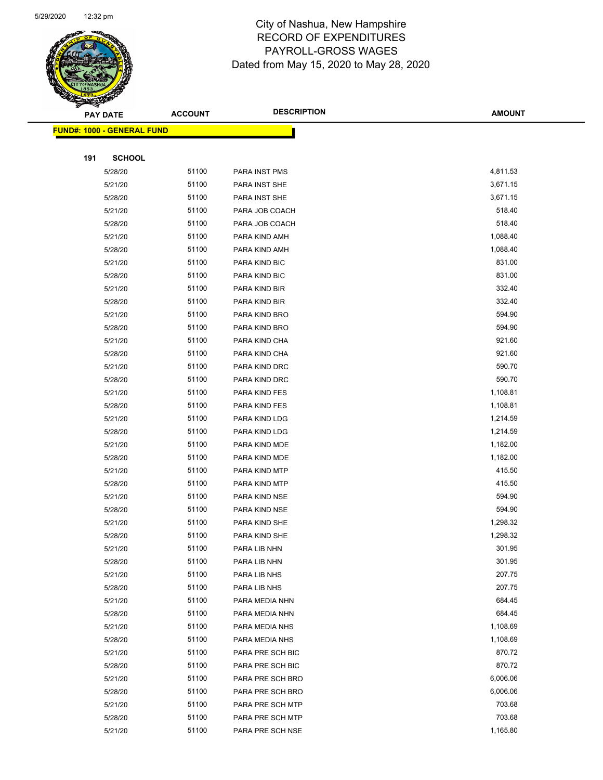

|     | <b>PAY DATE</b>                   | <b>ACCOUNT</b> | <b>DESCRIPTION</b> | <b>AMOUNT</b> |
|-----|-----------------------------------|----------------|--------------------|---------------|
|     | <b>FUND#: 1000 - GENERAL FUND</b> |                |                    |               |
|     |                                   |                |                    |               |
| 191 | <b>SCHOOL</b>                     |                |                    |               |
|     | 5/28/20                           | 51100          | PARA INST PMS      | 4,811.53      |
|     | 5/21/20                           | 51100          | PARA INST SHE      | 3,671.15      |
|     | 5/28/20                           | 51100          | PARA INST SHE      | 3,671.15      |
|     | 5/21/20                           | 51100          | PARA JOB COACH     | 518.40        |
|     | 5/28/20                           | 51100          | PARA JOB COACH     | 518.40        |
|     | 5/21/20                           | 51100          | PARA KIND AMH      | 1,088.40      |
|     | 5/28/20                           | 51100          | PARA KIND AMH      | 1,088.40      |
|     | 5/21/20                           | 51100          | PARA KIND BIC      | 831.00        |
|     | 5/28/20                           | 51100          | PARA KIND BIC      | 831.00        |
|     | 5/21/20                           | 51100          | PARA KIND BIR      | 332.40        |
|     | 5/28/20                           | 51100          | PARA KIND BIR      | 332.40        |
|     | 5/21/20                           | 51100          | PARA KIND BRO      | 594.90        |
|     | 5/28/20                           | 51100          | PARA KIND BRO      | 594.90        |
|     | 5/21/20                           | 51100          | PARA KIND CHA      | 921.60        |
|     | 5/28/20                           | 51100          | PARA KIND CHA      | 921.60        |
|     | 5/21/20                           | 51100          | PARA KIND DRC      | 590.70        |
|     | 5/28/20                           | 51100          | PARA KIND DRC      | 590.70        |
|     | 5/21/20                           | 51100          | PARA KIND FES      | 1,108.81      |
|     | 5/28/20                           | 51100          | PARA KIND FES      | 1,108.81      |
|     | 5/21/20                           | 51100          | PARA KIND LDG      | 1,214.59      |
|     | 5/28/20                           | 51100          | PARA KIND LDG      | 1,214.59      |
|     | 5/21/20                           | 51100          | PARA KIND MDE      | 1,182.00      |
|     | 5/28/20                           | 51100          | PARA KIND MDE      | 1,182.00      |
|     | 5/21/20                           | 51100          | PARA KIND MTP      | 415.50        |
|     | 5/28/20                           | 51100          | PARA KIND MTP      | 415.50        |
|     | 5/21/20                           | 51100          | PARA KIND NSE      | 594.90        |
|     | 5/28/20                           | 51100          | PARA KIND NSE      | 594.90        |
|     | 5/21/20                           | 51100          | PARA KIND SHE      | 1,298.32      |
|     | 5/28/20                           | 51100          | PARA KIND SHE      | 1,298.32      |
|     | 5/21/20                           | 51100          | PARA LIB NHN       | 301.95        |
|     | 5/28/20                           | 51100          | PARA LIB NHN       | 301.95        |
|     | 5/21/20                           | 51100          | PARA LIB NHS       | 207.75        |
|     | 5/28/20                           | 51100          | PARA LIB NHS       | 207.75        |
|     | 5/21/20                           | 51100          | PARA MEDIA NHN     | 684.45        |
|     | 5/28/20                           | 51100          | PARA MEDIA NHN     | 684.45        |
|     | 5/21/20                           | 51100          | PARA MEDIA NHS     | 1,108.69      |
|     | 5/28/20                           | 51100          | PARA MEDIA NHS     | 1,108.69      |
|     | 5/21/20                           | 51100          | PARA PRE SCH BIC   | 870.72        |
|     | 5/28/20                           | 51100          | PARA PRE SCH BIC   | 870.72        |
|     | 5/21/20                           | 51100          | PARA PRE SCH BRO   | 6,006.06      |
|     | 5/28/20                           | 51100          | PARA PRE SCH BRO   | 6,006.06      |
|     | 5/21/20                           | 51100          | PARA PRE SCH MTP   | 703.68        |
|     | 5/28/20                           | 51100          | PARA PRE SCH MTP   | 703.68        |
|     | 5/21/20                           | 51100          | PARA PRE SCH NSE   | 1,165.80      |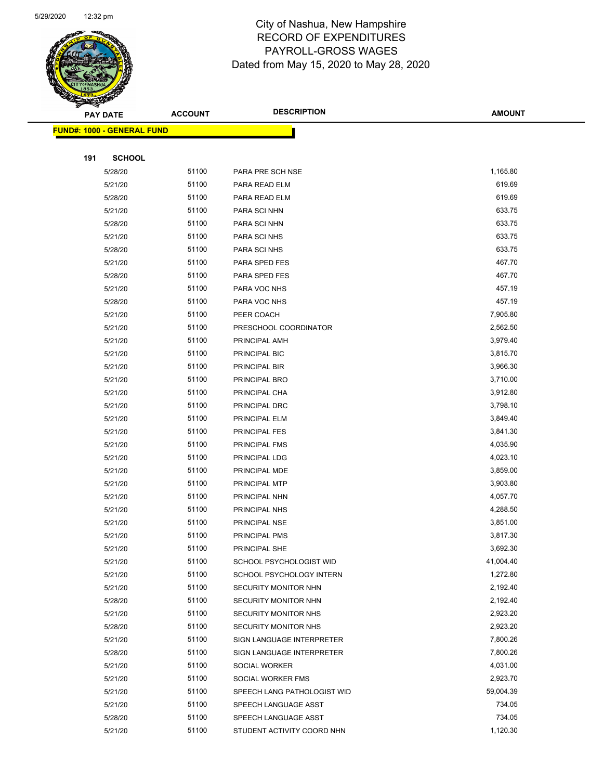

|     | <b>PAY DATE</b>                    | <b>ACCOUNT</b> | <b>DESCRIPTION</b>          | <b>AMOUNT</b> |
|-----|------------------------------------|----------------|-----------------------------|---------------|
|     | <u> FUND#: 1000 - GENERAL FUND</u> |                |                             |               |
|     |                                    |                |                             |               |
| 191 | <b>SCHOOL</b>                      |                |                             |               |
|     | 5/28/20                            | 51100          | PARA PRE SCH NSE            | 1,165.80      |
|     | 5/21/20                            | 51100          | PARA READ ELM               | 619.69        |
|     | 5/28/20                            | 51100          | PARA READ ELM               | 619.69        |
|     | 5/21/20                            | 51100          | PARA SCI NHN                | 633.75        |
|     | 5/28/20                            | 51100          | PARA SCI NHN                | 633.75        |
|     | 5/21/20                            | 51100          | PARA SCI NHS                | 633.75        |
|     | 5/28/20                            | 51100          | PARA SCI NHS                | 633.75        |
|     | 5/21/20                            | 51100          | PARA SPED FES               | 467.70        |
|     | 5/28/20                            | 51100          | PARA SPED FES               | 467.70        |
|     | 5/21/20                            | 51100          | PARA VOC NHS                | 457.19        |
|     | 5/28/20                            | 51100          | PARA VOC NHS                | 457.19        |
|     | 5/21/20                            | 51100          | PEER COACH                  | 7,905.80      |
|     | 5/21/20                            | 51100          | PRESCHOOL COORDINATOR       | 2,562.50      |
|     | 5/21/20                            | 51100          | PRINCIPAL AMH               | 3,979.40      |
|     | 5/21/20                            | 51100          | PRINCIPAL BIC               | 3,815.70      |
|     | 5/21/20                            | 51100          | PRINCIPAL BIR               | 3,966.30      |
|     | 5/21/20                            | 51100          | PRINCIPAL BRO               | 3,710.00      |
|     | 5/21/20                            | 51100          | PRINCIPAL CHA               | 3,912.80      |
|     | 5/21/20                            | 51100          | PRINCIPAL DRC               | 3,798.10      |
|     | 5/21/20                            | 51100          | PRINCIPAL ELM               | 3,849.40      |
|     | 5/21/20                            | 51100          | PRINCIPAL FES               | 3,841.30      |
|     | 5/21/20                            | 51100          | PRINCIPAL FMS               | 4,035.90      |
|     | 5/21/20                            | 51100          | PRINCIPAL LDG               | 4,023.10      |
|     | 5/21/20                            | 51100          | PRINCIPAL MDE               | 3,859.00      |
|     | 5/21/20                            | 51100          | PRINCIPAL MTP               | 3,903.80      |
|     | 5/21/20                            | 51100          | PRINCIPAL NHN               | 4,057.70      |
|     | 5/21/20                            | 51100          | PRINCIPAL NHS               | 4,288.50      |
|     | 5/21/20                            | 51100          | <b>PRINCIPAL NSE</b>        | 3,851.00      |
|     | 5/21/20                            | 51100          | <b>PRINCIPAL PMS</b>        | 3,817.30      |
|     | 5/21/20                            | 51100          | PRINCIPAL SHE               | 3,692.30      |
|     | 5/21/20                            | 51100          | SCHOOL PSYCHOLOGIST WID     | 41,004.40     |
|     | 5/21/20                            | 51100          | SCHOOL PSYCHOLOGY INTERN    | 1,272.80      |
|     | 5/21/20                            | 51100          | SECURITY MONITOR NHN        | 2,192.40      |
|     | 5/28/20                            | 51100          | SECURITY MONITOR NHN        | 2,192.40      |
|     | 5/21/20                            | 51100          | SECURITY MONITOR NHS        | 2,923.20      |
|     | 5/28/20                            | 51100          | SECURITY MONITOR NHS        | 2,923.20      |
|     | 5/21/20                            | 51100          | SIGN LANGUAGE INTERPRETER   | 7,800.26      |
|     | 5/28/20                            | 51100          | SIGN LANGUAGE INTERPRETER   | 7,800.26      |
|     | 5/21/20                            | 51100          | SOCIAL WORKER               | 4,031.00      |
|     | 5/21/20                            | 51100          | SOCIAL WORKER FMS           | 2,923.70      |
|     | 5/21/20                            | 51100          | SPEECH LANG PATHOLOGIST WID | 59,004.39     |
|     | 5/21/20                            | 51100          | SPEECH LANGUAGE ASST        | 734.05        |
|     | 5/28/20                            | 51100          | SPEECH LANGUAGE ASST        | 734.05        |
|     | 5/21/20                            | 51100          | STUDENT ACTIVITY COORD NHN  | 1,120.30      |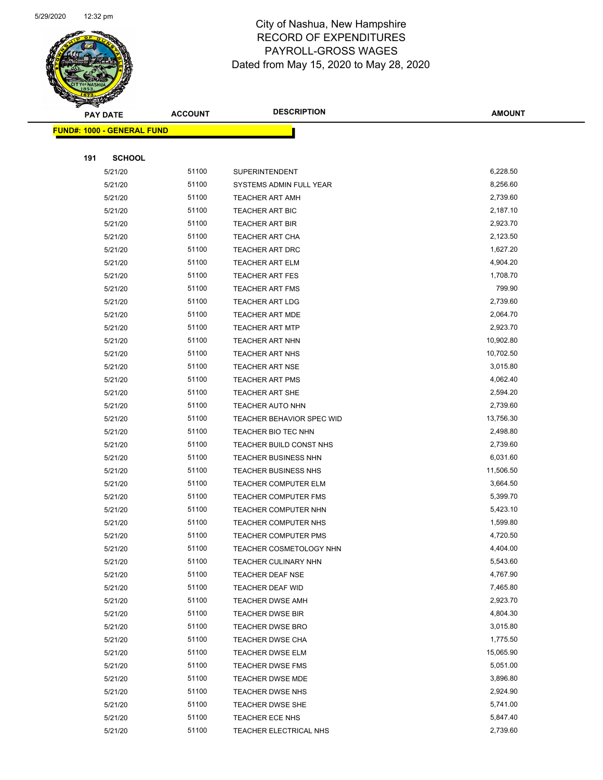

Page 57 of 81

|     | <b>PAY DATE</b>                   | <b>ACCOUNT</b> | <b>DESCRIPTION</b>                                 | <b>AMOUNT</b>        |
|-----|-----------------------------------|----------------|----------------------------------------------------|----------------------|
|     | <b>FUND#: 1000 - GENERAL FUND</b> |                |                                                    |                      |
|     |                                   |                |                                                    |                      |
| 191 | <b>SCHOOL</b>                     |                |                                                    |                      |
|     | 5/21/20                           | 51100          | SUPERINTENDENT                                     | 6,228.50             |
|     | 5/21/20                           | 51100          | SYSTEMS ADMIN FULL YEAR                            | 8,256.60             |
|     | 5/21/20                           | 51100          | <b>TEACHER ART AMH</b>                             | 2,739.60             |
|     | 5/21/20                           | 51100          | <b>TEACHER ART BIC</b>                             | 2,187.10             |
|     | 5/21/20                           | 51100          | <b>TEACHER ART BIR</b>                             | 2,923.70             |
|     | 5/21/20                           | 51100          | <b>TEACHER ART CHA</b>                             | 2,123.50             |
|     | 5/21/20                           | 51100          | <b>TEACHER ART DRC</b>                             | 1,627.20             |
|     | 5/21/20                           | 51100          | TEACHER ART ELM                                    | 4,904.20             |
|     | 5/21/20                           | 51100          | <b>TEACHER ART FES</b>                             | 1,708.70             |
|     | 5/21/20                           | 51100          | TEACHER ART FMS                                    | 799.90               |
|     | 5/21/20                           | 51100          | <b>TEACHER ART LDG</b>                             | 2,739.60             |
|     | 5/21/20                           | 51100          | <b>TEACHER ART MDE</b>                             | 2,064.70             |
|     | 5/21/20                           | 51100          | <b>TEACHER ART MTP</b>                             | 2,923.70             |
|     | 5/21/20                           | 51100          | TEACHER ART NHN                                    | 10,902.80            |
|     | 5/21/20                           | 51100          | TEACHER ART NHS                                    | 10,702.50            |
|     | 5/21/20                           | 51100          | <b>TEACHER ART NSE</b>                             | 3,015.80             |
|     | 5/21/20                           | 51100          | <b>TEACHER ART PMS</b>                             | 4,062.40             |
|     | 5/21/20                           | 51100          | TEACHER ART SHE                                    | 2,594.20             |
|     | 5/21/20                           | 51100          | <b>TEACHER AUTO NHN</b>                            | 2,739.60             |
|     | 5/21/20                           | 51100          | TEACHER BEHAVIOR SPEC WID                          | 13,756.30            |
|     | 5/21/20                           | 51100          | TEACHER BIO TEC NHN                                | 2,498.80             |
|     | 5/21/20                           | 51100          | TEACHER BUILD CONST NHS                            | 2,739.60             |
|     | 5/21/20                           | 51100          | TEACHER BUSINESS NHN                               | 6,031.60             |
|     | 5/21/20                           | 51100          | <b>TEACHER BUSINESS NHS</b>                        | 11,506.50            |
|     | 5/21/20                           | 51100          | <b>TEACHER COMPUTER ELM</b>                        | 3,664.50             |
|     | 5/21/20                           | 51100          | <b>TEACHER COMPUTER FMS</b>                        | 5,399.70             |
|     | 5/21/20                           | 51100          | TEACHER COMPUTER NHN                               | 5,423.10             |
|     | 5/21/20                           | 51100          | TEACHER COMPUTER NHS                               | 1,599.80             |
|     | 5/21/20                           | 51100          | TEACHER COMPUTER PMS                               | 4,720.50             |
|     | 5/21/20                           | 51100          | TEACHER COSMETOLOGY NHN                            | 4,404.00             |
|     | 5/21/20                           | 51100          | <b>TEACHER CULINARY NHN</b>                        | 5,543.60             |
|     | 5/21/20                           | 51100          | TEACHER DEAF NSE                                   | 4,767.90<br>7,465.80 |
|     | 5/21/20                           | 51100          | <b>TEACHER DEAF WID</b>                            | 2,923.70             |
|     | 5/21/20                           | 51100<br>51100 | <b>TEACHER DWSE AMH</b>                            | 4,804.30             |
|     | 5/21/20<br>5/21/20                | 51100          | <b>TEACHER DWSE BIR</b><br><b>TEACHER DWSE BRO</b> | 3,015.80             |
|     | 5/21/20                           | 51100          | TEACHER DWSE CHA                                   | 1,775.50             |
|     | 5/21/20                           | 51100          | TEACHER DWSE ELM                                   | 15,065.90            |
|     | 5/21/20                           | 51100          | <b>TEACHER DWSE FMS</b>                            | 5,051.00             |
|     | 5/21/20                           | 51100          | <b>TEACHER DWSE MDE</b>                            | 3,896.80             |
|     | 5/21/20                           | 51100          | TEACHER DWSE NHS                                   | 2,924.90             |
|     | 5/21/20                           | 51100          | <b>TEACHER DWSE SHE</b>                            | 5,741.00             |
|     | 5/21/20                           | 51100          | TEACHER ECE NHS                                    | 5,847.40             |
|     | 5/21/20                           | 51100          | TEACHER ELECTRICAL NHS                             | 2,739.60             |
|     |                                   |                |                                                    |                      |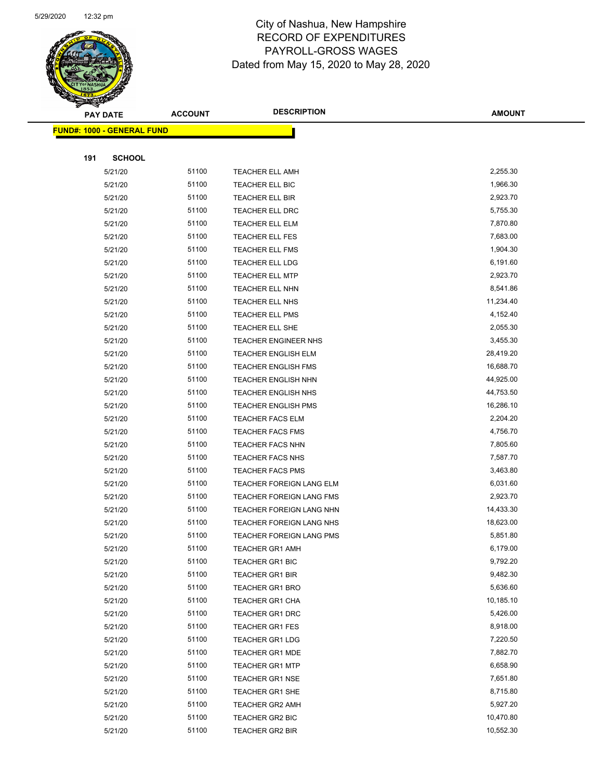

Page 58 of 81

|     | <b>PAY DATE</b>                   | <b>ACCOUNT</b> | <b>DESCRIPTION</b>          | <b>AMOUNT</b> |
|-----|-----------------------------------|----------------|-----------------------------|---------------|
|     | <b>FUND#: 1000 - GENERAL FUND</b> |                |                             |               |
|     |                                   |                |                             |               |
| 191 | <b>SCHOOL</b>                     |                |                             |               |
|     | 5/21/20                           | 51100          | <b>TEACHER ELL AMH</b>      | 2,255.30      |
|     | 5/21/20                           | 51100          | TEACHER ELL BIC             | 1,966.30      |
|     | 5/21/20                           | 51100          | TEACHER ELL BIR             | 2,923.70      |
|     | 5/21/20                           | 51100          | TEACHER ELL DRC             | 5,755.30      |
|     | 5/21/20                           | 51100          | <b>TEACHER ELL ELM</b>      | 7,870.80      |
|     | 5/21/20                           | 51100          | TEACHER ELL FES             | 7,683.00      |
|     | 5/21/20                           | 51100          | <b>TEACHER ELL FMS</b>      | 1,904.30      |
|     | 5/21/20                           | 51100          | <b>TEACHER ELL LDG</b>      | 6,191.60      |
|     | 5/21/20                           | 51100          | <b>TEACHER ELL MTP</b>      | 2,923.70      |
|     | 5/21/20                           | 51100          | <b>TEACHER ELL NHN</b>      | 8,541.86      |
|     | 5/21/20                           | 51100          | TEACHER ELL NHS             | 11,234.40     |
|     | 5/21/20                           | 51100          | <b>TEACHER ELL PMS</b>      | 4,152.40      |
|     | 5/21/20                           | 51100          | <b>TEACHER ELL SHE</b>      | 2,055.30      |
|     | 5/21/20                           | 51100          | <b>TEACHER ENGINEER NHS</b> | 3,455.30      |
|     | 5/21/20                           | 51100          | <b>TEACHER ENGLISH ELM</b>  | 28,419.20     |
|     | 5/21/20                           | 51100          | <b>TEACHER ENGLISH FMS</b>  | 16,688.70     |
|     | 5/21/20                           | 51100          | <b>TEACHER ENGLISH NHN</b>  | 44,925.00     |
|     | 5/21/20                           | 51100          | <b>TEACHER ENGLISH NHS</b>  | 44,753.50     |
|     | 5/21/20                           | 51100          | <b>TEACHER ENGLISH PMS</b>  | 16,286.10     |
|     | 5/21/20                           | 51100          | <b>TEACHER FACS ELM</b>     | 2,204.20      |
|     | 5/21/20                           | 51100          | <b>TEACHER FACS FMS</b>     | 4,756.70      |
|     | 5/21/20                           | 51100          | <b>TEACHER FACS NHN</b>     | 7,805.60      |
|     | 5/21/20                           | 51100          | <b>TEACHER FACS NHS</b>     | 7,587.70      |
|     | 5/21/20                           | 51100          | <b>TEACHER FACS PMS</b>     | 3,463.80      |
|     | 5/21/20                           | 51100          | TEACHER FOREIGN LANG ELM    | 6,031.60      |
|     | 5/21/20                           | 51100          | TEACHER FOREIGN LANG FMS    | 2,923.70      |
|     | 5/21/20                           | 51100          | TEACHER FOREIGN LANG NHN    | 14,433.30     |
|     | 5/21/20                           | 51100          | TEACHER FOREIGN LANG NHS    | 18,623.00     |
|     | 5/21/20                           | 51100          | TEACHER FOREIGN LANG PMS    | 5,851.80      |
|     | 5/21/20                           | 51100          | TEACHER GR1 AMH             | 6,179.00      |
|     | 5/21/20                           | 51100          | <b>TEACHER GR1 BIC</b>      | 9,792.20      |
|     | 5/21/20                           | 51100          | <b>TEACHER GR1 BIR</b>      | 9,482.30      |
|     | 5/21/20                           | 51100          | <b>TEACHER GR1 BRO</b>      | 5,636.60      |
|     | 5/21/20                           | 51100          | TEACHER GR1 CHA             | 10,185.10     |
|     | 5/21/20                           | 51100          | <b>TEACHER GR1 DRC</b>      | 5,426.00      |
|     | 5/21/20                           | 51100          | <b>TEACHER GR1 FES</b>      | 8,918.00      |
|     | 5/21/20                           | 51100          | <b>TEACHER GR1 LDG</b>      | 7,220.50      |
|     | 5/21/20                           | 51100          | <b>TEACHER GR1 MDE</b>      | 7,882.70      |
|     | 5/21/20                           | 51100          | <b>TEACHER GR1 MTP</b>      | 6,658.90      |
|     | 5/21/20                           | 51100          | <b>TEACHER GR1 NSE</b>      | 7,651.80      |
|     | 5/21/20                           | 51100          | <b>TEACHER GR1 SHE</b>      | 8,715.80      |
|     | 5/21/20                           | 51100          | <b>TEACHER GR2 AMH</b>      | 5,927.20      |
|     | 5/21/20                           | 51100          | <b>TEACHER GR2 BIC</b>      | 10,470.80     |
|     | 5/21/20                           | 51100          | <b>TEACHER GR2 BIR</b>      | 10,552.30     |
|     |                                   |                |                             |               |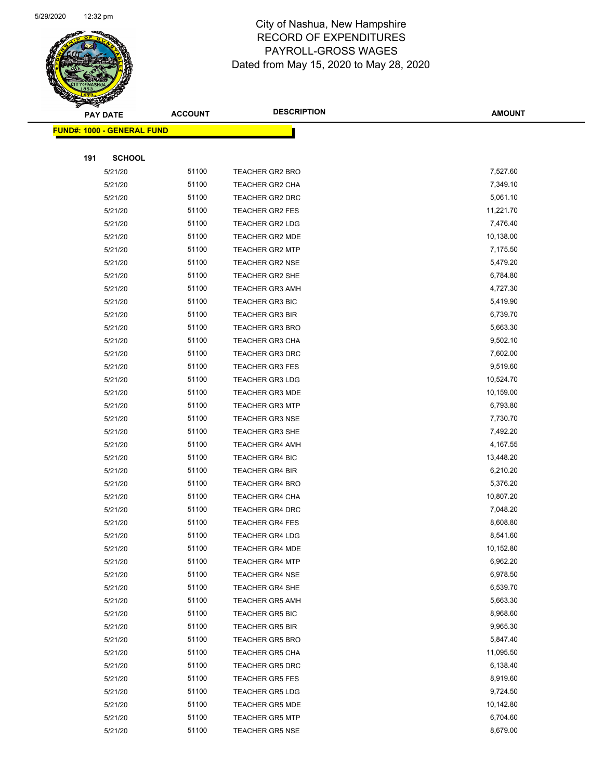

Page 59 of 81

|     | <b>PAY DATE</b>                    | <b>ACCOUNT</b> | <b>DESCRIPTION</b>     | <b>AMOUNT</b> |
|-----|------------------------------------|----------------|------------------------|---------------|
|     | <u> FUND#: 1000 - GENERAL FUND</u> |                |                        |               |
|     |                                    |                |                        |               |
| 191 | <b>SCHOOL</b>                      |                |                        |               |
|     | 5/21/20                            | 51100          | <b>TEACHER GR2 BRO</b> | 7,527.60      |
|     | 5/21/20                            | 51100          | <b>TEACHER GR2 CHA</b> | 7,349.10      |
|     | 5/21/20                            | 51100          | TEACHER GR2 DRC        | 5,061.10      |
|     | 5/21/20                            | 51100          | TEACHER GR2 FES        | 11,221.70     |
|     | 5/21/20                            | 51100          | TEACHER GR2 LDG        | 7,476.40      |
|     | 5/21/20                            | 51100          | TEACHER GR2 MDE        | 10,138.00     |
|     | 5/21/20                            | 51100          | <b>TEACHER GR2 MTP</b> | 7,175.50      |
|     | 5/21/20                            | 51100          | <b>TEACHER GR2 NSE</b> | 5,479.20      |
|     | 5/21/20                            | 51100          | TEACHER GR2 SHE        | 6,784.80      |
|     | 5/21/20                            | 51100          | <b>TEACHER GR3 AMH</b> | 4,727.30      |
|     | 5/21/20                            | 51100          | <b>TEACHER GR3 BIC</b> | 5,419.90      |
|     | 5/21/20                            | 51100          | <b>TEACHER GR3 BIR</b> | 6,739.70      |
|     | 5/21/20                            | 51100          | <b>TEACHER GR3 BRO</b> | 5,663.30      |
|     | 5/21/20                            | 51100          | <b>TEACHER GR3 CHA</b> | 9,502.10      |
|     | 5/21/20                            | 51100          | <b>TEACHER GR3 DRC</b> | 7,602.00      |
|     | 5/21/20                            | 51100          | <b>TEACHER GR3 FES</b> | 9,519.60      |
|     | 5/21/20                            | 51100          | <b>TEACHER GR3 LDG</b> | 10,524.70     |
|     | 5/21/20                            | 51100          | <b>TEACHER GR3 MDE</b> | 10,159.00     |
|     | 5/21/20                            | 51100          | TEACHER GR3 MTP        | 6,793.80      |
|     | 5/21/20                            | 51100          | <b>TEACHER GR3 NSE</b> | 7,730.70      |
|     | 5/21/20                            | 51100          | TEACHER GR3 SHE        | 7,492.20      |
|     | 5/21/20                            | 51100          | <b>TEACHER GR4 AMH</b> | 4,167.55      |
|     | 5/21/20                            | 51100          | <b>TEACHER GR4 BIC</b> | 13,448.20     |
|     | 5/21/20                            | 51100          | <b>TEACHER GR4 BIR</b> | 6,210.20      |
|     | 5/21/20                            | 51100          | <b>TEACHER GR4 BRO</b> | 5,376.20      |
|     | 5/21/20                            | 51100          | TEACHER GR4 CHA        | 10,807.20     |
|     | 5/21/20                            | 51100          | <b>TEACHER GR4 DRC</b> | 7,048.20      |
|     | 5/21/20                            | 51100          | <b>TEACHER GR4 FES</b> | 8,608.80      |
|     | 5/21/20                            | 51100          | <b>TEACHER GR4 LDG</b> | 8,541.60      |
|     | 5/21/20                            | 51100          | <b>TEACHER GR4 MDE</b> | 10,152.80     |
|     | 5/21/20                            | 51100          | <b>TEACHER GR4 MTP</b> | 6,962.20      |
|     | 5/21/20                            | 51100          | <b>TEACHER GR4 NSE</b> | 6,978.50      |
|     | 5/21/20                            | 51100          | <b>TEACHER GR4 SHE</b> | 6,539.70      |
|     | 5/21/20                            | 51100          | <b>TEACHER GR5 AMH</b> | 5,663.30      |
|     | 5/21/20                            | 51100          | <b>TEACHER GR5 BIC</b> | 8,968.60      |
|     | 5/21/20                            | 51100          | TEACHER GR5 BIR        | 9,965.30      |
|     | 5/21/20                            | 51100          | <b>TEACHER GR5 BRO</b> | 5,847.40      |
|     | 5/21/20                            | 51100          | <b>TEACHER GR5 CHA</b> | 11,095.50     |
|     | 5/21/20                            | 51100          | <b>TEACHER GR5 DRC</b> | 6,138.40      |
|     | 5/21/20                            | 51100          | <b>TEACHER GR5 FES</b> | 8,919.60      |
|     | 5/21/20                            | 51100          | <b>TEACHER GR5 LDG</b> | 9,724.50      |
|     | 5/21/20                            | 51100          | <b>TEACHER GR5 MDE</b> | 10,142.80     |
|     | 5/21/20                            | 51100          | <b>TEACHER GR5 MTP</b> | 6,704.60      |
|     | 5/21/20                            | 51100          | <b>TEACHER GR5 NSE</b> | 8,679.00      |
|     |                                    |                |                        |               |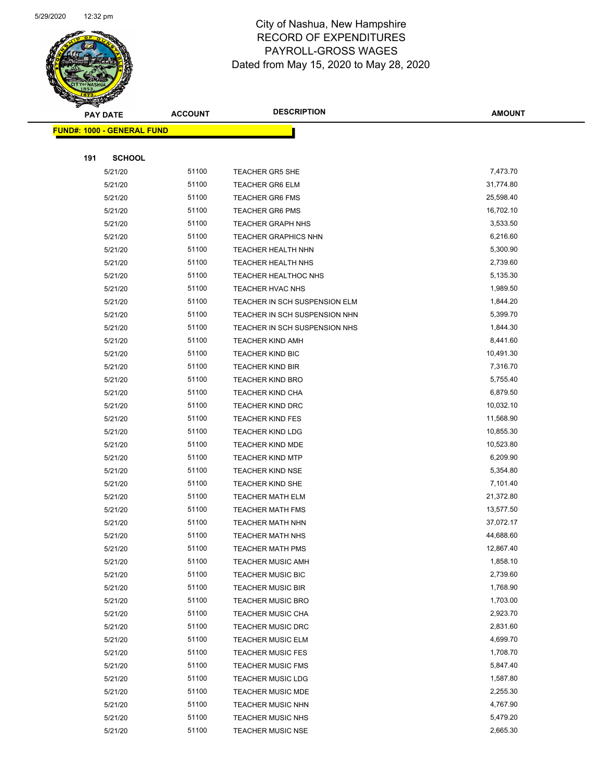

Page 60 of 81

| <b>PAY DATE</b>                   | <b>ACCOUNT</b> | <b>DESCRIPTION</b>                                   | <b>AMOUNT</b>        |
|-----------------------------------|----------------|------------------------------------------------------|----------------------|
| <b>FUND#: 1000 - GENERAL FUND</b> |                |                                                      |                      |
|                                   |                |                                                      |                      |
| 191                               | <b>SCHOOL</b>  |                                                      |                      |
| 5/21/20                           | 51100          | <b>TEACHER GR5 SHE</b>                               | 7,473.70             |
| 5/21/20                           | 51100          | <b>TEACHER GR6 ELM</b>                               | 31,774.80            |
| 5/21/20                           | 51100          | <b>TEACHER GR6 FMS</b>                               | 25,598.40            |
| 5/21/20                           | 51100          | <b>TEACHER GR6 PMS</b>                               | 16,702.10            |
| 5/21/20                           | 51100          | <b>TEACHER GRAPH NHS</b>                             | 3,533.50             |
| 5/21/20                           | 51100          | <b>TEACHER GRAPHICS NHN</b>                          | 6,216.60             |
| 5/21/20                           | 51100          | <b>TEACHER HEALTH NHN</b>                            | 5,300.90             |
| 5/21/20                           | 51100          | TEACHER HEALTH NHS                                   | 2,739.60             |
| 5/21/20                           | 51100          | TEACHER HEALTHOC NHS                                 | 5,135.30             |
| 5/21/20                           | 51100          | TEACHER HVAC NHS                                     | 1,989.50             |
| 5/21/20                           | 51100          | TEACHER IN SCH SUSPENSION ELM                        | 1,844.20             |
| 5/21/20                           | 51100          | TEACHER IN SCH SUSPENSION NHN                        | 5,399.70             |
| 5/21/20                           | 51100          | TEACHER IN SCH SUSPENSION NHS                        | 1,844.30             |
| 5/21/20                           | 51100          | <b>TEACHER KIND AMH</b>                              | 8,441.60             |
| 5/21/20                           | 51100          | TEACHER KIND BIC                                     | 10,491.30            |
| 5/21/20                           | 51100          | <b>TEACHER KIND BIR</b>                              | 7,316.70             |
| 5/21/20                           | 51100          | <b>TEACHER KIND BRO</b>                              | 5,755.40             |
| 5/21/20                           | 51100          | TEACHER KIND CHA                                     | 6,879.50             |
| 5/21/20                           | 51100          | <b>TEACHER KIND DRC</b>                              | 10,032.10            |
| 5/21/20                           | 51100          | <b>TEACHER KIND FES</b>                              | 11,568.90            |
| 5/21/20                           | 51100          | <b>TEACHER KIND LDG</b>                              | 10,855.30            |
| 5/21/20                           | 51100          | <b>TEACHER KIND MDE</b>                              | 10,523.80            |
| 5/21/20                           | 51100          | <b>TEACHER KIND MTP</b>                              | 6,209.90             |
| 5/21/20                           | 51100          | <b>TEACHER KIND NSE</b>                              | 5,354.80             |
| 5/21/20                           | 51100          | TEACHER KIND SHE                                     | 7,101.40             |
| 5/21/20                           | 51100          | <b>TEACHER MATH ELM</b>                              | 21,372.80            |
| 5/21/20                           | 51100          | <b>TEACHER MATH FMS</b>                              | 13,577.50            |
| 5/21/20                           | 51100          | <b>TEACHER MATH NHN</b>                              | 37,072.17            |
| 5/21/20                           | 51100          | <b>TEACHER MATH NHS</b>                              | 44,688.60            |
| 5/21/20                           | 51100          | TEACHER MATH PMS                                     | 12,867.40            |
| 5/21/20                           | 51100          | <b>TEACHER MUSIC AMH</b>                             | 1,858.10             |
| 5/21/20                           | 51100          | <b>TEACHER MUSIC BIC</b>                             | 2,739.60             |
| 5/21/20                           | 51100          | <b>TEACHER MUSIC BIR</b>                             | 1,768.90             |
| 5/21/20                           | 51100          | <b>TEACHER MUSIC BRO</b>                             | 1,703.00             |
| 5/21/20                           | 51100          | TEACHER MUSIC CHA                                    | 2,923.70             |
| 5/21/20                           | 51100          | <b>TEACHER MUSIC DRC</b>                             | 2,831.60<br>4,699.70 |
| 5/21/20                           | 51100          | <b>TEACHER MUSIC ELM</b>                             |                      |
| 5/21/20                           | 51100          | <b>TEACHER MUSIC FES</b>                             | 1,708.70<br>5,847.40 |
| 5/21/20                           | 51100<br>51100 | <b>TEACHER MUSIC FMS</b>                             | 1,587.80             |
| 5/21/20                           | 51100          | <b>TEACHER MUSIC LDG</b>                             | 2,255.30             |
| 5/21/20<br>5/21/20                | 51100          | <b>TEACHER MUSIC MDE</b><br><b>TEACHER MUSIC NHN</b> | 4,767.90             |
| 5/21/20                           | 51100          | <b>TEACHER MUSIC NHS</b>                             | 5,479.20             |
| 5/21/20                           | 51100          | <b>TEACHER MUSIC NSE</b>                             | 2,665.30             |
|                                   |                |                                                      |                      |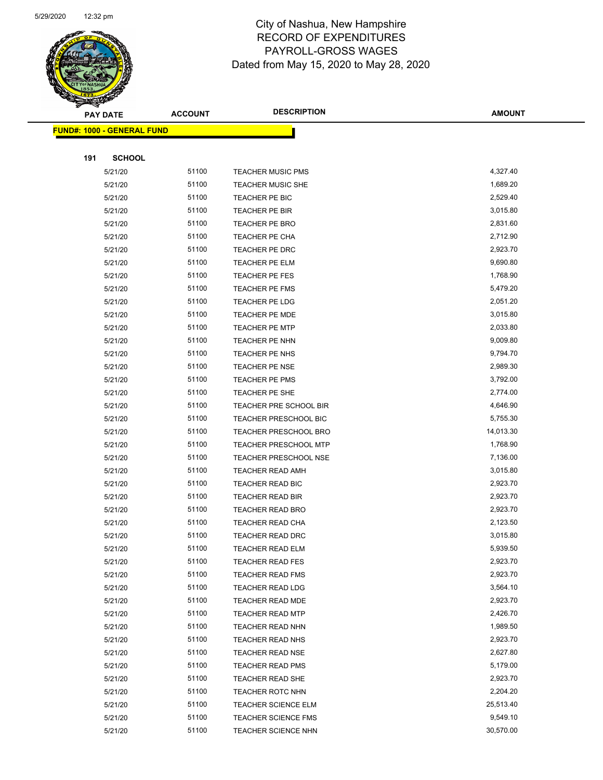

Page 61 of 81

| <b>PAY DATE</b>                   | <b>ACCOUNT</b> | <b>DESCRIPTION</b>           | <b>AMOUNT</b> |
|-----------------------------------|----------------|------------------------------|---------------|
| <b>FUND#: 1000 - GENERAL FUND</b> |                |                              |               |
|                                   |                |                              |               |
| 191<br><b>SCHOOL</b>              |                |                              |               |
| 5/21/20                           | 51100          | <b>TEACHER MUSIC PMS</b>     | 4,327.40      |
| 5/21/20                           | 51100          | <b>TEACHER MUSIC SHE</b>     | 1,689.20      |
| 5/21/20                           | 51100          | TEACHER PE BIC               | 2,529.40      |
| 5/21/20                           | 51100          | TEACHER PE BIR               | 3,015.80      |
| 5/21/20                           | 51100          | TEACHER PE BRO               | 2,831.60      |
| 5/21/20                           | 51100          | TEACHER PE CHA               | 2,712.90      |
| 5/21/20                           | 51100          | TEACHER PE DRC               | 2,923.70      |
| 5/21/20                           | 51100          | TEACHER PE ELM               | 9,690.80      |
| 5/21/20                           | 51100          | TEACHER PE FES               | 1,768.90      |
| 5/21/20                           | 51100          | TEACHER PE FMS               | 5,479.20      |
| 5/21/20                           | 51100          | TEACHER PE LDG               | 2,051.20      |
| 5/21/20                           | 51100          | <b>TEACHER PE MDE</b>        | 3,015.80      |
| 5/21/20                           | 51100          | <b>TEACHER PE MTP</b>        | 2,033.80      |
| 5/21/20                           | 51100          | TEACHER PE NHN               | 9,009.80      |
| 5/21/20                           | 51100          | TEACHER PE NHS               | 9,794.70      |
| 5/21/20                           | 51100          | TEACHER PE NSE               | 2,989.30      |
| 5/21/20                           | 51100          | <b>TEACHER PE PMS</b>        | 3,792.00      |
| 5/21/20                           | 51100          | TEACHER PE SHE               | 2,774.00      |
| 5/21/20                           | 51100          | TEACHER PRE SCHOOL BIR       | 4,646.90      |
| 5/21/20                           | 51100          | TEACHER PRESCHOOL BIC        | 5,755.30      |
| 5/21/20                           | 51100          | <b>TEACHER PRESCHOOL BRO</b> | 14,013.30     |
| 5/21/20                           | 51100          | <b>TEACHER PRESCHOOL MTP</b> | 1,768.90      |
| 5/21/20                           | 51100          | <b>TEACHER PRESCHOOL NSE</b> | 7,136.00      |
| 5/21/20                           | 51100          | <b>TEACHER READ AMH</b>      | 3,015.80      |
| 5/21/20                           | 51100          | TEACHER READ BIC             | 2,923.70      |
| 5/21/20                           | 51100          | TEACHER READ BIR             | 2,923.70      |
| 5/21/20                           | 51100          | TEACHER READ BRO             | 2,923.70      |
| 5/21/20                           | 51100          | <b>TEACHER READ CHA</b>      | 2,123.50      |
| 5/21/20                           | 51100          | TEACHER READ DRC             | 3,015.80      |
| 5/21/20                           | 51100          | <b>TEACHER READ ELM</b>      | 5,939.50      |
| 5/21/20                           | 51100          | <b>TEACHER READ FES</b>      | 2,923.70      |
| 5/21/20                           | 51100          | <b>TEACHER READ FMS</b>      | 2,923.70      |
| 5/21/20                           | 51100          | <b>TEACHER READ LDG</b>      | 3,564.10      |
| 5/21/20                           | 51100          | <b>TEACHER READ MDE</b>      | 2,923.70      |
| 5/21/20                           | 51100          | <b>TEACHER READ MTP</b>      | 2,426.70      |
| 5/21/20                           | 51100          | <b>TEACHER READ NHN</b>      | 1,989.50      |
| 5/21/20                           | 51100          | <b>TEACHER READ NHS</b>      | 2,923.70      |
| 5/21/20                           | 51100          | <b>TEACHER READ NSE</b>      | 2,627.80      |
| 5/21/20                           | 51100          | <b>TEACHER READ PMS</b>      | 5,179.00      |
| 5/21/20                           | 51100          | <b>TEACHER READ SHE</b>      | 2,923.70      |
| 5/21/20                           | 51100          | <b>TEACHER ROTC NHN</b>      | 2,204.20      |
| 5/21/20                           | 51100          | <b>TEACHER SCIENCE ELM</b>   | 25,513.40     |
| 5/21/20                           | 51100          | <b>TEACHER SCIENCE FMS</b>   | 9,549.10      |
| 5/21/20                           | 51100          | <b>TEACHER SCIENCE NHN</b>   | 30,570.00     |
|                                   |                |                              |               |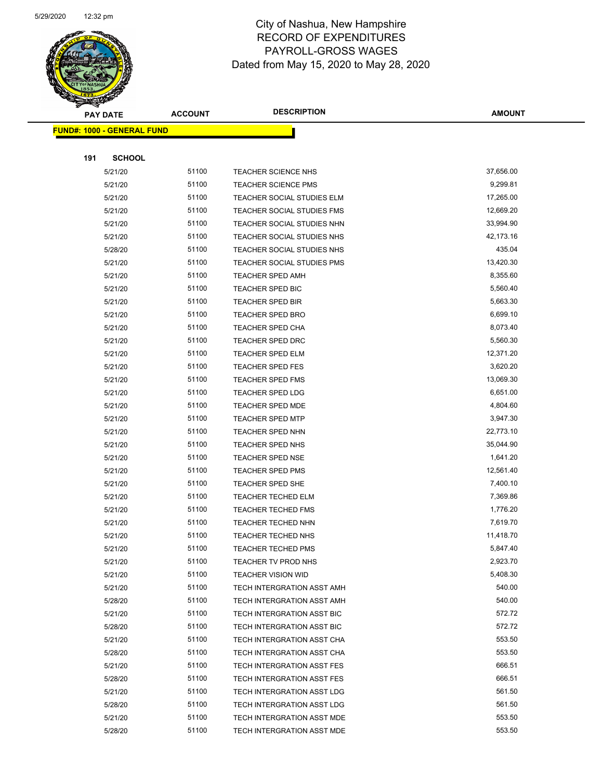

Page 62 of 81

|     | <b>PAY DATE</b>                   | <b>ACCOUNT</b> | <b>DESCRIPTION</b>         | <b>AMOUNT</b> |
|-----|-----------------------------------|----------------|----------------------------|---------------|
|     | <b>FUND#: 1000 - GENERAL FUND</b> |                |                            |               |
|     |                                   |                |                            |               |
| 191 | <b>SCHOOL</b>                     |                |                            |               |
|     | 5/21/20                           | 51100          | <b>TEACHER SCIENCE NHS</b> | 37,656.00     |
|     | 5/21/20                           | 51100          | <b>TEACHER SCIENCE PMS</b> | 9,299.81      |
|     | 5/21/20                           | 51100          | TEACHER SOCIAL STUDIES ELM | 17,265.00     |
|     | 5/21/20                           | 51100          | TEACHER SOCIAL STUDIES FMS | 12,669.20     |
|     | 5/21/20                           | 51100          | TEACHER SOCIAL STUDIES NHN | 33,994.90     |
|     | 5/21/20                           | 51100          | TEACHER SOCIAL STUDIES NHS | 42,173.16     |
|     | 5/28/20                           | 51100          | TEACHER SOCIAL STUDIES NHS | 435.04        |
|     | 5/21/20                           | 51100          | TEACHER SOCIAL STUDIES PMS | 13,420.30     |
|     | 5/21/20                           | 51100          | <b>TEACHER SPED AMH</b>    | 8,355.60      |
|     | 5/21/20                           | 51100          | <b>TEACHER SPED BIC</b>    | 5,560.40      |
|     | 5/21/20                           | 51100          | <b>TEACHER SPED BIR</b>    | 5,663.30      |
|     | 5/21/20                           | 51100          | <b>TEACHER SPED BRO</b>    | 6,699.10      |
|     | 5/21/20                           | 51100          | <b>TEACHER SPED CHA</b>    | 8,073.40      |
|     | 5/21/20                           | 51100          | <b>TEACHER SPED DRC</b>    | 5,560.30      |
|     | 5/21/20                           | 51100          | <b>TEACHER SPED ELM</b>    | 12,371.20     |
|     | 5/21/20                           | 51100          | TEACHER SPED FES           | 3,620.20      |
|     | 5/21/20                           | 51100          | <b>TEACHER SPED FMS</b>    | 13,069.30     |
|     | 5/21/20                           | 51100          | <b>TEACHER SPED LDG</b>    | 6,651.00      |
|     | 5/21/20                           | 51100          | <b>TEACHER SPED MDE</b>    | 4,804.60      |
|     | 5/21/20                           | 51100          | TEACHER SPED MTP           | 3,947.30      |
|     | 5/21/20                           | 51100          | TEACHER SPED NHN           | 22,773.10     |
|     | 5/21/20                           | 51100          | <b>TEACHER SPED NHS</b>    | 35,044.90     |
|     | 5/21/20                           | 51100          | <b>TEACHER SPED NSE</b>    | 1,641.20      |
|     | 5/21/20                           | 51100          | <b>TEACHER SPED PMS</b>    | 12,561.40     |
|     | 5/21/20                           | 51100          | TEACHER SPED SHE           | 7,400.10      |
|     | 5/21/20                           | 51100          | TEACHER TECHED ELM         | 7,369.86      |
|     | 5/21/20                           | 51100          | <b>TEACHER TECHED FMS</b>  | 1,776.20      |
|     | 5/21/20                           | 51100          | <b>TEACHER TECHED NHN</b>  | 7,619.70      |
|     | 5/21/20                           | 51100          | <b>TEACHER TECHED NHS</b>  | 11,418.70     |
|     | 5/21/20                           | 51100          | <b>TEACHER TECHED PMS</b>  | 5,847.40      |
|     | 5/21/20                           | 51100          | TEACHER TV PROD NHS        | 2,923.70      |
|     | 5/21/20                           | 51100          | <b>TEACHER VISION WID</b>  | 5,408.30      |
|     | 5/21/20                           | 51100          | TECH INTERGRATION ASST AMH | 540.00        |
|     | 5/28/20                           | 51100          | TECH INTERGRATION ASST AMH | 540.00        |
|     | 5/21/20                           | 51100          | TECH INTERGRATION ASST BIC | 572.72        |
|     | 5/28/20                           | 51100          | TECH INTERGRATION ASST BIC | 572.72        |
|     | 5/21/20                           | 51100          | TECH INTERGRATION ASST CHA | 553.50        |
|     | 5/28/20                           | 51100          | TECH INTERGRATION ASST CHA | 553.50        |
|     | 5/21/20                           | 51100          | TECH INTERGRATION ASST FES | 666.51        |
|     | 5/28/20                           | 51100          | TECH INTERGRATION ASST FES | 666.51        |
|     | 5/21/20                           | 51100          | TECH INTERGRATION ASST LDG | 561.50        |
|     | 5/28/20                           | 51100          | TECH INTERGRATION ASST LDG | 561.50        |
|     | 5/21/20                           | 51100          | TECH INTERGRATION ASST MDE | 553.50        |
|     | 5/28/20                           | 51100          | TECH INTERGRATION ASST MDE | 553.50        |
|     |                                   |                |                            |               |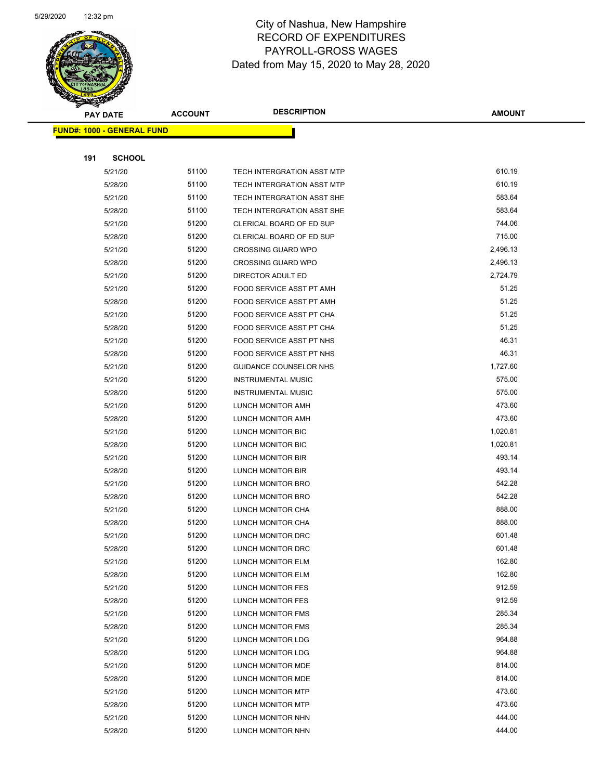

Page 63 of 81

| <b>PAY DATE</b>                   | <b>ACCOUNT</b> | <b>DESCRIPTION</b>                            | <b>AMOUNT</b>    |
|-----------------------------------|----------------|-----------------------------------------------|------------------|
| <b>FUND#: 1000 - GENERAL FUND</b> |                |                                               |                  |
|                                   |                |                                               |                  |
| 191<br><b>SCHOOL</b>              |                |                                               |                  |
| 5/21/20                           | 51100          | <b>TECH INTERGRATION ASST MTP</b>             | 610.19           |
| 5/28/20                           | 51100          | <b>TECH INTERGRATION ASST MTP</b>             | 610.19           |
| 5/21/20                           | 51100          | TECH INTERGRATION ASST SHE                    | 583.64           |
| 5/28/20                           | 51100          | TECH INTERGRATION ASST SHE                    | 583.64           |
| 5/21/20                           | 51200          | <b>CLERICAL BOARD OF ED SUP</b>               | 744.06           |
| 5/28/20                           | 51200          | CLERICAL BOARD OF ED SUP                      | 715.00           |
| 5/21/20                           | 51200          | <b>CROSSING GUARD WPO</b>                     | 2,496.13         |
| 5/28/20                           | 51200          | <b>CROSSING GUARD WPO</b>                     | 2,496.13         |
| 5/21/20                           | 51200          | DIRECTOR ADULT ED                             | 2,724.79         |
| 5/21/20                           | 51200          | FOOD SERVICE ASST PT AMH                      | 51.25            |
| 5/28/20                           | 51200          | FOOD SERVICE ASST PT AMH                      | 51.25            |
| 5/21/20                           | 51200          | FOOD SERVICE ASST PT CHA                      | 51.25            |
| 5/28/20                           | 51200          | FOOD SERVICE ASST PT CHA                      | 51.25            |
| 5/21/20                           | 51200          | FOOD SERVICE ASST PT NHS                      | 46.31            |
| 5/28/20                           | 51200          | FOOD SERVICE ASST PT NHS                      | 46.31            |
| 5/21/20                           | 51200          | GUIDANCE COUNSELOR NHS                        | 1,727.60         |
| 5/21/20                           | 51200          | <b>INSTRUMENTAL MUSIC</b>                     | 575.00           |
| 5/28/20                           | 51200          | <b>INSTRUMENTAL MUSIC</b>                     | 575.00           |
| 5/21/20                           | 51200          | LUNCH MONITOR AMH                             | 473.60           |
| 5/28/20                           | 51200          | LUNCH MONITOR AMH                             | 473.60           |
| 5/21/20                           | 51200          | LUNCH MONITOR BIC                             | 1,020.81         |
| 5/28/20                           | 51200          | LUNCH MONITOR BIC                             | 1,020.81         |
| 5/21/20                           | 51200          | LUNCH MONITOR BIR                             | 493.14           |
| 5/28/20                           | 51200          | LUNCH MONITOR BIR                             | 493.14           |
| 5/21/20                           | 51200          | LUNCH MONITOR BRO                             | 542.28           |
| 5/28/20                           | 51200          | LUNCH MONITOR BRO                             | 542.28           |
| 5/21/20                           | 51200          | LUNCH MONITOR CHA                             | 888.00           |
| 5/28/20                           | 51200          | LUNCH MONITOR CHA                             | 888.00           |
| 5/21/20                           | 51200          | LUNCH MONITOR DRC                             | 601.48           |
| 5/28/20                           | 51200<br>51200 | LUNCH MONITOR DRC<br><b>LUNCH MONITOR ELM</b> | 601.48<br>162.80 |
| 5/21/20<br>5/28/20                | 51200          | LUNCH MONITOR ELM                             | 162.80           |
| 5/21/20                           | 51200          | LUNCH MONITOR FES                             | 912.59           |
| 5/28/20                           | 51200          | LUNCH MONITOR FES                             | 912.59           |
| 5/21/20                           | 51200          | LUNCH MONITOR FMS                             | 285.34           |
| 5/28/20                           | 51200          | <b>LUNCH MONITOR FMS</b>                      | 285.34           |
| 5/21/20                           | 51200          | LUNCH MONITOR LDG                             | 964.88           |
| 5/28/20                           | 51200          | LUNCH MONITOR LDG                             | 964.88           |
| 5/21/20                           | 51200          | LUNCH MONITOR MDE                             | 814.00           |
| 5/28/20                           | 51200          | LUNCH MONITOR MDE                             | 814.00           |
| 5/21/20                           | 51200          | LUNCH MONITOR MTP                             | 473.60           |
| 5/28/20                           | 51200          | LUNCH MONITOR MTP                             | 473.60           |
| 5/21/20                           | 51200          | LUNCH MONITOR NHN                             | 444.00           |
| 5/28/20                           | 51200          | LUNCH MONITOR NHN                             | 444.00           |
|                                   |                |                                               |                  |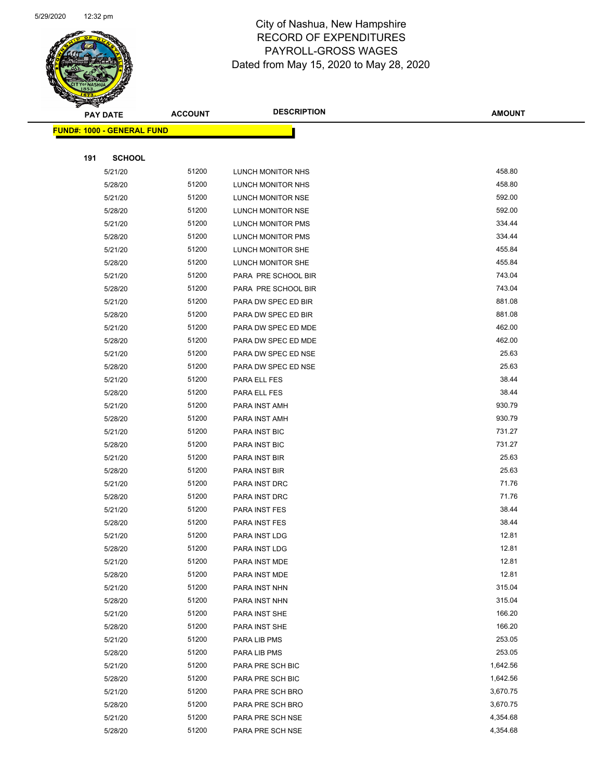

| <b>PAY DATE</b>                    | <b>ACCOUNT</b> | <b>DESCRIPTION</b>       | <b>AMOUNT</b> |
|------------------------------------|----------------|--------------------------|---------------|
| <u> FUND#: 1000 - GENERAL FUND</u> |                |                          |               |
|                                    |                |                          |               |
| <b>SCHOOL</b><br>191               |                |                          |               |
| 5/21/20                            | 51200          | LUNCH MONITOR NHS        | 458.80        |
| 5/28/20                            | 51200          | LUNCH MONITOR NHS        | 458.80        |
| 5/21/20                            | 51200          | LUNCH MONITOR NSE        | 592.00        |
| 5/28/20                            | 51200          | LUNCH MONITOR NSE        | 592.00        |
| 5/21/20                            | 51200          | LUNCH MONITOR PMS        | 334.44        |
| 5/28/20                            | 51200          | <b>LUNCH MONITOR PMS</b> | 334.44        |
| 5/21/20                            | 51200          | LUNCH MONITOR SHE        | 455.84        |
| 5/28/20                            | 51200          | LUNCH MONITOR SHE        | 455.84        |
| 5/21/20                            | 51200          | PARA PRE SCHOOL BIR      | 743.04        |
| 5/28/20                            | 51200          | PARA PRE SCHOOL BIR      | 743.04        |
| 5/21/20                            | 51200          | PARA DW SPEC ED BIR      | 881.08        |
| 5/28/20                            | 51200          | PARA DW SPEC ED BIR      | 881.08        |
| 5/21/20                            | 51200          | PARA DW SPEC ED MDE      | 462.00        |
| 5/28/20                            | 51200          | PARA DW SPEC ED MDE      | 462.00        |
| 5/21/20                            | 51200          | PARA DW SPEC ED NSE      | 25.63         |
| 5/28/20                            | 51200          | PARA DW SPEC ED NSE      | 25.63         |
| 5/21/20                            | 51200          | PARA ELL FES             | 38.44         |
| 5/28/20                            | 51200          | PARA ELL FES             | 38.44         |
| 5/21/20                            | 51200          | PARA INST AMH            | 930.79        |
| 5/28/20                            | 51200          | PARA INST AMH            | 930.79        |
| 5/21/20                            | 51200          | PARA INST BIC            | 731.27        |
| 5/28/20                            | 51200          | PARA INST BIC            | 731.27        |
| 5/21/20                            | 51200          | PARA INST BIR            | 25.63         |
| 5/28/20                            | 51200          | PARA INST BIR            | 25.63         |
| 5/21/20                            | 51200          | PARA INST DRC            | 71.76         |
| 5/28/20                            | 51200          | PARA INST DRC            | 71.76         |
| 5/21/20                            | 51200          | PARA INST FES            | 38.44         |
| 5/28/20                            | 51200          | PARA INST FES            | 38.44         |
| 5/21/20                            | 51200          | PARA INST LDG            | 12.81         |
| 5/28/20                            | 51200          | PARA INST LDG            | 12.81         |
| 5/21/20                            | 51200          | PARA INST MDE            | 12.81         |
| 5/28/20                            | 51200          | PARA INST MDE            | 12.81         |
| 5/21/20                            | 51200          | PARA INST NHN            | 315.04        |
| 5/28/20                            | 51200          | PARA INST NHN            | 315.04        |
| 5/21/20                            | 51200          | PARA INST SHE            | 166.20        |
| 5/28/20                            | 51200          | PARA INST SHE            | 166.20        |
| 5/21/20                            | 51200          | PARA LIB PMS             | 253.05        |
| 5/28/20                            | 51200          | PARA LIB PMS             | 253.05        |
| 5/21/20                            | 51200          | PARA PRE SCH BIC         | 1,642.56      |
| 5/28/20                            | 51200          | PARA PRE SCH BIC         | 1,642.56      |
| 5/21/20                            | 51200          | PARA PRE SCH BRO         | 3,670.75      |
| 5/28/20                            | 51200          | PARA PRE SCH BRO         | 3,670.75      |
| 5/21/20                            | 51200          | PARA PRE SCH NSE         | 4,354.68      |
| 5/28/20                            | 51200          | PARA PRE SCH NSE         | 4,354.68      |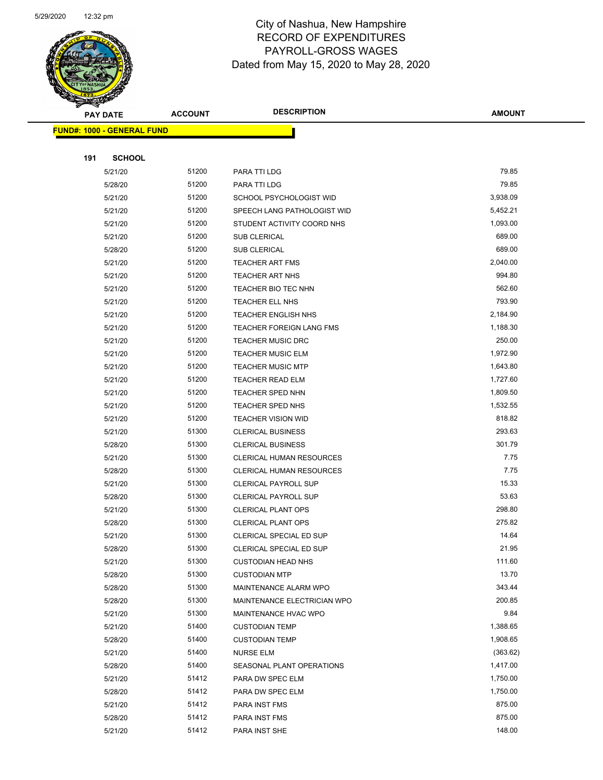

|     | <b>PAY DATE</b>                   | <b>ACCOUNT</b> | <b>DESCRIPTION</b>              | <b>AMOUNT</b> |
|-----|-----------------------------------|----------------|---------------------------------|---------------|
|     | <b>FUND#: 1000 - GENERAL FUND</b> |                |                                 |               |
|     |                                   |                |                                 |               |
| 191 | <b>SCHOOL</b>                     |                |                                 |               |
|     | 5/21/20                           | 51200          | PARA TTI LDG                    | 79.85         |
|     | 5/28/20                           | 51200          | PARA TTI LDG                    | 79.85         |
|     | 5/21/20                           | 51200          | SCHOOL PSYCHOLOGIST WID         | 3,938.09      |
|     | 5/21/20                           | 51200          | SPEECH LANG PATHOLOGIST WID     | 5,452.21      |
|     | 5/21/20                           | 51200          | STUDENT ACTIVITY COORD NHS      | 1,093.00      |
|     | 5/21/20                           | 51200          | <b>SUB CLERICAL</b>             | 689.00        |
|     | 5/28/20                           | 51200          | <b>SUB CLERICAL</b>             | 689.00        |
|     | 5/21/20                           | 51200          | <b>TEACHER ART FMS</b>          | 2,040.00      |
|     | 5/21/20                           | 51200          | <b>TEACHER ART NHS</b>          | 994.80        |
|     | 5/21/20                           | 51200          | TEACHER BIO TEC NHN             | 562.60        |
|     | 5/21/20                           | 51200          | TEACHER ELL NHS                 | 793.90        |
|     | 5/21/20                           | 51200          | <b>TEACHER ENGLISH NHS</b>      | 2,184.90      |
|     | 5/21/20                           | 51200          | <b>TEACHER FOREIGN LANG FMS</b> | 1,188.30      |
|     | 5/21/20                           | 51200          | <b>TEACHER MUSIC DRC</b>        | 250.00        |
|     | 5/21/20                           | 51200          | <b>TEACHER MUSIC ELM</b>        | 1,972.90      |
|     | 5/21/20                           | 51200          | <b>TEACHER MUSIC MTP</b>        | 1,643.80      |
|     | 5/21/20                           | 51200          | <b>TEACHER READ ELM</b>         | 1,727.60      |
|     | 5/21/20                           | 51200          | <b>TEACHER SPED NHN</b>         | 1,809.50      |
|     | 5/21/20                           | 51200          | TEACHER SPED NHS                | 1,532.55      |
|     | 5/21/20                           | 51200          | <b>TEACHER VISION WID</b>       | 818.82        |
|     | 5/21/20                           | 51300          | <b>CLERICAL BUSINESS</b>        | 293.63        |
|     | 5/28/20                           | 51300          | <b>CLERICAL BUSINESS</b>        | 301.79        |
|     | 5/21/20                           | 51300          | CLERICAL HUMAN RESOURCES        | 7.75          |
|     | 5/28/20                           | 51300          | <b>CLERICAL HUMAN RESOURCES</b> | 7.75          |
|     | 5/21/20                           | 51300          | <b>CLERICAL PAYROLL SUP</b>     | 15.33         |
|     | 5/28/20                           | 51300          | <b>CLERICAL PAYROLL SUP</b>     | 53.63         |
|     | 5/21/20                           | 51300          | <b>CLERICAL PLANT OPS</b>       | 298.80        |
|     | 5/28/20                           | 51300          | <b>CLERICAL PLANT OPS</b>       | 275.82        |
|     | 5/21/20                           | 51300          | CLERICAL SPECIAL ED SUP         | 14.64         |
|     | 5/28/20                           | 51300          | CLERICAL SPECIAL ED SUP         | 21.95         |
|     | 5/21/20                           | 51300          | <b>CUSTODIAN HEAD NHS</b>       | 111.60        |
|     | 5/28/20                           | 51300          | <b>CUSTODIAN MTP</b>            | 13.70         |
|     | 5/28/20                           | 51300          | MAINTENANCE ALARM WPO           | 343.44        |
|     | 5/28/20                           | 51300          | MAINTENANCE ELECTRICIAN WPO     | 200.85        |
|     | 5/21/20                           | 51300          | MAINTENANCE HVAC WPO            | 9.84          |
|     | 5/21/20                           | 51400          | <b>CUSTODIAN TEMP</b>           | 1,388.65      |
|     | 5/28/20                           | 51400          | <b>CUSTODIAN TEMP</b>           | 1,908.65      |
|     | 5/21/20                           | 51400          | <b>NURSE ELM</b>                | (363.62)      |
|     | 5/28/20                           | 51400          | SEASONAL PLANT OPERATIONS       | 1,417.00      |
|     | 5/21/20                           | 51412          | PARA DW SPEC ELM                | 1,750.00      |
|     | 5/28/20                           | 51412          | PARA DW SPEC ELM                | 1,750.00      |
|     | 5/21/20                           | 51412          | PARA INST FMS                   | 875.00        |
|     | 5/28/20                           | 51412          | PARA INST FMS                   | 875.00        |
|     | 5/21/20                           | 51412          | PARA INST SHE                   | 148.00        |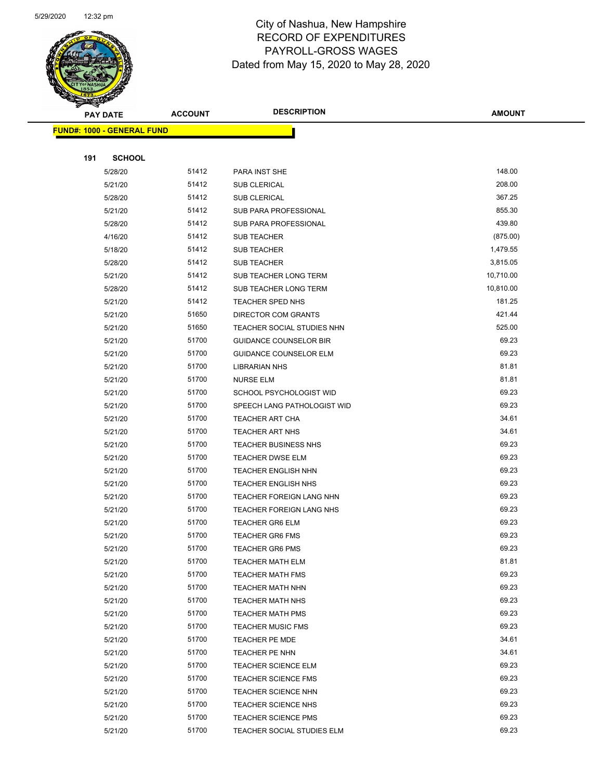

Page 66 of 81

| <b>PAY DATE</b>                   | <b>ACCOUNT</b> | <b>DESCRIPTION</b>            | <b>AMOUNT</b> |
|-----------------------------------|----------------|-------------------------------|---------------|
| <b>FUND#: 1000 - GENERAL FUND</b> |                |                               |               |
|                                   |                |                               |               |
| 191<br><b>SCHOOL</b>              |                |                               |               |
| 5/28/20                           | 51412          | PARA INST SHE                 | 148.00        |
| 5/21/20                           | 51412          | <b>SUB CLERICAL</b>           | 208.00        |
| 5/28/20                           | 51412          | <b>SUB CLERICAL</b>           | 367.25        |
| 5/21/20                           | 51412          | SUB PARA PROFESSIONAL         | 855.30        |
| 5/28/20                           | 51412          | SUB PARA PROFESSIONAL         | 439.80        |
| 4/16/20                           | 51412          | <b>SUB TEACHER</b>            | (875.00)      |
| 5/18/20                           | 51412          | <b>SUB TEACHER</b>            | 1,479.55      |
| 5/28/20                           | 51412          | <b>SUB TEACHER</b>            | 3,815.05      |
| 5/21/20                           | 51412          | SUB TEACHER LONG TERM         | 10,710.00     |
| 5/28/20                           | 51412          | SUB TEACHER LONG TERM         | 10,810.00     |
| 5/21/20                           | 51412          | TEACHER SPED NHS              | 181.25        |
| 5/21/20                           | 51650          | <b>DIRECTOR COM GRANTS</b>    | 421.44        |
| 5/21/20                           | 51650          | TEACHER SOCIAL STUDIES NHN    | 525.00        |
| 5/21/20                           | 51700          | <b>GUIDANCE COUNSELOR BIR</b> | 69.23         |
| 5/21/20                           | 51700          | <b>GUIDANCE COUNSELOR ELM</b> | 69.23         |
| 5/21/20                           | 51700          | <b>LIBRARIAN NHS</b>          | 81.81         |
| 5/21/20                           | 51700          | <b>NURSE ELM</b>              | 81.81         |
| 5/21/20                           | 51700          | SCHOOL PSYCHOLOGIST WID       | 69.23         |
| 5/21/20                           | 51700          | SPEECH LANG PATHOLOGIST WID   | 69.23         |
| 5/21/20                           | 51700          | <b>TEACHER ART CHA</b>        | 34.61         |
| 5/21/20                           | 51700          | <b>TEACHER ART NHS</b>        | 34.61         |
| 5/21/20                           | 51700          | TEACHER BUSINESS NHS          | 69.23         |
| 5/21/20                           | 51700          | <b>TEACHER DWSE ELM</b>       | 69.23         |
| 5/21/20                           | 51700          | <b>TEACHER ENGLISH NHN</b>    | 69.23         |
| 5/21/20                           | 51700          | <b>TEACHER ENGLISH NHS</b>    | 69.23         |
| 5/21/20                           | 51700          | TEACHER FOREIGN LANG NHN      | 69.23         |
| 5/21/20                           | 51700          | TEACHER FOREIGN LANG NHS      | 69.23         |
| 5/21/20                           | 51700          | <b>TEACHER GR6 ELM</b>        | 69.23         |
| 5/21/20                           | 51700          | <b>TEACHER GR6 FMS</b>        | 69.23         |
| 5/21/20                           | 51700          | <b>TEACHER GR6 PMS</b>        | 69.23         |
| 5/21/20                           | 51700          | <b>TEACHER MATH ELM</b>       | 81.81         |
| 5/21/20                           | 51700          | <b>TEACHER MATH FMS</b>       | 69.23         |
| 5/21/20                           | 51700          | <b>TEACHER MATH NHN</b>       | 69.23         |
| 5/21/20                           | 51700          | <b>TEACHER MATH NHS</b>       | 69.23         |
| 5/21/20                           | 51700          | TEACHER MATH PMS              | 69.23         |
| 5/21/20                           | 51700          | <b>TEACHER MUSIC FMS</b>      | 69.23         |
| 5/21/20                           | 51700          | TEACHER PE MDE                | 34.61         |
| 5/21/20                           | 51700          | TEACHER PE NHN                | 34.61         |
| 5/21/20                           | 51700          | <b>TEACHER SCIENCE ELM</b>    | 69.23         |
| 5/21/20                           | 51700          | <b>TEACHER SCIENCE FMS</b>    | 69.23         |
| 5/21/20                           | 51700          | <b>TEACHER SCIENCE NHN</b>    | 69.23         |
| 5/21/20                           | 51700          | TEACHER SCIENCE NHS           | 69.23         |
| 5/21/20                           | 51700          | TEACHER SCIENCE PMS           | 69.23         |
| 5/21/20                           | 51700          | TEACHER SOCIAL STUDIES ELM    | 69.23         |
|                                   |                |                               |               |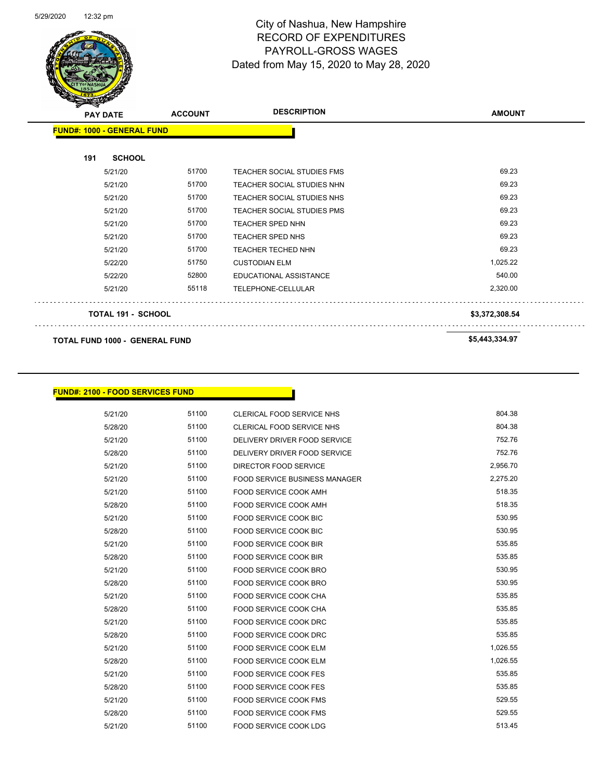$\ddotsc$ 



## City of Nashua, New Hampshire RECORD OF EXPENDITURES PAYROLL-GROSS WAGES Dated from May 15, 2020 to May 28, 2020

Page 67 of 81

| $\mathbf{z}$<br><b>PAY DATE</b>       | <b>ACCOUNT</b> | <b>DESCRIPTION</b>                | <b>AMOUNT</b>  |
|---------------------------------------|----------------|-----------------------------------|----------------|
| <b>FUND#: 1000 - GENERAL FUND</b>     |                |                                   |                |
| 191<br><b>SCHOOL</b>                  |                |                                   |                |
| 5/21/20                               | 51700          | <b>TEACHER SOCIAL STUDIES FMS</b> | 69.23          |
| 5/21/20                               | 51700          | TEACHER SOCIAL STUDIES NHN        | 69.23          |
| 5/21/20                               | 51700          | TEACHER SOCIAL STUDIES NHS        | 69.23          |
| 5/21/20                               | 51700          | <b>TEACHER SOCIAL STUDIES PMS</b> | 69.23          |
| 5/21/20                               | 51700          | <b>TEACHER SPED NHN</b>           | 69.23          |
| 5/21/20                               | 51700          | TEACHER SPED NHS                  | 69.23          |
| 5/21/20                               | 51700          | TEACHER TECHED NHN                | 69.23          |
| 5/22/20                               | 51750          | <b>CUSTODIAN ELM</b>              | 1,025.22       |
| 5/22/20                               | 52800          | <b>EDUCATIONAL ASSISTANCE</b>     | 540.00         |
| 5/21/20                               | 55118          | TELEPHONE-CELLULAR                | 2,320.00       |
| TOTAL 191 - SCHOOL                    |                |                                   | \$3,372,308.54 |
| <b>TOTAL FUND 1000 - GENERAL FUND</b> |                |                                   | \$5,443,334.97 |

#### **FUND#: 2100 - FOOD SERVICES FUND**

| 5/21/20 | 51100 | <b>CLERICAL FOOD SERVICE NHS</b>     | 804.38   |
|---------|-------|--------------------------------------|----------|
| 5/28/20 | 51100 | <b>CLERICAL FOOD SERVICE NHS</b>     | 804.38   |
| 5/21/20 | 51100 | DELIVERY DRIVER FOOD SERVICE         | 752.76   |
| 5/28/20 | 51100 | DELIVERY DRIVER FOOD SERVICE         | 752.76   |
| 5/21/20 | 51100 | DIRECTOR FOOD SERVICE                | 2,956.70 |
| 5/21/20 | 51100 | <b>FOOD SERVICE BUSINESS MANAGER</b> | 2,275.20 |
| 5/21/20 | 51100 | <b>FOOD SERVICE COOK AMH</b>         | 518.35   |
| 5/28/20 | 51100 | <b>FOOD SERVICE COOK AMH</b>         | 518.35   |
| 5/21/20 | 51100 | <b>FOOD SERVICE COOK BIC</b>         | 530.95   |
| 5/28/20 | 51100 | <b>FOOD SERVICE COOK BIC</b>         | 530.95   |
| 5/21/20 | 51100 | <b>FOOD SERVICE COOK BIR</b>         | 535.85   |
| 5/28/20 | 51100 | <b>FOOD SERVICE COOK BIR</b>         | 535.85   |
| 5/21/20 | 51100 | FOOD SERVICE COOK BRO                | 530.95   |
| 5/28/20 | 51100 | <b>FOOD SERVICE COOK BRO</b>         | 530.95   |
| 5/21/20 | 51100 | <b>FOOD SERVICE COOK CHA</b>         | 535.85   |
| 5/28/20 | 51100 | <b>FOOD SERVICE COOK CHA</b>         | 535.85   |
| 5/21/20 | 51100 | FOOD SERVICE COOK DRC                | 535.85   |
| 5/28/20 | 51100 | <b>FOOD SERVICE COOK DRC</b>         | 535.85   |
| 5/21/20 | 51100 | <b>FOOD SERVICE COOK ELM</b>         | 1,026.55 |
| 5/28/20 | 51100 | <b>FOOD SERVICE COOK ELM</b>         | 1,026.55 |
| 5/21/20 | 51100 | <b>FOOD SERVICE COOK FES</b>         | 535.85   |
| 5/28/20 | 51100 | <b>FOOD SERVICE COOK FES</b>         | 535.85   |
| 5/21/20 | 51100 | <b>FOOD SERVICE COOK FMS</b>         | 529.55   |
| 5/28/20 | 51100 | <b>FOOD SERVICE COOK FMS</b>         | 529.55   |
| 5/21/20 | 51100 | <b>FOOD SERVICE COOK LDG</b>         | 513.45   |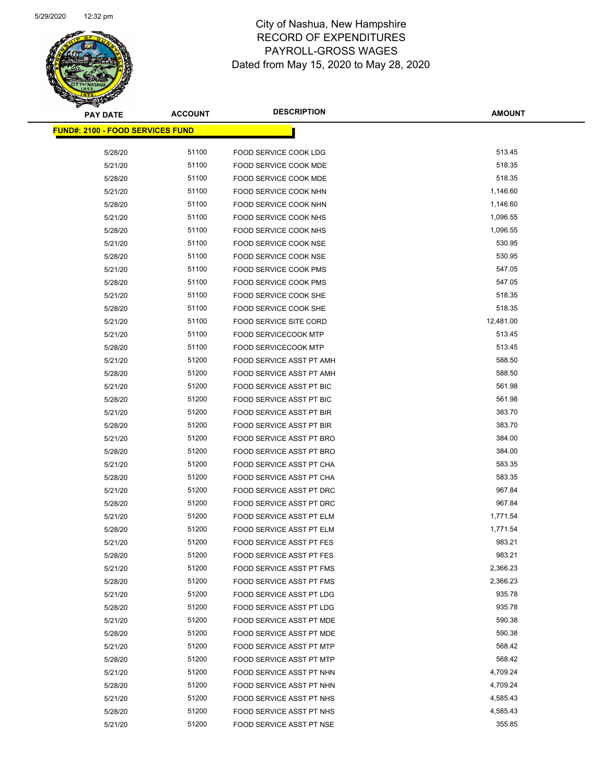Page 68 of 81

| <b>PAY DATE</b>                         | <b>ACCOUNT</b> | <b>DESCRIPTION</b>                                   | <b>AMOUNT</b>        |
|-----------------------------------------|----------------|------------------------------------------------------|----------------------|
| <b>FUND#: 2100 - FOOD SERVICES FUND</b> |                |                                                      |                      |
| 5/28/20                                 | 51100          | FOOD SERVICE COOK LDG                                | 513.45               |
| 5/21/20                                 | 51100          | FOOD SERVICE COOK MDE                                | 518.35               |
| 5/28/20                                 | 51100          | FOOD SERVICE COOK MDE                                | 518.35               |
| 5/21/20                                 | 51100          | FOOD SERVICE COOK NHN                                | 1,146.60             |
| 5/28/20                                 | 51100          | FOOD SERVICE COOK NHN                                | 1,146.60             |
| 5/21/20                                 | 51100          | <b>FOOD SERVICE COOK NHS</b>                         | 1,096.55             |
| 5/28/20                                 | 51100          | FOOD SERVICE COOK NHS                                | 1,096.55             |
| 5/21/20                                 | 51100          | <b>FOOD SERVICE COOK NSE</b>                         | 530.95               |
| 5/28/20                                 | 51100          | FOOD SERVICE COOK NSE                                | 530.95               |
| 5/21/20                                 | 51100          | FOOD SERVICE COOK PMS                                | 547.05               |
| 5/28/20                                 | 51100          | <b>FOOD SERVICE COOK PMS</b>                         | 547.05               |
| 5/21/20                                 | 51100          | FOOD SERVICE COOK SHE                                | 518.35               |
| 5/28/20                                 | 51100          | FOOD SERVICE COOK SHE                                | 518.35               |
| 5/21/20                                 | 51100          | <b>FOOD SERVICE SITE CORD</b>                        | 12,481.00            |
| 5/21/20                                 | 51100          | FOOD SERVICECOOK MTP                                 | 513.45               |
| 5/28/20                                 | 51100          | <b>FOOD SERVICECOOK MTP</b>                          | 513.45               |
| 5/21/20                                 | 51200          | FOOD SERVICE ASST PT AMH                             | 588.50               |
| 5/28/20                                 | 51200          | FOOD SERVICE ASST PT AMH                             | 588.50               |
| 5/21/20                                 | 51200          | <b>FOOD SERVICE ASST PT BIC</b>                      | 561.98               |
| 5/28/20                                 | 51200          | <b>FOOD SERVICE ASST PT BIC</b>                      | 561.98               |
| 5/21/20                                 | 51200          | <b>FOOD SERVICE ASST PT BIR</b>                      | 383.70               |
| 5/28/20                                 | 51200          | FOOD SERVICE ASST PT BIR                             | 383.70               |
| 5/21/20                                 | 51200          | FOOD SERVICE ASST PT BRO                             | 384.00               |
| 5/28/20                                 | 51200          | FOOD SERVICE ASST PT BRO                             | 384.00               |
| 5/21/20                                 | 51200          | FOOD SERVICE ASST PT CHA                             | 583.35               |
| 5/28/20                                 | 51200          | FOOD SERVICE ASST PT CHA                             | 583.35               |
| 5/21/20                                 | 51200          | FOOD SERVICE ASST PT DRC                             | 967.84               |
| 5/28/20                                 | 51200          | FOOD SERVICE ASST PT DRC                             | 967.84               |
| 5/21/20                                 | 51200          | FOOD SERVICE ASST PT ELM                             | 1,771.54             |
| 5/28/20                                 | 51200          | <b>FOOD SERVICE ASST PT ELM</b>                      | 1,771.54             |
| 5/21/20                                 | 51200          | <b>FOOD SERVICE ASST PT FES</b>                      | 983.21               |
| 5/28/20                                 | 51200          | <b>FOOD SERVICE ASST PT FES</b>                      | 983.21               |
| 5/21/20                                 | 51200          | FOOD SERVICE ASST PT FMS                             | 2,366.23             |
| 5/28/20                                 | 51200          | FOOD SERVICE ASST PT FMS                             | 2,366.23             |
| 5/21/20                                 | 51200          | <b>FOOD SERVICE ASST PT LDG</b>                      | 935.78               |
| 5/28/20                                 | 51200          | FOOD SERVICE ASST PT LDG                             | 935.78               |
| 5/21/20                                 | 51200          | FOOD SERVICE ASST PT MDE                             | 590.38               |
| 5/28/20                                 | 51200          | FOOD SERVICE ASST PT MDE                             | 590.38               |
| 5/21/20                                 | 51200<br>51200 | FOOD SERVICE ASST PT MTP                             | 568.42<br>568.42     |
| 5/28/20                                 |                | FOOD SERVICE ASST PT MTP                             |                      |
| 5/21/20                                 | 51200<br>51200 | FOOD SERVICE ASST PT NHN<br>FOOD SERVICE ASST PT NHN | 4,709.24<br>4,709.24 |
| 5/28/20                                 | 51200          | FOOD SERVICE ASST PT NHS                             | 4,585.43             |
| 5/21/20<br>5/28/20                      | 51200          | FOOD SERVICE ASST PT NHS                             | 4,585.43             |
| 5/21/20                                 | 51200          | FOOD SERVICE ASST PT NSE                             | 355.85               |
|                                         |                |                                                      |                      |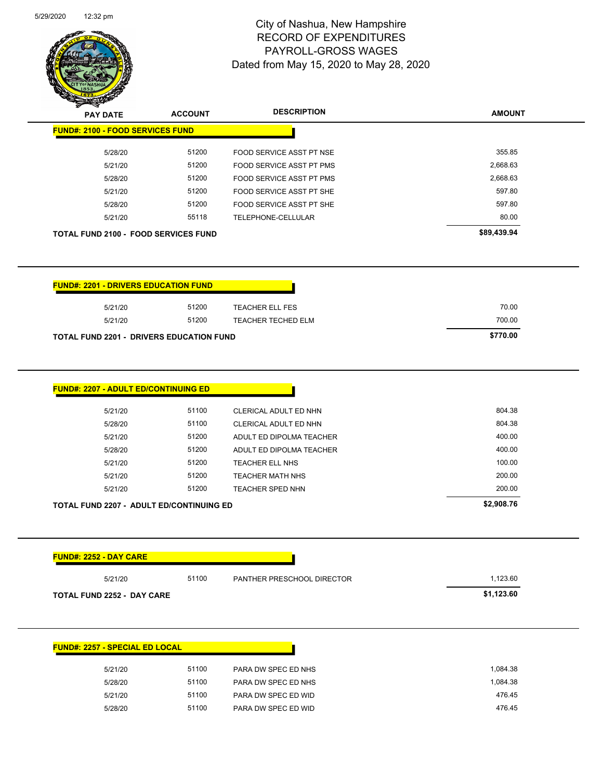

Page 69 of 81

| <b>PAY DATE</b>                                                                                                                                                                      | <b>ACCOUNT</b> | <b>DESCRIPTION</b>                         | <b>AMOUNT</b>    |
|--------------------------------------------------------------------------------------------------------------------------------------------------------------------------------------|----------------|--------------------------------------------|------------------|
| <b>FUND#: 2100 - FOOD SERVICES FUND</b>                                                                                                                                              |                |                                            |                  |
| 5/28/20                                                                                                                                                                              | 51200          | <b>FOOD SERVICE ASST PT NSE</b>            | 355.85           |
| 5/21/20                                                                                                                                                                              | 51200          | FOOD SERVICE ASST PT PMS                   | 2,668.63         |
| 5/28/20                                                                                                                                                                              | 51200          | FOOD SERVICE ASST PT PMS                   | 2,668.63         |
| 5/21/20                                                                                                                                                                              | 51200          | FOOD SERVICE ASST PT SHE                   | 597.80           |
| 5/28/20                                                                                                                                                                              | 51200          | FOOD SERVICE ASST PT SHE                   | 597.80           |
| 5/21/20                                                                                                                                                                              | 55118          | TELEPHONE-CELLULAR                         | 80.00            |
| <b>TOTAL FUND 2100 - FOOD SERVICES FUND</b>                                                                                                                                          |                |                                            | \$89,439.94      |
| <b>FUND#: 2201 - DRIVERS EDUCATION FUND</b>                                                                                                                                          |                |                                            |                  |
| 5/21/20                                                                                                                                                                              | 51200          | <b>TEACHER ELL FES</b>                     | 70.00            |
| 5/21/20                                                                                                                                                                              | 51200          | TEACHER TECHED ELM                         | 700.00           |
| <b>TOTAL FUND 2201 - DRIVERS EDUCATION FUND</b>                                                                                                                                      |                |                                            | \$770.00         |
|                                                                                                                                                                                      |                |                                            |                  |
| <b>FUND#: 2207 - ADULT ED/CONTINUING ED</b>                                                                                                                                          |                |                                            |                  |
| 5/21/20                                                                                                                                                                              | 51100          | CLERICAL ADULT ED NHN                      | 804.38           |
| 5/28/20                                                                                                                                                                              | 51100          | CLERICAL ADULT ED NHN                      | 804.38           |
| 5/21/20                                                                                                                                                                              | 51200          | ADULT ED DIPOLMA TEACHER                   | 400.00           |
| 5/28/20                                                                                                                                                                              | 51200          | ADULT ED DIPOLMA TEACHER                   | 400.00           |
| 5/21/20                                                                                                                                                                              | 51200          | TEACHER ELL NHS                            | 100.00           |
| 5/21/20                                                                                                                                                                              | 51200          | <b>TEACHER MATH NHS</b>                    | 200.00           |
|                                                                                                                                                                                      | 51200          | <b>TEACHER SPED NHN</b>                    |                  |
| 5/21/20                                                                                                                                                                              |                |                                            | 200.00           |
|                                                                                                                                                                                      |                |                                            | \$2,908.76       |
|                                                                                                                                                                                      |                |                                            |                  |
|                                                                                                                                                                                      |                |                                            |                  |
| 5/21/20                                                                                                                                                                              | 51100          | PANTHER PRESCHOOL DIRECTOR                 | 1,123.60         |
|                                                                                                                                                                                      |                |                                            | \$1,123.60       |
|                                                                                                                                                                                      |                |                                            |                  |
|                                                                                                                                                                                      |                |                                            |                  |
| 5/21/20                                                                                                                                                                              | 51100          | PARA DW SPEC ED NHS                        | 1,084.38         |
| 5/28/20                                                                                                                                                                              | 51100          | PARA DW SPEC ED NHS                        | 1,084.38         |
| <b>TOTAL FUND 2207 - ADULT ED/CONTINUING ED</b><br><b>FUND#: 2252 - DAY CARE</b><br><b>TOTAL FUND 2252 - DAY CARE</b><br><b>FUND#: 2257 - SPECIAL ED LOCAL</b><br>5/21/20<br>5/28/20 | 51100<br>51100 | PARA DW SPEC ED WID<br>PARA DW SPEC ED WID | 476.45<br>476.45 |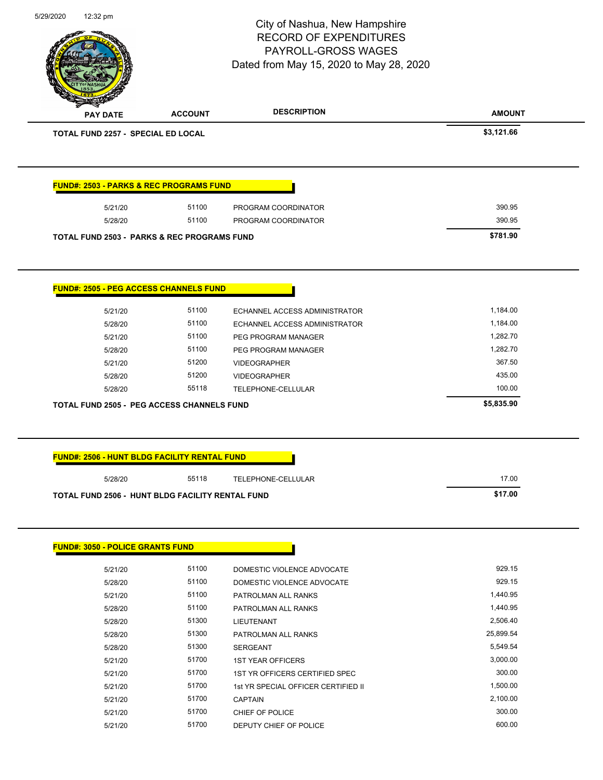|                                                                                                                                                                         |                | PAYROLL-GROSS WAGES                     |                    |
|-------------------------------------------------------------------------------------------------------------------------------------------------------------------------|----------------|-----------------------------------------|--------------------|
|                                                                                                                                                                         |                | Dated from May 15, 2020 to May 28, 2020 |                    |
| <b>PAY DATE</b>                                                                                                                                                         | <b>ACCOUNT</b> | <b>DESCRIPTION</b>                      | <b>AMOUNT</b>      |
| TOTAL FUND 2257 - SPECIAL ED LOCAL                                                                                                                                      |                |                                         | \$3,121.66         |
|                                                                                                                                                                         |                |                                         |                    |
| <b>FUND#: 2503 - PARKS &amp; REC PROGRAMS FUND</b>                                                                                                                      |                |                                         |                    |
| 5/21/20                                                                                                                                                                 | 51100          | PROGRAM COORDINATOR                     | 390.95             |
| 5/28/20                                                                                                                                                                 | 51100          | PROGRAM COORDINATOR                     | 390.95             |
| <b>TOTAL FUND 2503 - PARKS &amp; REC PROGRAMS FUND</b>                                                                                                                  |                |                                         | \$781.90           |
| <b>FUND#: 2505 - PEG ACCESS CHANNELS FUND</b>                                                                                                                           |                |                                         |                    |
| 5/21/20                                                                                                                                                                 | 51100          | ECHANNEL ACCESS ADMINISTRATOR           | 1,184.00           |
| 5/28/20                                                                                                                                                                 | 51100          | ECHANNEL ACCESS ADMINISTRATOR           | 1,184.00           |
| 5/21/20                                                                                                                                                                 | 51100          | PEG PROGRAM MANAGER                     | 1,282.70           |
| 5/28/20                                                                                                                                                                 | 51100          | PEG PROGRAM MANAGER                     | 1,282.70           |
| 5/21/20                                                                                                                                                                 | 51200          | <b>VIDEOGRAPHER</b>                     | 367.50             |
|                                                                                                                                                                         |                |                                         |                    |
| 5/28/20                                                                                                                                                                 | 51200          | <b>VIDEOGRAPHER</b>                     | 435.00             |
| 5/28/20                                                                                                                                                                 | 55118          | TELEPHONE-CELLULAR                      | 100.00             |
|                                                                                                                                                                         |                |                                         | \$5,835.90         |
|                                                                                                                                                                         |                |                                         |                    |
|                                                                                                                                                                         |                |                                         |                    |
| <b>TOTAL FUND 2505 - PEG ACCESS CHANNELS FUND</b><br><b>FUND#: 2506 - HUNT BLDG FACILITY RENTAL FUND</b><br>5/28/20<br>TOTAL FUND 2506 - HUNT BLDG FACILITY RENTAL FUND | 55118          | TELEPHONE-CELLULAR                      | 17.00<br>\$17.00   |
| <b>FUND#: 3050 - POLICE GRANTS FUND</b>                                                                                                                                 |                |                                         |                    |
| 5/21/20                                                                                                                                                                 | 51100          | DOMESTIC VIOLENCE ADVOCATE              | 929.15             |
| 5/28/20                                                                                                                                                                 | 51100          | DOMESTIC VIOLENCE ADVOCATE              | 929.15             |
| 5/21/20                                                                                                                                                                 | 51100          | PATROLMAN ALL RANKS                     | 1,440.95           |
| 5/28/20                                                                                                                                                                 | 51100          | PATROLMAN ALL RANKS                     | 1,440.95           |
| 5/28/20                                                                                                                                                                 | 51300          | LIEUTENANT                              | 2,506.40           |
| 5/28/20                                                                                                                                                                 | 51300          | PATROLMAN ALL RANKS                     | 25,899.54          |
| 5/28/20                                                                                                                                                                 | 51300          | <b>SERGEANT</b>                         | 5,549.54           |
| 5/21/20                                                                                                                                                                 | 51700          | <b>1ST YEAR OFFICERS</b>                | 3,000.00           |
| 5/21/20                                                                                                                                                                 | 51700          | 1ST YR OFFICERS CERTIFIED SPEC          | 300.00             |
| 5/21/20                                                                                                                                                                 | 51700          | 1st YR SPECIAL OFFICER CERTIFIED II     | 1,500.00           |
| 5/21/20                                                                                                                                                                 | 51700<br>51700 | <b>CAPTAIN</b><br>CHIEF OF POLICE       | 2,100.00<br>300.00 |

5/29/2020 12:32 pm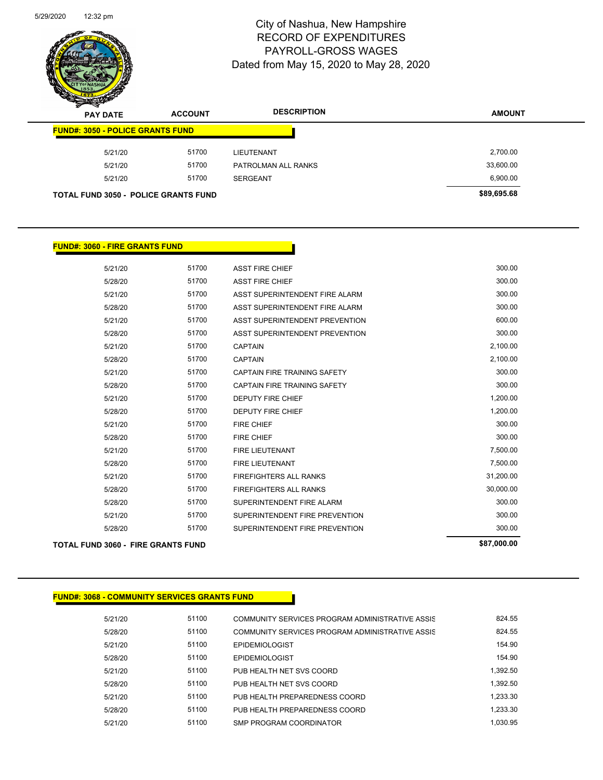

Page 71 of 81

| $\mathscr{D} \mathscr{A}$<br><b>PAY DATE</b> | <b>ACCOUNT</b> | <b>DESCRIPTION</b>  | <b>AMOUNT</b> |
|----------------------------------------------|----------------|---------------------|---------------|
| <b>FUND#: 3050 - POLICE GRANTS FUND</b>      |                |                     |               |
| 5/21/20                                      | 51700          | LIEUTENANT          | 2,700.00      |
| 5/21/20                                      | 51700          | PATROLMAN ALL RANKS | 33,600.00     |
| 5/21/20                                      | 51700          | <b>SERGEANT</b>     | 6,900.00      |
| <b>TOTAL FUND 3050 - POLICE GRANTS FUND</b>  |                |                     | \$89,695.68   |

#### **FUND#: 3060 - FIRE GRANTS FUND**

|         | TOTAL FUND 3060 - FIRE GRANTS FUND |                                     | \$87,000.00 |
|---------|------------------------------------|-------------------------------------|-------------|
| 5/28/20 | 51700                              | SUPERINTENDENT FIRE PREVENTION      | 300.00      |
| 5/21/20 | 51700                              | SUPERINTENDENT FIRE PREVENTION      | 300.00      |
| 5/28/20 | 51700                              | SUPERINTENDENT FIRE ALARM           | 300.00      |
| 5/28/20 | 51700                              | <b>FIREFIGHTERS ALL RANKS</b>       | 30,000.00   |
| 5/21/20 | 51700                              | <b>FIREFIGHTERS ALL RANKS</b>       | 31,200.00   |
| 5/28/20 | 51700                              | <b>FIRE LIEUTENANT</b>              | 7,500.00    |
| 5/21/20 | 51700                              | <b>FIRE LIEUTENANT</b>              | 7,500.00    |
| 5/28/20 | 51700                              | <b>FIRE CHIEF</b>                   | 300.00      |
| 5/21/20 | 51700                              | <b>FIRE CHIEF</b>                   | 300.00      |
| 5/28/20 | 51700                              | <b>DEPUTY FIRE CHIEF</b>            | 1,200.00    |
| 5/21/20 | 51700                              | <b>DEPUTY FIRE CHIEF</b>            | 1,200.00    |
| 5/28/20 | 51700                              | <b>CAPTAIN FIRE TRAINING SAFETY</b> | 300.00      |
| 5/21/20 | 51700                              | CAPTAIN FIRE TRAINING SAFETY        | 300.00      |
| 5/28/20 | 51700                              | <b>CAPTAIN</b>                      | 2,100.00    |
| 5/21/20 | 51700                              | <b>CAPTAIN</b>                      | 2,100.00    |
| 5/28/20 | 51700                              | ASST SUPERINTENDENT PREVENTION      | 300.00      |
| 5/21/20 | 51700                              | ASST SUPERINTENDENT PREVENTION      | 600.00      |
| 5/28/20 | 51700                              | ASST SUPERINTENDENT FIRE ALARM      | 300.00      |
| 5/21/20 | 51700                              | ASST SUPERINTENDENT FIRE ALARM      | 300.00      |
| 5/28/20 | 51700                              | <b>ASST FIRE CHIEF</b>              | 300.00      |
| 5/21/20 | 51700                              | <b>ASST FIRE CHIEF</b>              | 300.00      |
|         |                                    |                                     |             |

#### **FUND#: 3068 - COMMUNITY SERVICES GRANTS FUND**

| 5/21/20 | 51100 | COMMUNITY SERVICES PROGRAM ADMINISTRATIVE ASSIS | 824.55   |
|---------|-------|-------------------------------------------------|----------|
| 5/28/20 | 51100 | COMMUNITY SERVICES PROGRAM ADMINISTRATIVE ASSIS | 824.55   |
| 5/21/20 | 51100 | <b>EPIDEMIOLOGIST</b>                           | 154.90   |
| 5/28/20 | 51100 | <b>EPIDEMIOLOGIST</b>                           | 154.90   |
| 5/21/20 | 51100 | PUB HEALTH NET SVS COORD                        | 1.392.50 |
| 5/28/20 | 51100 | PUB HEALTH NET SVS COORD                        | 1.392.50 |
| 5/21/20 | 51100 | PUB HEALTH PREPAREDNESS COORD                   | 1.233.30 |
| 5/28/20 | 51100 | PUB HEALTH PREPAREDNESS COORD                   | 1.233.30 |
| 5/21/20 | 51100 | SMP PROGRAM COORDINATOR                         | 1.030.95 |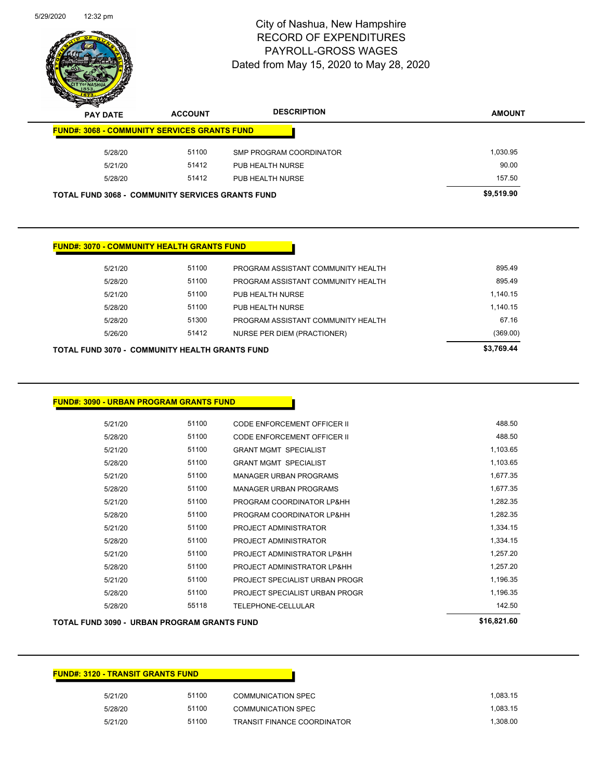

Page 72 of 81

| $\tilde{\phantom{a}}$<br>$\sim$<br><b>PAY DATE</b>      | <b>ACCOUNT</b> | <b>DESCRIPTION</b>      | <b>AMOUNT</b> |
|---------------------------------------------------------|----------------|-------------------------|---------------|
| <b>FUND#: 3068 - COMMUNITY SERVICES GRANTS FUND</b>     |                |                         |               |
| 5/28/20                                                 | 51100          | SMP PROGRAM COORDINATOR | 1,030.95      |
| 5/21/20                                                 | 51412          | PUB HEALTH NURSE        | 90.00         |
| 5/28/20                                                 | 51412          | PUB HEALTH NURSE        | 157.50        |
| <b>TOTAL FUND 3068 - COMMUNITY SERVICES GRANTS FUND</b> |                |                         | \$9,519.90    |

#### **FUND#: 3070 - COMMUNITY HEALTH GRANTS FUND**

| TOTAL FUND 3070 -  COMMUNITY HEALTH GRANTS FUND |       |                                    | \$3,769.44 |
|-------------------------------------------------|-------|------------------------------------|------------|
| 5/26/20                                         | 51412 | NURSE PER DIEM (PRACTIONER)        | (369.00)   |
| 5/28/20                                         | 51300 | PROGRAM ASSISTANT COMMUNITY HEALTH | 67.16      |
| 5/28/20                                         | 51100 | PUB HEALTH NURSE                   | 1.140.15   |
| 5/21/20                                         | 51100 | PUB HEALTH NURSE                   | 1.140.15   |
| 5/28/20                                         | 51100 | PROGRAM ASSISTANT COMMUNITY HEALTH | 895.49     |
| 5/21/20                                         | 51100 | PROGRAM ASSISTANT COMMUNITY HEALTH | 895.49     |
|                                                 |       |                                    |            |

#### **FUND#: 3090 - URBAN PROGRAM GRANTS FUND**

| 5/21/20 | 51100 | CODE ENFORCEMENT OFFICER II    | 488.50   |
|---------|-------|--------------------------------|----------|
| 5/28/20 | 51100 | CODE ENFORCEMENT OFFICER II    | 488.50   |
| 5/21/20 | 51100 | <b>GRANT MGMT SPECIALIST</b>   | 1,103.65 |
| 5/28/20 | 51100 | <b>GRANT MGMT SPECIALIST</b>   | 1,103.65 |
| 5/21/20 | 51100 | <b>MANAGER URBAN PROGRAMS</b>  | 1,677.35 |
| 5/28/20 | 51100 | <b>MANAGER URBAN PROGRAMS</b>  | 1.677.35 |
| 5/21/20 | 51100 | PROGRAM COORDINATOR LP&HH      | 1,282.35 |
| 5/28/20 | 51100 | PROGRAM COORDINATOR LP&HH      | 1,282.35 |
| 5/21/20 | 51100 | PROJECT ADMINISTRATOR          | 1,334.15 |
| 5/28/20 | 51100 | PROJECT ADMINISTRATOR          | 1,334.15 |
| 5/21/20 | 51100 | PROJECT ADMINISTRATOR LP&HH    | 1.257.20 |
| 5/28/20 | 51100 | PROJECT ADMINISTRATOR LP&HH    | 1,257.20 |
| 5/21/20 | 51100 | PROJECT SPECIALIST URBAN PROGR | 1,196.35 |
| 5/28/20 | 51100 | PROJECT SPECIALIST URBAN PROGR | 1,196.35 |
| 5/28/20 | 55118 | TELEPHONE-CELLULAR             | 142.50   |
|         |       |                                |          |

#### **TOTAL FUND 3090 - URBAN PROGRAM GRANTS FUND \$16,821.60**

| <b>FUND#: 3120 - TRANSIT GRANTS FUND</b> |       |                                    |          |
|------------------------------------------|-------|------------------------------------|----------|
| 5/21/20                                  | 51100 | <b>COMMUNICATION SPEC</b>          | 1,083.15 |
| 5/28/20                                  | 51100 | <b>COMMUNICATION SPEC</b>          | 1.083.15 |
| 5/21/20                                  | 51100 | <b>TRANSIT FINANCE COORDINATOR</b> | 1,308.00 |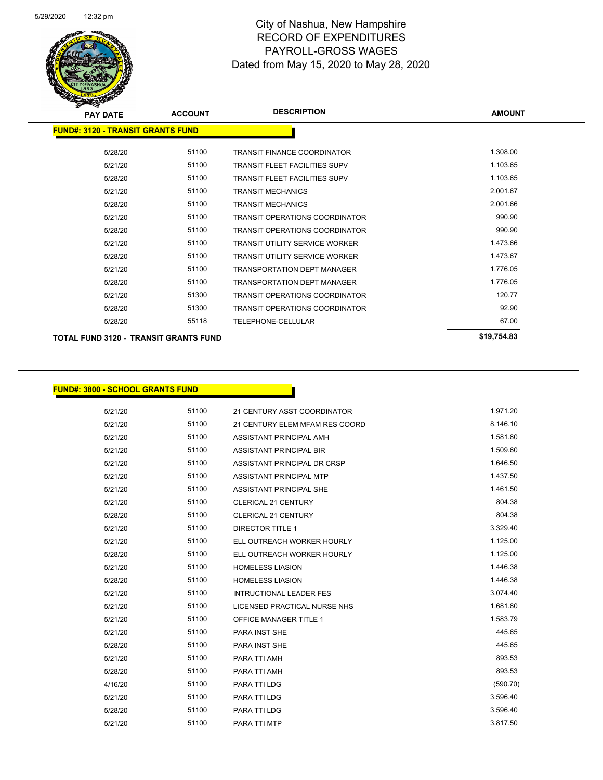

| <b>PAY DATE</b>                              | <b>ACCOUNT</b> | <b>DESCRIPTION</b>                    | <b>AMOUNT</b> |
|----------------------------------------------|----------------|---------------------------------------|---------------|
| <b>FUND#: 3120 - TRANSIT GRANTS FUND</b>     |                |                                       |               |
| 5/28/20                                      | 51100          | <b>TRANSIT FINANCE COORDINATOR</b>    | 1,308.00      |
| 5/21/20                                      | 51100          | TRANSIT FLEET FACILITIES SUPV         | 1,103.65      |
| 5/28/20                                      | 51100          | <b>TRANSIT FLEET FACILITIES SUPV</b>  | 1,103.65      |
| 5/21/20                                      | 51100          | <b>TRANSIT MECHANICS</b>              | 2,001.67      |
| 5/28/20                                      | 51100          | <b>TRANSIT MECHANICS</b>              | 2,001.66      |
| 5/21/20                                      | 51100          | <b>TRANSIT OPERATIONS COORDINATOR</b> | 990.90        |
| 5/28/20                                      | 51100          | TRANSIT OPERATIONS COORDINATOR        | 990.90        |
| 5/21/20                                      | 51100          | <b>TRANSIT UTILITY SERVICE WORKER</b> | 1,473.66      |
| 5/28/20                                      | 51100          | <b>TRANSIT UTILITY SERVICE WORKER</b> | 1,473.67      |
| 5/21/20                                      | 51100          | <b>TRANSPORTATION DEPT MANAGER</b>    | 1,776.05      |
| 5/28/20                                      | 51100          | <b>TRANSPORTATION DEPT MANAGER</b>    | 1,776.05      |
| 5/21/20                                      | 51300          | <b>TRANSIT OPERATIONS COORDINATOR</b> | 120.77        |
| 5/28/20                                      | 51300          | <b>TRANSIT OPERATIONS COORDINATOR</b> | 92.90         |
| 5/28/20                                      | 55118          | <b>TELEPHONE-CELLULAR</b>             | 67.00         |
| <b>TOTAL FUND 3120 - TRANSIT GRANTS FUND</b> |                |                                       | \$19,754.83   |

**FUND#: 3800 - SCHOOL GRANTS FUND**

| 5/21/20 | 51100 | 21 CENTURY ASST COORDINATOR    | 1,971.20 |
|---------|-------|--------------------------------|----------|
| 5/21/20 | 51100 | 21 CENTURY ELEM MFAM RES COORD | 8,146.10 |
| 5/21/20 | 51100 | ASSISTANT PRINCIPAL AMH        | 1,581.80 |
| 5/21/20 | 51100 | <b>ASSISTANT PRINCIPAL BIR</b> | 1,509.60 |
| 5/21/20 | 51100 | ASSISTANT PRINCIPAL DR CRSP    | 1,646.50 |
| 5/21/20 | 51100 | ASSISTANT PRINCIPAL MTP        | 1,437.50 |
| 5/21/20 | 51100 | ASSISTANT PRINCIPAL SHE        | 1,461.50 |
| 5/21/20 | 51100 | <b>CLERICAL 21 CENTURY</b>     | 804.38   |
| 5/28/20 | 51100 | <b>CLERICAL 21 CENTURY</b>     | 804.38   |
| 5/21/20 | 51100 | <b>DIRECTOR TITLE 1</b>        | 3,329.40 |
| 5/21/20 | 51100 | ELL OUTREACH WORKER HOURLY     | 1,125.00 |
| 5/28/20 | 51100 | ELL OUTREACH WORKER HOURLY     | 1,125.00 |
| 5/21/20 | 51100 | <b>HOMELESS LIASION</b>        | 1,446.38 |
| 5/28/20 | 51100 | <b>HOMELESS LIASION</b>        | 1,446.38 |
| 5/21/20 | 51100 | <b>INTRUCTIONAL LEADER FES</b> | 3,074.40 |
| 5/21/20 | 51100 | LICENSED PRACTICAL NURSE NHS   | 1,681.80 |
| 5/21/20 | 51100 | <b>OFFICE MANAGER TITLE 1</b>  | 1,583.79 |
| 5/21/20 | 51100 | <b>PARA INST SHE</b>           | 445.65   |
| 5/28/20 | 51100 | <b>PARA INST SHE</b>           | 445.65   |
| 5/21/20 | 51100 | PARA TTI AMH                   | 893.53   |
| 5/28/20 | 51100 | PARA TTI AMH                   | 893.53   |
| 4/16/20 | 51100 | PARA TTI LDG                   | (590.70) |
| 5/21/20 | 51100 | PARA TTI LDG                   | 3,596.40 |
| 5/28/20 | 51100 | <b>PARA TTI LDG</b>            | 3,596.40 |
| 5/21/20 | 51100 | PARA TTI MTP                   | 3,817.50 |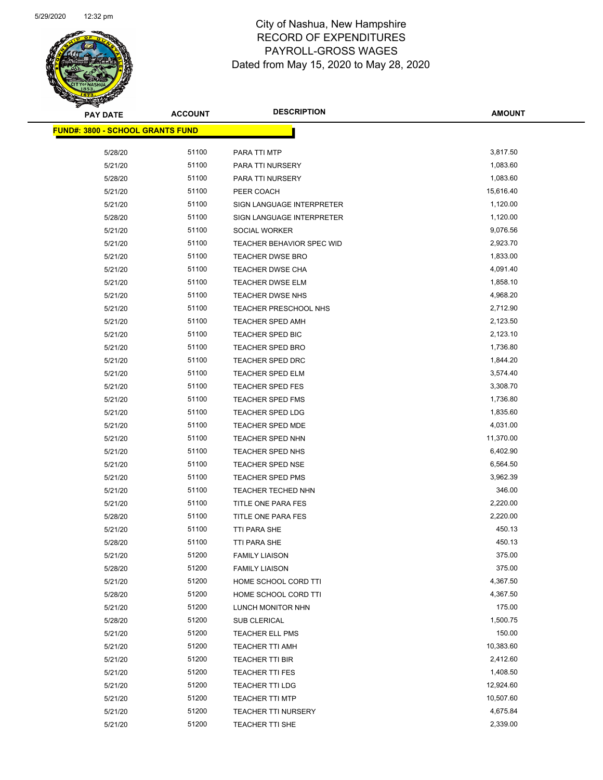

| <b>PAY DATE</b>                         | <b>ACCOUNT</b> | <b>DESCRIPTION</b>         | <b>AMOUNT</b> |
|-----------------------------------------|----------------|----------------------------|---------------|
| <b>FUND#: 3800 - SCHOOL GRANTS FUND</b> |                |                            |               |
| 5/28/20                                 | 51100          | PARA TTI MTP               | 3,817.50      |
| 5/21/20                                 | 51100          | PARA TTI NURSERY           | 1,083.60      |
|                                         | 51100          | PARA TTI NURSERY           | 1,083.60      |
| 5/28/20                                 | 51100          |                            | 15,616.40     |
| 5/21/20                                 | 51100          | PEER COACH                 | 1,120.00      |
| 5/21/20                                 |                | SIGN LANGUAGE INTERPRETER  |               |
| 5/28/20                                 | 51100          | SIGN LANGUAGE INTERPRETER  | 1,120.00      |
| 5/21/20                                 | 51100          | SOCIAL WORKER              | 9,076.56      |
| 5/21/20                                 | 51100          | TEACHER BEHAVIOR SPEC WID  | 2,923.70      |
| 5/21/20                                 | 51100          | <b>TEACHER DWSE BRO</b>    | 1,833.00      |
| 5/21/20                                 | 51100          | TEACHER DWSE CHA           | 4,091.40      |
| 5/21/20                                 | 51100          | <b>TEACHER DWSE ELM</b>    | 1,858.10      |
| 5/21/20                                 | 51100          | <b>TEACHER DWSE NHS</b>    | 4,968.20      |
| 5/21/20                                 | 51100          | TEACHER PRESCHOOL NHS      | 2,712.90      |
| 5/21/20                                 | 51100          | <b>TEACHER SPED AMH</b>    | 2,123.50      |
| 5/21/20                                 | 51100          | TEACHER SPED BIC           | 2,123.10      |
| 5/21/20                                 | 51100          | <b>TEACHER SPED BRO</b>    | 1,736.80      |
| 5/21/20                                 | 51100          | <b>TEACHER SPED DRC</b>    | 1,844.20      |
| 5/21/20                                 | 51100          | TEACHER SPED ELM           | 3,574.40      |
| 5/21/20                                 | 51100          | <b>TEACHER SPED FES</b>    | 3,308.70      |
| 5/21/20                                 | 51100          | TEACHER SPED FMS           | 1,736.80      |
| 5/21/20                                 | 51100          | <b>TEACHER SPED LDG</b>    | 1,835.60      |
| 5/21/20                                 | 51100          | <b>TEACHER SPED MDE</b>    | 4,031.00      |
| 5/21/20                                 | 51100          | TEACHER SPED NHN           | 11,370.00     |
| 5/21/20                                 | 51100          | TEACHER SPED NHS           | 6,402.90      |
| 5/21/20                                 | 51100          | TEACHER SPED NSE           | 6,564.50      |
| 5/21/20                                 | 51100          | <b>TEACHER SPED PMS</b>    | 3,962.39      |
| 5/21/20                                 | 51100          | TEACHER TECHED NHN         | 346.00        |
| 5/21/20                                 | 51100          | TITLE ONE PARA FES         | 2,220.00      |
| 5/28/20                                 | 51100          | TITLE ONE PARA FES         | 2,220.00      |
| 5/21/20                                 | 51100          | TTI PARA SHE               | 450.13        |
| 5/28/20                                 | 51100          | <b>TTI PARA SHE</b>        | 450.13        |
| 5/21/20                                 | 51200          | <b>FAMILY LIAISON</b>      | 375.00        |
| 5/28/20                                 | 51200          | <b>FAMILY LIAISON</b>      | 375.00        |
| 5/21/20                                 | 51200          | HOME SCHOOL CORD TTI       | 4,367.50      |
| 5/28/20                                 | 51200          | HOME SCHOOL CORD TTI       | 4,367.50      |
| 5/21/20                                 | 51200          | LUNCH MONITOR NHN          | 175.00        |
| 5/28/20                                 | 51200          | SUB CLERICAL               | 1,500.75      |
| 5/21/20                                 | 51200          | TEACHER ELL PMS            | 150.00        |
| 5/21/20                                 | 51200          | TEACHER TTI AMH            | 10,383.60     |
| 5/21/20                                 | 51200          | TEACHER TTI BIR            | 2,412.60      |
| 5/21/20                                 | 51200          | <b>TEACHER TTI FES</b>     | 1,408.50      |
| 5/21/20                                 | 51200          | TEACHER TTI LDG            | 12,924.60     |
| 5/21/20                                 | 51200          | <b>TEACHER TTI MTP</b>     | 10,507.60     |
| 5/21/20                                 | 51200          | <b>TEACHER TTI NURSERY</b> | 4,675.84      |
| 5/21/20                                 | 51200          | TEACHER TTI SHE            | 2,339.00      |
|                                         |                |                            |               |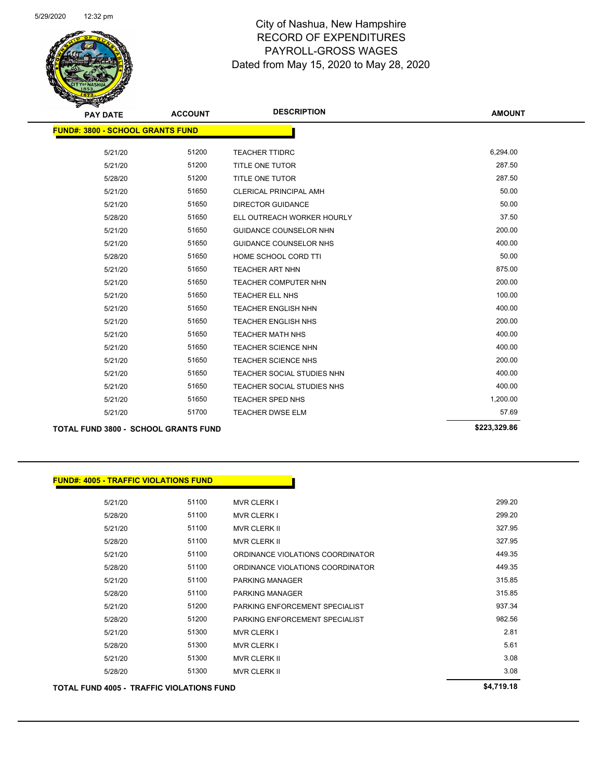

Page 75 of 81

| <b>PAY DATE</b>                             | <b>ACCOUNT</b> | <b>DESCRIPTION</b>            | <b>AMOUNT</b> |
|---------------------------------------------|----------------|-------------------------------|---------------|
| <b>FUND#: 3800 - SCHOOL GRANTS FUND</b>     |                |                               |               |
|                                             |                |                               |               |
| 5/21/20                                     | 51200          | <b>TEACHER TTIDRC</b>         | 6,294.00      |
| 5/21/20                                     | 51200          | <b>TITLE ONE TUTOR</b>        | 287.50        |
| 5/28/20                                     | 51200          | <b>TITLE ONE TUTOR</b>        | 287.50        |
| 5/21/20                                     | 51650          | <b>CLERICAL PRINCIPAL AMH</b> | 50.00         |
| 5/21/20                                     | 51650          | <b>DIRECTOR GUIDANCE</b>      | 50.00         |
| 5/28/20                                     | 51650          | ELL OUTREACH WORKER HOURLY    | 37.50         |
| 5/21/20                                     | 51650          | <b>GUIDANCE COUNSELOR NHN</b> | 200.00        |
| 5/21/20                                     | 51650          | <b>GUIDANCE COUNSELOR NHS</b> | 400.00        |
| 5/28/20                                     | 51650          | HOME SCHOOL CORD TTI          | 50.00         |
| 5/21/20                                     | 51650          | <b>TEACHER ART NHN</b>        | 875.00        |
| 5/21/20                                     | 51650          | <b>TEACHER COMPUTER NHN</b>   | 200.00        |
| 5/21/20                                     | 51650          | TEACHER ELL NHS               | 100.00        |
| 5/21/20                                     | 51650          | <b>TEACHER ENGLISH NHN</b>    | 400.00        |
| 5/21/20                                     | 51650          | <b>TEACHER ENGLISH NHS</b>    | 200.00        |
| 5/21/20                                     | 51650          | <b>TEACHER MATH NHS</b>       | 400.00        |
| 5/21/20                                     | 51650          | <b>TEACHER SCIENCE NHN</b>    | 400.00        |
| 5/21/20                                     | 51650          | <b>TEACHER SCIENCE NHS</b>    | 200.00        |
| 5/21/20                                     | 51650          | TEACHER SOCIAL STUDIES NHN    | 400.00        |
| 5/21/20                                     | 51650          | TEACHER SOCIAL STUDIES NHS    | 400.00        |
| 5/21/20                                     | 51650          | <b>TEACHER SPED NHS</b>       | 1,200.00      |
| 5/21/20                                     | 51700          | <b>TEACHER DWSE ELM</b>       | 57.69         |
| <b>TOTAL FUND 3800 - SCHOOL GRANTS FUND</b> |                |                               | \$223,329.86  |

| <b>FUND#: 4005 - TRAFFIC VIOLATIONS FUND</b> |       |                                  |            |
|----------------------------------------------|-------|----------------------------------|------------|
| 5/21/20                                      | 51100 | <b>MVR CLERK I</b>               | 299.20     |
| 5/28/20                                      | 51100 | <b>MVR CLERK I</b>               | 299.20     |
| 5/21/20                                      | 51100 | <b>MVR CLERK II</b>              | 327.95     |
| 5/28/20                                      | 51100 | <b>MVR CLERK II</b>              | 327.95     |
| 5/21/20                                      | 51100 | ORDINANCE VIOLATIONS COORDINATOR | 449.35     |
| 5/28/20                                      | 51100 | ORDINANCE VIOLATIONS COORDINATOR | 449.35     |
| 5/21/20                                      | 51100 | <b>PARKING MANAGER</b>           | 315.85     |
| 5/28/20                                      | 51100 | <b>PARKING MANAGER</b>           | 315.85     |
| 5/21/20                                      | 51200 | PARKING ENFORCEMENT SPECIALIST   | 937.34     |
| 5/28/20                                      | 51200 | PARKING ENFORCEMENT SPECIALIST   | 982.56     |
| 5/21/20                                      | 51300 | <b>MVR CLERK I</b>               | 2.81       |
| 5/28/20                                      | 51300 | <b>MVR CLERK I</b>               | 5.61       |
| 5/21/20                                      | 51300 | <b>MVR CLERK II</b>              | 3.08       |
| 5/28/20                                      | 51300 | <b>MVR CLERK II</b>              | 3.08       |
| TOTAL FUND 4005 - TRAFFIC VIOLATIONS FUND    |       |                                  | \$4,719.18 |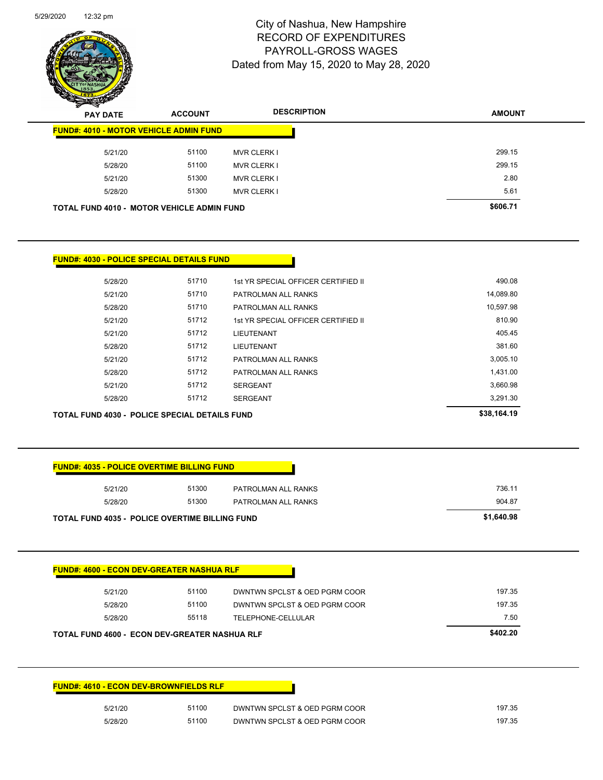

Page 76 of 81

| $\mathbf{z}$<br>$\sim$<br><b>PAY DATE</b>     | <b>ACCOUNT</b>                             | <b>DESCRIPTION</b> | <b>AMOUNT</b> |
|-----------------------------------------------|--------------------------------------------|--------------------|---------------|
| <b>FUND#: 4010 - MOTOR VEHICLE ADMIN FUND</b> |                                            |                    |               |
| 5/21/20                                       | 51100                                      | <b>MVR CLERK I</b> | 299.15        |
| 5/28/20                                       | 51100                                      | <b>MVR CLERK I</b> | 299.15        |
| 5/21/20                                       | 51300                                      | <b>MVR CLERK I</b> | 2.80          |
| 5/28/20                                       | 51300                                      | <b>MVR CLERK I</b> | 5.61          |
|                                               | TOTAL FUND 4010 - MOTOR VEHICLE ADMIN FUND |                    | \$606.71      |

| TOTAL FUND 4030 - POLICE SPECIAL DETAILS FUND | \$38.164.19 |                                     |           |
|-----------------------------------------------|-------------|-------------------------------------|-----------|
| 5/28/20                                       | 51712       | <b>SERGEANT</b>                     | 3,291.30  |
| 5/21/20                                       | 51712       | <b>SERGEANT</b>                     | 3,660.98  |
| 5/28/20                                       | 51712       | PATROLMAN ALL RANKS                 | 1,431.00  |
| 5/21/20                                       | 51712       | PATROLMAN ALL RANKS                 | 3,005.10  |
| 5/28/20                                       | 51712       | <b>LIEUTENANT</b>                   | 381.60    |
| 5/21/20                                       | 51712       | <b>LIEUTENANT</b>                   | 405.45    |
| 5/21/20                                       | 51712       | 1st YR SPECIAL OFFICER CERTIFIED II | 810.90    |
| 5/28/20                                       | 51710       | PATROLMAN ALL RANKS                 | 10,597.98 |
| 5/21/20                                       | 51710       | PATROLMAN ALL RANKS                 | 14,089.80 |
| 5/28/20                                       | 51710       | 1st YR SPECIAL OFFICER CERTIFIED II | 490.08    |

| 5/21/20<br>5/28/20                                    | 51300<br>51300                                | PATROLMAN ALL RANKS<br>PATROLMAN ALL RANKS | 736.11<br>904.87 |
|-------------------------------------------------------|-----------------------------------------------|--------------------------------------------|------------------|
| <b>TOTAL FUND 4035 - POLICE OVERTIME BILLING FUND</b> |                                               |                                            | \$1,640.98       |
| <b>FUND#: 4600 - ECON DEV-GREATER NASHUA RLF</b>      |                                               |                                            |                  |
| 5/21/20                                               | 51100                                         | DWNTWN SPCLST & OED PGRM COOR              | 197.35           |
| 5/28/20                                               | 51100                                         | DWNTWN SPCLST & OED PGRM COOR              | 197.35           |
| 5/28/20                                               | 55118                                         | TELEPHONE-CELLULAR                         | 7.50             |
|                                                       | TOTAL FUND 4600 - ECON DEV-GREATER NASHUA RLF |                                            | \$402.20         |

| 5/21/20 | 51100 | DWNTWN SPCLST & OED PGRM COOR | 197.35 |
|---------|-------|-------------------------------|--------|
| 5/28/20 | 51100 | DWNTWN SPCLST & OED PGRM COOR | 197.35 |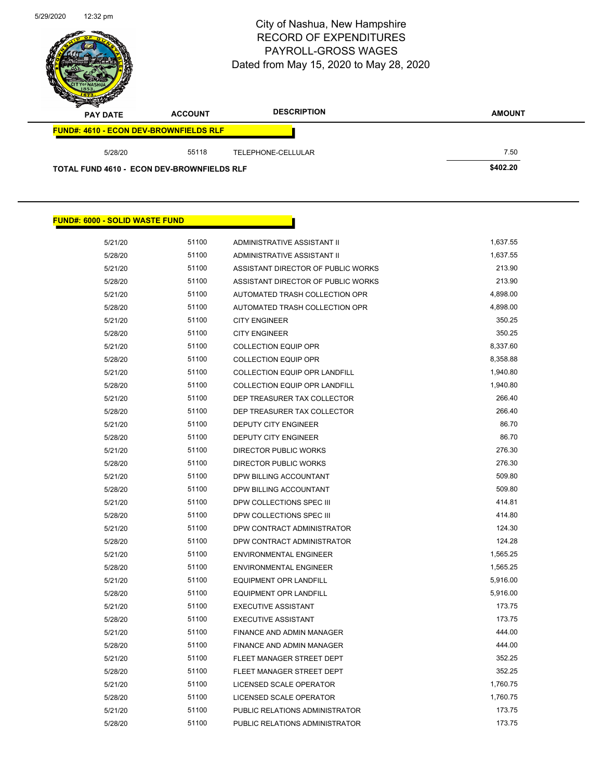÷.

## City of Nashua, New Hampshire RECORD OF EXPENDITURES PAYROLL-GROSS WAGES Dated from May 15, 2020 to May 28, 2020

Page 77 of 81

| $\sim$<br><b>PAY DATE</b>                         | <b>ACCOUNT</b> | <b>DESCRIPTION</b> | <b>AMOUNT</b> |
|---------------------------------------------------|----------------|--------------------|---------------|
| <b>FUND#: 4610 - ECON DEV-BROWNFIELDS RLF</b>     |                |                    |               |
| 5/28/20                                           | 55118          | TELEPHONE-CELLULAR | 7.50          |
| <b>TOTAL FUND 4610 - ECON DEV-BROWNFIELDS RLF</b> |                |                    | \$402.20      |

#### **FUND#: 6000 - SOLID WASTE FUND**

| 5/21/20 | 51100 | ADMINISTRATIVE ASSISTANT II        | 1,637.55 |
|---------|-------|------------------------------------|----------|
| 5/28/20 | 51100 | ADMINISTRATIVE ASSISTANT II        | 1,637.55 |
| 5/21/20 | 51100 | ASSISTANT DIRECTOR OF PUBLIC WORKS | 213.90   |
| 5/28/20 | 51100 | ASSISTANT DIRECTOR OF PUBLIC WORKS | 213.90   |
| 5/21/20 | 51100 | AUTOMATED TRASH COLLECTION OPR     | 4,898.00 |
| 5/28/20 | 51100 | AUTOMATED TRASH COLLECTION OPR     | 4,898.00 |
| 5/21/20 | 51100 | <b>CITY ENGINEER</b>               | 350.25   |
| 5/28/20 | 51100 | <b>CITY ENGINEER</b>               | 350.25   |
| 5/21/20 | 51100 | <b>COLLECTION EQUIP OPR</b>        | 8,337.60 |
| 5/28/20 | 51100 | <b>COLLECTION EQUIP OPR</b>        | 8,358.88 |
| 5/21/20 | 51100 | COLLECTION EQUIP OPR LANDFILL      | 1,940.80 |
| 5/28/20 | 51100 | COLLECTION EQUIP OPR LANDFILL      | 1,940.80 |
| 5/21/20 | 51100 | DEP TREASURER TAX COLLECTOR        | 266.40   |
| 5/28/20 | 51100 | DEP TREASURER TAX COLLECTOR        | 266.40   |
| 5/21/20 | 51100 | DEPUTY CITY ENGINEER               | 86.70    |
| 5/28/20 | 51100 | <b>DEPUTY CITY ENGINEER</b>        | 86.70    |
| 5/21/20 | 51100 | <b>DIRECTOR PUBLIC WORKS</b>       | 276.30   |
| 5/28/20 | 51100 | DIRECTOR PUBLIC WORKS              | 276.30   |
| 5/21/20 | 51100 | DPW BILLING ACCOUNTANT             | 509.80   |
| 5/28/20 | 51100 | DPW BILLING ACCOUNTANT             | 509.80   |
| 5/21/20 | 51100 | DPW COLLECTIONS SPEC III           | 414.81   |
| 5/28/20 | 51100 | DPW COLLECTIONS SPEC III           | 414.80   |
| 5/21/20 | 51100 | DPW CONTRACT ADMINISTRATOR         | 124.30   |
| 5/28/20 | 51100 | DPW CONTRACT ADMINISTRATOR         | 124.28   |
| 5/21/20 | 51100 | <b>ENVIRONMENTAL ENGINEER</b>      | 1,565.25 |
| 5/28/20 | 51100 | <b>ENVIRONMENTAL ENGINEER</b>      | 1,565.25 |
| 5/21/20 | 51100 | <b>EQUIPMENT OPR LANDFILL</b>      | 5,916.00 |
| 5/28/20 | 51100 | EQUIPMENT OPR LANDFILL             | 5,916.00 |
| 5/21/20 | 51100 | <b>EXECUTIVE ASSISTANT</b>         | 173.75   |
| 5/28/20 | 51100 | <b>EXECUTIVE ASSISTANT</b>         | 173.75   |
| 5/21/20 | 51100 | FINANCE AND ADMIN MANAGER          | 444.00   |
| 5/28/20 | 51100 | FINANCE AND ADMIN MANAGER          | 444.00   |
| 5/21/20 | 51100 | FLEET MANAGER STREET DEPT          | 352.25   |
| 5/28/20 | 51100 | FLEET MANAGER STREET DEPT          | 352.25   |
| 5/21/20 | 51100 | LICENSED SCALE OPERATOR            | 1,760.75 |
| 5/28/20 | 51100 | LICENSED SCALE OPERATOR            | 1,760.75 |
| 5/21/20 | 51100 | PUBLIC RELATIONS ADMINISTRATOR     | 173.75   |
| 5/28/20 | 51100 | PUBLIC RELATIONS ADMINISTRATOR     | 173.75   |
|         |       |                                    |          |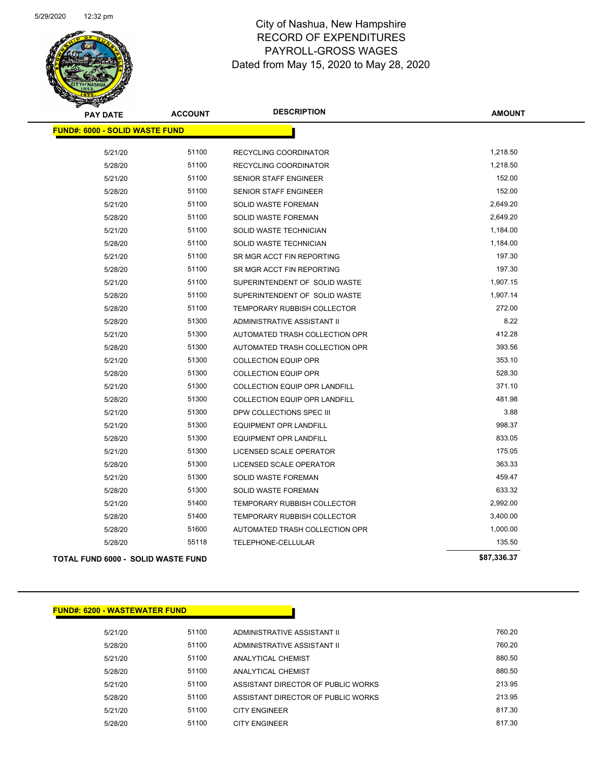

Page 78 of 81

| <b>PAY DATE</b>                           | <b>ACCOUNT</b> | <b>DESCRIPTION</b>                 | <b>AMOUNT</b> |
|-------------------------------------------|----------------|------------------------------------|---------------|
| <b>FUND#: 6000 - SOLID WASTE FUND</b>     |                |                                    |               |
| 5/21/20                                   | 51100          | RECYCLING COORDINATOR              | 1,218.50      |
| 5/28/20                                   | 51100          | <b>RECYCLING COORDINATOR</b>       | 1,218.50      |
| 5/21/20                                   | 51100          | SENIOR STAFF ENGINEER              | 152.00        |
| 5/28/20                                   | 51100          | SENIOR STAFF ENGINEER              | 152.00        |
| 5/21/20                                   | 51100          | SOLID WASTE FOREMAN                | 2,649.20      |
| 5/28/20                                   | 51100          | SOLID WASTE FOREMAN                | 2,649.20      |
| 5/21/20                                   | 51100          | SOLID WASTE TECHNICIAN             | 1,184.00      |
| 5/28/20                                   | 51100          | SOLID WASTE TECHNICIAN             | 1,184.00      |
| 5/21/20                                   | 51100          | SR MGR ACCT FIN REPORTING          | 197.30        |
| 5/28/20                                   | 51100          | SR MGR ACCT FIN REPORTING          | 197.30        |
| 5/21/20                                   | 51100          | SUPERINTENDENT OF SOLID WASTE      | 1,907.15      |
| 5/28/20                                   | 51100          | SUPERINTENDENT OF SOLID WASTE      | 1,907.14      |
| 5/28/20                                   | 51100          | <b>TEMPORARY RUBBISH COLLECTOR</b> | 272.00        |
| 5/28/20                                   | 51300          | ADMINISTRATIVE ASSISTANT II        | 8.22          |
| 5/21/20                                   | 51300          | AUTOMATED TRASH COLLECTION OPR     | 412.28        |
| 5/28/20                                   | 51300          | AUTOMATED TRASH COLLECTION OPR     | 393.56        |
| 5/21/20                                   | 51300          | <b>COLLECTION EQUIP OPR</b>        | 353.10        |
| 5/28/20                                   | 51300          | <b>COLLECTION EQUIP OPR</b>        | 528.30        |
| 5/21/20                                   | 51300          | COLLECTION EQUIP OPR LANDFILL      | 371.10        |
| 5/28/20                                   | 51300          | COLLECTION EQUIP OPR LANDFILL      | 481.98        |
| 5/21/20                                   | 51300          | DPW COLLECTIONS SPEC III           | 3.88          |
| 5/21/20                                   | 51300          | <b>EQUIPMENT OPR LANDFILL</b>      | 998.37        |
| 5/28/20                                   | 51300          | <b>EQUIPMENT OPR LANDFILL</b>      | 833.05        |
| 5/21/20                                   | 51300          | LICENSED SCALE OPERATOR            | 175.05        |
| 5/28/20                                   | 51300          | LICENSED SCALE OPERATOR            | 363.33        |
| 5/21/20                                   | 51300          | SOLID WASTE FOREMAN                | 459.47        |
| 5/28/20                                   | 51300          | SOLID WASTE FOREMAN                | 633.32        |
| 5/21/20                                   | 51400          | <b>TEMPORARY RUBBISH COLLECTOR</b> | 2,992.00      |
| 5/28/20                                   | 51400          | TEMPORARY RUBBISH COLLECTOR        | 3,400.00      |
| 5/28/20                                   | 51600          | AUTOMATED TRASH COLLECTION OPR     | 1,000.00      |
| 5/28/20                                   | 55118          | TELEPHONE-CELLULAR                 | 135.50        |
| <b>TOTAL FUND 6000 - SOLID WASTE FUND</b> |                |                                    | \$87,336.37   |

| <b>FUND#: 6200 - WASTEWATER FUND</b> |       |                                    |        |
|--------------------------------------|-------|------------------------------------|--------|
| 5/21/20                              | 51100 | ADMINISTRATIVE ASSISTANT II        | 760.20 |
| 5/28/20                              | 51100 | ADMINISTRATIVE ASSISTANT II        | 760.20 |
| 5/21/20                              | 51100 | <b>ANALYTICAL CHEMIST</b>          | 880.50 |
| 5/28/20                              | 51100 | <b>ANALYTICAL CHEMIST</b>          | 880.50 |
| 5/21/20                              | 51100 | ASSISTANT DIRECTOR OF PUBLIC WORKS | 213.95 |
| 5/28/20                              | 51100 | ASSISTANT DIRECTOR OF PUBLIC WORKS | 213.95 |
| 5/21/20                              | 51100 | <b>CITY ENGINEER</b>               | 817.30 |
| 5/28/20                              | 51100 | <b>CITY ENGINEER</b>               | 817.30 |
|                                      |       |                                    |        |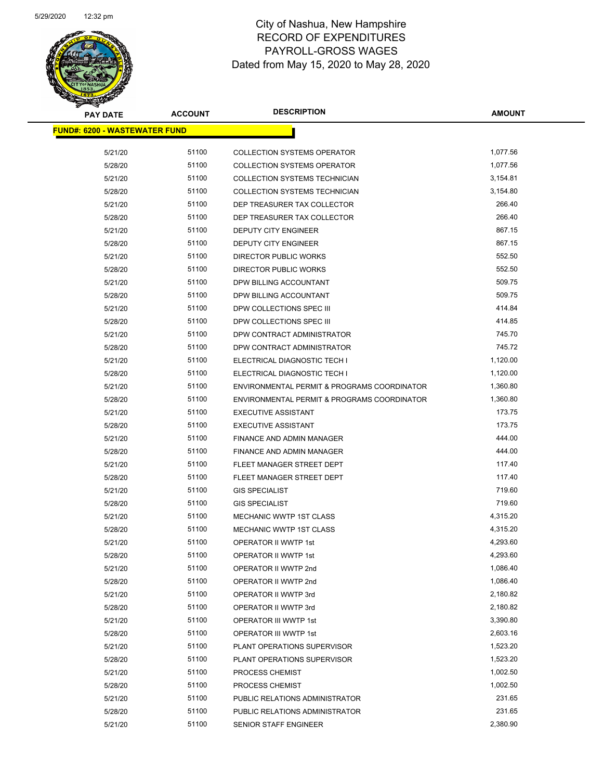

| <u> FUND#: 6200 - WASTEWATER FUND</u><br>5/21/20<br>51100<br>1,077.56<br><b>COLLECTION SYSTEMS OPERATOR</b><br>5/28/20<br>51100<br><b>COLLECTION SYSTEMS OPERATOR</b><br>1,077.56<br>51100<br>3,154.81<br>5/21/20<br><b>COLLECTION SYSTEMS TECHNICIAN</b><br>51100<br>3,154.80<br>5/28/20<br><b>COLLECTION SYSTEMS TECHNICIAN</b><br>51100<br>266.40<br>5/21/20<br>DEP TREASURER TAX COLLECTOR<br>5/28/20<br>51100<br>DEP TREASURER TAX COLLECTOR<br>266.40<br>51100<br>867.15<br>5/21/20<br>DEPUTY CITY ENGINEER<br>867.15<br>51100<br>5/28/20<br><b>DEPUTY CITY ENGINEER</b><br>51100<br>552.50<br>5/21/20<br>DIRECTOR PUBLIC WORKS<br>51100<br>552.50<br>5/28/20<br>DIRECTOR PUBLIC WORKS<br>509.75<br>5/21/20<br>51100<br>DPW BILLING ACCOUNTANT<br>51100<br>509.75<br>5/28/20<br>DPW BILLING ACCOUNTANT<br>414.84<br>51100<br>5/21/20<br>DPW COLLECTIONS SPEC III<br>414.85<br>51100<br>5/28/20<br>DPW COLLECTIONS SPEC III<br>51100<br>745.70<br>5/21/20<br>DPW CONTRACT ADMINISTRATOR<br>745.72<br>5/28/20<br>51100<br>DPW CONTRACT ADMINISTRATOR<br>51100<br>1,120.00<br>5/21/20<br>ELECTRICAL DIAGNOSTIC TECH I<br>51100<br>1,120.00<br>5/28/20<br>ELECTRICAL DIAGNOSTIC TECH I<br>51100<br>1,360.80<br>5/21/20<br>ENVIRONMENTAL PERMIT & PROGRAMS COORDINATOR<br>51100<br>1,360.80<br>5/28/20<br>ENVIRONMENTAL PERMIT & PROGRAMS COORDINATOR<br>5/21/20<br>51100<br><b>EXECUTIVE ASSISTANT</b><br>173.75<br>173.75<br>51100<br><b>EXECUTIVE ASSISTANT</b><br>5/28/20<br>444.00<br>51100<br>5/21/20<br>FINANCE AND ADMIN MANAGER<br>444.00<br>51100<br>5/28/20<br>FINANCE AND ADMIN MANAGER<br>51100<br>117.40<br>5/21/20<br>FLEET MANAGER STREET DEPT<br>5/28/20<br>51100<br>FLEET MANAGER STREET DEPT<br>117.40<br>51100<br>719.60<br>5/21/20<br><b>GIS SPECIALIST</b><br>719.60<br>51100<br>5/28/20<br><b>GIS SPECIALIST</b><br>51100<br>4,315.20<br>5/21/20<br>MECHANIC WWTP 1ST CLASS<br>51100<br>4,315.20<br>5/28/20<br><b>MECHANIC WWTP 1ST CLASS</b> |
|-----------------------------------------------------------------------------------------------------------------------------------------------------------------------------------------------------------------------------------------------------------------------------------------------------------------------------------------------------------------------------------------------------------------------------------------------------------------------------------------------------------------------------------------------------------------------------------------------------------------------------------------------------------------------------------------------------------------------------------------------------------------------------------------------------------------------------------------------------------------------------------------------------------------------------------------------------------------------------------------------------------------------------------------------------------------------------------------------------------------------------------------------------------------------------------------------------------------------------------------------------------------------------------------------------------------------------------------------------------------------------------------------------------------------------------------------------------------------------------------------------------------------------------------------------------------------------------------------------------------------------------------------------------------------------------------------------------------------------------------------------------------------------------------------------------------------------------------------------------------------------------------------------------------------------------------------------------------------|
|                                                                                                                                                                                                                                                                                                                                                                                                                                                                                                                                                                                                                                                                                                                                                                                                                                                                                                                                                                                                                                                                                                                                                                                                                                                                                                                                                                                                                                                                                                                                                                                                                                                                                                                                                                                                                                                                                                                                                                       |
|                                                                                                                                                                                                                                                                                                                                                                                                                                                                                                                                                                                                                                                                                                                                                                                                                                                                                                                                                                                                                                                                                                                                                                                                                                                                                                                                                                                                                                                                                                                                                                                                                                                                                                                                                                                                                                                                                                                                                                       |
|                                                                                                                                                                                                                                                                                                                                                                                                                                                                                                                                                                                                                                                                                                                                                                                                                                                                                                                                                                                                                                                                                                                                                                                                                                                                                                                                                                                                                                                                                                                                                                                                                                                                                                                                                                                                                                                                                                                                                                       |
|                                                                                                                                                                                                                                                                                                                                                                                                                                                                                                                                                                                                                                                                                                                                                                                                                                                                                                                                                                                                                                                                                                                                                                                                                                                                                                                                                                                                                                                                                                                                                                                                                                                                                                                                                                                                                                                                                                                                                                       |
|                                                                                                                                                                                                                                                                                                                                                                                                                                                                                                                                                                                                                                                                                                                                                                                                                                                                                                                                                                                                                                                                                                                                                                                                                                                                                                                                                                                                                                                                                                                                                                                                                                                                                                                                                                                                                                                                                                                                                                       |
|                                                                                                                                                                                                                                                                                                                                                                                                                                                                                                                                                                                                                                                                                                                                                                                                                                                                                                                                                                                                                                                                                                                                                                                                                                                                                                                                                                                                                                                                                                                                                                                                                                                                                                                                                                                                                                                                                                                                                                       |
|                                                                                                                                                                                                                                                                                                                                                                                                                                                                                                                                                                                                                                                                                                                                                                                                                                                                                                                                                                                                                                                                                                                                                                                                                                                                                                                                                                                                                                                                                                                                                                                                                                                                                                                                                                                                                                                                                                                                                                       |
|                                                                                                                                                                                                                                                                                                                                                                                                                                                                                                                                                                                                                                                                                                                                                                                                                                                                                                                                                                                                                                                                                                                                                                                                                                                                                                                                                                                                                                                                                                                                                                                                                                                                                                                                                                                                                                                                                                                                                                       |
|                                                                                                                                                                                                                                                                                                                                                                                                                                                                                                                                                                                                                                                                                                                                                                                                                                                                                                                                                                                                                                                                                                                                                                                                                                                                                                                                                                                                                                                                                                                                                                                                                                                                                                                                                                                                                                                                                                                                                                       |
|                                                                                                                                                                                                                                                                                                                                                                                                                                                                                                                                                                                                                                                                                                                                                                                                                                                                                                                                                                                                                                                                                                                                                                                                                                                                                                                                                                                                                                                                                                                                                                                                                                                                                                                                                                                                                                                                                                                                                                       |
|                                                                                                                                                                                                                                                                                                                                                                                                                                                                                                                                                                                                                                                                                                                                                                                                                                                                                                                                                                                                                                                                                                                                                                                                                                                                                                                                                                                                                                                                                                                                                                                                                                                                                                                                                                                                                                                                                                                                                                       |
|                                                                                                                                                                                                                                                                                                                                                                                                                                                                                                                                                                                                                                                                                                                                                                                                                                                                                                                                                                                                                                                                                                                                                                                                                                                                                                                                                                                                                                                                                                                                                                                                                                                                                                                                                                                                                                                                                                                                                                       |
|                                                                                                                                                                                                                                                                                                                                                                                                                                                                                                                                                                                                                                                                                                                                                                                                                                                                                                                                                                                                                                                                                                                                                                                                                                                                                                                                                                                                                                                                                                                                                                                                                                                                                                                                                                                                                                                                                                                                                                       |
|                                                                                                                                                                                                                                                                                                                                                                                                                                                                                                                                                                                                                                                                                                                                                                                                                                                                                                                                                                                                                                                                                                                                                                                                                                                                                                                                                                                                                                                                                                                                                                                                                                                                                                                                                                                                                                                                                                                                                                       |
|                                                                                                                                                                                                                                                                                                                                                                                                                                                                                                                                                                                                                                                                                                                                                                                                                                                                                                                                                                                                                                                                                                                                                                                                                                                                                                                                                                                                                                                                                                                                                                                                                                                                                                                                                                                                                                                                                                                                                                       |
|                                                                                                                                                                                                                                                                                                                                                                                                                                                                                                                                                                                                                                                                                                                                                                                                                                                                                                                                                                                                                                                                                                                                                                                                                                                                                                                                                                                                                                                                                                                                                                                                                                                                                                                                                                                                                                                                                                                                                                       |
|                                                                                                                                                                                                                                                                                                                                                                                                                                                                                                                                                                                                                                                                                                                                                                                                                                                                                                                                                                                                                                                                                                                                                                                                                                                                                                                                                                                                                                                                                                                                                                                                                                                                                                                                                                                                                                                                                                                                                                       |
|                                                                                                                                                                                                                                                                                                                                                                                                                                                                                                                                                                                                                                                                                                                                                                                                                                                                                                                                                                                                                                                                                                                                                                                                                                                                                                                                                                                                                                                                                                                                                                                                                                                                                                                                                                                                                                                                                                                                                                       |
|                                                                                                                                                                                                                                                                                                                                                                                                                                                                                                                                                                                                                                                                                                                                                                                                                                                                                                                                                                                                                                                                                                                                                                                                                                                                                                                                                                                                                                                                                                                                                                                                                                                                                                                                                                                                                                                                                                                                                                       |
|                                                                                                                                                                                                                                                                                                                                                                                                                                                                                                                                                                                                                                                                                                                                                                                                                                                                                                                                                                                                                                                                                                                                                                                                                                                                                                                                                                                                                                                                                                                                                                                                                                                                                                                                                                                                                                                                                                                                                                       |
|                                                                                                                                                                                                                                                                                                                                                                                                                                                                                                                                                                                                                                                                                                                                                                                                                                                                                                                                                                                                                                                                                                                                                                                                                                                                                                                                                                                                                                                                                                                                                                                                                                                                                                                                                                                                                                                                                                                                                                       |
|                                                                                                                                                                                                                                                                                                                                                                                                                                                                                                                                                                                                                                                                                                                                                                                                                                                                                                                                                                                                                                                                                                                                                                                                                                                                                                                                                                                                                                                                                                                                                                                                                                                                                                                                                                                                                                                                                                                                                                       |
|                                                                                                                                                                                                                                                                                                                                                                                                                                                                                                                                                                                                                                                                                                                                                                                                                                                                                                                                                                                                                                                                                                                                                                                                                                                                                                                                                                                                                                                                                                                                                                                                                                                                                                                                                                                                                                                                                                                                                                       |
|                                                                                                                                                                                                                                                                                                                                                                                                                                                                                                                                                                                                                                                                                                                                                                                                                                                                                                                                                                                                                                                                                                                                                                                                                                                                                                                                                                                                                                                                                                                                                                                                                                                                                                                                                                                                                                                                                                                                                                       |
|                                                                                                                                                                                                                                                                                                                                                                                                                                                                                                                                                                                                                                                                                                                                                                                                                                                                                                                                                                                                                                                                                                                                                                                                                                                                                                                                                                                                                                                                                                                                                                                                                                                                                                                                                                                                                                                                                                                                                                       |
|                                                                                                                                                                                                                                                                                                                                                                                                                                                                                                                                                                                                                                                                                                                                                                                                                                                                                                                                                                                                                                                                                                                                                                                                                                                                                                                                                                                                                                                                                                                                                                                                                                                                                                                                                                                                                                                                                                                                                                       |
|                                                                                                                                                                                                                                                                                                                                                                                                                                                                                                                                                                                                                                                                                                                                                                                                                                                                                                                                                                                                                                                                                                                                                                                                                                                                                                                                                                                                                                                                                                                                                                                                                                                                                                                                                                                                                                                                                                                                                                       |
|                                                                                                                                                                                                                                                                                                                                                                                                                                                                                                                                                                                                                                                                                                                                                                                                                                                                                                                                                                                                                                                                                                                                                                                                                                                                                                                                                                                                                                                                                                                                                                                                                                                                                                                                                                                                                                                                                                                                                                       |
|                                                                                                                                                                                                                                                                                                                                                                                                                                                                                                                                                                                                                                                                                                                                                                                                                                                                                                                                                                                                                                                                                                                                                                                                                                                                                                                                                                                                                                                                                                                                                                                                                                                                                                                                                                                                                                                                                                                                                                       |
|                                                                                                                                                                                                                                                                                                                                                                                                                                                                                                                                                                                                                                                                                                                                                                                                                                                                                                                                                                                                                                                                                                                                                                                                                                                                                                                                                                                                                                                                                                                                                                                                                                                                                                                                                                                                                                                                                                                                                                       |
|                                                                                                                                                                                                                                                                                                                                                                                                                                                                                                                                                                                                                                                                                                                                                                                                                                                                                                                                                                                                                                                                                                                                                                                                                                                                                                                                                                                                                                                                                                                                                                                                                                                                                                                                                                                                                                                                                                                                                                       |
|                                                                                                                                                                                                                                                                                                                                                                                                                                                                                                                                                                                                                                                                                                                                                                                                                                                                                                                                                                                                                                                                                                                                                                                                                                                                                                                                                                                                                                                                                                                                                                                                                                                                                                                                                                                                                                                                                                                                                                       |
| 5/21/20<br>51100<br>OPERATOR II WWTP 1st<br>4,293.60                                                                                                                                                                                                                                                                                                                                                                                                                                                                                                                                                                                                                                                                                                                                                                                                                                                                                                                                                                                                                                                                                                                                                                                                                                                                                                                                                                                                                                                                                                                                                                                                                                                                                                                                                                                                                                                                                                                  |
| 51100<br>4,293.60<br>5/28/20<br>OPERATOR II WWTP 1st                                                                                                                                                                                                                                                                                                                                                                                                                                                                                                                                                                                                                                                                                                                                                                                                                                                                                                                                                                                                                                                                                                                                                                                                                                                                                                                                                                                                                                                                                                                                                                                                                                                                                                                                                                                                                                                                                                                  |
| 51100<br>1,086.40<br>5/21/20<br>OPERATOR II WWTP 2nd                                                                                                                                                                                                                                                                                                                                                                                                                                                                                                                                                                                                                                                                                                                                                                                                                                                                                                                                                                                                                                                                                                                                                                                                                                                                                                                                                                                                                                                                                                                                                                                                                                                                                                                                                                                                                                                                                                                  |
| 51100<br>1,086.40<br>5/28/20<br>OPERATOR II WWTP 2nd                                                                                                                                                                                                                                                                                                                                                                                                                                                                                                                                                                                                                                                                                                                                                                                                                                                                                                                                                                                                                                                                                                                                                                                                                                                                                                                                                                                                                                                                                                                                                                                                                                                                                                                                                                                                                                                                                                                  |
| 51100<br>2,180.82<br>5/21/20<br>OPERATOR II WWTP 3rd                                                                                                                                                                                                                                                                                                                                                                                                                                                                                                                                                                                                                                                                                                                                                                                                                                                                                                                                                                                                                                                                                                                                                                                                                                                                                                                                                                                                                                                                                                                                                                                                                                                                                                                                                                                                                                                                                                                  |
| 5/28/20<br>51100<br>2,180.82<br>OPERATOR II WWTP 3rd                                                                                                                                                                                                                                                                                                                                                                                                                                                                                                                                                                                                                                                                                                                                                                                                                                                                                                                                                                                                                                                                                                                                                                                                                                                                                                                                                                                                                                                                                                                                                                                                                                                                                                                                                                                                                                                                                                                  |
| 5/21/20<br>51100<br>OPERATOR III WWTP 1st<br>3,390.80                                                                                                                                                                                                                                                                                                                                                                                                                                                                                                                                                                                                                                                                                                                                                                                                                                                                                                                                                                                                                                                                                                                                                                                                                                                                                                                                                                                                                                                                                                                                                                                                                                                                                                                                                                                                                                                                                                                 |
| 51100<br>2,603.16<br>OPERATOR III WWTP 1st<br>5/28/20                                                                                                                                                                                                                                                                                                                                                                                                                                                                                                                                                                                                                                                                                                                                                                                                                                                                                                                                                                                                                                                                                                                                                                                                                                                                                                                                                                                                                                                                                                                                                                                                                                                                                                                                                                                                                                                                                                                 |
| 51100<br>1,523.20<br>5/21/20<br>PLANT OPERATIONS SUPERVISOR                                                                                                                                                                                                                                                                                                                                                                                                                                                                                                                                                                                                                                                                                                                                                                                                                                                                                                                                                                                                                                                                                                                                                                                                                                                                                                                                                                                                                                                                                                                                                                                                                                                                                                                                                                                                                                                                                                           |
| 51100<br>1,523.20<br>5/28/20<br>PLANT OPERATIONS SUPERVISOR                                                                                                                                                                                                                                                                                                                                                                                                                                                                                                                                                                                                                                                                                                                                                                                                                                                                                                                                                                                                                                                                                                                                                                                                                                                                                                                                                                                                                                                                                                                                                                                                                                                                                                                                                                                                                                                                                                           |
| 5/21/20<br>51100<br>PROCESS CHEMIST<br>1,002.50                                                                                                                                                                                                                                                                                                                                                                                                                                                                                                                                                                                                                                                                                                                                                                                                                                                                                                                                                                                                                                                                                                                                                                                                                                                                                                                                                                                                                                                                                                                                                                                                                                                                                                                                                                                                                                                                                                                       |
| 5/28/20<br>51100<br>PROCESS CHEMIST<br>1,002.50                                                                                                                                                                                                                                                                                                                                                                                                                                                                                                                                                                                                                                                                                                                                                                                                                                                                                                                                                                                                                                                                                                                                                                                                                                                                                                                                                                                                                                                                                                                                                                                                                                                                                                                                                                                                                                                                                                                       |
| 51100<br>231.65<br>5/21/20<br>PUBLIC RELATIONS ADMINISTRATOR                                                                                                                                                                                                                                                                                                                                                                                                                                                                                                                                                                                                                                                                                                                                                                                                                                                                                                                                                                                                                                                                                                                                                                                                                                                                                                                                                                                                                                                                                                                                                                                                                                                                                                                                                                                                                                                                                                          |
| 231.65<br>51100<br>5/28/20<br>PUBLIC RELATIONS ADMINISTRATOR                                                                                                                                                                                                                                                                                                                                                                                                                                                                                                                                                                                                                                                                                                                                                                                                                                                                                                                                                                                                                                                                                                                                                                                                                                                                                                                                                                                                                                                                                                                                                                                                                                                                                                                                                                                                                                                                                                          |
| 51100<br>2,380.90<br>5/21/20<br>SENIOR STAFF ENGINEER                                                                                                                                                                                                                                                                                                                                                                                                                                                                                                                                                                                                                                                                                                                                                                                                                                                                                                                                                                                                                                                                                                                                                                                                                                                                                                                                                                                                                                                                                                                                                                                                                                                                                                                                                                                                                                                                                                                 |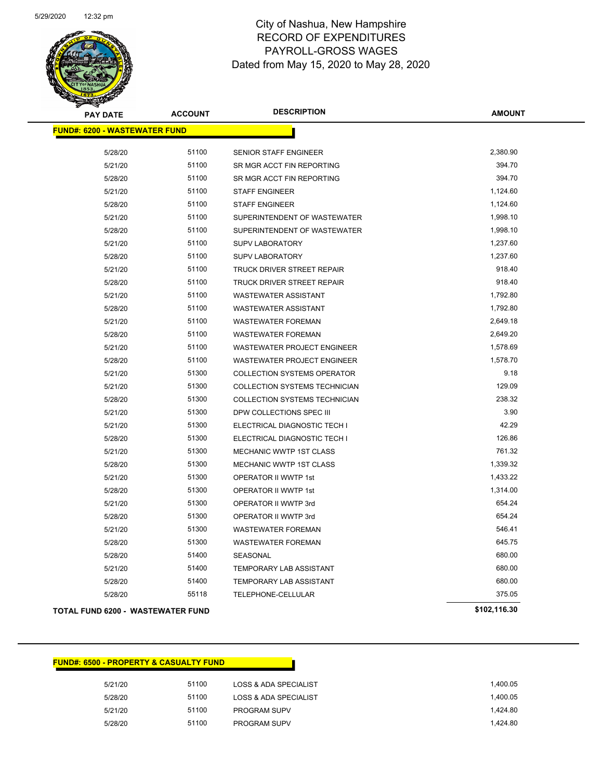

| <b>PAY DATE</b>                          | <b>ACCOUNT</b> | <b>DESCRIPTION</b>                 | <b>AMOUNT</b> |
|------------------------------------------|----------------|------------------------------------|---------------|
| <b>FUND#: 6200 - WASTEWATER FUND</b>     |                |                                    |               |
| 5/28/20                                  | 51100          | <b>SENIOR STAFF ENGINEER</b>       | 2,380.90      |
| 5/21/20                                  | 51100          | SR MGR ACCT FIN REPORTING          | 394.70        |
| 5/28/20                                  | 51100          | SR MGR ACCT FIN REPORTING          | 394.70        |
| 5/21/20                                  | 51100          | <b>STAFF ENGINEER</b>              | 1,124.60      |
| 5/28/20                                  | 51100          | <b>STAFF ENGINEER</b>              | 1,124.60      |
| 5/21/20                                  | 51100          | SUPERINTENDENT OF WASTEWATER       | 1,998.10      |
| 5/28/20                                  | 51100          | SUPERINTENDENT OF WASTEWATER       | 1,998.10      |
| 5/21/20                                  | 51100          | <b>SUPV LABORATORY</b>             | 1,237.60      |
| 5/28/20                                  | 51100          | <b>SUPV LABORATORY</b>             | 1,237.60      |
| 5/21/20                                  | 51100          | TRUCK DRIVER STREET REPAIR         | 918.40        |
| 5/28/20                                  | 51100          | TRUCK DRIVER STREET REPAIR         | 918.40        |
| 5/21/20                                  | 51100          | <b>WASTEWATER ASSISTANT</b>        | 1,792.80      |
| 5/28/20                                  | 51100          | <b>WASTEWATER ASSISTANT</b>        | 1,792.80      |
| 5/21/20                                  | 51100          | <b>WASTEWATER FOREMAN</b>          | 2,649.18      |
| 5/28/20                                  | 51100          | <b>WASTEWATER FOREMAN</b>          | 2,649.20      |
| 5/21/20                                  | 51100          | WASTEWATER PROJECT ENGINEER        | 1,578.69      |
| 5/28/20                                  | 51100          | <b>WASTEWATER PROJECT ENGINEER</b> | 1,578.70      |
| 5/21/20                                  | 51300          | <b>COLLECTION SYSTEMS OPERATOR</b> | 9.18          |
| 5/21/20                                  | 51300          | COLLECTION SYSTEMS TECHNICIAN      | 129.09        |
| 5/28/20                                  | 51300          | COLLECTION SYSTEMS TECHNICIAN      | 238.32        |
| 5/21/20                                  | 51300          | DPW COLLECTIONS SPEC III           | 3.90          |
| 5/21/20                                  | 51300          | ELECTRICAL DIAGNOSTIC TECH I       | 42.29         |
| 5/28/20                                  | 51300          | ELECTRICAL DIAGNOSTIC TECH I       | 126.86        |
| 5/21/20                                  | 51300          | MECHANIC WWTP 1ST CLASS            | 761.32        |
| 5/28/20                                  | 51300          | <b>MECHANIC WWTP 1ST CLASS</b>     | 1,339.32      |
| 5/21/20                                  | 51300          | OPERATOR II WWTP 1st               | 1,433.22      |
| 5/28/20                                  | 51300          | <b>OPERATOR II WWTP 1st</b>        | 1,314.00      |
| 5/21/20                                  | 51300          | OPERATOR II WWTP 3rd               | 654.24        |
| 5/28/20                                  | 51300          | OPERATOR II WWTP 3rd               | 654.24        |
| 5/21/20                                  | 51300          | <b>WASTEWATER FOREMAN</b>          | 546.41        |
| 5/28/20                                  | 51300          | <b>WASTEWATER FOREMAN</b>          | 645.75        |
| 5/28/20                                  | 51400          | SEASONAL                           | 680.00        |
| 5/21/20                                  | 51400          | TEMPORARY LAB ASSISTANT            | 680.00        |
| 5/28/20                                  | 51400          | TEMPORARY LAB ASSISTANT            | 680.00        |
| 5/28/20                                  | 55118          | TELEPHONE-CELLULAR                 | 375.05        |
| <b>TOTAL FUND 6200 - WASTEWATER FUND</b> |                |                                    | \$102,116.30  |

| <b>FUND#: 6500 - PROPERTY &amp; CASUALTY FUND</b> |       |                                  |
|---------------------------------------------------|-------|----------------------------------|
| 5/21/20                                           | 51100 | LOSS & ADA SPECIALIST            |
| 5/28/20                                           | 51100 | <b>LOSS &amp; ADA SPECIALIST</b> |
| 5/21/20                                           | 51100 | PROGRAM SUPV                     |
| 5/28/20                                           | 51100 | <b>PROGRAM SUPV</b>              |